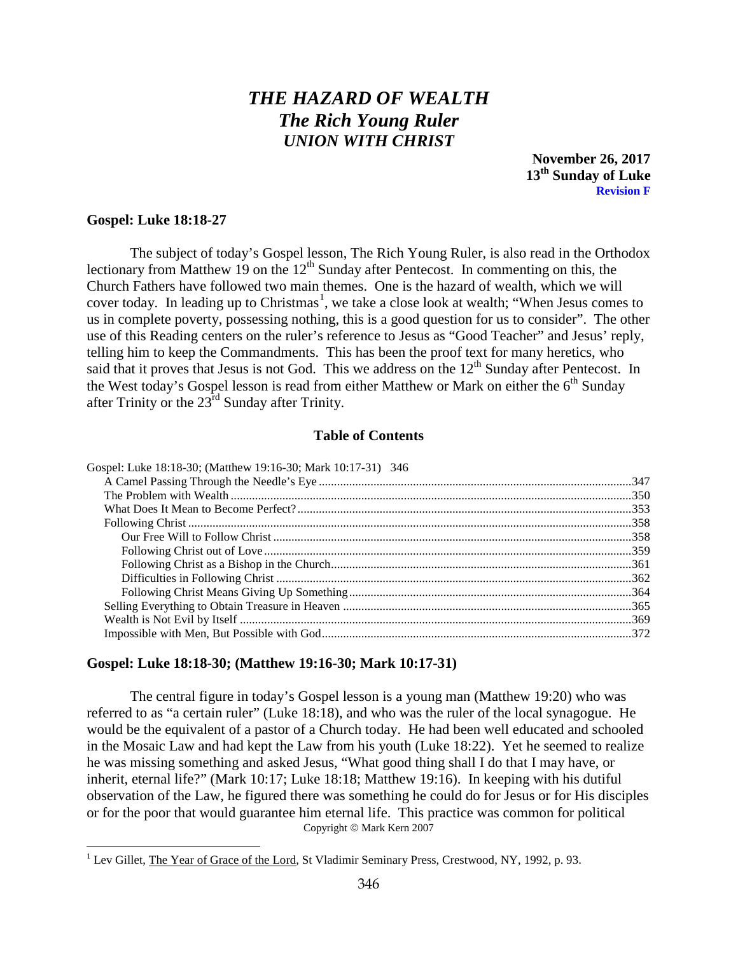# *THE HAZARD OF WEALTH The Rich Young Ruler UNION WITH CHRIST*

**November 26, 2017 13th Sunday of Luke Revision F**

#### **Gospel: Luke 18:18-27**

 $\overline{a}$ 

The subject of today's Gospel lesson, The Rich Young Ruler, is also read in the Orthodox lectionary from Matthew 19 on the  $12<sup>th</sup>$  Sunday after Pentecost. In commenting on this, the Church Fathers have followed two main themes. One is the hazard of wealth, which we will cover today. In leading up to Christmas<sup>[1](#page-0-1)</sup>, we take a close look at wealth; "When Jesus comes to us in complete poverty, possessing nothing, this is a good question for us to consider". The other use of this Reading centers on the ruler's reference to Jesus as "Good Teacher" and Jesus' reply, telling him to keep the Commandments. This has been the proof text for many heretics, who said that it proves that Jesus is not God. This we address on the  $12<sup>th</sup>$  Sunday after Pentecost. In the West today's Gospel lesson is read from either Matthew or Mark on either the  $6<sup>th</sup>$  Sunday after Trinity or the 23rd Sunday after Trinity.

#### **Table of Contents**

| Gospel: Luke 18:18-30; (Matthew 19:16-30; Mark 10:17-31) 346 |  |
|--------------------------------------------------------------|--|
|                                                              |  |
|                                                              |  |
|                                                              |  |
|                                                              |  |
|                                                              |  |
|                                                              |  |
|                                                              |  |
|                                                              |  |
|                                                              |  |
|                                                              |  |
|                                                              |  |
|                                                              |  |
|                                                              |  |

# <span id="page-0-0"></span>**Gospel: Luke 18:18-30; (Matthew 19:16-30; Mark 10:17-31)**

The central figure in today's Gospel lesson is a young man (Matthew 19:20) who was referred to as "a certain ruler" (Luke 18:18), and who was the ruler of the local synagogue. He would be the equivalent of a pastor of a Church today. He had been well educated and schooled in the Mosaic Law and had kept the Law from his youth (Luke 18:22). Yet he seemed to realize he was missing something and asked Jesus, "What good thing shall I do that I may have, or inherit, eternal life?" (Mark 10:17; Luke 18:18; Matthew 19:16). In keeping with his dutiful observation of the Law, he figured there was something he could do for Jesus or for His disciples or for the poor that would guarantee him eternal life. This practice was common for political Copyright © Mark Kern 2007

<span id="page-0-1"></span><sup>&</sup>lt;sup>1</sup> Lev Gillet, *The Year of Grace of the Lord*, St Vladimir Seminary Press, Crestwood, NY, 1992, p. 93.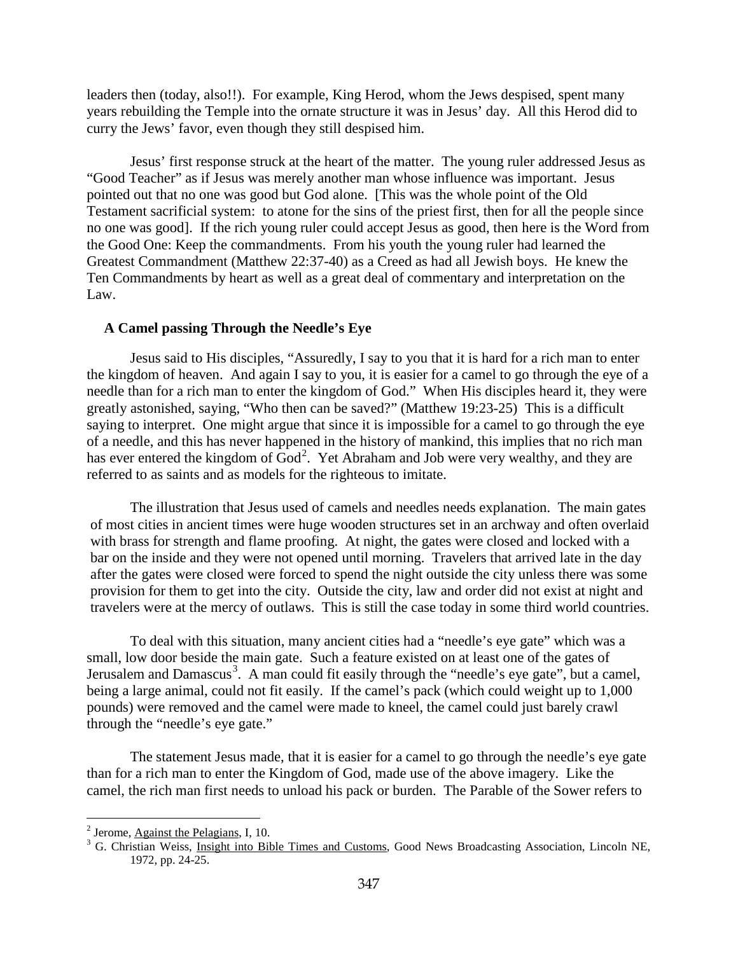leaders then (today, also!!). For example, King Herod, whom the Jews despised, spent many years rebuilding the Temple into the ornate structure it was in Jesus' day. All this Herod did to curry the Jews' favor, even though they still despised him.

Jesus' first response struck at the heart of the matter. The young ruler addressed Jesus as "Good Teacher" as if Jesus was merely another man whose influence was important. Jesus pointed out that no one was good but God alone. [This was the whole point of the Old Testament sacrificial system: to atone for the sins of the priest first, then for all the people since no one was good]. If the rich young ruler could accept Jesus as good, then here is the Word from the Good One: Keep the commandments. From his youth the young ruler had learned the Greatest Commandment (Matthew 22:37-40) as a Creed as had all Jewish boys. He knew the Ten Commandments by heart as well as a great deal of commentary and interpretation on the Law.

## <span id="page-1-0"></span>**A Camel passing Through the Needle's Eye**

Jesus said to His disciples, "Assuredly, I say to you that it is hard for a rich man to enter the kingdom of heaven. And again I say to you, it is easier for a camel to go through the eye of a needle than for a rich man to enter the kingdom of God." When His disciples heard it, they were greatly astonished, saying, "Who then can be saved?" (Matthew 19:23-25) This is a difficult saying to interpret. One might argue that since it is impossible for a camel to go through the eye of a needle, and this has never happened in the history of mankind, this implies that no rich man has ever entered the kingdom of  $\text{God}^2$  $\text{God}^2$ . Yet Abraham and Job were very wealthy, and they are referred to as saints and as models for the righteous to imitate.

The illustration that Jesus used of camels and needles needs explanation. The main gates of most cities in ancient times were huge wooden structures set in an archway and often overlaid with brass for strength and flame proofing. At night, the gates were closed and locked with a bar on the inside and they were not opened until morning. Travelers that arrived late in the day after the gates were closed were forced to spend the night outside the city unless there was some provision for them to get into the city. Outside the city, law and order did not exist at night and travelers were at the mercy of outlaws. This is still the case today in some third world countries.

To deal with this situation, many ancient cities had a "needle's eye gate" which was a small, low door beside the main gate. Such a feature existed on at least one of the gates of Jerusalem and Damascus<sup>[3](#page-1-2)</sup>. A man could fit easily through the "needle's eye gate", but a camel, being a large animal, could not fit easily. If the camel's pack (which could weight up to 1,000 pounds) were removed and the camel were made to kneel, the camel could just barely crawl through the "needle's eye gate."

The statement Jesus made, that it is easier for a camel to go through the needle's eye gate than for a rich man to enter the Kingdom of God, made use of the above imagery. Like the camel, the rich man first needs to unload his pack or burden. The Parable of the Sower refers to

<span id="page-1-2"></span>

<span id="page-1-1"></span><sup>&</sup>lt;sup>2</sup> Jerome, <u>Against the Pelagians</u>, I, 10.<br><sup>3</sup> G. Christian Weiss, <u>Insight into Bible Times and Customs</u>, Good News Broadcasting Association, Lincoln NE, 1972, pp. 24-25.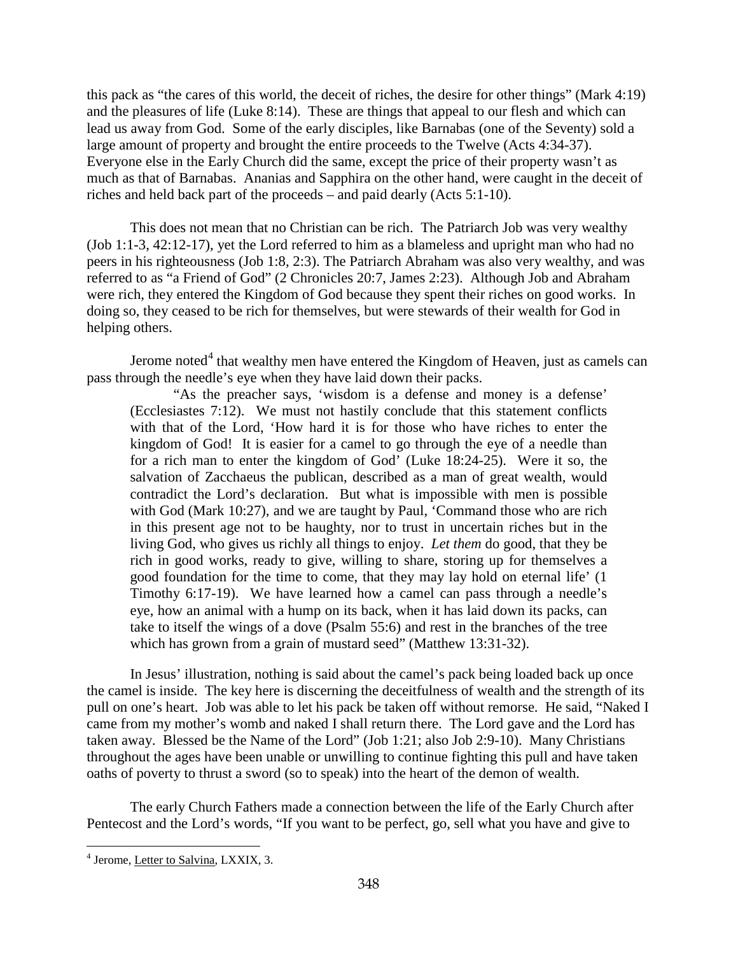this pack as "the cares of this world, the deceit of riches, the desire for other things" (Mark 4:19) and the pleasures of life (Luke 8:14). These are things that appeal to our flesh and which can lead us away from God. Some of the early disciples, like Barnabas (one of the Seventy) sold a large amount of property and brought the entire proceeds to the Twelve (Acts 4:34-37). Everyone else in the Early Church did the same, except the price of their property wasn't as much as that of Barnabas. Ananias and Sapphira on the other hand, were caught in the deceit of riches and held back part of the proceeds – and paid dearly (Acts 5:1-10).

This does not mean that no Christian can be rich. The Patriarch Job was very wealthy (Job 1:1-3, 42:12-17), yet the Lord referred to him as a blameless and upright man who had no peers in his righteousness (Job 1:8, 2:3). The Patriarch Abraham was also very wealthy, and was referred to as "a Friend of God" (2 Chronicles 20:7, James 2:23). Although Job and Abraham were rich, they entered the Kingdom of God because they spent their riches on good works. In doing so, they ceased to be rich for themselves, but were stewards of their wealth for God in helping others.

Jerome noted $4$  that wealthy men have entered the Kingdom of Heaven, just as camels can pass through the needle's eye when they have laid down their packs.

"As the preacher says, 'wisdom is a defense and money is a defense' (Ecclesiastes 7:12). We must not hastily conclude that this statement conflicts with that of the Lord, 'How hard it is for those who have riches to enter the kingdom of God! It is easier for a camel to go through the eye of a needle than for a rich man to enter the kingdom of God' (Luke 18:24-25). Were it so, the salvation of Zacchaeus the publican, described as a man of great wealth, would contradict the Lord's declaration. But what is impossible with men is possible with God (Mark 10:27), and we are taught by Paul, 'Command those who are rich in this present age not to be haughty, nor to trust in uncertain riches but in the living God, who gives us richly all things to enjoy. *Let them* do good, that they be rich in good works, ready to give, willing to share, storing up for themselves a good foundation for the time to come, that they may lay hold on eternal life' (1 Timothy 6:17-19). We have learned how a camel can pass through a needle's eye, how an animal with a hump on its back, when it has laid down its packs, can take to itself the wings of a dove (Psalm 55:6) and rest in the branches of the tree which has grown from a grain of mustard seed" (Matthew 13:31-32).

In Jesus' illustration, nothing is said about the camel's pack being loaded back up once the camel is inside. The key here is discerning the deceitfulness of wealth and the strength of its pull on one's heart. Job was able to let his pack be taken off without remorse. He said, "Naked I came from my mother's womb and naked I shall return there. The Lord gave and the Lord has taken away. Blessed be the Name of the Lord" (Job 1:21; also Job 2:9-10). Many Christians throughout the ages have been unable or unwilling to continue fighting this pull and have taken oaths of poverty to thrust a sword (so to speak) into the heart of the demon of wealth.

The early Church Fathers made a connection between the life of the Early Church after Pentecost and the Lord's words, "If you want to be perfect, go, sell what you have and give to

<span id="page-2-0"></span><sup>4</sup> Jerome, Letter to Salvina, LXXIX, 3.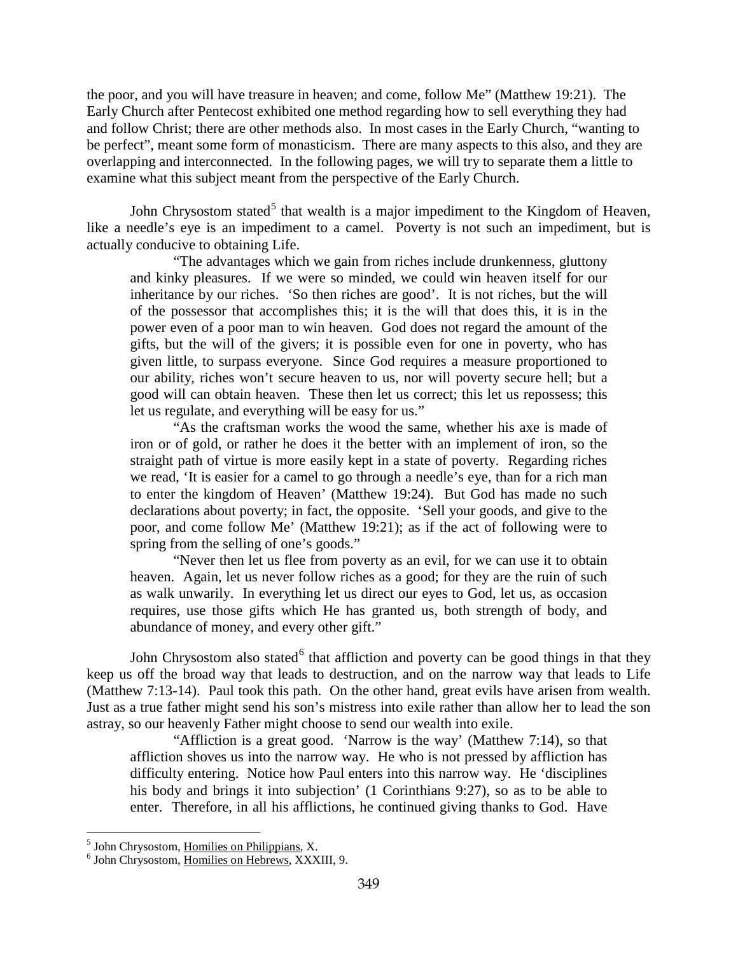the poor, and you will have treasure in heaven; and come, follow Me" (Matthew 19:21). The Early Church after Pentecost exhibited one method regarding how to sell everything they had and follow Christ; there are other methods also. In most cases in the Early Church, "wanting to be perfect", meant some form of monasticism. There are many aspects to this also, and they are overlapping and interconnected. In the following pages, we will try to separate them a little to examine what this subject meant from the perspective of the Early Church.

John Chrysostom stated<sup>[5](#page-3-0)</sup> that wealth is a major impediment to the Kingdom of Heaven, like a needle's eye is an impediment to a camel. Poverty is not such an impediment, but is actually conducive to obtaining Life.

"The advantages which we gain from riches include drunkenness, gluttony and kinky pleasures. If we were so minded, we could win heaven itself for our inheritance by our riches. 'So then riches are good'. It is not riches, but the will of the possessor that accomplishes this; it is the will that does this, it is in the power even of a poor man to win heaven. God does not regard the amount of the gifts, but the will of the givers; it is possible even for one in poverty, who has given little, to surpass everyone. Since God requires a measure proportioned to our ability, riches won't secure heaven to us, nor will poverty secure hell; but a good will can obtain heaven. These then let us correct; this let us repossess; this let us regulate, and everything will be easy for us."

"As the craftsman works the wood the same, whether his axe is made of iron or of gold, or rather he does it the better with an implement of iron, so the straight path of virtue is more easily kept in a state of poverty. Regarding riches we read, 'It is easier for a camel to go through a needle's eye, than for a rich man to enter the kingdom of Heaven' (Matthew 19:24). But God has made no such declarations about poverty; in fact, the opposite. 'Sell your goods, and give to the poor, and come follow Me' (Matthew 19:21); as if the act of following were to spring from the selling of one's goods."

"Never then let us flee from poverty as an evil, for we can use it to obtain heaven. Again, let us never follow riches as a good; for they are the ruin of such as walk unwarily. In everything let us direct our eyes to God, let us, as occasion requires, use those gifts which He has granted us, both strength of body, and abundance of money, and every other gift."

John Chrysostom also stated<sup>[6](#page-3-1)</sup> that affliction and poverty can be good things in that they keep us off the broad way that leads to destruction, and on the narrow way that leads to Life (Matthew 7:13-14). Paul took this path. On the other hand, great evils have arisen from wealth. Just as a true father might send his son's mistress into exile rather than allow her to lead the son astray, so our heavenly Father might choose to send our wealth into exile.

"Affliction is a great good. 'Narrow is the way' (Matthew 7:14), so that affliction shoves us into the narrow way. He who is not pressed by affliction has difficulty entering. Notice how Paul enters into this narrow way. He 'disciplines his body and brings it into subjection' (1 Corinthians 9:27), so as to be able to enter. Therefore, in all his afflictions, he continued giving thanks to God. Have

<span id="page-3-1"></span><span id="page-3-0"></span> $<sup>5</sup>$  John Chrysostom, Homilies on Philippians, X.  $<sup>6</sup>$  John Chrysostom, Homilies on Hebrews, XXXIII, 9.</sup></sup>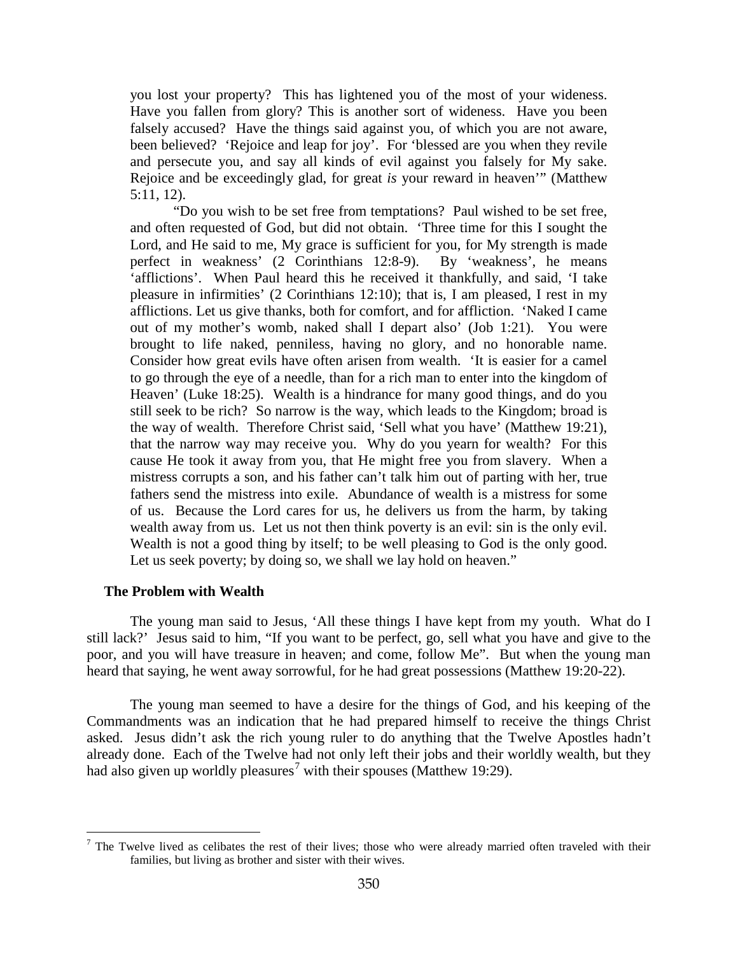you lost your property? This has lightened you of the most of your wideness. Have you fallen from glory? This is another sort of wideness. Have you been falsely accused? Have the things said against you, of which you are not aware, been believed? 'Rejoice and leap for joy'. For 'blessed are you when they revile and persecute you, and say all kinds of evil against you falsely for My sake. Rejoice and be exceedingly glad, for great *is* your reward in heaven'" (Matthew 5:11, 12).

"Do you wish to be set free from temptations? Paul wished to be set free, and often requested of God, but did not obtain. 'Three time for this I sought the Lord, and He said to me, My grace is sufficient for you, for My strength is made perfect in weakness' (2 Corinthians 12:8-9). By 'weakness', he means 'afflictions'. When Paul heard this he received it thankfully, and said, 'I take pleasure in infirmities' (2 Corinthians 12:10); that is, I am pleased, I rest in my afflictions. Let us give thanks, both for comfort, and for affliction. 'Naked I came out of my mother's womb, naked shall I depart also' (Job 1:21). You were brought to life naked, penniless, having no glory, and no honorable name. Consider how great evils have often arisen from wealth. 'It is easier for a camel to go through the eye of a needle, than for a rich man to enter into the kingdom of Heaven' (Luke 18:25). Wealth is a hindrance for many good things, and do you still seek to be rich? So narrow is the way, which leads to the Kingdom; broad is the way of wealth. Therefore Christ said, 'Sell what you have' (Matthew 19:21), that the narrow way may receive you. Why do you yearn for wealth? For this cause He took it away from you, that He might free you from slavery. When a mistress corrupts a son, and his father can't talk him out of parting with her, true fathers send the mistress into exile. Abundance of wealth is a mistress for some of us. Because the Lord cares for us, he delivers us from the harm, by taking wealth away from us. Let us not then think poverty is an evil: sin is the only evil. Wealth is not a good thing by itself; to be well pleasing to God is the only good. Let us seek poverty; by doing so, we shall we lay hold on heaven."

## <span id="page-4-0"></span>**The Problem with Wealth**

 $\overline{a}$ 

The young man said to Jesus, 'All these things I have kept from my youth. What do I still lack?' Jesus said to him, "If you want to be perfect, go, sell what you have and give to the poor, and you will have treasure in heaven; and come, follow Me". But when the young man heard that saying, he went away sorrowful, for he had great possessions (Matthew 19:20-22).

The young man seemed to have a desire for the things of God, and his keeping of the Commandments was an indication that he had prepared himself to receive the things Christ asked. Jesus didn't ask the rich young ruler to do anything that the Twelve Apostles hadn't already done. Each of the Twelve had not only left their jobs and their worldly wealth, but they had also given up worldly pleasures<sup>[7](#page-4-1)</sup> with their spouses (Matthew 19:29).

<span id="page-4-1"></span> $<sup>7</sup>$  The Twelve lived as celibates the rest of their lives; those who were already married often traveled with their</sup> families, but living as brother and sister with their wives.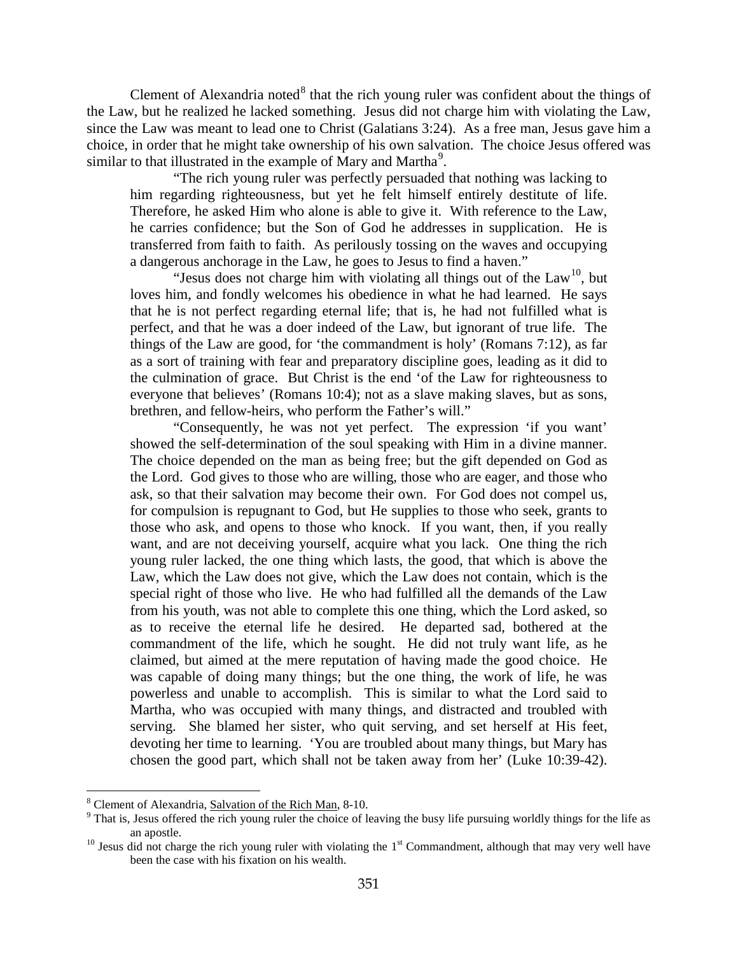Clement of Alexandria noted $8$  that the rich young ruler was confident about the things of the Law, but he realized he lacked something. Jesus did not charge him with violating the Law, since the Law was meant to lead one to Christ (Galatians 3:24). As a free man, Jesus gave him a choice, in order that he might take ownership of his own salvation. The choice Jesus offered was similar to that illustrated in the example of Mary and Martha<sup>[9](#page-5-1)</sup>.

"The rich young ruler was perfectly persuaded that nothing was lacking to him regarding righteousness, but yet he felt himself entirely destitute of life. Therefore, he asked Him who alone is able to give it. With reference to the Law, he carries confidence; but the Son of God he addresses in supplication. He is transferred from faith to faith. As perilously tossing on the waves and occupying a dangerous anchorage in the Law, he goes to Jesus to find a haven."

"Jesus does not charge him with violating all things out of the  $Law<sup>10</sup>$  $Law<sup>10</sup>$  $Law<sup>10</sup>$ , but loves him, and fondly welcomes his obedience in what he had learned. He says that he is not perfect regarding eternal life; that is, he had not fulfilled what is perfect, and that he was a doer indeed of the Law, but ignorant of true life. The things of the Law are good, for 'the commandment is holy' (Romans 7:12), as far as a sort of training with fear and preparatory discipline goes, leading as it did to the culmination of grace. But Christ is the end 'of the Law for righteousness to everyone that believes' (Romans 10:4); not as a slave making slaves, but as sons, brethren, and fellow-heirs, who perform the Father's will."

"Consequently, he was not yet perfect. The expression 'if you want' showed the self-determination of the soul speaking with Him in a divine manner. The choice depended on the man as being free; but the gift depended on God as the Lord. God gives to those who are willing, those who are eager, and those who ask, so that their salvation may become their own. For God does not compel us, for compulsion is repugnant to God, but He supplies to those who seek, grants to those who ask, and opens to those who knock. If you want, then, if you really want, and are not deceiving yourself, acquire what you lack. One thing the rich young ruler lacked, the one thing which lasts, the good, that which is above the Law, which the Law does not give, which the Law does not contain, which is the special right of those who live. He who had fulfilled all the demands of the Law from his youth, was not able to complete this one thing, which the Lord asked, so as to receive the eternal life he desired. He departed sad, bothered at the commandment of the life, which he sought. He did not truly want life, as he claimed, but aimed at the mere reputation of having made the good choice. He was capable of doing many things; but the one thing, the work of life, he was powerless and unable to accomplish. This is similar to what the Lord said to Martha, who was occupied with many things, and distracted and troubled with serving. She blamed her sister, who quit serving, and set herself at His feet, devoting her time to learning. 'You are troubled about many things, but Mary has chosen the good part, which shall not be taken away from her' (Luke 10:39-42).

<span id="page-5-1"></span>

<span id="page-5-0"></span><sup>&</sup>lt;sup>8</sup> Clement of Alexandria, Salvation of the Rich Man, 8-10.<br><sup>9</sup> That is, Jesus offered the rich young ruler the choice of leaving the busy life pursuing worldly things for the life as an apostle.<br><sup>10</sup> Jesus did not charge the rich young ruler with violating the 1<sup>st</sup> Commandment, although that may very well have

<span id="page-5-2"></span>been the case with his fixation on his wealth.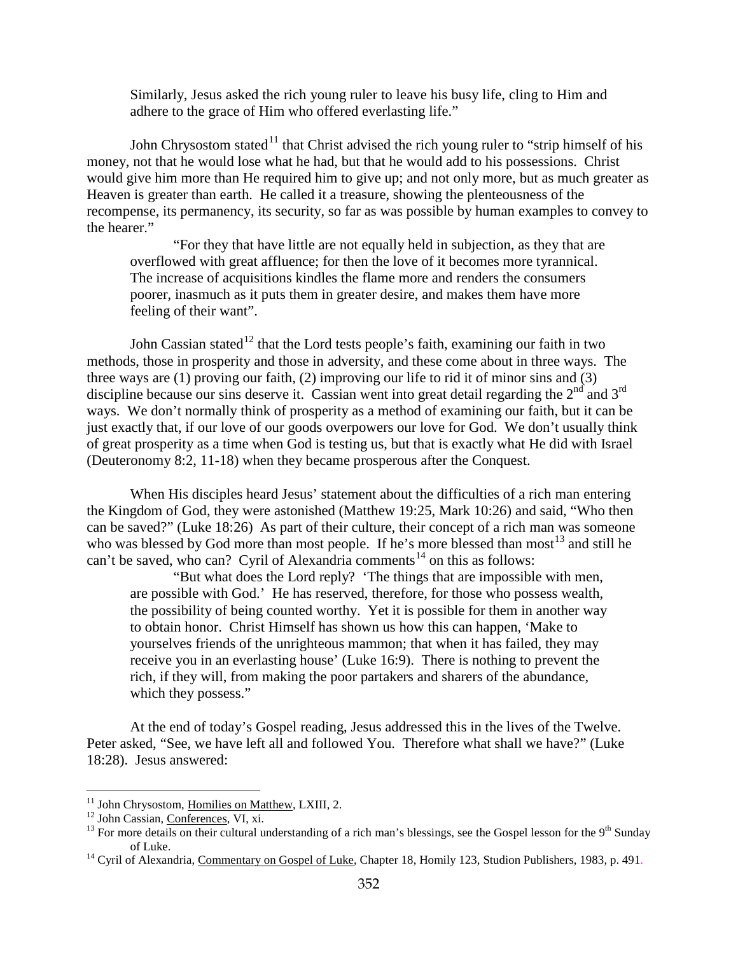Similarly, Jesus asked the rich young ruler to leave his busy life, cling to Him and adhere to the grace of Him who offered everlasting life."

John Chrysostom stated<sup>[11](#page-6-0)</sup> that Christ advised the rich young ruler to "strip himself of his money, not that he would lose what he had, but that he would add to his possessions. Christ would give him more than He required him to give up; and not only more, but as much greater as Heaven is greater than earth. He called it a treasure, showing the plenteousness of the recompense, its permanency, its security, so far as was possible by human examples to convey to the hearer."

"For they that have little are not equally held in subjection, as they that are overflowed with great affluence; for then the love of it becomes more tyrannical. The increase of acquisitions kindles the flame more and renders the consumers poorer, inasmuch as it puts them in greater desire, and makes them have more feeling of their want".

John Cassian stated<sup>[12](#page-6-1)</sup> that the Lord tests people's faith, examining our faith in two methods, those in prosperity and those in adversity, and these come about in three ways. The three ways are (1) proving our faith, (2) improving our life to rid it of minor sins and (3) discipline because our sins deserve it. Cassian went into great detail regarding the  $2^{nd}$  and  $3^{rd}$ ways. We don't normally think of prosperity as a method of examining our faith, but it can be just exactly that, if our love of our goods overpowers our love for God. We don't usually think of great prosperity as a time when God is testing us, but that is exactly what He did with Israel (Deuteronomy 8:2, 11-18) when they became prosperous after the Conquest.

When His disciples heard Jesus' statement about the difficulties of a rich man entering the Kingdom of God, they were astonished (Matthew 19:25, Mark 10:26) and said, "Who then can be saved?" (Luke 18:26) As part of their culture, their concept of a rich man was someone who was blessed by God more than most people. If he's more blessed than most<sup>[13](#page-6-2)</sup> and still he can't be saved, who can? Cyril of Alexandria comments<sup>[14](#page-6-3)</sup> on this as follows:

"But what does the Lord reply? 'The things that are impossible with men, are possible with God.' He has reserved, therefore, for those who possess wealth, the possibility of being counted worthy. Yet it is possible for them in another way to obtain honor. Christ Himself has shown us how this can happen, 'Make to yourselves friends of the unrighteous mammon; that when it has failed, they may receive you in an everlasting house' (Luke 16:9). There is nothing to prevent the rich, if they will, from making the poor partakers and sharers of the abundance, which they possess."

At the end of today's Gospel reading, Jesus addressed this in the lives of the Twelve. Peter asked, "See, we have left all and followed You. Therefore what shall we have?" (Luke 18:28). Jesus answered:

<span id="page-6-0"></span><sup>&</sup>lt;sup>11</sup> John Chrysostom, Homilies on Matthew, LXIII, 2.

<span id="page-6-2"></span>

<span id="page-6-1"></span><sup>&</sup>lt;sup>12</sup> John Cassian, <u>Conferences</u>, VI, xi.  $^{13}$  For more details on their cultural understanding of a rich man's blessings, see the Gospel lesson for the 9<sup>th</sup> Sunday of Luke.<br><sup>14</sup> Cyril of Alexandria, <u>Commentary on Gospel of Luke</u>, Chapter 18, Homily 123, Studion Publishers, 1983, p. 491.

<span id="page-6-3"></span>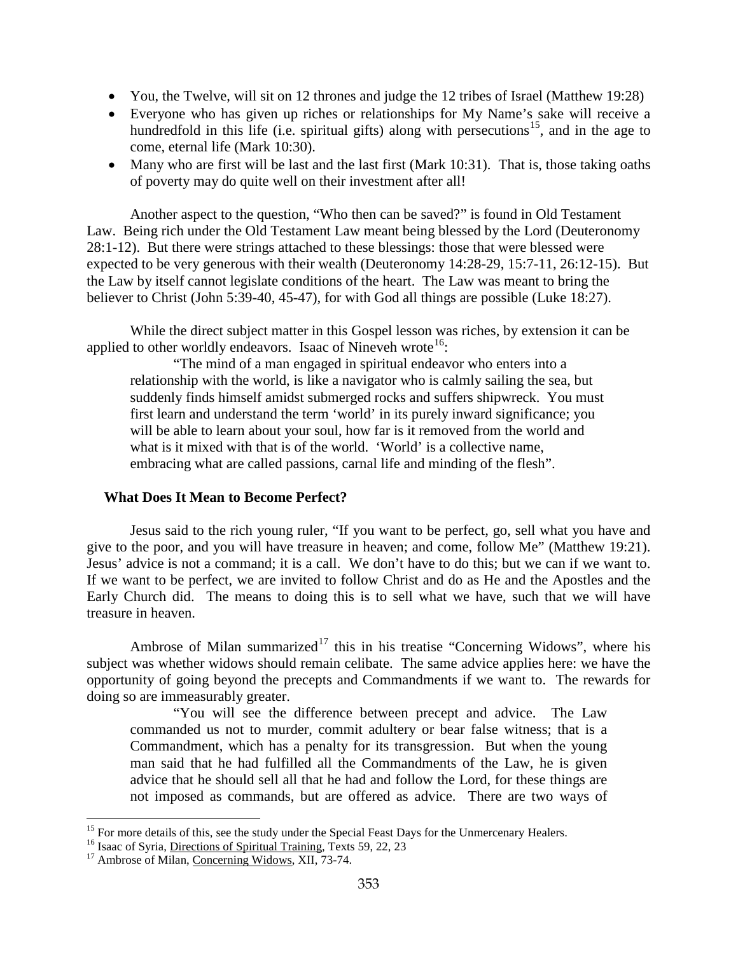- You, the Twelve, will sit on 12 thrones and judge the 12 tribes of Israel (Matthew 19:28)
- Everyone who has given up riches or relationships for My Name's sake will receive a hundredfold in this life (i.e. spiritual gifts) along with persecutions<sup>[15](#page-7-1)</sup>, and in the age to come, eternal life (Mark 10:30).
- Many who are first will be last and the last first (Mark 10:31). That is, those taking oaths of poverty may do quite well on their investment after all!

Another aspect to the question, "Who then can be saved?" is found in Old Testament Law. Being rich under the Old Testament Law meant being blessed by the Lord (Deuteronomy 28:1-12). But there were strings attached to these blessings: those that were blessed were expected to be very generous with their wealth (Deuteronomy 14:28-29, 15:7-11, 26:12-15). But the Law by itself cannot legislate conditions of the heart. The Law was meant to bring the believer to Christ (John 5:39-40, 45-47), for with God all things are possible (Luke 18:27).

While the direct subject matter in this Gospel lesson was riches, by extension it can be applied to other worldly endeavors. Isaac of Nineveh wrote<sup>16</sup>:

"The mind of a man engaged in spiritual endeavor who enters into a relationship with the world, is like a navigator who is calmly sailing the sea, but suddenly finds himself amidst submerged rocks and suffers shipwreck. You must first learn and understand the term 'world' in its purely inward significance; you will be able to learn about your soul, how far is it removed from the world and what is it mixed with that is of the world. 'World' is a collective name, embracing what are called passions, carnal life and minding of the flesh".

## <span id="page-7-0"></span>**What Does It Mean to Become Perfect?**

Jesus said to the rich young ruler, "If you want to be perfect, go, sell what you have and give to the poor, and you will have treasure in heaven; and come, follow Me" (Matthew 19:21). Jesus' advice is not a command; it is a call. We don't have to do this; but we can if we want to. If we want to be perfect, we are invited to follow Christ and do as He and the Apostles and the Early Church did. The means to doing this is to sell what we have, such that we will have treasure in heaven.

Ambrose of Milan summarized<sup>[17](#page-7-3)</sup> this in his treatise "Concerning Widows", where his subject was whether widows should remain celibate. The same advice applies here: we have the opportunity of going beyond the precepts and Commandments if we want to. The rewards for doing so are immeasurably greater.

"You will see the difference between precept and advice. The Law commanded us not to murder, commit adultery or bear false witness; that is a Commandment, which has a penalty for its transgression. But when the young man said that he had fulfilled all the Commandments of the Law, he is given advice that he should sell all that he had and follow the Lord, for these things are not imposed as commands, but are offered as advice. There are two ways of

<span id="page-7-1"></span><sup>&</sup>lt;sup>15</sup> For more details of this, see the study under the Special Feast Days for the Unmercenary Healers. <sup>16</sup> Isaac of Syria, <u>Directions of Spiritual Training</u>, Texts 59, 22, 23  $17$  Ambrose of Milan, Concerning Widows, XI

<span id="page-7-2"></span>

<span id="page-7-3"></span>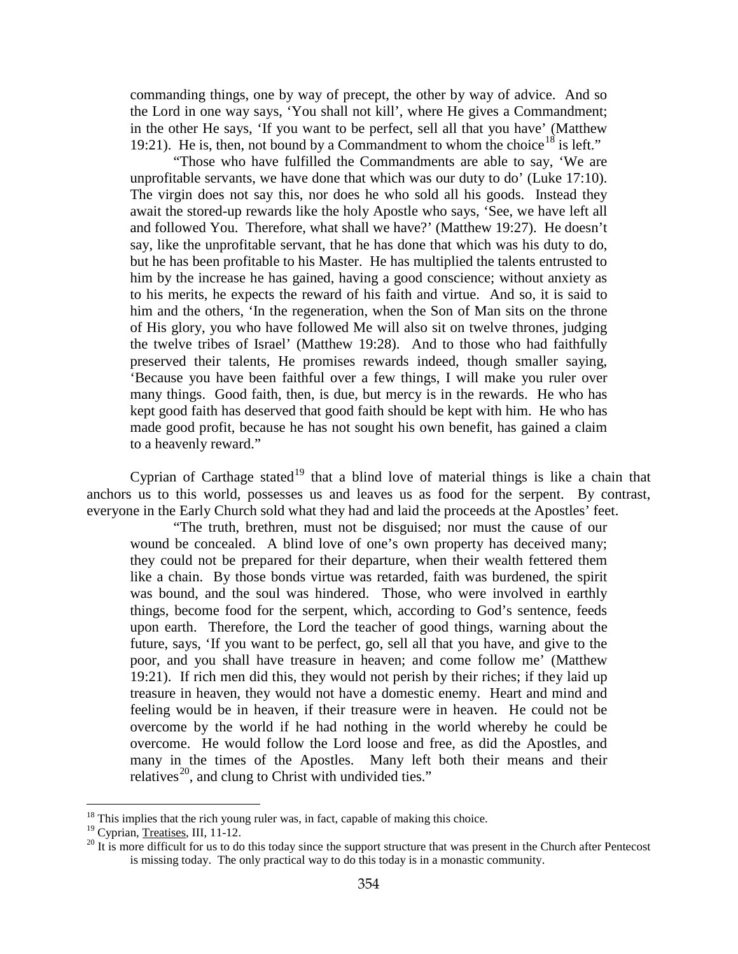commanding things, one by way of precept, the other by way of advice. And so the Lord in one way says, 'You shall not kill', where He gives a Commandment; in the other He says, 'If you want to be perfect, sell all that you have' (Matthew 19:21). He is, then, not bound by a Commandment to whom the choice<sup>[18](#page-8-0)</sup> is left."

"Those who have fulfilled the Commandments are able to say, 'We are unprofitable servants, we have done that which was our duty to do' (Luke 17:10). The virgin does not say this, nor does he who sold all his goods. Instead they await the stored-up rewards like the holy Apostle who says, 'See, we have left all and followed You. Therefore, what shall we have?' (Matthew 19:27). He doesn't say, like the unprofitable servant, that he has done that which was his duty to do, but he has been profitable to his Master. He has multiplied the talents entrusted to him by the increase he has gained, having a good conscience; without anxiety as to his merits, he expects the reward of his faith and virtue. And so, it is said to him and the others, 'In the regeneration, when the Son of Man sits on the throne of His glory, you who have followed Me will also sit on twelve thrones, judging the twelve tribes of Israel' (Matthew 19:28). And to those who had faithfully preserved their talents, He promises rewards indeed, though smaller saying, 'Because you have been faithful over a few things, I will make you ruler over many things. Good faith, then, is due, but mercy is in the rewards. He who has kept good faith has deserved that good faith should be kept with him. He who has made good profit, because he has not sought his own benefit, has gained a claim to a heavenly reward."

Cyprian of Carthage stated<sup>[19](#page-8-1)</sup> that a blind love of material things is like a chain that anchors us to this world, possesses us and leaves us as food for the serpent. By contrast, everyone in the Early Church sold what they had and laid the proceeds at the Apostles' feet.

"The truth, brethren, must not be disguised; nor must the cause of our wound be concealed. A blind love of one's own property has deceived many; they could not be prepared for their departure, when their wealth fettered them like a chain. By those bonds virtue was retarded, faith was burdened, the spirit was bound, and the soul was hindered. Those, who were involved in earthly things, become food for the serpent, which, according to God's sentence, feeds upon earth. Therefore, the Lord the teacher of good things, warning about the future, says, 'If you want to be perfect, go, sell all that you have, and give to the poor, and you shall have treasure in heaven; and come follow me' (Matthew 19:21). If rich men did this, they would not perish by their riches; if they laid up treasure in heaven, they would not have a domestic enemy. Heart and mind and feeling would be in heaven, if their treasure were in heaven. He could not be overcome by the world if he had nothing in the world whereby he could be overcome. He would follow the Lord loose and free, as did the Apostles, and many in the times of the Apostles. Many left both their means and their relatives<sup>[20](#page-8-2)</sup>, and clung to Christ with undivided ties."

<span id="page-8-0"></span><sup>&</sup>lt;sup>18</sup> This implies that the rich young ruler was, in fact, capable of making this choice.<sup>19</sup> Cyprian, Treatises, III, 11-12.

<span id="page-8-1"></span>

<span id="page-8-2"></span> $^{20}$  It is more difficult for us to do this today since the support structure that was present in the Church after Pentecost is missing today. The only practical way to do this today is in a monastic community.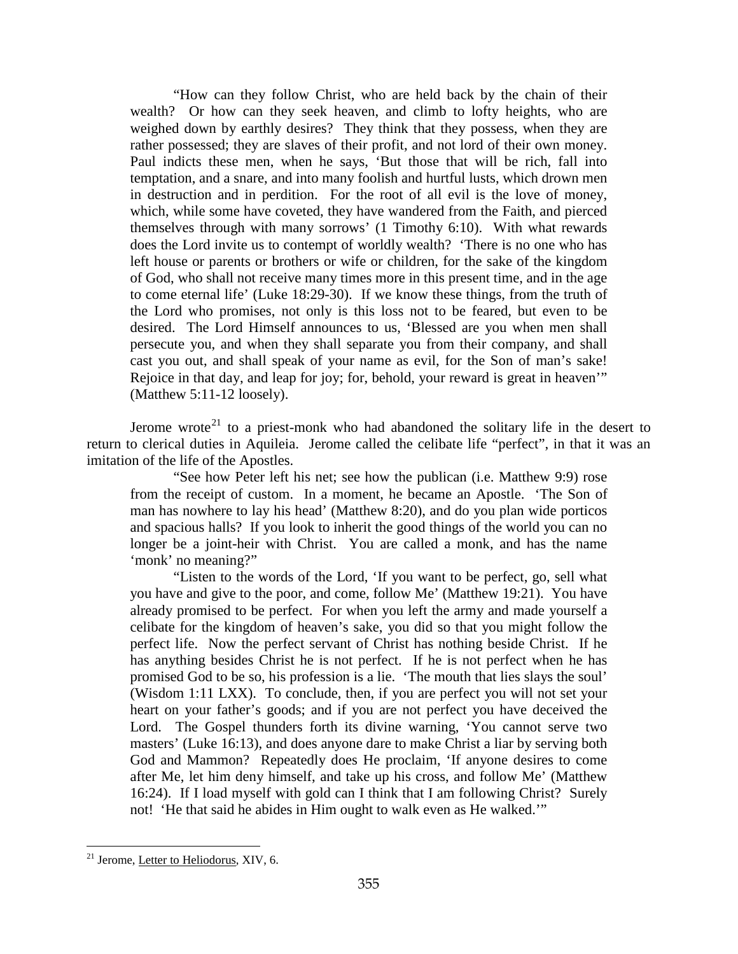"How can they follow Christ, who are held back by the chain of their wealth? Or how can they seek heaven, and climb to lofty heights, who are weighed down by earthly desires? They think that they possess, when they are rather possessed; they are slaves of their profit, and not lord of their own money. Paul indicts these men, when he says, 'But those that will be rich, fall into temptation, and a snare, and into many foolish and hurtful lusts, which drown men in destruction and in perdition. For the root of all evil is the love of money, which, while some have coveted, they have wandered from the Faith, and pierced themselves through with many sorrows' (1 Timothy 6:10). With what rewards does the Lord invite us to contempt of worldly wealth? 'There is no one who has left house or parents or brothers or wife or children, for the sake of the kingdom of God, who shall not receive many times more in this present time, and in the age to come eternal life' (Luke 18:29-30). If we know these things, from the truth of the Lord who promises, not only is this loss not to be feared, but even to be desired. The Lord Himself announces to us, 'Blessed are you when men shall persecute you, and when they shall separate you from their company, and shall cast you out, and shall speak of your name as evil, for the Son of man's sake! Rejoice in that day, and leap for joy; for, behold, your reward is great in heaven'" (Matthew 5:11-12 loosely).

Jerome wrote<sup>[21](#page-9-0)</sup> to a priest-monk who had abandoned the solitary life in the desert to return to clerical duties in Aquileia. Jerome called the celibate life "perfect", in that it was an imitation of the life of the Apostles.

"See how Peter left his net; see how the publican (i.e. Matthew 9:9) rose from the receipt of custom. In a moment, he became an Apostle. 'The Son of man has nowhere to lay his head' (Matthew 8:20), and do you plan wide porticos and spacious halls? If you look to inherit the good things of the world you can no longer be a joint-heir with Christ. You are called a monk, and has the name 'monk' no meaning?"

"Listen to the words of the Lord, 'If you want to be perfect, go, sell what you have and give to the poor, and come, follow Me' (Matthew 19:21). You have already promised to be perfect. For when you left the army and made yourself a celibate for the kingdom of heaven's sake, you did so that you might follow the perfect life. Now the perfect servant of Christ has nothing beside Christ. If he has anything besides Christ he is not perfect. If he is not perfect when he has promised God to be so, his profession is a lie. 'The mouth that lies slays the soul' (Wisdom 1:11 LXX). To conclude, then, if you are perfect you will not set your heart on your father's goods; and if you are not perfect you have deceived the Lord. The Gospel thunders forth its divine warning, 'You cannot serve two masters' (Luke 16:13), and does anyone dare to make Christ a liar by serving both God and Mammon? Repeatedly does He proclaim, 'If anyone desires to come after Me, let him deny himself, and take up his cross, and follow Me' (Matthew 16:24). If I load myself with gold can I think that I am following Christ? Surely not! 'He that said he abides in Him ought to walk even as He walked.'"

<span id="page-9-0"></span><sup>21</sup> Jerome, Letter to Heliodorus, XIV, 6.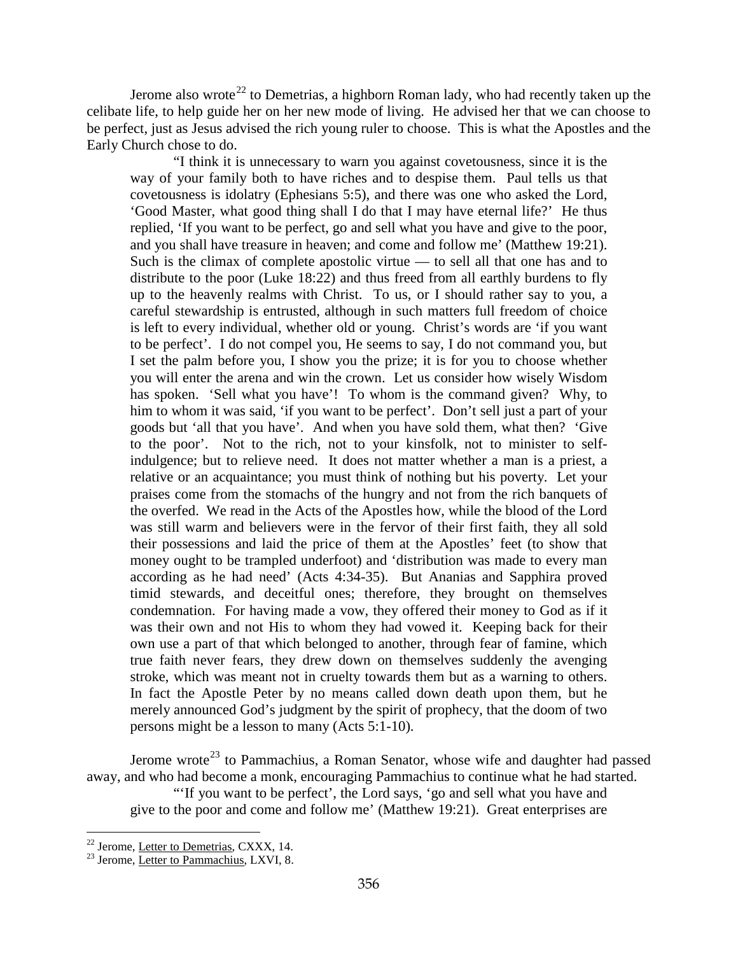Jerome also wrote<sup>[22](#page-10-0)</sup> to Demetrias, a highborn Roman lady, who had recently taken up the celibate life, to help guide her on her new mode of living. He advised her that we can choose to be perfect, just as Jesus advised the rich young ruler to choose. This is what the Apostles and the Early Church chose to do.

"I think it is unnecessary to warn you against covetousness, since it is the way of your family both to have riches and to despise them. Paul tells us that covetousness is idolatry (Ephesians 5:5), and there was one who asked the Lord, 'Good Master, what good thing shall I do that I may have eternal life?' He thus replied, 'If you want to be perfect, go and sell what you have and give to the poor, and you shall have treasure in heaven; and come and follow me' (Matthew 19:21). Such is the climax of complete apostolic virtue — to sell all that one has and to distribute to the poor (Luke 18:22) and thus freed from all earthly burdens to fly up to the heavenly realms with Christ. To us, or I should rather say to you, a careful stewardship is entrusted, although in such matters full freedom of choice is left to every individual, whether old or young. Christ's words are 'if you want to be perfect'. I do not compel you, He seems to say, I do not command you, but I set the palm before you, I show you the prize; it is for you to choose whether you will enter the arena and win the crown. Let us consider how wisely Wisdom has spoken. 'Sell what you have'! To whom is the command given? Why, to him to whom it was said, 'if you want to be perfect'. Don't sell just a part of your goods but 'all that you have'. And when you have sold them, what then? 'Give to the poor'. Not to the rich, not to your kinsfolk, not to minister to selfindulgence; but to relieve need. It does not matter whether a man is a priest, a relative or an acquaintance; you must think of nothing but his poverty. Let your praises come from the stomachs of the hungry and not from the rich banquets of the overfed. We read in the Acts of the Apostles how, while the blood of the Lord was still warm and believers were in the fervor of their first faith, they all sold their possessions and laid the price of them at the Apostles' feet (to show that money ought to be trampled underfoot) and 'distribution was made to every man according as he had need' (Acts 4:34-35). But Ananias and Sapphira proved timid stewards, and deceitful ones; therefore, they brought on themselves condemnation. For having made a vow, they offered their money to God as if it was their own and not His to whom they had vowed it. Keeping back for their own use a part of that which belonged to another, through fear of famine, which true faith never fears, they drew down on themselves suddenly the avenging stroke, which was meant not in cruelty towards them but as a warning to others. In fact the Apostle Peter by no means called down death upon them, but he merely announced God's judgment by the spirit of prophecy, that the doom of two persons might be a lesson to many (Acts 5:1-10).

Jerome wrote<sup>[23](#page-10-1)</sup> to Pammachius, a Roman Senator, whose wife and daughter had passed away, and who had become a monk, encouraging Pammachius to continue what he had started.

"If you want to be perfect', the Lord says, 'go and sell what you have and give to the poor and come and follow me' (Matthew 19:21). Great enterprises are

<span id="page-10-0"></span> $22$  Jerome, Letter to Demetrias, CXXX, 14.

<span id="page-10-1"></span> $23$  Jerome, Letter to Pammachius, LXVI, 8.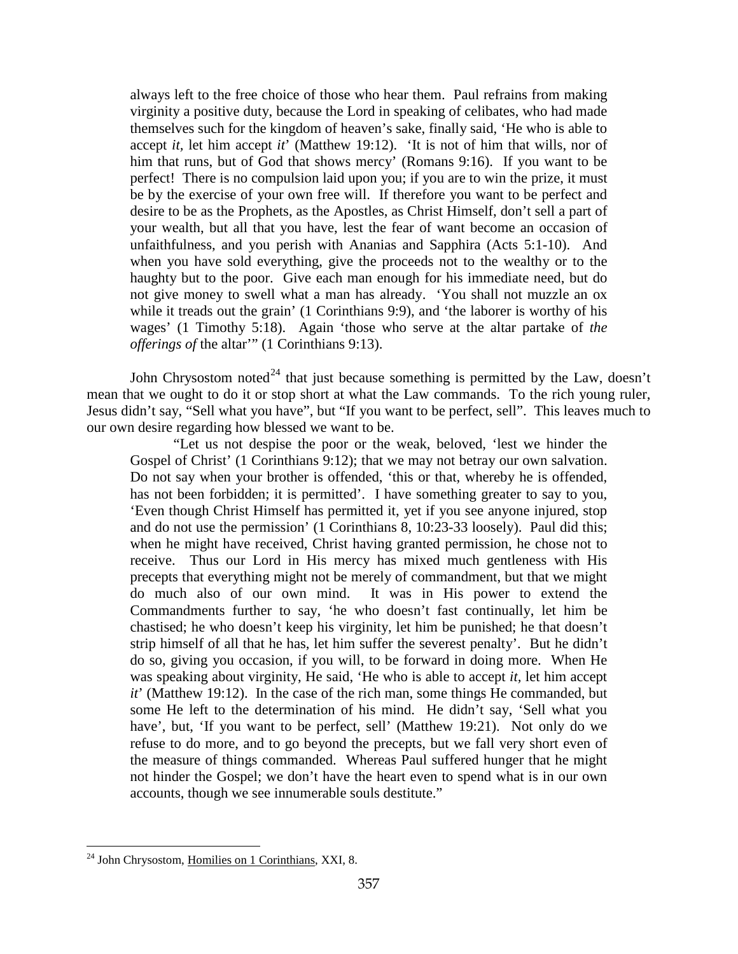always left to the free choice of those who hear them. Paul refrains from making virginity a positive duty, because the Lord in speaking of celibates, who had made themselves such for the kingdom of heaven's sake, finally said, 'He who is able to accept *it,* let him accept *it*' (Matthew 19:12). 'It is not of him that wills, nor of him that runs, but of God that shows mercy' (Romans 9:16). If you want to be perfect! There is no compulsion laid upon you; if you are to win the prize, it must be by the exercise of your own free will. If therefore you want to be perfect and desire to be as the Prophets, as the Apostles, as Christ Himself, don't sell a part of your wealth, but all that you have, lest the fear of want become an occasion of unfaithfulness, and you perish with Ananias and Sapphira (Acts 5:1-10). And when you have sold everything, give the proceeds not to the wealthy or to the haughty but to the poor. Give each man enough for his immediate need, but do not give money to swell what a man has already. 'You shall not muzzle an ox while it treads out the grain' (1 Corinthians 9:9), and 'the laborer is worthy of his wages' (1 Timothy 5:18). Again 'those who serve at the altar partake of *the offerings of* the altar'" (1 Corinthians 9:13).

John Chrysostom noted<sup>[24](#page-11-0)</sup> that just because something is permitted by the Law, doesn't mean that we ought to do it or stop short at what the Law commands. To the rich young ruler, Jesus didn't say, "Sell what you have", but "If you want to be perfect, sell". This leaves much to our own desire regarding how blessed we want to be.

"Let us not despise the poor or the weak, beloved, 'lest we hinder the Gospel of Christ' (1 Corinthians 9:12); that we may not betray our own salvation. Do not say when your brother is offended, 'this or that, whereby he is offended, has not been forbidden; it is permitted'. I have something greater to say to you, 'Even though Christ Himself has permitted it, yet if you see anyone injured, stop and do not use the permission' (1 Corinthians 8, 10:23-33 loosely). Paul did this; when he might have received, Christ having granted permission, he chose not to receive. Thus our Lord in His mercy has mixed much gentleness with His precepts that everything might not be merely of commandment, but that we might do much also of our own mind. It was in His power to extend the Commandments further to say, 'he who doesn't fast continually, let him be chastised; he who doesn't keep his virginity, let him be punished; he that doesn't strip himself of all that he has, let him suffer the severest penalty'. But he didn't do so, giving you occasion, if you will, to be forward in doing more. When He was speaking about virginity, He said, 'He who is able to accept *it,* let him accept *it*' (Matthew 19:12). In the case of the rich man, some things He commanded, but some He left to the determination of his mind. He didn't say, 'Sell what you have', but, 'If you want to be perfect, sell' (Matthew 19:21). Not only do we refuse to do more, and to go beyond the precepts, but we fall very short even of the measure of things commanded. Whereas Paul suffered hunger that he might not hinder the Gospel; we don't have the heart even to spend what is in our own accounts, though we see innumerable souls destitute."

<span id="page-11-0"></span> $^{24}$  John Chrysostom, Homilies on 1 Corinthians, XXI, 8.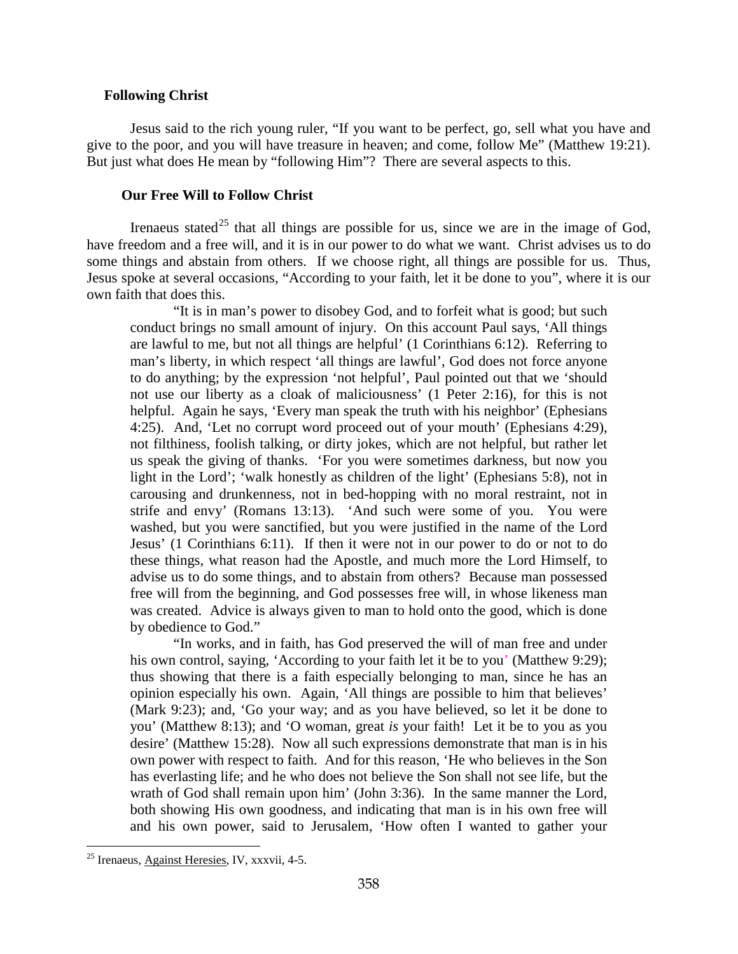## <span id="page-12-0"></span>**Following Christ**

Jesus said to the rich young ruler, "If you want to be perfect, go, sell what you have and give to the poor, and you will have treasure in heaven; and come, follow Me" (Matthew 19:21). But just what does He mean by "following Him"? There are several aspects to this.

#### **Our Free Will to Follow Christ**

<span id="page-12-1"></span>Irenaeus stated<sup>[25](#page-12-2)</sup> that all things are possible for us, since we are in the image of God, have freedom and a free will, and it is in our power to do what we want. Christ advises us to do some things and abstain from others. If we choose right, all things are possible for us. Thus, Jesus spoke at several occasions, "According to your faith, let it be done to you", where it is our own faith that does this.

"It is in man's power to disobey God, and to forfeit what is good; but such conduct brings no small amount of injury. On this account Paul says, 'All things are lawful to me, but not all things are helpful' (1 Corinthians 6:12). Referring to man's liberty, in which respect 'all things are lawful', God does not force anyone to do anything; by the expression 'not helpful', Paul pointed out that we 'should not use our liberty as a cloak of maliciousness' (1 Peter 2:16), for this is not helpful. Again he says, 'Every man speak the truth with his neighbor' (Ephesians 4:25). And, 'Let no corrupt word proceed out of your mouth' (Ephesians 4:29), not filthiness, foolish talking, or dirty jokes, which are not helpful, but rather let us speak the giving of thanks. 'For you were sometimes darkness, but now you light in the Lord'; 'walk honestly as children of the light' (Ephesians 5:8), not in carousing and drunkenness, not in bed-hopping with no moral restraint, not in strife and envy' (Romans 13:13). 'And such were some of you. You were washed, but you were sanctified, but you were justified in the name of the Lord Jesus' (1 Corinthians 6:11). If then it were not in our power to do or not to do these things, what reason had the Apostle, and much more the Lord Himself, to advise us to do some things, and to abstain from others? Because man possessed free will from the beginning, and God possesses free will, in whose likeness man was created. Advice is always given to man to hold onto the good, which is done by obedience to God."

"In works, and in faith, has God preserved the will of man free and under his own control, saying, 'According to your faith let it be to you' (Matthew 9:29); thus showing that there is a faith especially belonging to man, since he has an opinion especially his own. Again, 'All things are possible to him that believes' (Mark 9:23); and, 'Go your way; and as you have believed, so let it be done to you' (Matthew 8:13); and 'O woman, great *is* your faith! Let it be to you as you desire' (Matthew 15:28). Now all such expressions demonstrate that man is in his own power with respect to faith. And for this reason, 'He who believes in the Son has everlasting life; and he who does not believe the Son shall not see life, but the wrath of God shall remain upon him' (John 3:36). In the same manner the Lord, both showing His own goodness, and indicating that man is in his own free will and his own power, said to Jerusalem, 'How often I wanted to gather your

<span id="page-12-2"></span><sup>25</sup> Irenaeus, Against Heresies, IV, xxxvii, 4-5.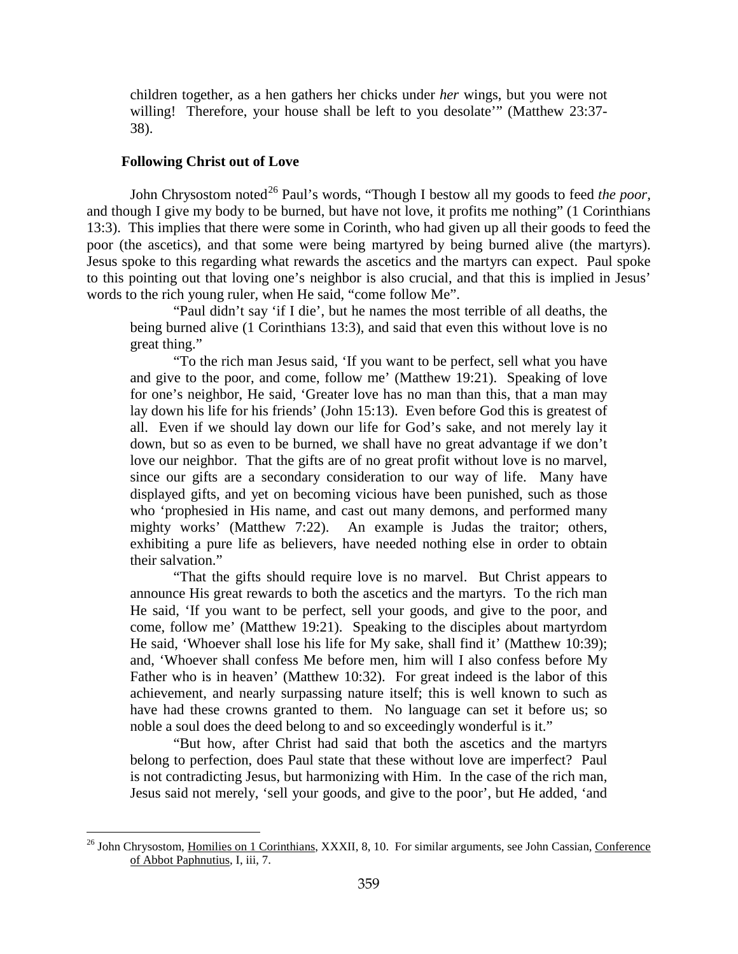children together, as a hen gathers her chicks under *her* wings, but you were not willing! Therefore, your house shall be left to you desolate" (Matthew 23:37-38).

#### **Following Christ out of Love**

 $\overline{a}$ 

<span id="page-13-0"></span>John Chrysostom noted<sup>[26](#page-13-1)</sup> Paul's words, "Though I bestow all my goods to feed *the poor*, and though I give my body to be burned, but have not love, it profits me nothing" (1 Corinthians 13:3). This implies that there were some in Corinth, who had given up all their goods to feed the poor (the ascetics), and that some were being martyred by being burned alive (the martyrs). Jesus spoke to this regarding what rewards the ascetics and the martyrs can expect. Paul spoke to this pointing out that loving one's neighbor is also crucial, and that this is implied in Jesus' words to the rich young ruler, when He said, "come follow Me".

"Paul didn't say 'if I die', but he names the most terrible of all deaths, the being burned alive (1 Corinthians 13:3), and said that even this without love is no great thing."

"To the rich man Jesus said, 'If you want to be perfect, sell what you have and give to the poor, and come, follow me' (Matthew 19:21). Speaking of love for one's neighbor, He said, 'Greater love has no man than this, that a man may lay down his life for his friends' (John 15:13). Even before God this is greatest of all. Even if we should lay down our life for God's sake, and not merely lay it down, but so as even to be burned, we shall have no great advantage if we don't love our neighbor. That the gifts are of no great profit without love is no marvel, since our gifts are a secondary consideration to our way of life. Many have displayed gifts, and yet on becoming vicious have been punished, such as those who 'prophesied in His name, and cast out many demons, and performed many mighty works' (Matthew 7:22). An example is Judas the traitor; others, exhibiting a pure life as believers, have needed nothing else in order to obtain their salvation."

"That the gifts should require love is no marvel. But Christ appears to announce His great rewards to both the ascetics and the martyrs. To the rich man He said, 'If you want to be perfect, sell your goods, and give to the poor, and come, follow me' (Matthew 19:21). Speaking to the disciples about martyrdom He said, 'Whoever shall lose his life for My sake, shall find it' (Matthew 10:39); and, 'Whoever shall confess Me before men, him will I also confess before My Father who is in heaven' (Matthew 10:32). For great indeed is the labor of this achievement, and nearly surpassing nature itself; this is well known to such as have had these crowns granted to them. No language can set it before us; so noble a soul does the deed belong to and so exceedingly wonderful is it."

"But how, after Christ had said that both the ascetics and the martyrs belong to perfection, does Paul state that these without love are imperfect? Paul is not contradicting Jesus, but harmonizing with Him. In the case of the rich man, Jesus said not merely, 'sell your goods, and give to the poor', but He added, 'and

<span id="page-13-1"></span><sup>&</sup>lt;sup>26</sup> John Chrysostom, Homilies on 1 Corinthians, XXXII, 8, 10. For similar arguments, see John Cassian, Conference of Abbot Paphnutius, I, iii, 7.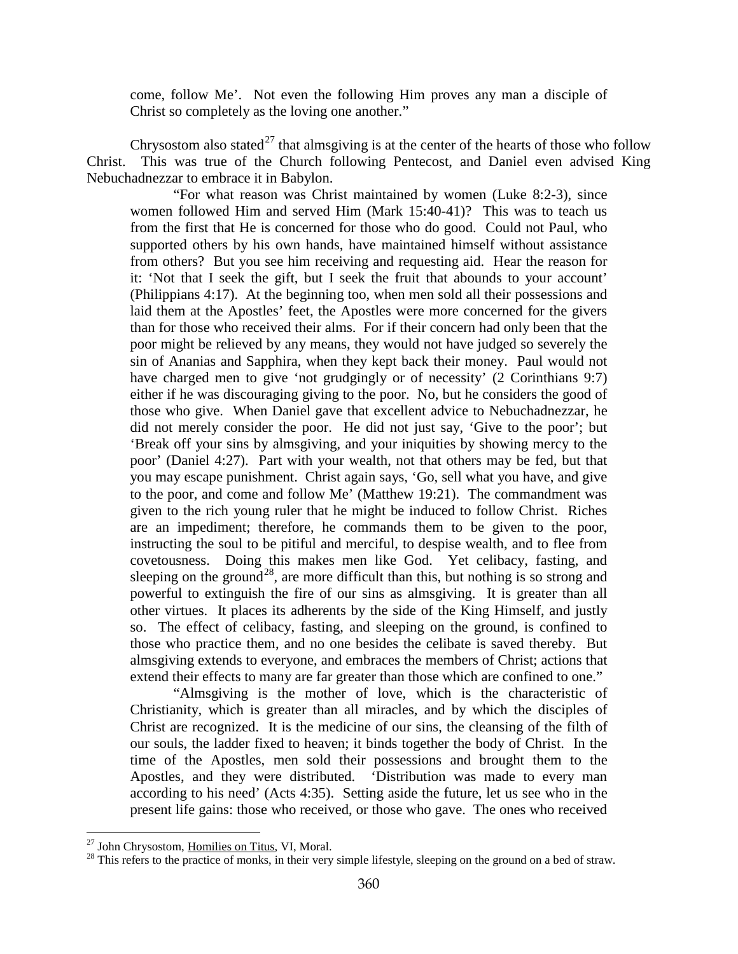come, follow Me'. Not even the following Him proves any man a disciple of Christ so completely as the loving one another."

Chrysostom also stated<sup>[27](#page-14-0)</sup> that almsgiving is at the center of the hearts of those who follow Christ. This was true of the Church following Pentecost, and Daniel even advised King Nebuchadnezzar to embrace it in Babylon.

"For what reason was Christ maintained by women (Luke 8:2-3), since women followed Him and served Him (Mark 15:40-41)? This was to teach us from the first that He is concerned for those who do good. Could not Paul, who supported others by his own hands, have maintained himself without assistance from others? But you see him receiving and requesting aid. Hear the reason for it: 'Not that I seek the gift, but I seek the fruit that abounds to your account' (Philippians 4:17). At the beginning too, when men sold all their possessions and laid them at the Apostles' feet, the Apostles were more concerned for the givers than for those who received their alms. For if their concern had only been that the poor might be relieved by any means, they would not have judged so severely the sin of Ananias and Sapphira, when they kept back their money. Paul would not have charged men to give 'not grudgingly or of necessity' (2 Corinthians 9:7) either if he was discouraging giving to the poor. No, but he considers the good of those who give. When Daniel gave that excellent advice to Nebuchadnezzar, he did not merely consider the poor. He did not just say, 'Give to the poor'; but 'Break off your sins by almsgiving, and your iniquities by showing mercy to the poor' (Daniel 4:27). Part with your wealth, not that others may be fed, but that you may escape punishment. Christ again says, 'Go, sell what you have, and give to the poor, and come and follow Me' (Matthew 19:21). The commandment was given to the rich young ruler that he might be induced to follow Christ. Riches are an impediment; therefore, he commands them to be given to the poor, instructing the soul to be pitiful and merciful, to despise wealth, and to flee from covetousness. Doing this makes men like God. Yet celibacy, fasting, and sleeping on the ground<sup>[28](#page-14-1)</sup>, are more difficult than this, but nothing is so strong and powerful to extinguish the fire of our sins as almsgiving. It is greater than all other virtues. It places its adherents by the side of the King Himself, and justly so. The effect of celibacy, fasting, and sleeping on the ground, is confined to those who practice them, and no one besides the celibate is saved thereby. But almsgiving extends to everyone, and embraces the members of Christ; actions that extend their effects to many are far greater than those which are confined to one."

"Almsgiving is the mother of love, which is the characteristic of Christianity, which is greater than all miracles, and by which the disciples of Christ are recognized. It is the medicine of our sins, the cleansing of the filth of our souls, the ladder fixed to heaven; it binds together the body of Christ. In the time of the Apostles, men sold their possessions and brought them to the Apostles, and they were distributed. 'Distribution was made to every man according to his need' (Acts 4:35). Setting aside the future, let us see who in the present life gains: those who received, or those who gave. The ones who received

<span id="page-14-0"></span><sup>&</sup>lt;sup>27</sup> John Chrysostom, Homilies on Titus, VI, Moral.

<span id="page-14-1"></span><sup>&</sup>lt;sup>28</sup> This refers to the practice of monks, in their very simple lifestyle, sleeping on the ground on a bed of straw.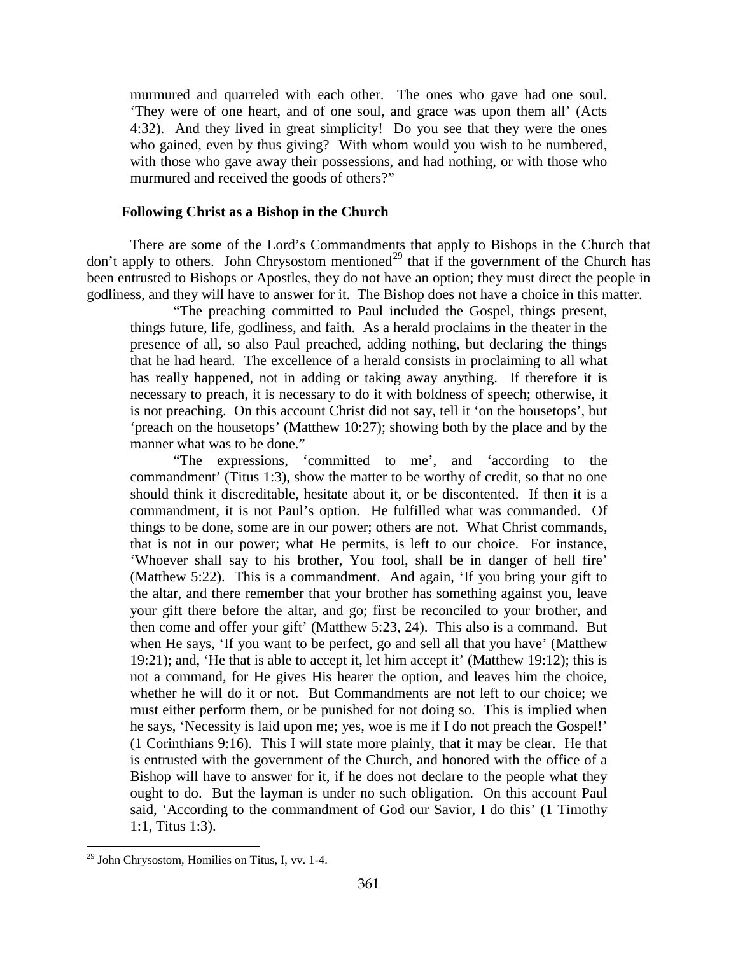murmured and quarreled with each other. The ones who gave had one soul. 'They were of one heart, and of one soul, and grace was upon them all' (Acts 4:32). And they lived in great simplicity! Do you see that they were the ones who gained, even by thus giving? With whom would you wish to be numbered, with those who gave away their possessions, and had nothing, or with those who murmured and received the goods of others?"

## **Following Christ as a Bishop in the Church**

<span id="page-15-0"></span>There are some of the Lord's Commandments that apply to Bishops in the Church that don't apply to others. John Chrysostom mentioned<sup>[29](#page-15-1)</sup> that if the government of the Church has been entrusted to Bishops or Apostles, they do not have an option; they must direct the people in godliness, and they will have to answer for it. The Bishop does not have a choice in this matter.

"The preaching committed to Paul included the Gospel, things present, things future, life, godliness, and faith. As a herald proclaims in the theater in the presence of all, so also Paul preached, adding nothing, but declaring the things that he had heard. The excellence of a herald consists in proclaiming to all what has really happened, not in adding or taking away anything. If therefore it is necessary to preach, it is necessary to do it with boldness of speech; otherwise, it is not preaching. On this account Christ did not say, tell it 'on the housetops', but 'preach on the housetops' (Matthew 10:27); showing both by the place and by the manner what was to be done."

"The expressions, 'committed to me', and 'according to the commandment' (Titus 1:3), show the matter to be worthy of credit, so that no one should think it discreditable, hesitate about it, or be discontented. If then it is a commandment, it is not Paul's option. He fulfilled what was commanded. Of things to be done, some are in our power; others are not. What Christ commands, that is not in our power; what He permits, is left to our choice. For instance, 'Whoever shall say to his brother, You fool, shall be in danger of hell fire' (Matthew 5:22). This is a commandment. And again, 'If you bring your gift to the altar, and there remember that your brother has something against you, leave your gift there before the altar, and go; first be reconciled to your brother, and then come and offer your gift' (Matthew 5:23, 24). This also is a command. But when He says, 'If you want to be perfect, go and sell all that you have' (Matthew 19:21); and, 'He that is able to accept it, let him accept it' (Matthew 19:12); this is not a command, for He gives His hearer the option, and leaves him the choice, whether he will do it or not. But Commandments are not left to our choice; we must either perform them, or be punished for not doing so. This is implied when he says, 'Necessity is laid upon me; yes, woe is me if I do not preach the Gospel!' (1 Corinthians 9:16). This I will state more plainly, that it may be clear. He that is entrusted with the government of the Church, and honored with the office of a Bishop will have to answer for it, if he does not declare to the people what they ought to do. But the layman is under no such obligation. On this account Paul said, 'According to the commandment of God our Savior, I do this' (1 Timothy 1:1, Titus 1:3).

<span id="page-15-1"></span><sup>&</sup>lt;sup>29</sup> John Chrysostom, Homilies on Titus, I, vv. 1-4.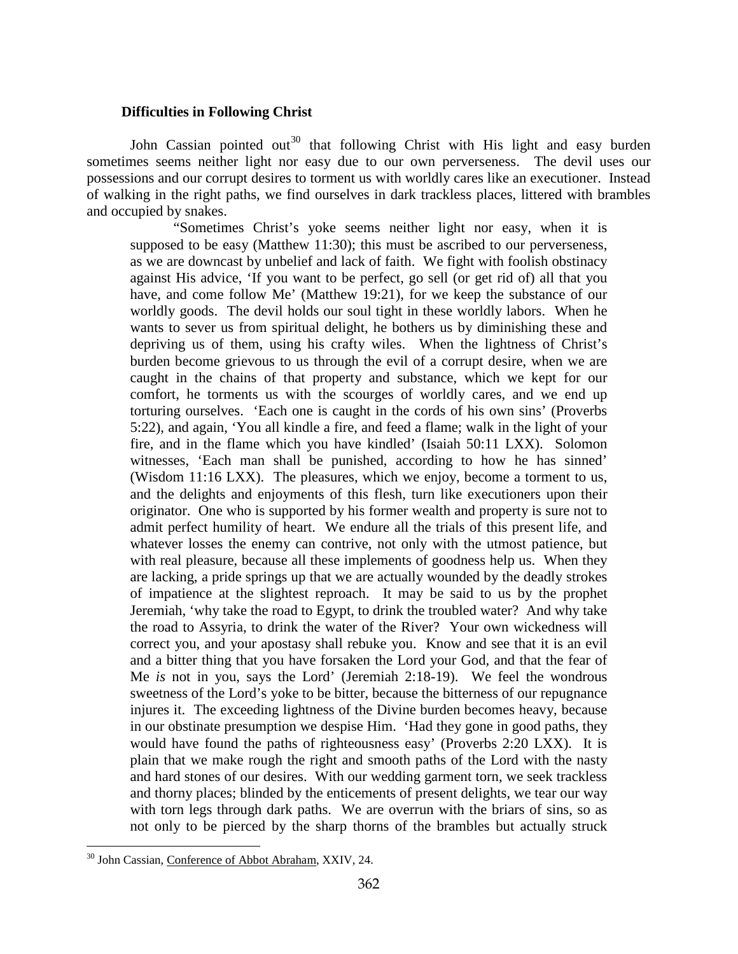#### **Difficulties in Following Christ**

<span id="page-16-0"></span>John Cassian pointed out<sup>[30](#page-16-1)</sup> that following Christ with His light and easy burden sometimes seems neither light nor easy due to our own perverseness. The devil uses our possessions and our corrupt desires to torment us with worldly cares like an executioner. Instead of walking in the right paths, we find ourselves in dark trackless places, littered with brambles and occupied by snakes.

"Sometimes Christ's yoke seems neither light nor easy, when it is supposed to be easy (Matthew 11:30); this must be ascribed to our perverseness, as we are downcast by unbelief and lack of faith. We fight with foolish obstinacy against His advice, 'If you want to be perfect, go sell (or get rid of) all that you have, and come follow Me' (Matthew 19:21), for we keep the substance of our worldly goods. The devil holds our soul tight in these worldly labors. When he wants to sever us from spiritual delight, he bothers us by diminishing these and depriving us of them, using his crafty wiles. When the lightness of Christ's burden become grievous to us through the evil of a corrupt desire, when we are caught in the chains of that property and substance, which we kept for our comfort, he torments us with the scourges of worldly cares, and we end up torturing ourselves. 'Each one is caught in the cords of his own sins' (Proverbs 5:22), and again, 'You all kindle a fire, and feed a flame; walk in the light of your fire, and in the flame which you have kindled' (Isaiah 50:11 LXX). Solomon witnesses, 'Each man shall be punished, according to how he has sinned' (Wisdom 11:16 LXX). The pleasures, which we enjoy, become a torment to us, and the delights and enjoyments of this flesh, turn like executioners upon their originator. One who is supported by his former wealth and property is sure not to admit perfect humility of heart. We endure all the trials of this present life, and whatever losses the enemy can contrive, not only with the utmost patience, but with real pleasure, because all these implements of goodness help us. When they are lacking, a pride springs up that we are actually wounded by the deadly strokes of impatience at the slightest reproach. It may be said to us by the prophet Jeremiah, 'why take the road to Egypt, to drink the troubled water? And why take the road to Assyria, to drink the water of the River? Your own wickedness will correct you, and your apostasy shall rebuke you. Know and see that it is an evil and a bitter thing that you have forsaken the Lord your God, and that the fear of Me *is* not in you, says the Lord' (Jeremiah 2:18-19). We feel the wondrous sweetness of the Lord's yoke to be bitter, because the bitterness of our repugnance injures it. The exceeding lightness of the Divine burden becomes heavy, because in our obstinate presumption we despise Him. 'Had they gone in good paths, they would have found the paths of righteousness easy' (Proverbs 2:20 LXX). It is plain that we make rough the right and smooth paths of the Lord with the nasty and hard stones of our desires. With our wedding garment torn, we seek trackless and thorny places; blinded by the enticements of present delights, we tear our way with torn legs through dark paths. We are overrun with the briars of sins, so as not only to be pierced by the sharp thorns of the brambles but actually struck

<span id="page-16-1"></span><sup>&</sup>lt;sup>30</sup> John Cassian, Conference of Abbot Abraham, XXIV, 24.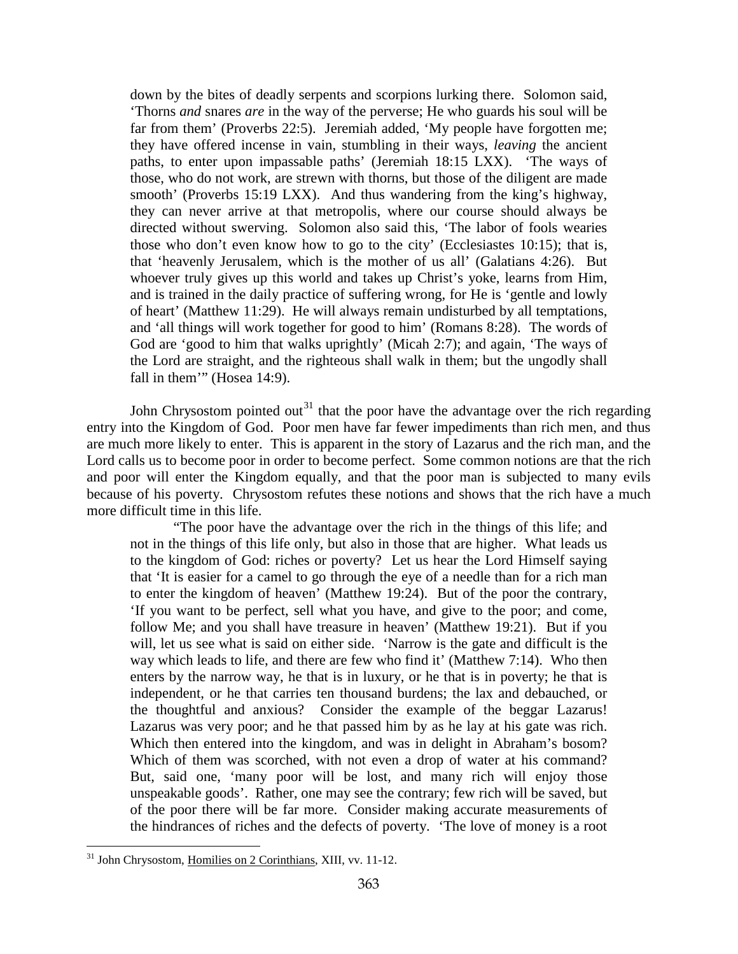down by the bites of deadly serpents and scorpions lurking there. Solomon said, 'Thorns *and* snares *are* in the way of the perverse; He who guards his soul will be far from them' (Proverbs 22:5). Jeremiah added, 'My people have forgotten me; they have offered incense in vain, stumbling in their ways, *leaving* the ancient paths, to enter upon impassable paths' (Jeremiah 18:15 LXX). 'The ways of those, who do not work, are strewn with thorns, but those of the diligent are made smooth' (Proverbs 15:19 LXX). And thus wandering from the king's highway, they can never arrive at that metropolis, where our course should always be directed without swerving. Solomon also said this, 'The labor of fools wearies those who don't even know how to go to the city' (Ecclesiastes 10:15); that is, that 'heavenly Jerusalem, which is the mother of us all' (Galatians 4:26). But whoever truly gives up this world and takes up Christ's yoke, learns from Him, and is trained in the daily practice of suffering wrong, for He is 'gentle and lowly of heart' (Matthew 11:29). He will always remain undisturbed by all temptations, and 'all things will work together for good to him' (Romans 8:28). The words of God are 'good to him that walks uprightly' (Micah 2:7); and again, 'The ways of the Lord are straight, and the righteous shall walk in them; but the ungodly shall fall in them"" (Hosea 14:9).

John Chrysostom pointed out<sup>[31](#page-17-0)</sup> that the poor have the advantage over the rich regarding entry into the Kingdom of God. Poor men have far fewer impediments than rich men, and thus are much more likely to enter. This is apparent in the story of Lazarus and the rich man, and the Lord calls us to become poor in order to become perfect. Some common notions are that the rich and poor will enter the Kingdom equally, and that the poor man is subjected to many evils because of his poverty. Chrysostom refutes these notions and shows that the rich have a much more difficult time in this life.

"The poor have the advantage over the rich in the things of this life; and not in the things of this life only, but also in those that are higher. What leads us to the kingdom of God: riches or poverty? Let us hear the Lord Himself saying that 'It is easier for a camel to go through the eye of a needle than for a rich man to enter the kingdom of heaven' (Matthew 19:24). But of the poor the contrary, 'If you want to be perfect, sell what you have, and give to the poor; and come, follow Me; and you shall have treasure in heaven' (Matthew 19:21). But if you will, let us see what is said on either side. 'Narrow is the gate and difficult is the way which leads to life, and there are few who find it' (Matthew 7:14). Who then enters by the narrow way, he that is in luxury, or he that is in poverty; he that is independent, or he that carries ten thousand burdens; the lax and debauched, or the thoughtful and anxious? Consider the example of the beggar Lazarus! Lazarus was very poor; and he that passed him by as he lay at his gate was rich. Which then entered into the kingdom, and was in delight in Abraham's bosom? Which of them was scorched, with not even a drop of water at his command? But, said one, 'many poor will be lost, and many rich will enjoy those unspeakable goods'. Rather, one may see the contrary; few rich will be saved, but of the poor there will be far more. Consider making accurate measurements of the hindrances of riches and the defects of poverty. 'The love of money is a root

<span id="page-17-0"></span> $\overline{a}$ <sup>31</sup> John Chrysostom, Homilies on 2 Corinthians, XIII, vv. 11-12.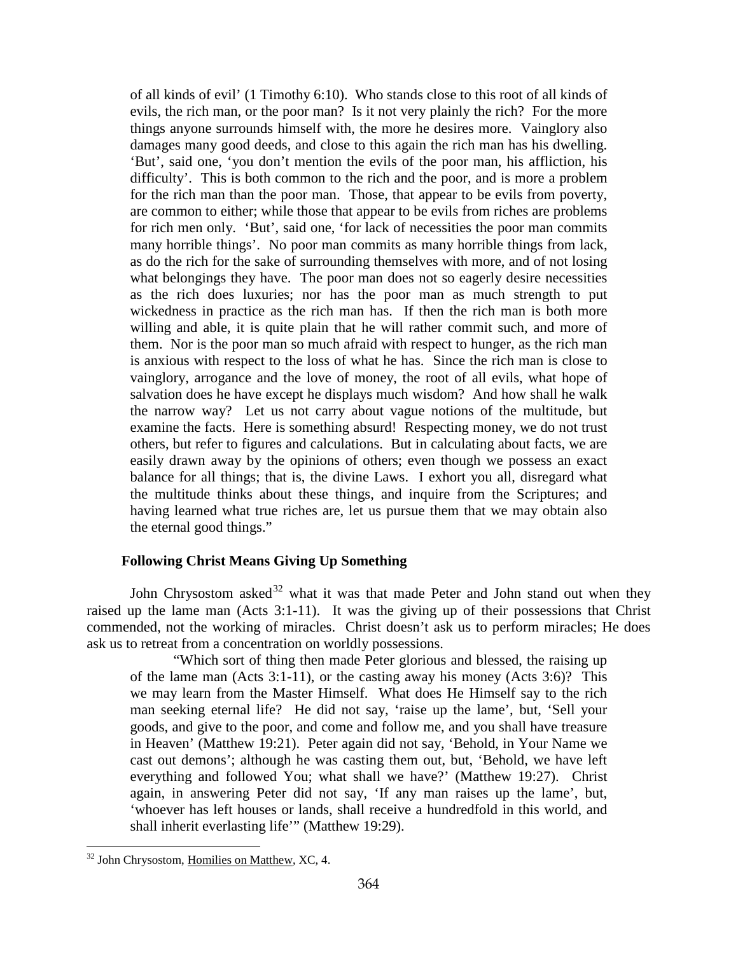of all kinds of evil' (1 Timothy 6:10). Who stands close to this root of all kinds of evils, the rich man, or the poor man? Is it not very plainly the rich? For the more things anyone surrounds himself with, the more he desires more. Vainglory also damages many good deeds, and close to this again the rich man has his dwelling. 'But', said one, 'you don't mention the evils of the poor man, his affliction, his difficulty'. This is both common to the rich and the poor, and is more a problem for the rich man than the poor man. Those, that appear to be evils from poverty, are common to either; while those that appear to be evils from riches are problems for rich men only. 'But', said one, 'for lack of necessities the poor man commits many horrible things'. No poor man commits as many horrible things from lack, as do the rich for the sake of surrounding themselves with more, and of not losing what belongings they have. The poor man does not so eagerly desire necessities as the rich does luxuries; nor has the poor man as much strength to put wickedness in practice as the rich man has. If then the rich man is both more willing and able, it is quite plain that he will rather commit such, and more of them. Nor is the poor man so much afraid with respect to hunger, as the rich man is anxious with respect to the loss of what he has. Since the rich man is close to vainglory, arrogance and the love of money, the root of all evils, what hope of salvation does he have except he displays much wisdom? And how shall he walk the narrow way? Let us not carry about vague notions of the multitude, but examine the facts. Here is something absurd! Respecting money, we do not trust others, but refer to figures and calculations. But in calculating about facts, we are easily drawn away by the opinions of others; even though we possess an exact balance for all things; that is, the divine Laws. I exhort you all, disregard what the multitude thinks about these things, and inquire from the Scriptures; and having learned what true riches are, let us pursue them that we may obtain also the eternal good things."

# **Following Christ Means Giving Up Something**

<span id="page-18-0"></span>John Chrysostom asked<sup>[32](#page-18-1)</sup> what it was that made Peter and John stand out when they raised up the lame man (Acts 3:1-11). It was the giving up of their possessions that Christ commended, not the working of miracles. Christ doesn't ask us to perform miracles; He does ask us to retreat from a concentration on worldly possessions.

"Which sort of thing then made Peter glorious and blessed, the raising up of the lame man (Acts 3:1-11), or the casting away his money (Acts 3:6)? This we may learn from the Master Himself. What does He Himself say to the rich man seeking eternal life? He did not say, 'raise up the lame', but, 'Sell your goods, and give to the poor, and come and follow me, and you shall have treasure in Heaven' (Matthew 19:21). Peter again did not say, 'Behold, in Your Name we cast out demons'; although he was casting them out, but, 'Behold, we have left everything and followed You; what shall we have?' (Matthew 19:27). Christ again, in answering Peter did not say, 'If any man raises up the lame', but, 'whoever has left houses or lands, shall receive a hundredfold in this world, and shall inherit everlasting life'" (Matthew 19:29).

<span id="page-18-1"></span><sup>&</sup>lt;sup>32</sup> John Chrysostom, Homilies on Matthew, XC, 4.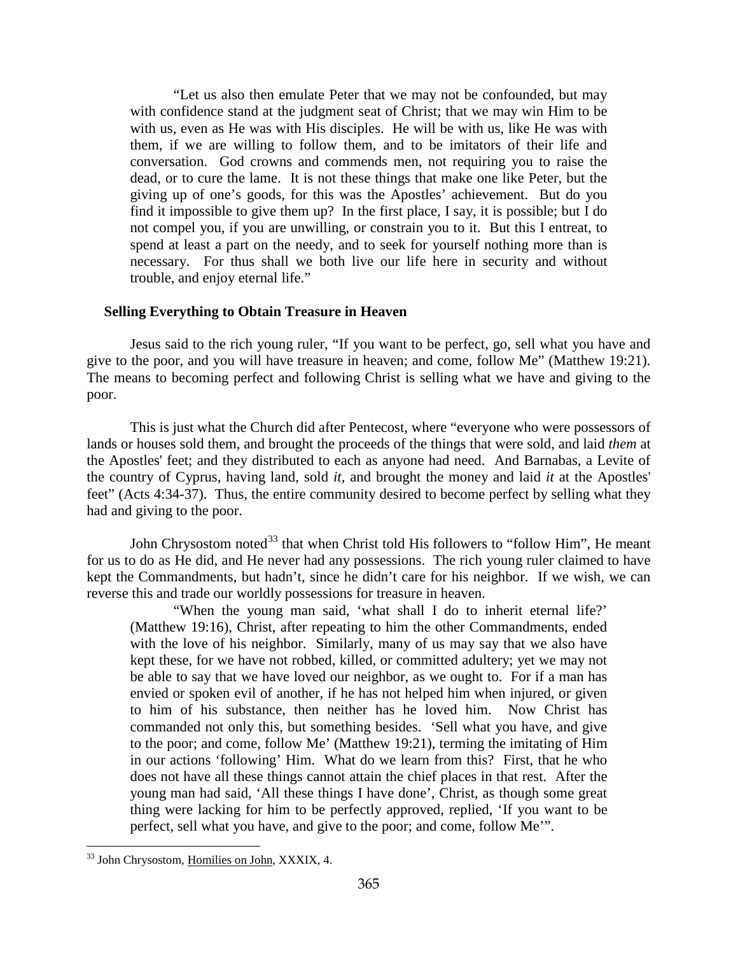"Let us also then emulate Peter that we may not be confounded, but may with confidence stand at the judgment seat of Christ; that we may win Him to be with us, even as He was with His disciples. He will be with us, like He was with them, if we are willing to follow them, and to be imitators of their life and conversation. God crowns and commends men, not requiring you to raise the dead, or to cure the lame. It is not these things that make one like Peter, but the giving up of one's goods, for this was the Apostles' achievement. But do you find it impossible to give them up? In the first place, I say, it is possible; but I do not compel you, if you are unwilling, or constrain you to it. But this I entreat, to spend at least a part on the needy, and to seek for yourself nothing more than is necessary. For thus shall we both live our life here in security and without trouble, and enjoy eternal life."

## <span id="page-19-0"></span>**Selling Everything to Obtain Treasure in Heaven**

Jesus said to the rich young ruler, "If you want to be perfect, go, sell what you have and give to the poor, and you will have treasure in heaven; and come, follow Me" (Matthew 19:21). The means to becoming perfect and following Christ is selling what we have and giving to the poor.

This is just what the Church did after Pentecost, where "everyone who were possessors of lands or houses sold them, and brought the proceeds of the things that were sold, and laid *them* at the Apostles' feet; and they distributed to each as anyone had need. And Barnabas, a Levite of the country of Cyprus, having land, sold *it,* and brought the money and laid *it* at the Apostles' feet" (Acts 4:34-37). Thus, the entire community desired to become perfect by selling what they had and giving to the poor.

John Chrysostom noted<sup>[33](#page-19-1)</sup> that when Christ told His followers to "follow Him", He meant for us to do as He did, and He never had any possessions. The rich young ruler claimed to have kept the Commandments, but hadn't, since he didn't care for his neighbor. If we wish, we can reverse this and trade our worldly possessions for treasure in heaven.

"When the young man said, 'what shall I do to inherit eternal life?' (Matthew 19:16), Christ, after repeating to him the other Commandments, ended with the love of his neighbor. Similarly, many of us may say that we also have kept these, for we have not robbed, killed, or committed adultery; yet we may not be able to say that we have loved our neighbor, as we ought to. For if a man has envied or spoken evil of another, if he has not helped him when injured, or given to him of his substance, then neither has he loved him. Now Christ has commanded not only this, but something besides. 'Sell what you have, and give to the poor; and come, follow Me' (Matthew 19:21), terming the imitating of Him in our actions 'following' Him. What do we learn from this? First, that he who does not have all these things cannot attain the chief places in that rest. After the young man had said, 'All these things I have done', Christ, as though some great thing were lacking for him to be perfectly approved, replied, 'If you want to be perfect, sell what you have, and give to the poor; and come, follow Me'".

<span id="page-19-1"></span><sup>33</sup> John Chrysostom, Homilies on John, XXXIX, 4.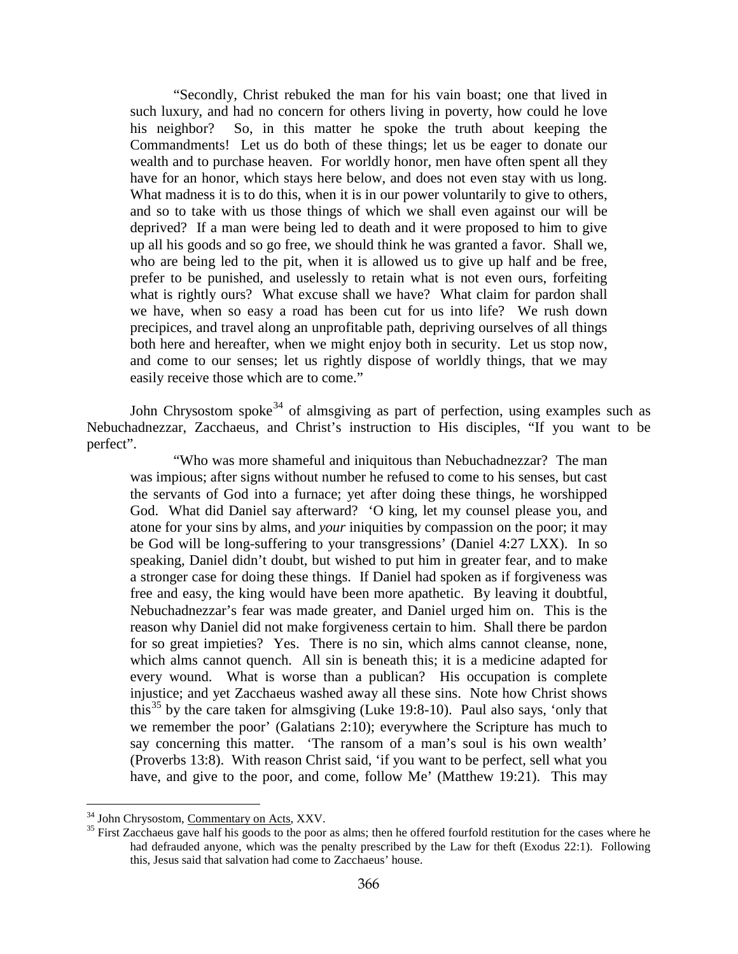"Secondly, Christ rebuked the man for his vain boast; one that lived in such luxury, and had no concern for others living in poverty, how could he love his neighbor? So, in this matter he spoke the truth about keeping the Commandments! Let us do both of these things; let us be eager to donate our wealth and to purchase heaven. For worldly honor, men have often spent all they have for an honor, which stays here below, and does not even stay with us long. What madness it is to do this, when it is in our power voluntarily to give to others, and so to take with us those things of which we shall even against our will be deprived? If a man were being led to death and it were proposed to him to give up all his goods and so go free, we should think he was granted a favor. Shall we, who are being led to the pit, when it is allowed us to give up half and be free, prefer to be punished, and uselessly to retain what is not even ours, forfeiting what is rightly ours? What excuse shall we have? What claim for pardon shall we have, when so easy a road has been cut for us into life? We rush down precipices, and travel along an unprofitable path, depriving ourselves of all things both here and hereafter, when we might enjoy both in security. Let us stop now, and come to our senses; let us rightly dispose of worldly things, that we may easily receive those which are to come."

John Chrysostom spoke<sup>[34](#page-20-0)</sup> of almsgiving as part of perfection, using examples such as Nebuchadnezzar, Zacchaeus, and Christ's instruction to His disciples, "If you want to be perfect".

"Who was more shameful and iniquitous than Nebuchadnezzar? The man was impious; after signs without number he refused to come to his senses, but cast the servants of God into a furnace; yet after doing these things, he worshipped God. What did Daniel say afterward? 'O king, let my counsel please you, and atone for your sins by alms, and *your* iniquities by compassion on the poor; it may be God will be long-suffering to your transgressions' (Daniel 4:27 LXX). In so speaking, Daniel didn't doubt, but wished to put him in greater fear, and to make a stronger case for doing these things. If Daniel had spoken as if forgiveness was free and easy, the king would have been more apathetic. By leaving it doubtful, Nebuchadnezzar's fear was made greater, and Daniel urged him on. This is the reason why Daniel did not make forgiveness certain to him. Shall there be pardon for so great impieties? Yes. There is no sin, which alms cannot cleanse, none, which alms cannot quench. All sin is beneath this; it is a medicine adapted for every wound. What is worse than a publican? His occupation is complete injustice; and yet Zacchaeus washed away all these sins. Note how Christ shows this<sup>[35](#page-20-1)</sup> by the care taken for almsgiving (Luke 19:8-10). Paul also says, 'only that we remember the poor' (Galatians 2:10); everywhere the Scripture has much to say concerning this matter. 'The ransom of a man's soul is his own wealth' (Proverbs 13:8). With reason Christ said, 'if you want to be perfect, sell what you have, and give to the poor, and come, follow Me' (Matthew 19:21). This may

<span id="page-20-1"></span><span id="page-20-0"></span>

<sup>&</sup>lt;sup>34</sup> John Chrysostom, <u>Commentary on Acts</u>, XXV.<br><sup>35</sup> First Zacchaeus gave half his goods to the poor as alms; then he offered fourfold restitution for the cases where he had defrauded anyone, which was the penalty prescribed by the Law for theft (Exodus 22:1). Following this, Jesus said that salvation had come to Zacchaeus' house.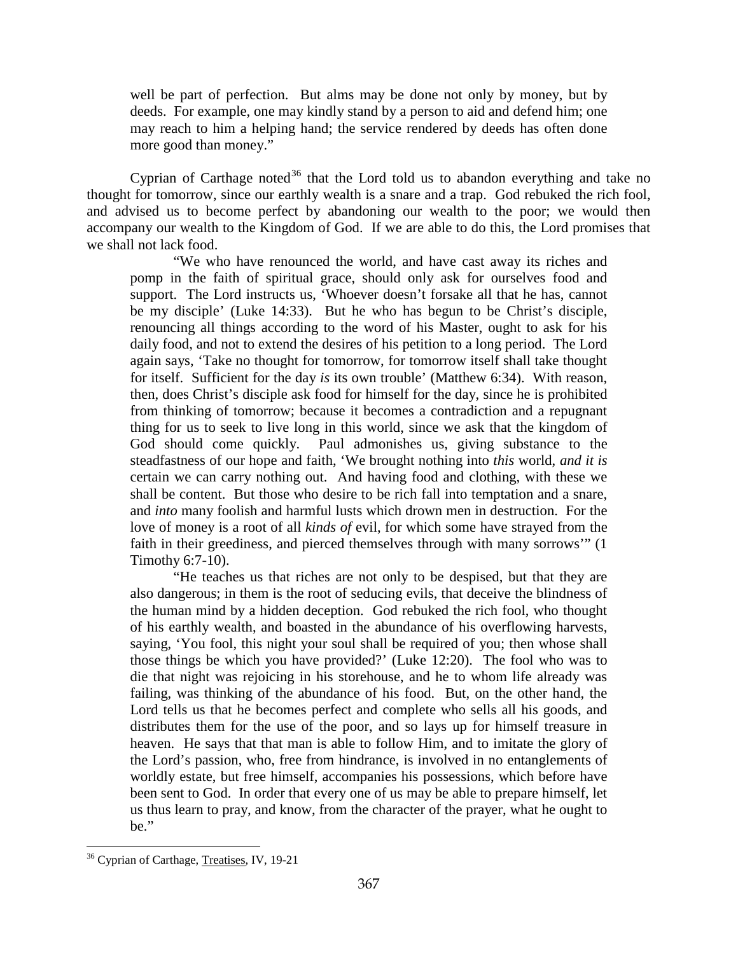well be part of perfection. But alms may be done not only by money, but by deeds. For example, one may kindly stand by a person to aid and defend him; one may reach to him a helping hand; the service rendered by deeds has often done more good than money."

Cyprian of Carthage noted<sup>[36](#page-21-0)</sup> that the Lord told us to abandon everything and take no thought for tomorrow, since our earthly wealth is a snare and a trap. God rebuked the rich fool, and advised us to become perfect by abandoning our wealth to the poor; we would then accompany our wealth to the Kingdom of God. If we are able to do this, the Lord promises that we shall not lack food.

"We who have renounced the world, and have cast away its riches and pomp in the faith of spiritual grace, should only ask for ourselves food and support. The Lord instructs us, 'Whoever doesn't forsake all that he has, cannot be my disciple' (Luke 14:33). But he who has begun to be Christ's disciple, renouncing all things according to the word of his Master, ought to ask for his daily food, and not to extend the desires of his petition to a long period. The Lord again says, 'Take no thought for tomorrow, for tomorrow itself shall take thought for itself. Sufficient for the day *is* its own trouble' (Matthew 6:34). With reason, then, does Christ's disciple ask food for himself for the day, since he is prohibited from thinking of tomorrow; because it becomes a contradiction and a repugnant thing for us to seek to live long in this world, since we ask that the kingdom of God should come quickly. Paul admonishes us, giving substance to the steadfastness of our hope and faith, 'We brought nothing into *this* world, *and it is*  certain we can carry nothing out. And having food and clothing, with these we shall be content. But those who desire to be rich fall into temptation and a snare, and *into* many foolish and harmful lusts which drown men in destruction. For the love of money is a root of all *kinds of* evil, for which some have strayed from the faith in their greediness, and pierced themselves through with many sorrows'" (1 Timothy 6:7-10).

"He teaches us that riches are not only to be despised, but that they are also dangerous; in them is the root of seducing evils, that deceive the blindness of the human mind by a hidden deception. God rebuked the rich fool, who thought of his earthly wealth, and boasted in the abundance of his overflowing harvests, saying, 'You fool, this night your soul shall be required of you; then whose shall those things be which you have provided?' (Luke 12:20). The fool who was to die that night was rejoicing in his storehouse, and he to whom life already was failing, was thinking of the abundance of his food. But, on the other hand, the Lord tells us that he becomes perfect and complete who sells all his goods, and distributes them for the use of the poor, and so lays up for himself treasure in heaven. He says that that man is able to follow Him, and to imitate the glory of the Lord's passion, who, free from hindrance, is involved in no entanglements of worldly estate, but free himself, accompanies his possessions, which before have been sent to God. In order that every one of us may be able to prepare himself, let us thus learn to pray, and know, from the character of the prayer, what he ought to be."

<span id="page-21-0"></span><sup>&</sup>lt;sup>36</sup> Cyprian of Carthage, Treatises, IV, 19-21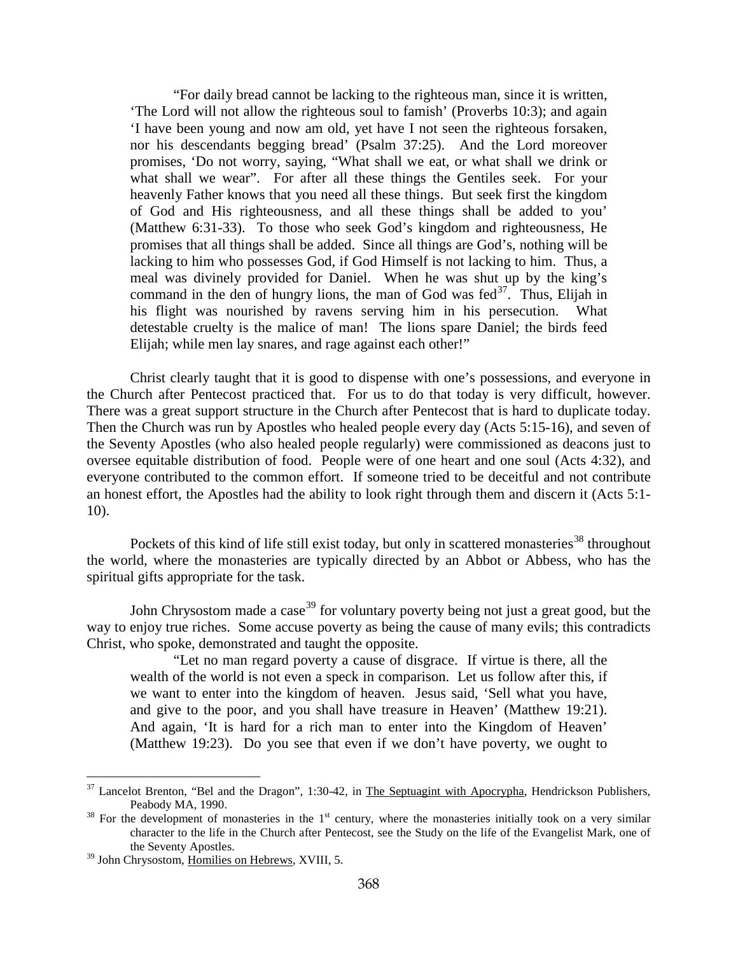"For daily bread cannot be lacking to the righteous man, since it is written, 'The Lord will not allow the righteous soul to famish' (Proverbs 10:3); and again 'I have been young and now am old, yet have I not seen the righteous forsaken, nor his descendants begging bread' (Psalm 37:25). And the Lord moreover promises, 'Do not worry, saying, "What shall we eat, or what shall we drink or what shall we wear". For after all these things the Gentiles seek. For your heavenly Father knows that you need all these things. But seek first the kingdom of God and His righteousness, and all these things shall be added to you' (Matthew 6:31-33). To those who seek God's kingdom and righteousness, He promises that all things shall be added. Since all things are God's, nothing will be lacking to him who possesses God, if God Himself is not lacking to him. Thus, a meal was divinely provided for Daniel. When he was shut up by the king's command in the den of hungry lions, the man of God was  $\text{fed}^{37}$  $\text{fed}^{37}$  $\text{fed}^{37}$ . Thus, Elijah in his flight was nourished by ravens serving him in his persecution. What detestable cruelty is the malice of man! The lions spare Daniel; the birds feed Elijah; while men lay snares, and rage against each other!"

Christ clearly taught that it is good to dispense with one's possessions, and everyone in the Church after Pentecost practiced that. For us to do that today is very difficult, however. There was a great support structure in the Church after Pentecost that is hard to duplicate today. Then the Church was run by Apostles who healed people every day (Acts 5:15-16), and seven of the Seventy Apostles (who also healed people regularly) were commissioned as deacons just to oversee equitable distribution of food. People were of one heart and one soul (Acts 4:32), and everyone contributed to the common effort. If someone tried to be deceitful and not contribute an honest effort, the Apostles had the ability to look right through them and discern it (Acts 5:1- 10).

Pockets of this kind of life still exist today, but only in scattered monasteries<sup>[38](#page-22-1)</sup> throughout the world, where the monasteries are typically directed by an Abbot or Abbess, who has the spiritual gifts appropriate for the task.

John Chrysostom made a case<sup>[39](#page-22-2)</sup> for voluntary poverty being not just a great good, but the way to enjoy true riches. Some accuse poverty as being the cause of many evils; this contradicts Christ, who spoke, demonstrated and taught the opposite.

"Let no man regard poverty a cause of disgrace. If virtue is there, all the wealth of the world is not even a speck in comparison. Let us follow after this, if we want to enter into the kingdom of heaven. Jesus said, 'Sell what you have, and give to the poor, and you shall have treasure in Heaven' (Matthew 19:21). And again, 'It is hard for a rich man to enter into the Kingdom of Heaven' (Matthew 19:23). Do you see that even if we don't have poverty, we ought to

<span id="page-22-0"></span><sup>&</sup>lt;sup>37</sup> Lancelot Brenton, "Bel and the Dragon", 1:30-42, in The Septuagint with Apocrypha, Hendrickson Publishers, Peabody MA, 1990.

<span id="page-22-1"></span> $38$  For the development of monasteries in the 1<sup>st</sup> century, where the monasteries initially took on a very similar character to the life in the Church after Pentecost, see the Study on the life of the Evangelist Mark, one of the Seventy Apostles.

<span id="page-22-2"></span><sup>&</sup>lt;sup>39</sup> John Chrysostom, Homilies on Hebrews, XVIII, 5.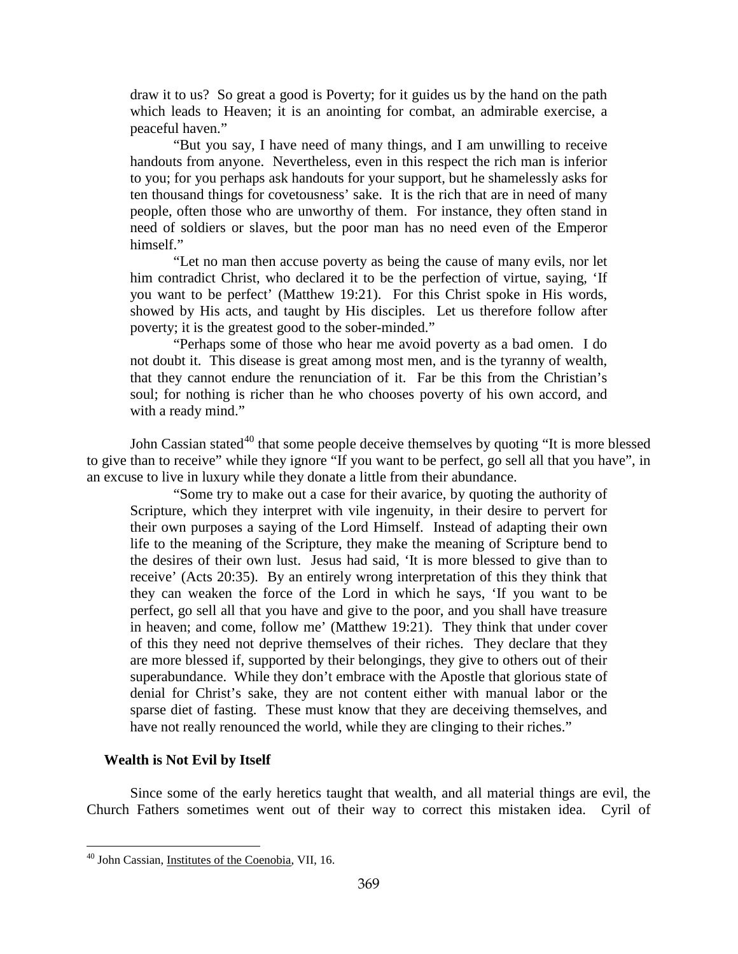draw it to us? So great a good is Poverty; for it guides us by the hand on the path which leads to Heaven; it is an anointing for combat, an admirable exercise, a peaceful haven."

"But you say, I have need of many things, and I am unwilling to receive handouts from anyone. Nevertheless, even in this respect the rich man is inferior to you; for you perhaps ask handouts for your support, but he shamelessly asks for ten thousand things for covetousness' sake. It is the rich that are in need of many people, often those who are unworthy of them. For instance, they often stand in need of soldiers or slaves, but the poor man has no need even of the Emperor himself."

"Let no man then accuse poverty as being the cause of many evils, nor let him contradict Christ, who declared it to be the perfection of virtue, saying, 'If you want to be perfect' (Matthew 19:21). For this Christ spoke in His words, showed by His acts, and taught by His disciples. Let us therefore follow after poverty; it is the greatest good to the sober-minded."

"Perhaps some of those who hear me avoid poverty as a bad omen. I do not doubt it. This disease is great among most men, and is the tyranny of wealth, that they cannot endure the renunciation of it. Far be this from the Christian's soul; for nothing is richer than he who chooses poverty of his own accord, and with a ready mind."

John Cassian stated<sup>[40](#page-23-1)</sup> that some people deceive themselves by quoting "It is more blessed to give than to receive" while they ignore "If you want to be perfect, go sell all that you have", in an excuse to live in luxury while they donate a little from their abundance.

"Some try to make out a case for their avarice, by quoting the authority of Scripture, which they interpret with vile ingenuity, in their desire to pervert for their own purposes a saying of the Lord Himself. Instead of adapting their own life to the meaning of the Scripture, they make the meaning of Scripture bend to the desires of their own lust. Jesus had said, 'It is more blessed to give than to receive' (Acts 20:35). By an entirely wrong interpretation of this they think that they can weaken the force of the Lord in which he says, 'If you want to be perfect, go sell all that you have and give to the poor, and you shall have treasure in heaven; and come, follow me' (Matthew 19:21). They think that under cover of this they need not deprive themselves of their riches. They declare that they are more blessed if, supported by their belongings, they give to others out of their superabundance. While they don't embrace with the Apostle that glorious state of denial for Christ's sake, they are not content either with manual labor or the sparse diet of fasting. These must know that they are deceiving themselves, and have not really renounced the world, while they are clinging to their riches."

## <span id="page-23-0"></span>**Wealth is Not Evil by Itself**

 $\overline{a}$ 

Since some of the early heretics taught that wealth, and all material things are evil, the Church Fathers sometimes went out of their way to correct this mistaken idea. Cyril of

<span id="page-23-1"></span><sup>40</sup> John Cassian, Institutes of the Coenobia, VII, 16.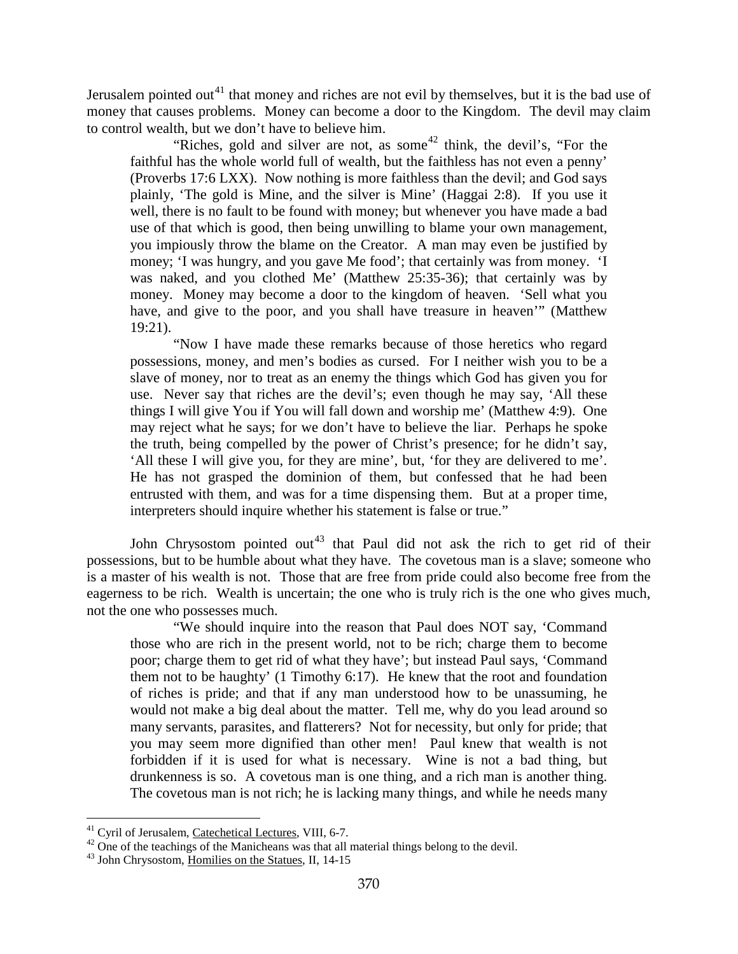Jerusalem pointed out<sup>[41](#page-24-0)</sup> that money and riches are not evil by themselves, but it is the bad use of money that causes problems. Money can become a door to the Kingdom. The devil may claim to control wealth, but we don't have to believe him.

"Riches, gold and silver are not, as some<sup>[42](#page-24-1)</sup> think, the devil's, "For the faithful has the whole world full of wealth, but the faithless has not even a penny' (Proverbs 17:6 LXX). Now nothing is more faithless than the devil; and God says plainly, 'The gold is Mine, and the silver is Mine' (Haggai 2:8). If you use it well, there is no fault to be found with money; but whenever you have made a bad use of that which is good, then being unwilling to blame your own management, you impiously throw the blame on the Creator. A man may even be justified by money; 'I was hungry, and you gave Me food'; that certainly was from money. 'I was naked, and you clothed Me' (Matthew 25:35-36); that certainly was by money. Money may become a door to the kingdom of heaven. 'Sell what you have, and give to the poor, and you shall have treasure in heaven'" (Matthew 19:21).

"Now I have made these remarks because of those heretics who regard possessions, money, and men's bodies as cursed. For I neither wish you to be a slave of money, nor to treat as an enemy the things which God has given you for use. Never say that riches are the devil's; even though he may say, 'All these things I will give You if You will fall down and worship me' (Matthew 4:9). One may reject what he says; for we don't have to believe the liar. Perhaps he spoke the truth, being compelled by the power of Christ's presence; for he didn't say, 'All these I will give you, for they are mine', but, 'for they are delivered to me'. He has not grasped the dominion of them, but confessed that he had been entrusted with them, and was for a time dispensing them. But at a proper time, interpreters should inquire whether his statement is false or true."

John Chrysostom pointed out<sup>[43](#page-24-2)</sup> that Paul did not ask the rich to get rid of their possessions, but to be humble about what they have. The covetous man is a slave; someone who is a master of his wealth is not. Those that are free from pride could also become free from the eagerness to be rich. Wealth is uncertain; the one who is truly rich is the one who gives much, not the one who possesses much.

"We should inquire into the reason that Paul does NOT say, 'Command those who are rich in the present world, not to be rich; charge them to become poor; charge them to get rid of what they have'; but instead Paul says, 'Command them not to be haughty' (1 Timothy 6:17). He knew that the root and foundation of riches is pride; and that if any man understood how to be unassuming, he would not make a big deal about the matter. Tell me, why do you lead around so many servants, parasites, and flatterers? Not for necessity, but only for pride; that you may seem more dignified than other men! Paul knew that wealth is not forbidden if it is used for what is necessary. Wine is not a bad thing, but drunkenness is so. A covetous man is one thing, and a rich man is another thing. The covetous man is not rich; he is lacking many things, and while he needs many

<span id="page-24-0"></span><sup>&</sup>lt;sup>41</sup> Cyril of Jerusalem, <u>Catechetical Lectures</u>, VIII, 6-7.<br><sup>42</sup> One of the teachings of the Manicheans was that all material things belong to the devil.<br><sup>43</sup> John Chrysostom, <u>Homilies on the Statues</u>, II, 14-15

<span id="page-24-2"></span><span id="page-24-1"></span>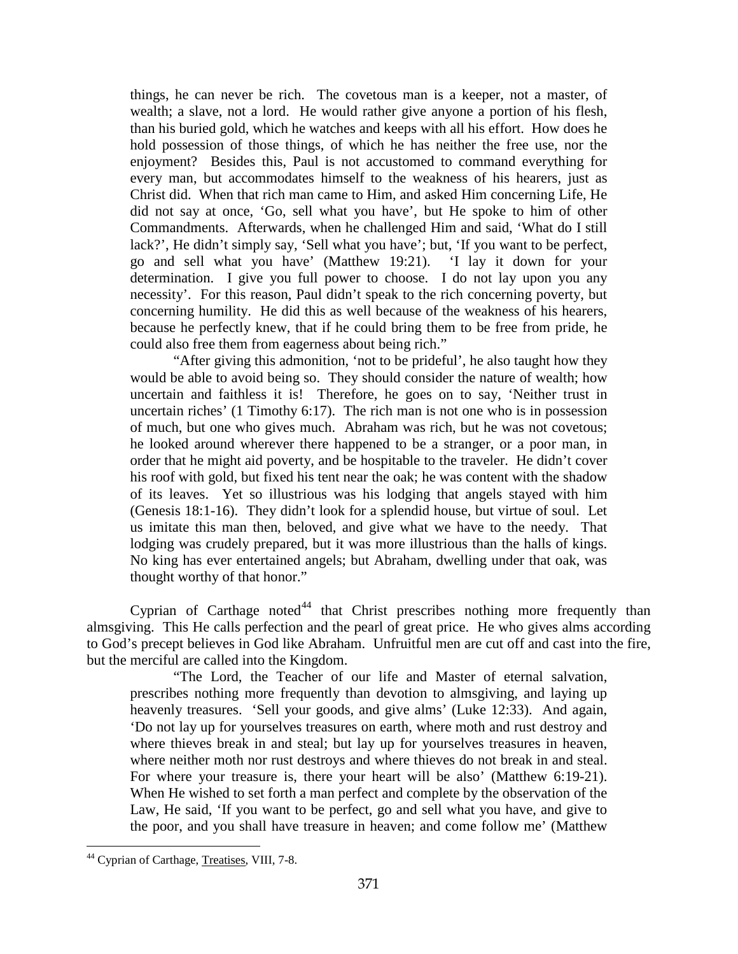things, he can never be rich. The covetous man is a keeper, not a master, of wealth; a slave, not a lord. He would rather give anyone a portion of his flesh, than his buried gold, which he watches and keeps with all his effort. How does he hold possession of those things, of which he has neither the free use, nor the enjoyment? Besides this, Paul is not accustomed to command everything for every man, but accommodates himself to the weakness of his hearers, just as Christ did. When that rich man came to Him, and asked Him concerning Life, He did not say at once, 'Go, sell what you have', but He spoke to him of other Commandments. Afterwards, when he challenged Him and said, 'What do I still lack?', He didn't simply say, 'Sell what you have'; but, 'If you want to be perfect, go and sell what you have' (Matthew 19:21). 'I lay it down for your determination. I give you full power to choose. I do not lay upon you any necessity'. For this reason, Paul didn't speak to the rich concerning poverty, but concerning humility. He did this as well because of the weakness of his hearers, because he perfectly knew, that if he could bring them to be free from pride, he could also free them from eagerness about being rich."

"After giving this admonition, 'not to be prideful', he also taught how they would be able to avoid being so. They should consider the nature of wealth; how uncertain and faithless it is! Therefore, he goes on to say, 'Neither trust in uncertain riches' (1 Timothy 6:17). The rich man is not one who is in possession of much, but one who gives much. Abraham was rich, but he was not covetous; he looked around wherever there happened to be a stranger, or a poor man, in order that he might aid poverty, and be hospitable to the traveler. He didn't cover his roof with gold, but fixed his tent near the oak; he was content with the shadow of its leaves. Yet so illustrious was his lodging that angels stayed with him (Genesis 18:1-16). They didn't look for a splendid house, but virtue of soul. Let us imitate this man then, beloved, and give what we have to the needy. That lodging was crudely prepared, but it was more illustrious than the halls of kings. No king has ever entertained angels; but Abraham, dwelling under that oak, was thought worthy of that honor."

Cyprian of Carthage noted<sup>[44](#page-25-0)</sup> that Christ prescribes nothing more frequently than almsgiving. This He calls perfection and the pearl of great price. He who gives alms according to God's precept believes in God like Abraham. Unfruitful men are cut off and cast into the fire, but the merciful are called into the Kingdom.

"The Lord, the Teacher of our life and Master of eternal salvation, prescribes nothing more frequently than devotion to almsgiving, and laying up heavenly treasures. 'Sell your goods, and give alms' (Luke 12:33). And again, 'Do not lay up for yourselves treasures on earth, where moth and rust destroy and where thieves break in and steal; but lay up for yourselves treasures in heaven, where neither moth nor rust destroys and where thieves do not break in and steal. For where your treasure is, there your heart will be also' (Matthew 6:19-21). When He wished to set forth a man perfect and complete by the observation of the Law, He said, 'If you want to be perfect, go and sell what you have, and give to the poor, and you shall have treasure in heaven; and come follow me' (Matthew

<span id="page-25-0"></span><sup>&</sup>lt;sup>44</sup> Cyprian of Carthage, Treatises, VIII, 7-8.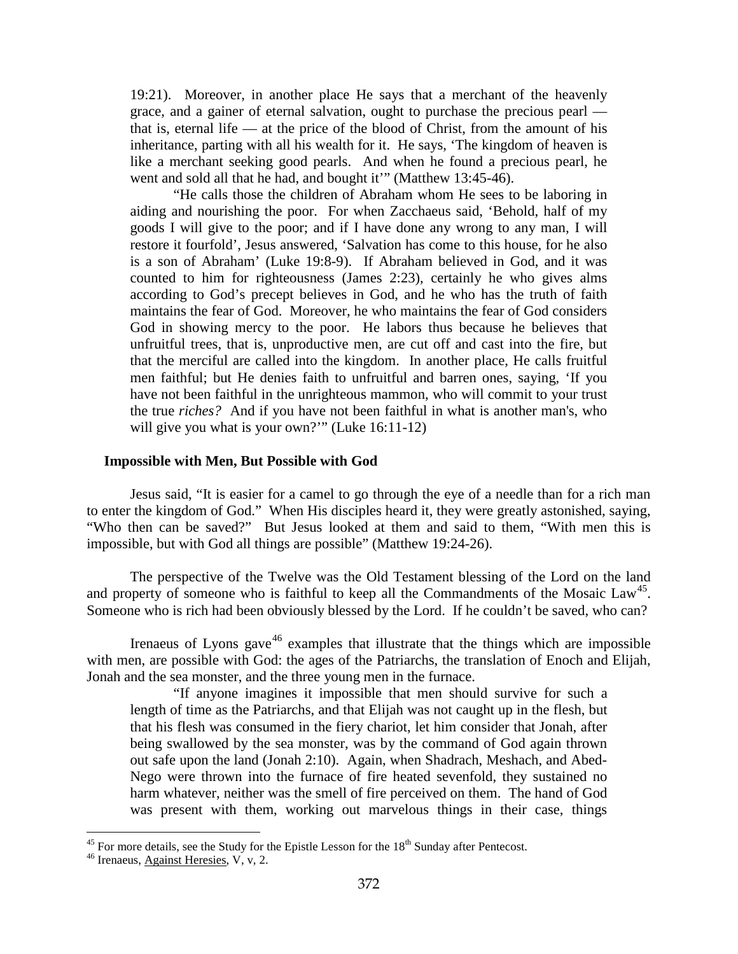19:21). Moreover, in another place He says that a merchant of the heavenly grace, and a gainer of eternal salvation, ought to purchase the precious pearl that is, eternal life — at the price of the blood of Christ, from the amount of his inheritance, parting with all his wealth for it. He says, 'The kingdom of heaven is like a merchant seeking good pearls. And when he found a precious pearl, he went and sold all that he had, and bought it"" (Matthew 13:45-46).

"He calls those the children of Abraham whom He sees to be laboring in aiding and nourishing the poor. For when Zacchaeus said, 'Behold, half of my goods I will give to the poor; and if I have done any wrong to any man, I will restore it fourfold', Jesus answered, 'Salvation has come to this house, for he also is a son of Abraham' (Luke 19:8-9). If Abraham believed in God, and it was counted to him for righteousness (James 2:23), certainly he who gives alms according to God's precept believes in God, and he who has the truth of faith maintains the fear of God. Moreover, he who maintains the fear of God considers God in showing mercy to the poor. He labors thus because he believes that unfruitful trees, that is, unproductive men, are cut off and cast into the fire, but that the merciful are called into the kingdom. In another place, He calls fruitful men faithful; but He denies faith to unfruitful and barren ones, saying, 'If you have not been faithful in the unrighteous mammon, who will commit to your trust the true *riches?* And if you have not been faithful in what is another man's, who will give you what is your own?"" (Luke 16:11-12)

#### <span id="page-26-0"></span>**Impossible with Men, But Possible with God**

Jesus said, "It is easier for a camel to go through the eye of a needle than for a rich man to enter the kingdom of God." When His disciples heard it, they were greatly astonished, saying, "Who then can be saved?" But Jesus looked at them and said to them, "With men this is impossible, but with God all things are possible" (Matthew 19:24-26).

The perspective of the Twelve was the Old Testament blessing of the Lord on the land and property of someone who is faithful to keep all the Commandments of the Mosaic  $Law<sup>45</sup>$  $Law<sup>45</sup>$  $Law<sup>45</sup>$ . Someone who is rich had been obviously blessed by the Lord. If he couldn't be saved, who can?

Irenaeus of Lyons gave<sup>[46](#page-26-2)</sup> examples that illustrate that the things which are impossible with men, are possible with God: the ages of the Patriarchs, the translation of Enoch and Elijah, Jonah and the sea monster, and the three young men in the furnace.

"If anyone imagines it impossible that men should survive for such a length of time as the Patriarchs, and that Elijah was not caught up in the flesh, but that his flesh was consumed in the fiery chariot, let him consider that Jonah, after being swallowed by the sea monster, was by the command of God again thrown out safe upon the land (Jonah 2:10). Again, when Shadrach, Meshach, and Abed-Nego were thrown into the furnace of fire heated sevenfold, they sustained no harm whatever, neither was the smell of fire perceived on them. The hand of God was present with them, working out marvelous things in their case, things

<span id="page-26-1"></span><sup>&</sup>lt;sup>45</sup> For more details, see the Study for the Epistle Lesson for the 18<sup>th</sup> Sunday after Pentecost.  $^{46}$  Irenaeus, <u>Against Heresies</u>, V, v, 2.

<span id="page-26-2"></span>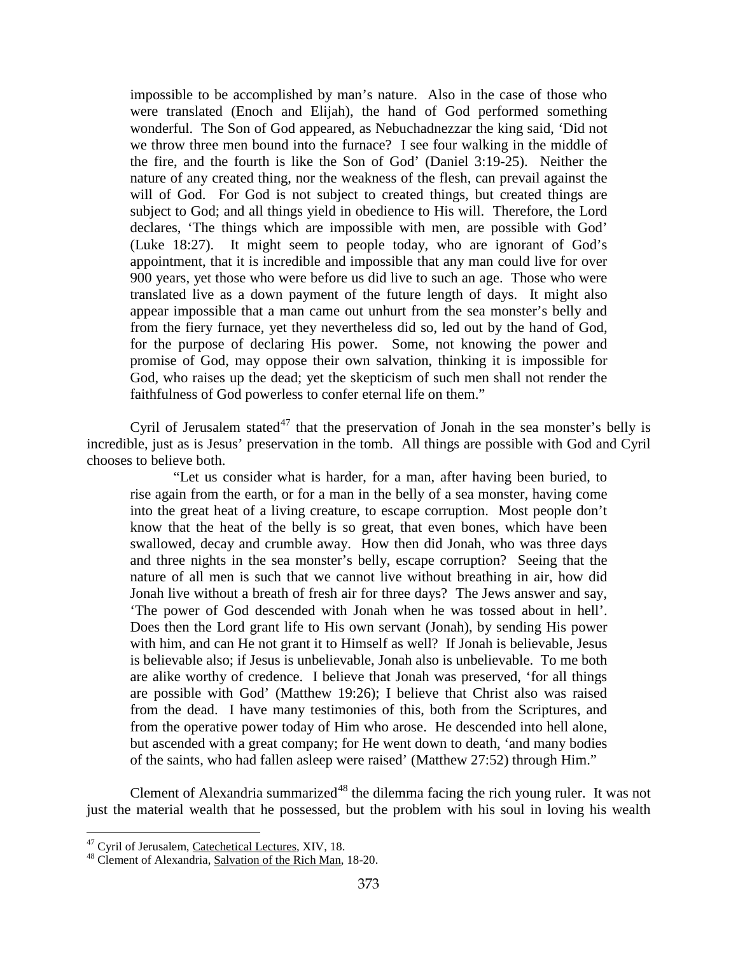impossible to be accomplished by man's nature. Also in the case of those who were translated (Enoch and Elijah), the hand of God performed something wonderful. The Son of God appeared, as Nebuchadnezzar the king said, 'Did not we throw three men bound into the furnace? I see four walking in the middle of the fire, and the fourth is like the Son of God' (Daniel 3:19-25). Neither the nature of any created thing, nor the weakness of the flesh, can prevail against the will of God. For God is not subject to created things, but created things are subject to God; and all things yield in obedience to His will. Therefore, the Lord declares, 'The things which are impossible with men, are possible with God' (Luke 18:27). It might seem to people today, who are ignorant of God's appointment, that it is incredible and impossible that any man could live for over 900 years, yet those who were before us did live to such an age. Those who were translated live as a down payment of the future length of days. It might also appear impossible that a man came out unhurt from the sea monster's belly and from the fiery furnace, yet they nevertheless did so, led out by the hand of God, for the purpose of declaring His power. Some, not knowing the power and promise of God, may oppose their own salvation, thinking it is impossible for God, who raises up the dead; yet the skepticism of such men shall not render the faithfulness of God powerless to confer eternal life on them."

Cyril of Jerusalem stated<sup>[47](#page-27-0)</sup> that the preservation of Jonah in the sea monster's belly is incredible, just as is Jesus' preservation in the tomb. All things are possible with God and Cyril chooses to believe both.

"Let us consider what is harder, for a man, after having been buried, to rise again from the earth, or for a man in the belly of a sea monster, having come into the great heat of a living creature, to escape corruption. Most people don't know that the heat of the belly is so great, that even bones, which have been swallowed, decay and crumble away. How then did Jonah, who was three days and three nights in the sea monster's belly, escape corruption? Seeing that the nature of all men is such that we cannot live without breathing in air, how did Jonah live without a breath of fresh air for three days? The Jews answer and say, 'The power of God descended with Jonah when he was tossed about in hell'. Does then the Lord grant life to His own servant (Jonah), by sending His power with him, and can He not grant it to Himself as well? If Jonah is believable, Jesus is believable also; if Jesus is unbelievable, Jonah also is unbelievable. To me both are alike worthy of credence. I believe that Jonah was preserved, 'for all things are possible with God' (Matthew 19:26); I believe that Christ also was raised from the dead. I have many testimonies of this, both from the Scriptures, and from the operative power today of Him who arose. He descended into hell alone, but ascended with a great company; for He went down to death, 'and many bodies of the saints, who had fallen asleep were raised' (Matthew 27:52) through Him."

Clement of Alexandria summarized<sup>[48](#page-27-1)</sup> the dilemma facing the rich young ruler. It was not just the material wealth that he possessed, but the problem with his soul in loving his wealth

<span id="page-27-0"></span><sup>&</sup>lt;sup>47</sup> Cyril of Jerusalem, Catechetical Lectures, XIV, 18.

<span id="page-27-1"></span><sup>&</sup>lt;sup>48</sup> Clement of Alexandria, Salvation of the Rich Man, 18-20.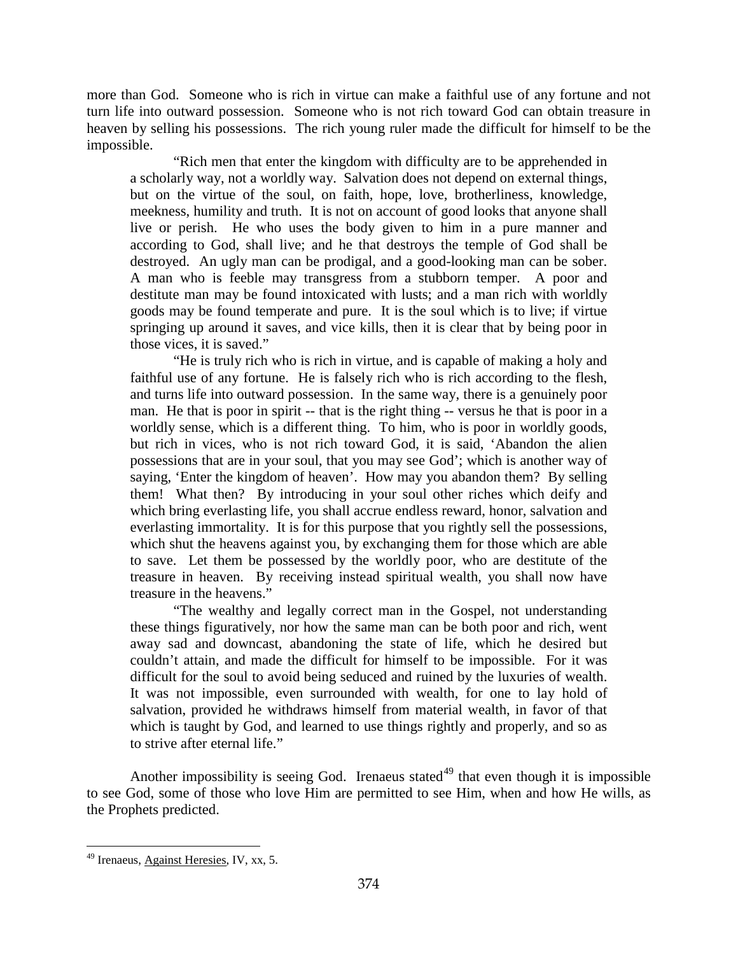more than God. Someone who is rich in virtue can make a faithful use of any fortune and not turn life into outward possession. Someone who is not rich toward God can obtain treasure in heaven by selling his possessions. The rich young ruler made the difficult for himself to be the impossible.

"Rich men that enter the kingdom with difficulty are to be apprehended in a scholarly way, not a worldly way. Salvation does not depend on external things, but on the virtue of the soul, on faith, hope, love, brotherliness, knowledge, meekness, humility and truth. It is not on account of good looks that anyone shall live or perish. He who uses the body given to him in a pure manner and according to God, shall live; and he that destroys the temple of God shall be destroyed. An ugly man can be prodigal, and a good-looking man can be sober. A man who is feeble may transgress from a stubborn temper. A poor and destitute man may be found intoxicated with lusts; and a man rich with worldly goods may be found temperate and pure. It is the soul which is to live; if virtue springing up around it saves, and vice kills, then it is clear that by being poor in those vices, it is saved."

"He is truly rich who is rich in virtue, and is capable of making a holy and faithful use of any fortune. He is falsely rich who is rich according to the flesh, and turns life into outward possession. In the same way, there is a genuinely poor man. He that is poor in spirit -- that is the right thing -- versus he that is poor in a worldly sense, which is a different thing. To him, who is poor in worldly goods, but rich in vices, who is not rich toward God, it is said, 'Abandon the alien possessions that are in your soul, that you may see God'; which is another way of saying, 'Enter the kingdom of heaven'. How may you abandon them? By selling them! What then? By introducing in your soul other riches which deify and which bring everlasting life, you shall accrue endless reward, honor, salvation and everlasting immortality. It is for this purpose that you rightly sell the possessions, which shut the heavens against you, by exchanging them for those which are able to save. Let them be possessed by the worldly poor, who are destitute of the treasure in heaven. By receiving instead spiritual wealth, you shall now have treasure in the heavens."

"The wealthy and legally correct man in the Gospel, not understanding these things figuratively, nor how the same man can be both poor and rich, went away sad and downcast, abandoning the state of life, which he desired but couldn't attain, and made the difficult for himself to be impossible. For it was difficult for the soul to avoid being seduced and ruined by the luxuries of wealth. It was not impossible, even surrounded with wealth, for one to lay hold of salvation, provided he withdraws himself from material wealth, in favor of that which is taught by God, and learned to use things rightly and properly, and so as to strive after eternal life."

Another impossibility is seeing God. Irenaeus stated<sup>[49](#page-28-0)</sup> that even though it is impossible to see God, some of those who love Him are permitted to see Him, when and how He wills, as the Prophets predicted.

<span id="page-28-0"></span> $\overline{a}$ <sup>49</sup> Irenaeus, Against Heresies, IV, xx, 5.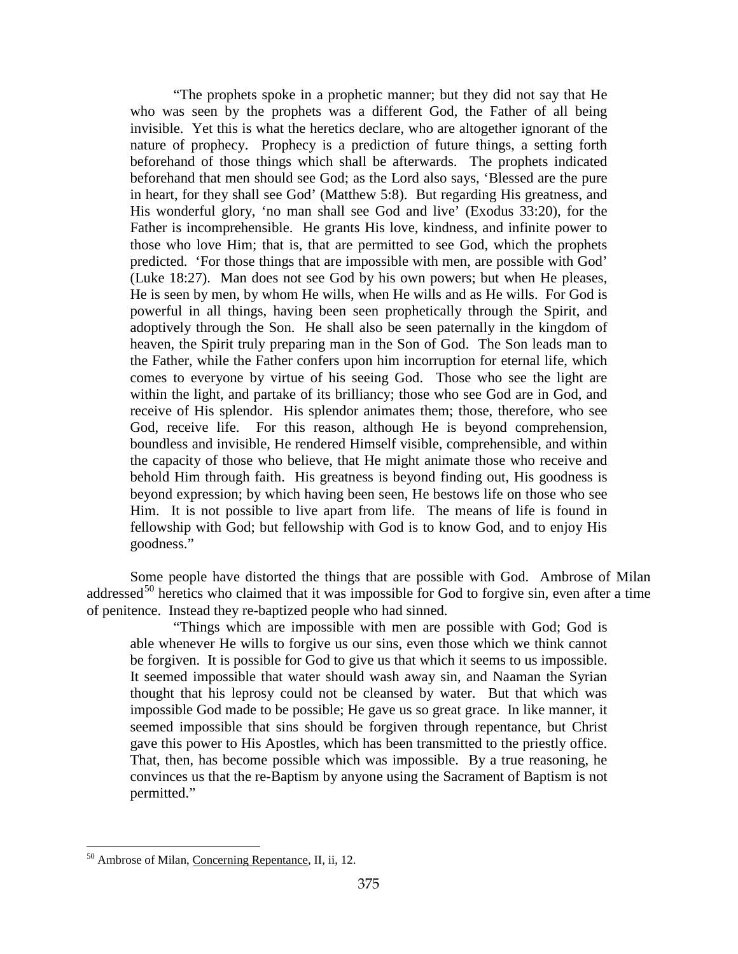"The prophets spoke in a prophetic manner; but they did not say that He who was seen by the prophets was a different God, the Father of all being invisible. Yet this is what the heretics declare, who are altogether ignorant of the nature of prophecy. Prophecy is a prediction of future things, a setting forth beforehand of those things which shall be afterwards. The prophets indicated beforehand that men should see God; as the Lord also says, 'Blessed are the pure in heart, for they shall see God' (Matthew 5:8). But regarding His greatness, and His wonderful glory, 'no man shall see God and live' (Exodus 33:20), for the Father is incomprehensible. He grants His love, kindness, and infinite power to those who love Him; that is, that are permitted to see God, which the prophets predicted. 'For those things that are impossible with men, are possible with God' (Luke 18:27). Man does not see God by his own powers; but when He pleases, He is seen by men, by whom He wills, when He wills and as He wills. For God is powerful in all things, having been seen prophetically through the Spirit, and adoptively through the Son. He shall also be seen paternally in the kingdom of heaven, the Spirit truly preparing man in the Son of God. The Son leads man to the Father, while the Father confers upon him incorruption for eternal life, which comes to everyone by virtue of his seeing God. Those who see the light are within the light, and partake of its brilliancy; those who see God are in God, and receive of His splendor. His splendor animates them; those, therefore, who see God, receive life. For this reason, although He is beyond comprehension, boundless and invisible, He rendered Himself visible, comprehensible, and within the capacity of those who believe, that He might animate those who receive and behold Him through faith. His greatness is beyond finding out, His goodness is beyond expression; by which having been seen, He bestows life on those who see Him. It is not possible to live apart from life. The means of life is found in fellowship with God; but fellowship with God is to know God, and to enjoy His goodness."

Some people have distorted the things that are possible with God. Ambrose of Milan addressed<sup>[50](#page-29-0)</sup> heretics who claimed that it was impossible for God to forgive sin, even after a time of penitence. Instead they re-baptized people who had sinned.

"Things which are impossible with men are possible with God; God is able whenever He wills to forgive us our sins, even those which we think cannot be forgiven. It is possible for God to give us that which it seems to us impossible. It seemed impossible that water should wash away sin, and Naaman the Syrian thought that his leprosy could not be cleansed by water. But that which was impossible God made to be possible; He gave us so great grace. In like manner, it seemed impossible that sins should be forgiven through repentance, but Christ gave this power to His Apostles, which has been transmitted to the priestly office. That, then, has become possible which was impossible. By a true reasoning, he convinces us that the re-Baptism by anyone using the Sacrament of Baptism is not permitted."

<span id="page-29-0"></span><sup>&</sup>lt;sup>50</sup> Ambrose of Milan, Concerning Repentance, II, ii, 12.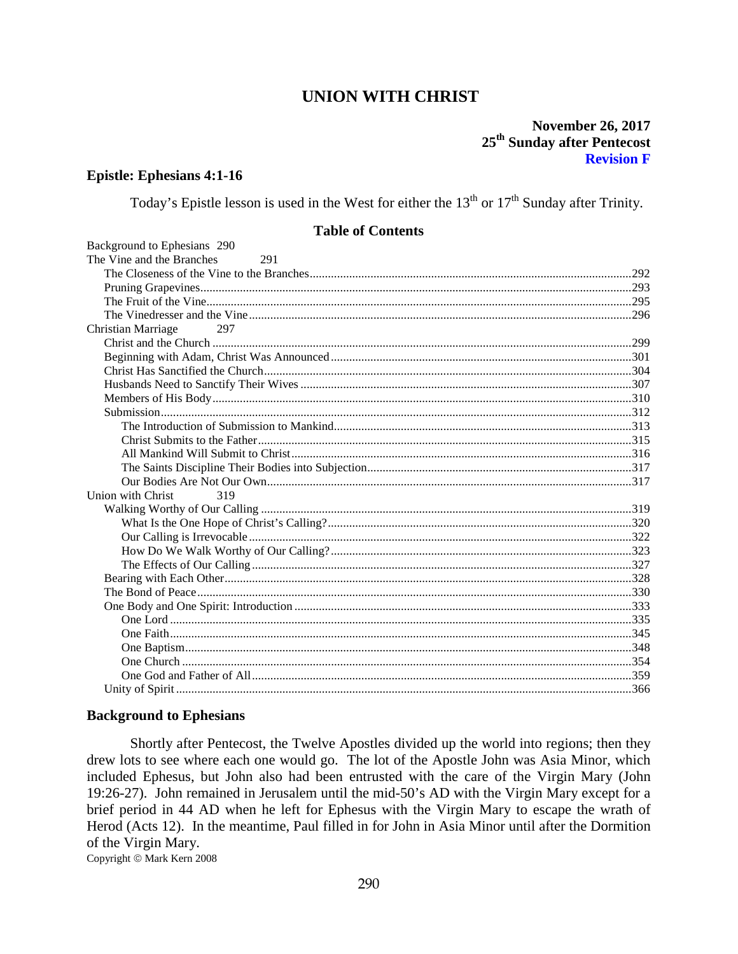# **UNION WITH CHRIST**

# **November 26, 2017** 25<sup>th</sup> Sunday after Pentecost **Revision F**

#### **Epistle: Ephesians 4:1-16**

Today's Epistle lesson is used in the West for either the  $13<sup>th</sup>$  or  $17<sup>th</sup>$  Sunday after Trinity.

## **Table of Contents**

| Background to Ephesians 290      |  |
|----------------------------------|--|
| The Vine and the Branches<br>291 |  |
|                                  |  |
|                                  |  |
|                                  |  |
|                                  |  |
| Christian Marriage<br>297        |  |
|                                  |  |
|                                  |  |
|                                  |  |
|                                  |  |
|                                  |  |
|                                  |  |
|                                  |  |
|                                  |  |
|                                  |  |
|                                  |  |
|                                  |  |
| Union with Christ<br>319         |  |
|                                  |  |
|                                  |  |
|                                  |  |
|                                  |  |
|                                  |  |
|                                  |  |
|                                  |  |
|                                  |  |
|                                  |  |
|                                  |  |
|                                  |  |
|                                  |  |
|                                  |  |
|                                  |  |

#### <span id="page-30-0"></span>**Background to Ephesians**

Shortly after Pentecost, the Twelve Apostles divided up the world into regions; then they drew lots to see where each one would go. The lot of the Apostle John was Asia Minor, which included Ephesus, but John also had been entrusted with the care of the Virgin Mary (John 19:26-27). John remained in Jerusalem until the mid-50's AD with the Virgin Mary except for a brief period in 44 AD when he left for Ephesus with the Virgin Mary to escape the wrath of Herod (Acts 12). In the meantime, Paul filled in for John in Asia Minor until after the Dormition of the Virgin Mary.

Copyright © Mark Kern 2008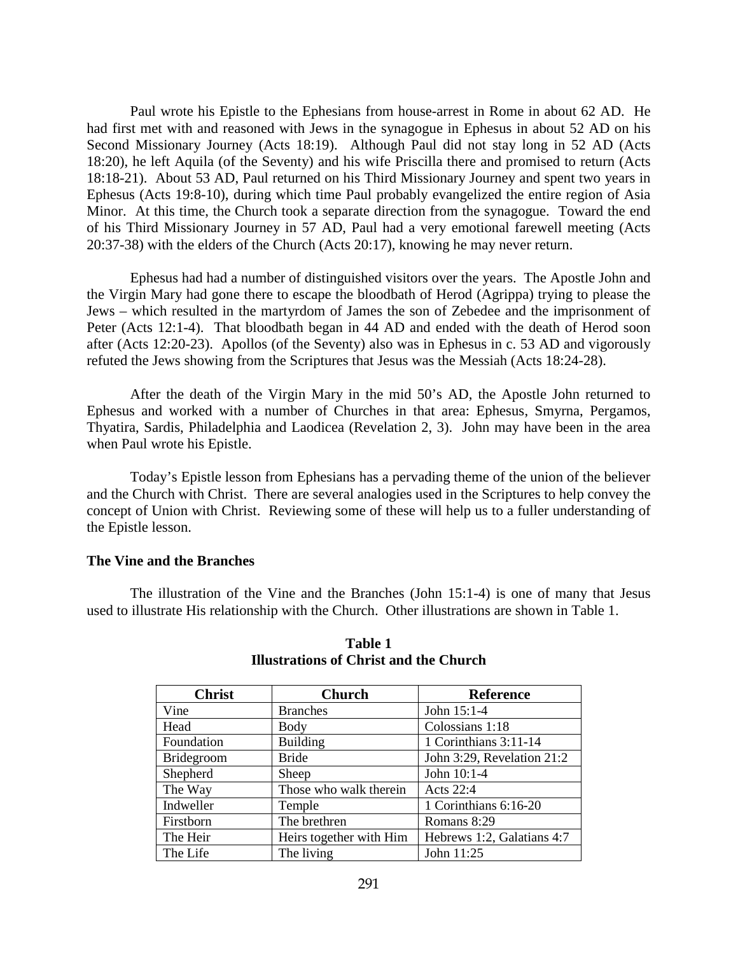Paul wrote his Epistle to the Ephesians from house-arrest in Rome in about 62 AD. He had first met with and reasoned with Jews in the synagogue in Ephesus in about 52 AD on his Second Missionary Journey (Acts 18:19). Although Paul did not stay long in 52 AD (Acts 18:20), he left Aquila (of the Seventy) and his wife Priscilla there and promised to return (Acts 18:18-21). About 53 AD, Paul returned on his Third Missionary Journey and spent two years in Ephesus (Acts 19:8-10), during which time Paul probably evangelized the entire region of Asia Minor. At this time, the Church took a separate direction from the synagogue. Toward the end of his Third Missionary Journey in 57 AD, Paul had a very emotional farewell meeting (Acts 20:37-38) with the elders of the Church (Acts 20:17), knowing he may never return.

Ephesus had had a number of distinguished visitors over the years. The Apostle John and the Virgin Mary had gone there to escape the bloodbath of Herod (Agrippa) trying to please the Jews – which resulted in the martyrdom of James the son of Zebedee and the imprisonment of Peter (Acts 12:1-4). That bloodbath began in 44 AD and ended with the death of Herod soon after (Acts 12:20-23). Apollos (of the Seventy) also was in Ephesus in c. 53 AD and vigorously refuted the Jews showing from the Scriptures that Jesus was the Messiah (Acts 18:24-28).

After the death of the Virgin Mary in the mid 50's AD, the Apostle John returned to Ephesus and worked with a number of Churches in that area: Ephesus, Smyrna, Pergamos, Thyatira, Sardis, Philadelphia and Laodicea (Revelation 2, 3). John may have been in the area when Paul wrote his Epistle.

Today's Epistle lesson from Ephesians has a pervading theme of the union of the believer and the Church with Christ. There are several analogies used in the Scriptures to help convey the concept of Union with Christ. Reviewing some of these will help us to a fuller understanding of the Epistle lesson.

#### <span id="page-31-0"></span>**The Vine and the Branches**

The illustration of the Vine and the Branches (John 15:1-4) is one of many that Jesus used to illustrate His relationship with the Church. Other illustrations are shown in Table 1.

| <b>Christ</b>     | <b>Church</b>           | <b>Reference</b>           |
|-------------------|-------------------------|----------------------------|
| Vine              | <b>Branches</b>         | John 15:1-4                |
| Head              | Body                    | Colossians 1:18            |
| Foundation        | <b>Building</b>         | 1 Corinthians 3:11-14      |
| <b>Bridegroom</b> | <b>Bride</b>            | John 3:29, Revelation 21:2 |
| Shepherd          | Sheep                   | John 10:1-4                |
| The Way           | Those who walk therein  | Acts 22:4                  |
| Indweller         | Temple                  | 1 Corinthians 6:16-20      |
| Firstborn         | The brethren            | Romans 8:29                |
| The Heir          | Heirs together with Him | Hebrews 1:2, Galatians 4:7 |
| The Life          | The living              | John 11:25                 |

# **Table 1 Illustrations of Christ and the Church**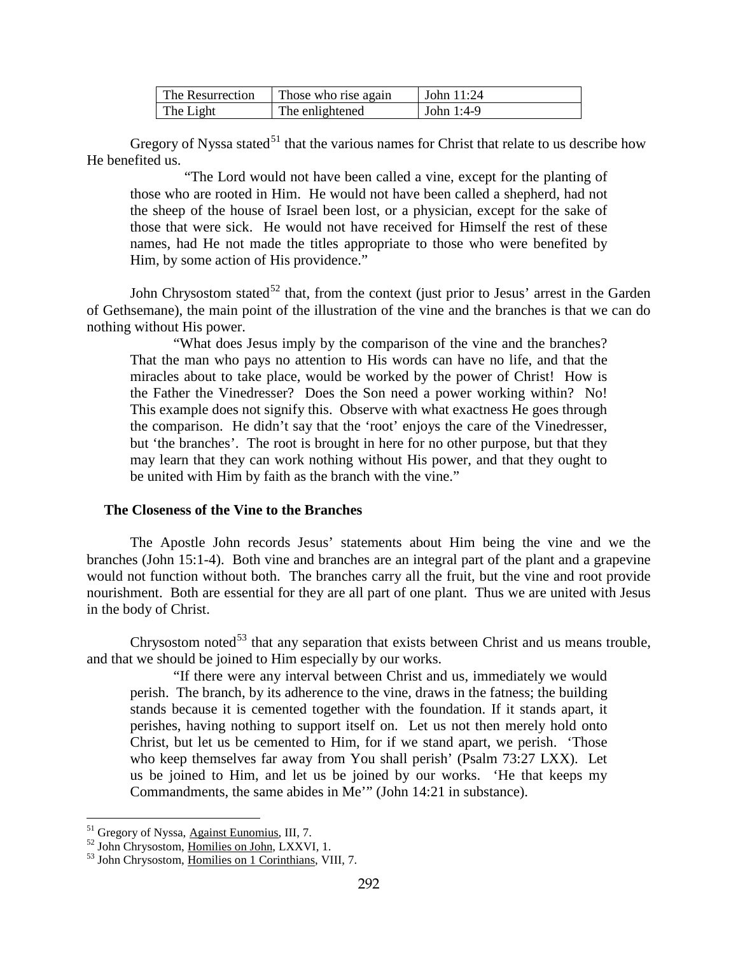| The Resurrection | Those who rise again | John $11:24$ |
|------------------|----------------------|--------------|
| The Light        | The enlightened      | John $1:4-9$ |

Gregory of Nyssa stated<sup>[51](#page-32-1)</sup> that the various names for Christ that relate to us describe how He benefited us.

"The Lord would not have been called a vine, except for the planting of those who are rooted in Him. He would not have been called a shepherd, had not the sheep of the house of Israel been lost, or a physician, except for the sake of those that were sick. He would not have received for Himself the rest of these names, had He not made the titles appropriate to those who were benefited by Him, by some action of His providence."

John Chrysostom stated<sup>[52](#page-32-2)</sup> that, from the context (just prior to Jesus' arrest in the Garden of Gethsemane), the main point of the illustration of the vine and the branches is that we can do nothing without His power.

"What does Jesus imply by the comparison of the vine and the branches? That the man who pays no attention to His words can have no life, and that the miracles about to take place, would be worked by the power of Christ! How is the Father the Vinedresser? Does the Son need a power working within? No! This example does not signify this. Observe with what exactness He goes through the comparison. He didn't say that the 'root' enjoys the care of the Vinedresser, but 'the branches'. The root is brought in here for no other purpose, but that they may learn that they can work nothing without His power, and that they ought to be united with Him by faith as the branch with the vine."

# <span id="page-32-0"></span>**The Closeness of the Vine to the Branches**

The Apostle John records Jesus' statements about Him being the vine and we the branches (John 15:1-4). Both vine and branches are an integral part of the plant and a grapevine would not function without both. The branches carry all the fruit, but the vine and root provide nourishment. Both are essential for they are all part of one plant. Thus we are united with Jesus in the body of Christ.

Chrysostom noted<sup>[53](#page-32-3)</sup> that any separation that exists between Christ and us means trouble, and that we should be joined to Him especially by our works.

"If there were any interval between Christ and us, immediately we would perish. The branch, by its adherence to the vine, draws in the fatness; the building stands because it is cemented together with the foundation. If it stands apart, it perishes, having nothing to support itself on. Let us not then merely hold onto Christ, but let us be cemented to Him, for if we stand apart, we perish. 'Those who keep themselves far away from You shall perish' (Psalm 73:27 LXX). Let us be joined to Him, and let us be joined by our works. 'He that keeps my Commandments, the same abides in Me'" (John 14:21 in substance).

<span id="page-32-2"></span>

<span id="page-32-1"></span><sup>&</sup>lt;sup>51</sup> Gregory of Nyssa, <u>Against Eunomius</u>, III, 7.<br><sup>52</sup> John Chrysostom, <u>Homilies on John,</u> LXXVI, 1.<br><sup>53</sup> John Chrysostom, <u>Homilies on 1 Corinthians</u>, VIII, 7.

<span id="page-32-3"></span>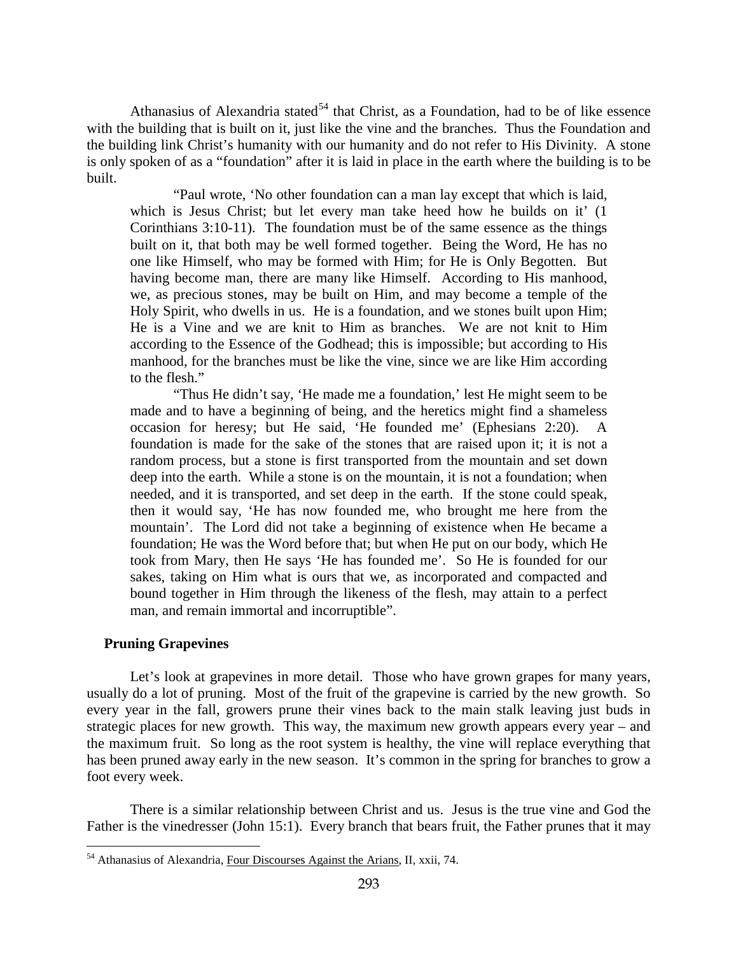Athanasius of Alexandria stated<sup>[54](#page-33-1)</sup> that Christ, as a Foundation, had to be of like essence with the building that is built on it, just like the vine and the branches. Thus the Foundation and the building link Christ's humanity with our humanity and do not refer to His Divinity. A stone is only spoken of as a "foundation" after it is laid in place in the earth where the building is to be built.

"Paul wrote, 'No other foundation can a man lay except that which is laid, which is Jesus Christ; but let every man take heed how he builds on it' (1) Corinthians 3:10-11). The foundation must be of the same essence as the things built on it, that both may be well formed together. Being the Word, He has no one like Himself, who may be formed with Him; for He is Only Begotten. But having become man, there are many like Himself. According to His manhood, we, as precious stones, may be built on Him, and may become a temple of the Holy Spirit, who dwells in us. He is a foundation, and we stones built upon Him; He is a Vine and we are knit to Him as branches. We are not knit to Him according to the Essence of the Godhead; this is impossible; but according to His manhood, for the branches must be like the vine, since we are like Him according to the flesh."

"Thus He didn't say, 'He made me a foundation,' lest He might seem to be made and to have a beginning of being, and the heretics might find a shameless occasion for heresy; but He said, 'He founded me' (Ephesians 2:20). A foundation is made for the sake of the stones that are raised upon it; it is not a random process, but a stone is first transported from the mountain and set down deep into the earth. While a stone is on the mountain, it is not a foundation; when needed, and it is transported, and set deep in the earth. If the stone could speak, then it would say, 'He has now founded me, who brought me here from the mountain'. The Lord did not take a beginning of existence when He became a foundation; He was the Word before that; but when He put on our body, which He took from Mary, then He says 'He has founded me'. So He is founded for our sakes, taking on Him what is ours that we, as incorporated and compacted and bound together in Him through the likeness of the flesh, may attain to a perfect man, and remain immortal and incorruptible".

## <span id="page-33-0"></span>**Pruning Grapevines**

 $\overline{a}$ 

Let's look at grapevines in more detail. Those who have grown grapes for many years, usually do a lot of pruning. Most of the fruit of the grapevine is carried by the new growth. So every year in the fall, growers prune their vines back to the main stalk leaving just buds in strategic places for new growth. This way, the maximum new growth appears every year – and the maximum fruit. So long as the root system is healthy, the vine will replace everything that has been pruned away early in the new season. It's common in the spring for branches to grow a foot every week.

There is a similar relationship between Christ and us. Jesus is the true vine and God the Father is the vinedresser (John 15:1). Every branch that bears fruit, the Father prunes that it may

<span id="page-33-1"></span><sup>54</sup> Athanasius of Alexandria, Four Discourses Against the Arians, II, xxii, 74.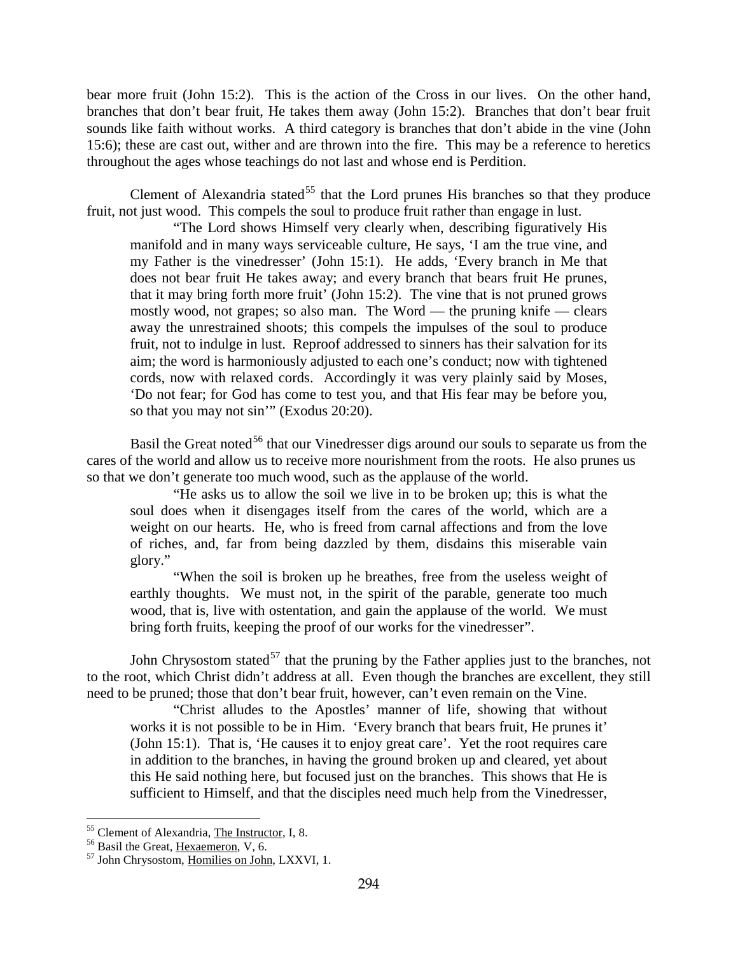bear more fruit (John 15:2). This is the action of the Cross in our lives. On the other hand, branches that don't bear fruit, He takes them away (John 15:2). Branches that don't bear fruit sounds like faith without works. A third category is branches that don't abide in the vine (John 15:6); these are cast out, wither and are thrown into the fire. This may be a reference to heretics throughout the ages whose teachings do not last and whose end is Perdition.

Clement of Alexandria stated<sup>[55](#page-34-0)</sup> that the Lord prunes His branches so that they produce fruit, not just wood. This compels the soul to produce fruit rather than engage in lust.

"The Lord shows Himself very clearly when, describing figuratively His manifold and in many ways serviceable culture, He says, 'I am the true vine, and my Father is the vinedresser' (John 15:1). He adds, 'Every branch in Me that does not bear fruit He takes away; and every branch that bears fruit He prunes, that it may bring forth more fruit' (John 15:2). The vine that is not pruned grows mostly wood, not grapes; so also man. The Word — the pruning knife — clears away the unrestrained shoots; this compels the impulses of the soul to produce fruit, not to indulge in lust. Reproof addressed to sinners has their salvation for its aim; the word is harmoniously adjusted to each one's conduct; now with tightened cords, now with relaxed cords. Accordingly it was very plainly said by Moses, 'Do not fear; for God has come to test you, and that His fear may be before you, so that you may not sin'" (Exodus 20:20).

Basil the Great noted<sup>[56](#page-34-1)</sup> that our Vinedresser digs around our souls to separate us from the cares of the world and allow us to receive more nourishment from the roots. He also prunes us so that we don't generate too much wood, such as the applause of the world.

"He asks us to allow the soil we live in to be broken up; this is what the soul does when it disengages itself from the cares of the world, which are a weight on our hearts. He, who is freed from carnal affections and from the love of riches, and, far from being dazzled by them, disdains this miserable vain glory."

"When the soil is broken up he breathes, free from the useless weight of earthly thoughts. We must not, in the spirit of the parable, generate too much wood, that is, live with ostentation, and gain the applause of the world. We must bring forth fruits, keeping the proof of our works for the vinedresser".

John Chrysostom stated<sup>[57](#page-34-2)</sup> that the pruning by the Father applies just to the branches, not to the root, which Christ didn't address at all. Even though the branches are excellent, they still need to be pruned; those that don't bear fruit, however, can't even remain on the Vine.

"Christ alludes to the Apostles' manner of life, showing that without works it is not possible to be in Him. 'Every branch that bears fruit, He prunes it' (John 15:1). That is, 'He causes it to enjoy great care'. Yet the root requires care in addition to the branches, in having the ground broken up and cleared, yet about this He said nothing here, but focused just on the branches. This shows that He is sufficient to Himself, and that the disciples need much help from the Vinedresser,

<span id="page-34-2"></span><span id="page-34-1"></span>

<span id="page-34-0"></span><sup>&</sup>lt;sup>55</sup> Clement of Alexandria, <u>The Instructor</u>, I, 8.<br><sup>56</sup> Basil the Great, <u>Hexaemeron</u>, V, 6.<br><sup>57</sup> John Chrysostom, <u>Homilies on John</u>, LXXVI, 1.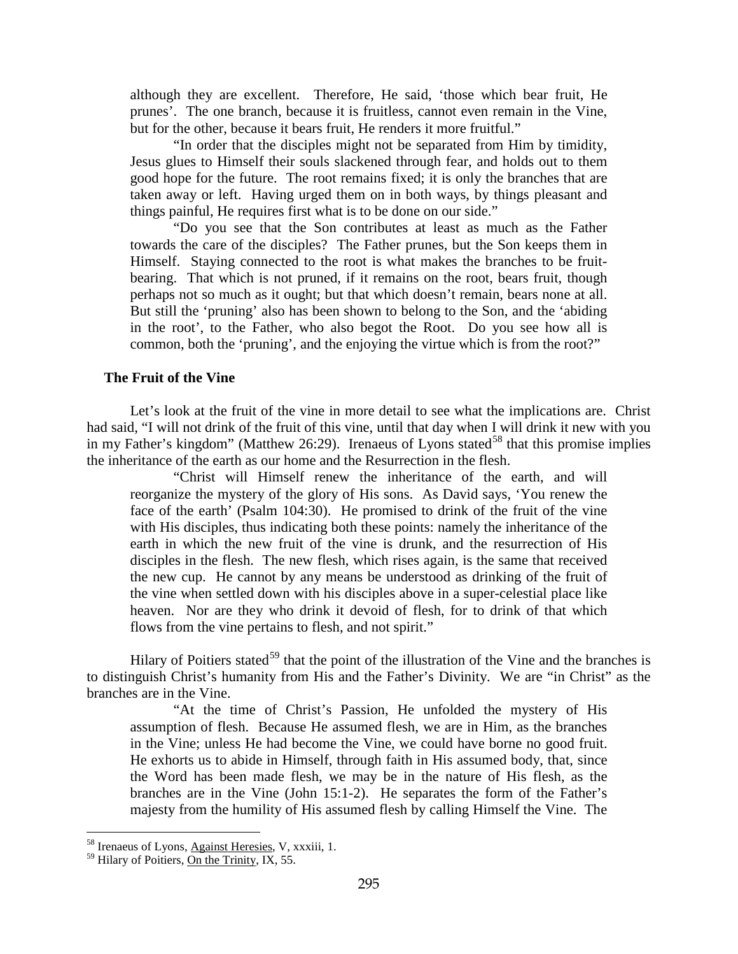although they are excellent. Therefore, He said, 'those which bear fruit, He prunes'. The one branch, because it is fruitless, cannot even remain in the Vine, but for the other, because it bears fruit, He renders it more fruitful."

"In order that the disciples might not be separated from Him by timidity, Jesus glues to Himself their souls slackened through fear, and holds out to them good hope for the future. The root remains fixed; it is only the branches that are taken away or left. Having urged them on in both ways, by things pleasant and things painful, He requires first what is to be done on our side."

"Do you see that the Son contributes at least as much as the Father towards the care of the disciples? The Father prunes, but the Son keeps them in Himself. Staying connected to the root is what makes the branches to be fruitbearing. That which is not pruned, if it remains on the root, bears fruit, though perhaps not so much as it ought; but that which doesn't remain, bears none at all. But still the 'pruning' also has been shown to belong to the Son, and the 'abiding in the root', to the Father, who also begot the Root. Do you see how all is common, both the 'pruning', and the enjoying the virtue which is from the root?"

## <span id="page-35-0"></span>**The Fruit of the Vine**

Let's look at the fruit of the vine in more detail to see what the implications are. Christ had said, "I will not drink of the fruit of this vine, until that day when I will drink it new with you in my Father's kingdom" (Matthew 26:29). Irenaeus of Lyons stated<sup>[58](#page-35-1)</sup> that this promise implies the inheritance of the earth as our home and the Resurrection in the flesh.

"Christ will Himself renew the inheritance of the earth, and will reorganize the mystery of the glory of His sons. As David says, 'You renew the face of the earth' (Psalm 104:30). He promised to drink of the fruit of the vine with His disciples, thus indicating both these points: namely the inheritance of the earth in which the new fruit of the vine is drunk, and the resurrection of His disciples in the flesh. The new flesh, which rises again, is the same that received the new cup. He cannot by any means be understood as drinking of the fruit of the vine when settled down with his disciples above in a super-celestial place like heaven. Nor are they who drink it devoid of flesh, for to drink of that which flows from the vine pertains to flesh, and not spirit."

Hilary of Poitiers stated<sup>[59](#page-35-2)</sup> that the point of the illustration of the Vine and the branches is to distinguish Christ's humanity from His and the Father's Divinity. We are "in Christ" as the branches are in the Vine.

"At the time of Christ's Passion, He unfolded the mystery of His assumption of flesh. Because He assumed flesh, we are in Him, as the branches in the Vine; unless He had become the Vine, we could have borne no good fruit. He exhorts us to abide in Himself, through faith in His assumed body, that, since the Word has been made flesh, we may be in the nature of His flesh, as the branches are in the Vine (John 15:1-2). He separates the form of the Father's majesty from the humility of His assumed flesh by calling Himself the Vine. The

<sup>&</sup>lt;sup>58</sup> Irenaeus of Lyons, Against Heresies, V, xxxiii, 1.

<span id="page-35-2"></span><span id="page-35-1"></span><sup>&</sup>lt;sup>59</sup> Hilary of Poitiers, On the Trinity, IX, 55.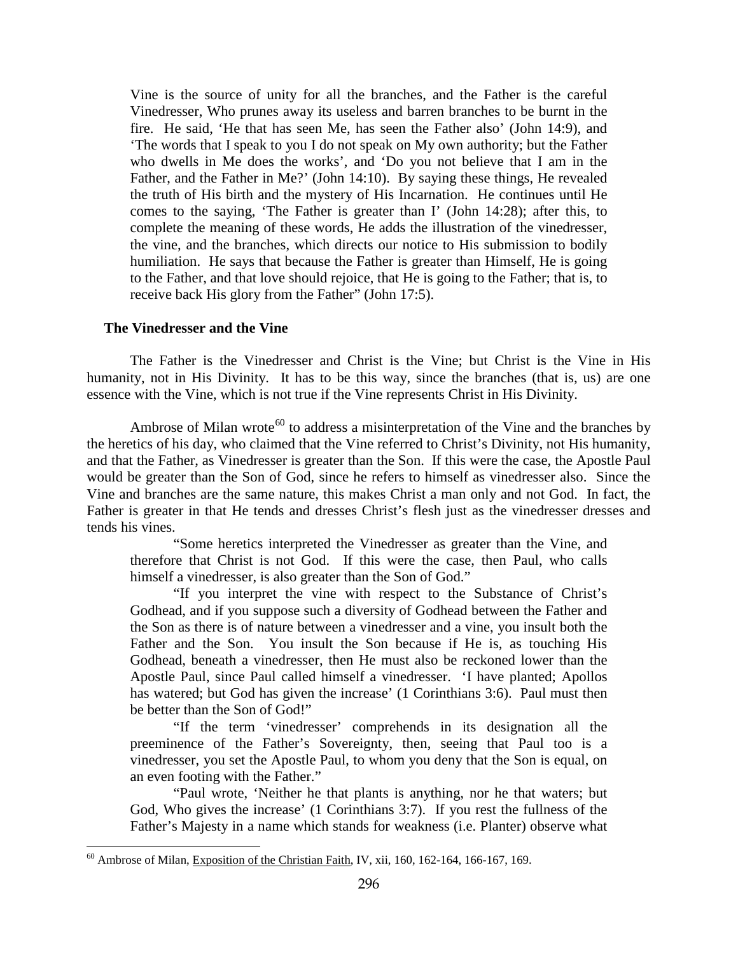Vine is the source of unity for all the branches, and the Father is the careful Vinedresser, Who prunes away its useless and barren branches to be burnt in the fire. He said, 'He that has seen Me, has seen the Father also' (John 14:9), and 'The words that I speak to you I do not speak on My own authority; but the Father who dwells in Me does the works', and 'Do you not believe that I am in the Father, and the Father in Me?' (John 14:10). By saying these things, He revealed the truth of His birth and the mystery of His Incarnation. He continues until He comes to the saying, 'The Father is greater than I' (John 14:28); after this, to complete the meaning of these words, He adds the illustration of the vinedresser, the vine, and the branches, which directs our notice to His submission to bodily humiliation. He says that because the Father is greater than Himself, He is going to the Father, and that love should rejoice, that He is going to the Father; that is, to receive back His glory from the Father" (John 17:5).

### **The Vinedresser and the Vine**

 $\overline{a}$ 

The Father is the Vinedresser and Christ is the Vine; but Christ is the Vine in His humanity, not in His Divinity. It has to be this way, since the branches (that is, us) are one essence with the Vine, which is not true if the Vine represents Christ in His Divinity.

Ambrose of Milan wrote<sup>[60](#page-36-0)</sup> to address a misinterpretation of the Vine and the branches by the heretics of his day, who claimed that the Vine referred to Christ's Divinity, not His humanity, and that the Father, as Vinedresser is greater than the Son. If this were the case, the Apostle Paul would be greater than the Son of God, since he refers to himself as vinedresser also. Since the Vine and branches are the same nature, this makes Christ a man only and not God. In fact, the Father is greater in that He tends and dresses Christ's flesh just as the vinedresser dresses and tends his vines.

"Some heretics interpreted the Vinedresser as greater than the Vine, and therefore that Christ is not God. If this were the case, then Paul, who calls himself a vinedresser, is also greater than the Son of God."

"If you interpret the vine with respect to the Substance of Christ's Godhead, and if you suppose such a diversity of Godhead between the Father and the Son as there is of nature between a vinedresser and a vine, you insult both the Father and the Son. You insult the Son because if He is, as touching His Godhead, beneath a vinedresser, then He must also be reckoned lower than the Apostle Paul, since Paul called himself a vinedresser. 'I have planted; Apollos has watered; but God has given the increase' (1 Corinthians 3:6). Paul must then be better than the Son of God!"

"If the term 'vinedresser' comprehends in its designation all the preeminence of the Father's Sovereignty, then, seeing that Paul too is a vinedresser, you set the Apostle Paul, to whom you deny that the Son is equal, on an even footing with the Father."

"Paul wrote, 'Neither he that plants is anything, nor he that waters; but God, Who gives the increase' (1 Corinthians 3:7). If you rest the fullness of the Father's Majesty in a name which stands for weakness (i.e. Planter) observe what

<span id="page-36-0"></span><sup>&</sup>lt;sup>60</sup> Ambrose of Milan, Exposition of the Christian Faith, IV, xii, 160, 162-164, 166-167, 169.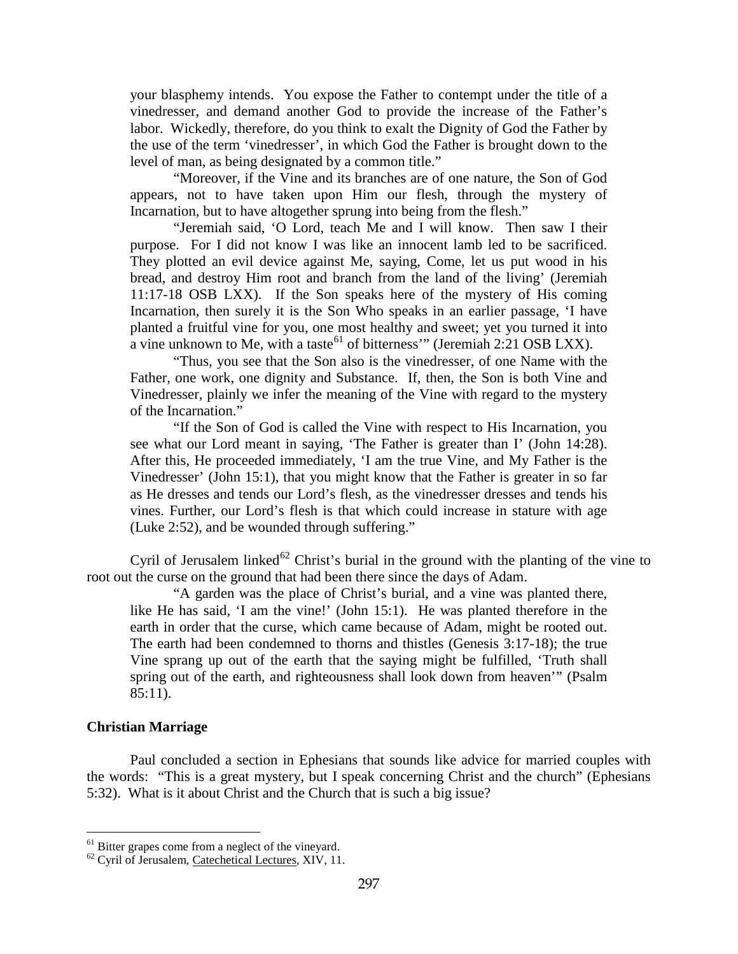your blasphemy intends. You expose the Father to contempt under the title of a vinedresser, and demand another God to provide the increase of the Father's labor. Wickedly, therefore, do you think to exalt the Dignity of God the Father by the use of the term 'vinedresser', in which God the Father is brought down to the level of man, as being designated by a common title."

"Moreover, if the Vine and its branches are of one nature, the Son of God appears, not to have taken upon Him our flesh, through the mystery of Incarnation, but to have altogether sprung into being from the flesh."

"Jeremiah said, 'O Lord, teach Me and I will know. Then saw I their purpose. For I did not know I was like an innocent lamb led to be sacrificed. They plotted an evil device against Me, saying, Come, let us put wood in his bread, and destroy Him root and branch from the land of the living' (Jeremiah 11:17-18 OSB LXX). If the Son speaks here of the mystery of His coming Incarnation, then surely it is the Son Who speaks in an earlier passage, 'I have planted a fruitful vine for you, one most healthy and sweet; yet you turned it into a vine unknown to Me, with a taste<sup>[61](#page-37-0)</sup> of bitterness'" (Jeremiah 2:21 OSB LXX).

"Thus, you see that the Son also is the vinedresser, of one Name with the Father, one work, one dignity and Substance. If, then, the Son is both Vine and Vinedresser, plainly we infer the meaning of the Vine with regard to the mystery of the Incarnation."

"If the Son of God is called the Vine with respect to His Incarnation, you see what our Lord meant in saying, 'The Father is greater than I' (John 14:28). After this, He proceeded immediately, 'I am the true Vine, and My Father is the Vinedresser' (John 15:1), that you might know that the Father is greater in so far as He dresses and tends our Lord's flesh, as the vinedresser dresses and tends his vines. Further, our Lord's flesh is that which could increase in stature with age (Luke 2:52), and be wounded through suffering."

Cyril of Jerusalem linked<sup>[62](#page-37-1)</sup> Christ's burial in the ground with the planting of the vine to root out the curse on the ground that had been there since the days of Adam.

"A garden was the place of Christ's burial, and a vine was planted there, like He has said, 'I am the vine!' (John 15:1). He was planted therefore in the earth in order that the curse, which came because of Adam, might be rooted out. The earth had been condemned to thorns and thistles (Genesis 3:17-18); the true Vine sprang up out of the earth that the saying might be fulfilled, 'Truth shall spring out of the earth, and righteousness shall look down from heaven'" (Psalm 85:11).

#### **Christian Marriage**

 $\overline{a}$ 

Paul concluded a section in Ephesians that sounds like advice for married couples with the words: "This is a great mystery, but I speak concerning Christ and the church" (Ephesians 5:32). What is it about Christ and the Church that is such a big issue?

<span id="page-37-1"></span><span id="page-37-0"></span><sup>&</sup>lt;sup>61</sup> Bitter grapes come from a neglect of the vineyard.  $^{62}$  Cyril of Jerusalem, <u>Catechetical Lectures</u>, XIV, 11.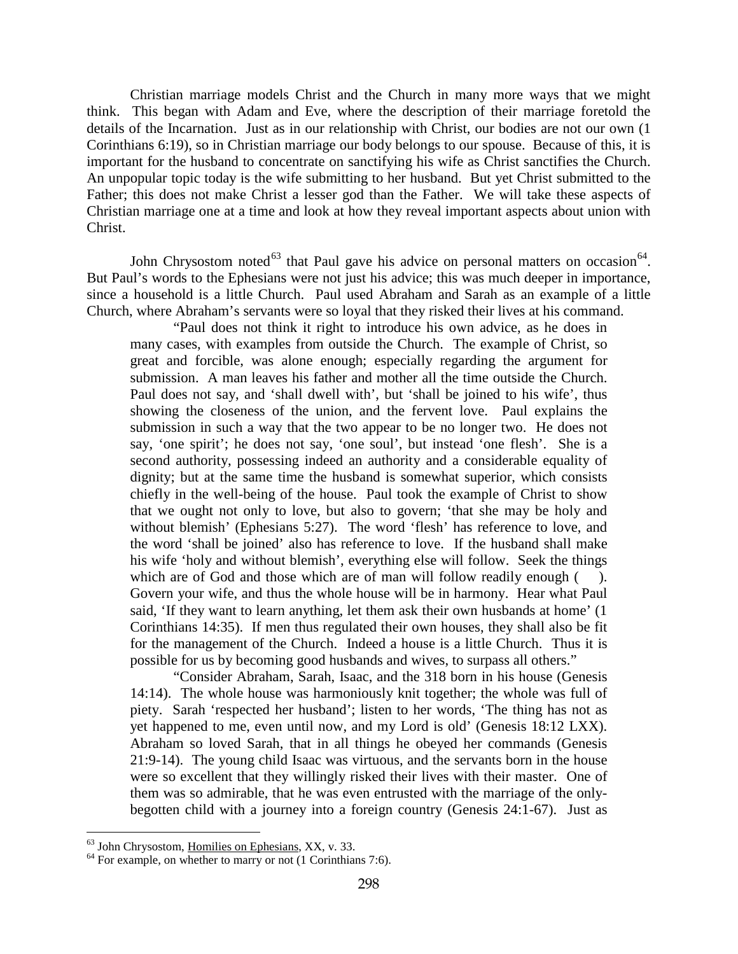Christian marriage models Christ and the Church in many more ways that we might think. This began with Adam and Eve, where the description of their marriage foretold the details of the Incarnation. Just as in our relationship with Christ, our bodies are not our own (1 Corinthians 6:19), so in Christian marriage our body belongs to our spouse. Because of this, it is important for the husband to concentrate on sanctifying his wife as Christ sanctifies the Church. An unpopular topic today is the wife submitting to her husband. But yet Christ submitted to the Father; this does not make Christ a lesser god than the Father. We will take these aspects of Christian marriage one at a time and look at how they reveal important aspects about union with Christ.

John Chrysostom noted<sup>[63](#page-38-0)</sup> that Paul gave his advice on personal matters on occasion<sup>[64](#page-38-1)</sup>. But Paul's words to the Ephesians were not just his advice; this was much deeper in importance, since a household is a little Church. Paul used Abraham and Sarah as an example of a little Church, where Abraham's servants were so loyal that they risked their lives at his command.

"Paul does not think it right to introduce his own advice, as he does in many cases, with examples from outside the Church. The example of Christ, so great and forcible, was alone enough; especially regarding the argument for submission. A man leaves his father and mother all the time outside the Church. Paul does not say, and 'shall dwell with', but 'shall be joined to his wife', thus showing the closeness of the union, and the fervent love. Paul explains the submission in such a way that the two appear to be no longer two. He does not say, 'one spirit'; he does not say, 'one soul', but instead 'one flesh'. She is a second authority, possessing indeed an authority and a considerable equality of dignity; but at the same time the husband is somewhat superior, which consists chiefly in the well-being of the house. Paul took the example of Christ to show that we ought not only to love, but also to govern; 'that she may be holy and without blemish' (Ephesians 5:27). The word 'flesh' has reference to love, and the word 'shall be joined' also has reference to love. If the husband shall make his wife 'holy and without blemish', everything else will follow. Seek the things which are of God and those which are of man will follow readily enough  $($ ). Govern your wife, and thus the whole house will be in harmony. Hear what Paul said, 'If they want to learn anything, let them ask their own husbands at home' (1 Corinthians 14:35). If men thus regulated their own houses, they shall also be fit for the management of the Church. Indeed a house is a little Church. Thus it is possible for us by becoming good husbands and wives, to surpass all others."

"Consider Abraham, Sarah, Isaac, and the 318 born in his house (Genesis 14:14). The whole house was harmoniously knit together; the whole was full of piety. Sarah 'respected her husband'; listen to her words, 'The thing has not as yet happened to me, even until now, and my Lord is old' (Genesis 18:12 LXX). Abraham so loved Sarah, that in all things he obeyed her commands (Genesis 21:9-14). The young child Isaac was virtuous, and the servants born in the house were so excellent that they willingly risked their lives with their master. One of them was so admirable, that he was even entrusted with the marriage of the onlybegotten child with a journey into a foreign country (Genesis 24:1-67). Just as

<span id="page-38-0"></span> $<sup>63</sup>$  John Chrysostom, Homilies on Ephesians, XX, v. 33.</sup>

<span id="page-38-1"></span> $^{64}$  For example, on whether to marry or not (1 Corinthians 7:6).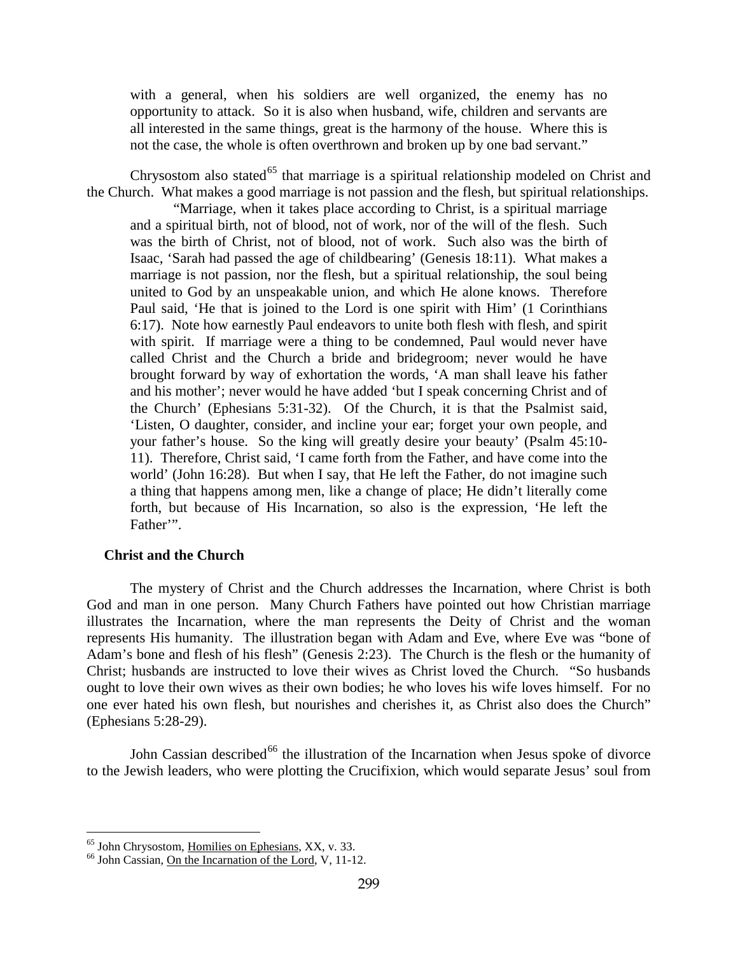with a general, when his soldiers are well organized, the enemy has no opportunity to attack. So it is also when husband, wife, children and servants are all interested in the same things, great is the harmony of the house. Where this is not the case, the whole is often overthrown and broken up by one bad servant."

Chrysostom also stated<sup>[65](#page-39-0)</sup> that marriage is a spiritual relationship modeled on Christ and the Church. What makes a good marriage is not passion and the flesh, but spiritual relationships.

"Marriage, when it takes place according to Christ, is a spiritual marriage and a spiritual birth, not of blood, not of work, nor of the will of the flesh. Such was the birth of Christ, not of blood, not of work. Such also was the birth of Isaac, 'Sarah had passed the age of childbearing' (Genesis 18:11). What makes a marriage is not passion, nor the flesh, but a spiritual relationship, the soul being united to God by an unspeakable union, and which He alone knows. Therefore Paul said, 'He that is joined to the Lord is one spirit with Him' (1 Corinthians 6:17). Note how earnestly Paul endeavors to unite both flesh with flesh, and spirit with spirit. If marriage were a thing to be condemned, Paul would never have called Christ and the Church a bride and bridegroom; never would he have brought forward by way of exhortation the words, 'A man shall leave his father and his mother'; never would he have added 'but I speak concerning Christ and of the Church' (Ephesians 5:31-32). Of the Church, it is that the Psalmist said, 'Listen, O daughter, consider, and incline your ear; forget your own people, and your father's house. So the king will greatly desire your beauty' (Psalm 45:10- 11). Therefore, Christ said, 'I came forth from the Father, and have come into the world' (John 16:28). But when I say, that He left the Father, do not imagine such a thing that happens among men, like a change of place; He didn't literally come forth, but because of His Incarnation, so also is the expression, 'He left the Father".

## **Christ and the Church**

The mystery of Christ and the Church addresses the Incarnation, where Christ is both God and man in one person. Many Church Fathers have pointed out how Christian marriage illustrates the Incarnation, where the man represents the Deity of Christ and the woman represents His humanity. The illustration began with Adam and Eve, where Eve was "bone of Adam's bone and flesh of his flesh" (Genesis 2:23). The Church is the flesh or the humanity of Christ; husbands are instructed to love their wives as Christ loved the Church. "So husbands ought to love their own wives as their own bodies; he who loves his wife loves himself. For no one ever hated his own flesh, but nourishes and cherishes it, as Christ also does the Church" (Ephesians 5:28-29).

John Cassian described<sup>[66](#page-39-1)</sup> the illustration of the Incarnation when Jesus spoke of divorce to the Jewish leaders, who were plotting the Crucifixion, which would separate Jesus' soul from

<span id="page-39-0"></span> $<sup>65</sup>$  John Chrysostom, Homilies on Ephesians, XX, v. 33.</sup>

<span id="page-39-1"></span><sup>&</sup>lt;sup>66</sup> John Cassian, <u>On the Incarnation of the Lord</u>, V, 11-12.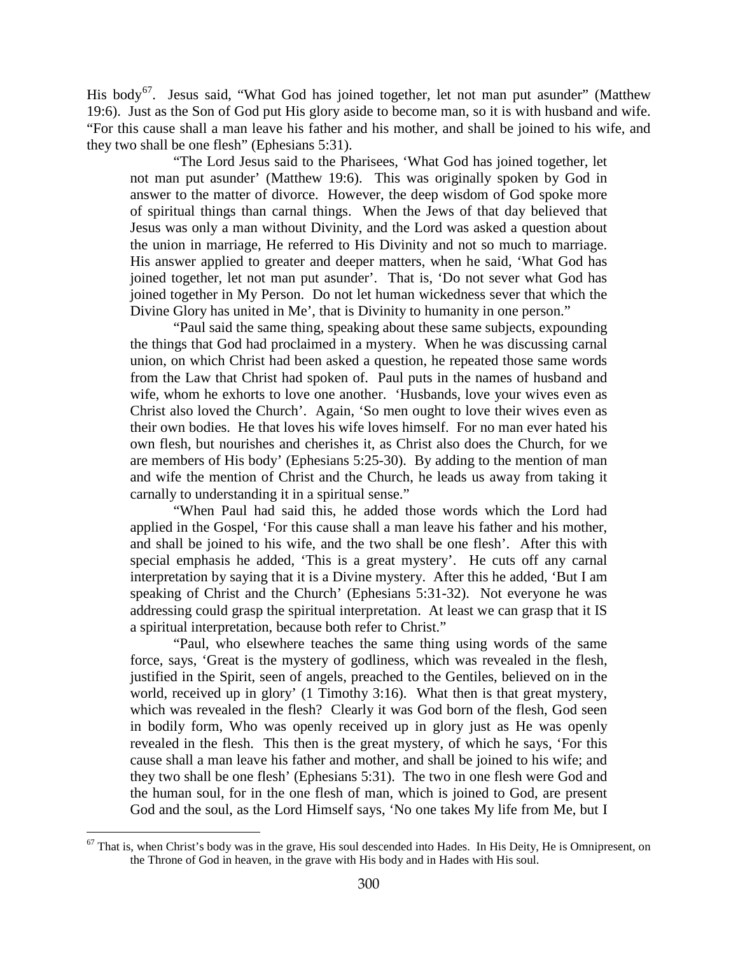His body<sup>[67](#page-40-0)</sup>. Jesus said, "What God has joined together, let not man put asunder" (Matthew 19:6). Just as the Son of God put His glory aside to become man, so it is with husband and wife. "For this cause shall a man leave his father and his mother, and shall be joined to his wife, and they two shall be one flesh" (Ephesians 5:31).

"The Lord Jesus said to the Pharisees, 'What God has joined together, let not man put asunder' (Matthew 19:6). This was originally spoken by God in answer to the matter of divorce. However, the deep wisdom of God spoke more of spiritual things than carnal things. When the Jews of that day believed that Jesus was only a man without Divinity, and the Lord was asked a question about the union in marriage, He referred to His Divinity and not so much to marriage. His answer applied to greater and deeper matters, when he said, 'What God has joined together, let not man put asunder'. That is, 'Do not sever what God has joined together in My Person. Do not let human wickedness sever that which the Divine Glory has united in Me', that is Divinity to humanity in one person."

"Paul said the same thing, speaking about these same subjects, expounding the things that God had proclaimed in a mystery. When he was discussing carnal union, on which Christ had been asked a question, he repeated those same words from the Law that Christ had spoken of. Paul puts in the names of husband and wife, whom he exhorts to love one another. 'Husbands, love your wives even as Christ also loved the Church'. Again, 'So men ought to love their wives even as their own bodies. He that loves his wife loves himself. For no man ever hated his own flesh, but nourishes and cherishes it, as Christ also does the Church, for we are members of His body' (Ephesians 5:25-30). By adding to the mention of man and wife the mention of Christ and the Church, he leads us away from taking it carnally to understanding it in a spiritual sense."

"When Paul had said this, he added those words which the Lord had applied in the Gospel, 'For this cause shall a man leave his father and his mother, and shall be joined to his wife, and the two shall be one flesh'. After this with special emphasis he added, 'This is a great mystery'. He cuts off any carnal interpretation by saying that it is a Divine mystery. After this he added, 'But I am speaking of Christ and the Church' (Ephesians 5:31-32). Not everyone he was addressing could grasp the spiritual interpretation. At least we can grasp that it IS a spiritual interpretation, because both refer to Christ."

"Paul, who elsewhere teaches the same thing using words of the same force, says, 'Great is the mystery of godliness, which was revealed in the flesh, justified in the Spirit, seen of angels, preached to the Gentiles, believed on in the world, received up in glory' (1 Timothy 3:16). What then is that great mystery, which was revealed in the flesh? Clearly it was God born of the flesh, God seen in bodily form, Who was openly received up in glory just as He was openly revealed in the flesh. This then is the great mystery, of which he says, 'For this cause shall a man leave his father and mother, and shall be joined to his wife; and they two shall be one flesh' (Ephesians 5:31). The two in one flesh were God and the human soul, for in the one flesh of man, which is joined to God, are present God and the soul, as the Lord Himself says, 'No one takes My life from Me, but I

<span id="page-40-0"></span> $67$  That is, when Christ's body was in the grave, His soul descended into Hades. In His Deity, He is Omnipresent, on the Throne of God in heaven, in the grave with His body and in Hades with His soul.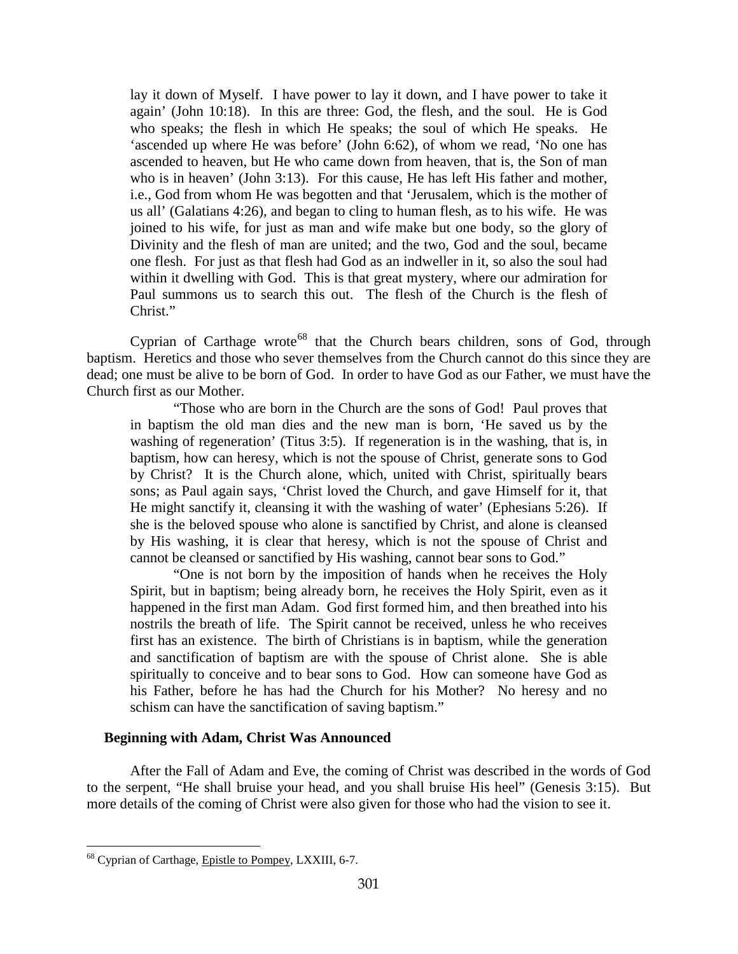lay it down of Myself. I have power to lay it down, and I have power to take it again' (John 10:18). In this are three: God, the flesh, and the soul. He is God who speaks; the flesh in which He speaks; the soul of which He speaks. He 'ascended up where He was before' (John 6:62), of whom we read, 'No one has ascended to heaven, but He who came down from heaven, that is, the Son of man who is in heaven' (John 3:13). For this cause, He has left His father and mother, i.e., God from whom He was begotten and that 'Jerusalem, which is the mother of us all' (Galatians 4:26), and began to cling to human flesh, as to his wife. He was joined to his wife, for just as man and wife make but one body, so the glory of Divinity and the flesh of man are united; and the two, God and the soul, became one flesh. For just as that flesh had God as an indweller in it, so also the soul had within it dwelling with God. This is that great mystery, where our admiration for Paul summons us to search this out. The flesh of the Church is the flesh of Christ."

Cyprian of Carthage wrote<sup>[68](#page-41-0)</sup> that the Church bears children, sons of God, through baptism. Heretics and those who sever themselves from the Church cannot do this since they are dead; one must be alive to be born of God. In order to have God as our Father, we must have the Church first as our Mother.

"Those who are born in the Church are the sons of God! Paul proves that in baptism the old man dies and the new man is born, 'He saved us by the washing of regeneration' (Titus 3:5). If regeneration is in the washing, that is, in baptism, how can heresy, which is not the spouse of Christ, generate sons to God by Christ? It is the Church alone, which, united with Christ, spiritually bears sons; as Paul again says, 'Christ loved the Church, and gave Himself for it, that He might sanctify it, cleansing it with the washing of water' (Ephesians 5:26). If she is the beloved spouse who alone is sanctified by Christ, and alone is cleansed by His washing, it is clear that heresy, which is not the spouse of Christ and cannot be cleansed or sanctified by His washing, cannot bear sons to God."

"One is not born by the imposition of hands when he receives the Holy Spirit, but in baptism; being already born, he receives the Holy Spirit, even as it happened in the first man Adam. God first formed him, and then breathed into his nostrils the breath of life. The Spirit cannot be received, unless he who receives first has an existence. The birth of Christians is in baptism, while the generation and sanctification of baptism are with the spouse of Christ alone. She is able spiritually to conceive and to bear sons to God. How can someone have God as his Father, before he has had the Church for his Mother? No heresy and no schism can have the sanctification of saving baptism."

## **Beginning with Adam, Christ Was Announced**

After the Fall of Adam and Eve, the coming of Christ was described in the words of God to the serpent, "He shall bruise your head, and you shall bruise His heel" (Genesis 3:15). But more details of the coming of Christ were also given for those who had the vision to see it.

<span id="page-41-0"></span><sup>&</sup>lt;sup>68</sup> Cyprian of Carthage, Epistle to Pompey, LXXIII, 6-7.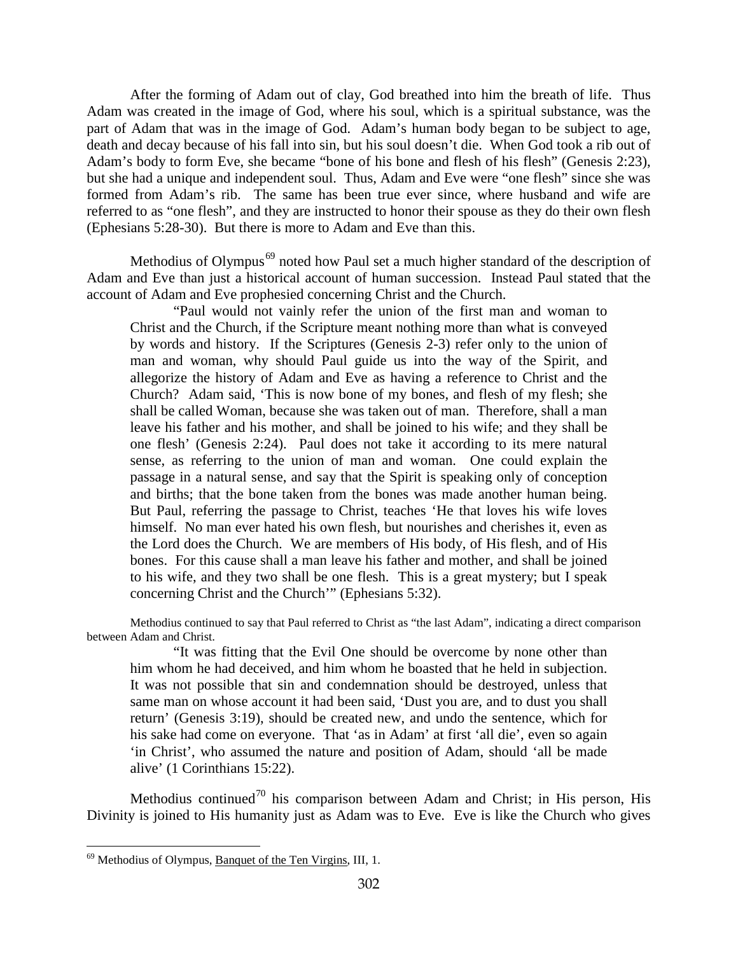After the forming of Adam out of clay, God breathed into him the breath of life. Thus Adam was created in the image of God, where his soul, which is a spiritual substance, was the part of Adam that was in the image of God. Adam's human body began to be subject to age, death and decay because of his fall into sin, but his soul doesn't die. When God took a rib out of Adam's body to form Eve, she became "bone of his bone and flesh of his flesh" (Genesis 2:23), but she had a unique and independent soul. Thus, Adam and Eve were "one flesh" since she was formed from Adam's rib. The same has been true ever since, where husband and wife are referred to as "one flesh", and they are instructed to honor their spouse as they do their own flesh (Ephesians 5:28-30). But there is more to Adam and Eve than this.

Methodius of Olympus<sup>[69](#page-42-0)</sup> noted how Paul set a much higher standard of the description of Adam and Eve than just a historical account of human succession. Instead Paul stated that the account of Adam and Eve prophesied concerning Christ and the Church.

"Paul would not vainly refer the union of the first man and woman to Christ and the Church, if the Scripture meant nothing more than what is conveyed by words and history. If the Scriptures (Genesis 2-3) refer only to the union of man and woman, why should Paul guide us into the way of the Spirit, and allegorize the history of Adam and Eve as having a reference to Christ and the Church? Adam said, 'This is now bone of my bones, and flesh of my flesh; she shall be called Woman, because she was taken out of man. Therefore, shall a man leave his father and his mother, and shall be joined to his wife; and they shall be one flesh' (Genesis 2:24). Paul does not take it according to its mere natural sense, as referring to the union of man and woman. One could explain the passage in a natural sense, and say that the Spirit is speaking only of conception and births; that the bone taken from the bones was made another human being. But Paul, referring the passage to Christ, teaches 'He that loves his wife loves himself. No man ever hated his own flesh, but nourishes and cherishes it, even as the Lord does the Church. We are members of His body, of His flesh, and of His bones. For this cause shall a man leave his father and mother, and shall be joined to his wife, and they two shall be one flesh. This is a great mystery; but I speak concerning Christ and the Church'" (Ephesians 5:32).

Methodius continued to say that Paul referred to Christ as "the last Adam", indicating a direct comparison between Adam and Christ.

"It was fitting that the Evil One should be overcome by none other than him whom he had deceived, and him whom he boasted that he held in subjection. It was not possible that sin and condemnation should be destroyed, unless that same man on whose account it had been said, 'Dust you are, and to dust you shall return' (Genesis 3:19), should be created new, and undo the sentence, which for his sake had come on everyone. That 'as in Adam' at first 'all die', even so again 'in Christ', who assumed the nature and position of Adam, should 'all be made alive' (1 Corinthians 15:22).

Methodius continued<sup>[70](#page-42-1)</sup> his comparison between Adam and Christ; in His person, His Divinity is joined to His humanity just as Adam was to Eve. Eve is like the Church who gives

<span id="page-42-1"></span><span id="page-42-0"></span><sup>69</sup> Methodius of Olympus, Banquet of the Ten Virgins, III, 1.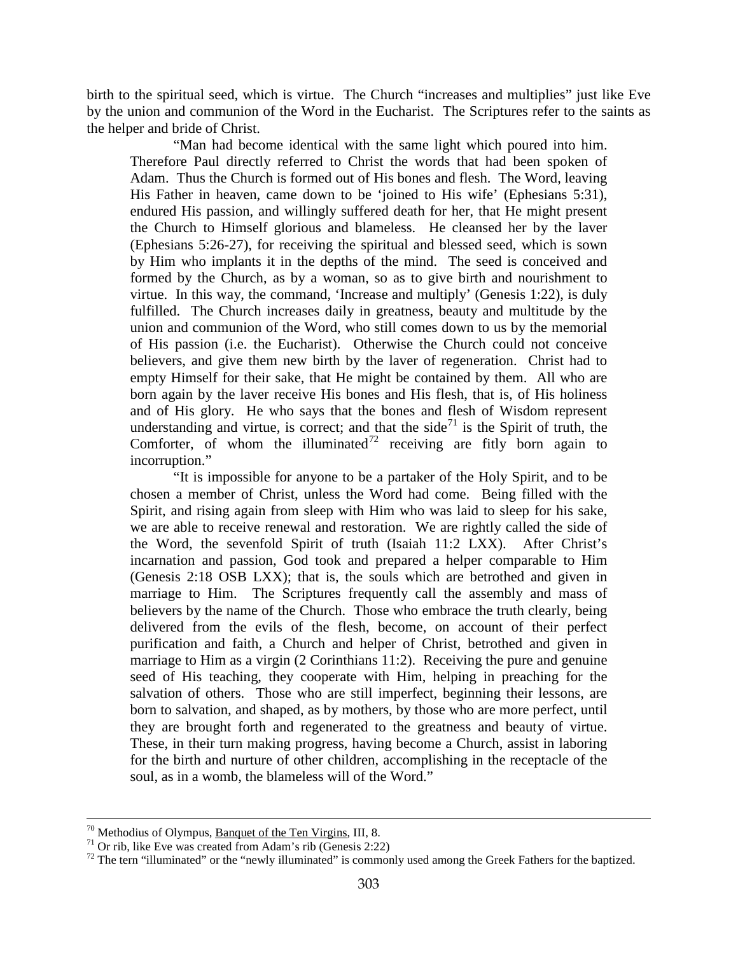birth to the spiritual seed, which is virtue. The Church "increases and multiplies" just like Eve by the union and communion of the Word in the Eucharist. The Scriptures refer to the saints as the helper and bride of Christ.

"Man had become identical with the same light which poured into him. Therefore Paul directly referred to Christ the words that had been spoken of Adam. Thus the Church is formed out of His bones and flesh. The Word, leaving His Father in heaven, came down to be 'joined to His wife' (Ephesians 5:31), endured His passion, and willingly suffered death for her, that He might present the Church to Himself glorious and blameless. He cleansed her by the laver (Ephesians 5:26-27), for receiving the spiritual and blessed seed, which is sown by Him who implants it in the depths of the mind. The seed is conceived and formed by the Church, as by a woman, so as to give birth and nourishment to virtue. In this way, the command, 'Increase and multiply' (Genesis 1:22), is duly fulfilled. The Church increases daily in greatness, beauty and multitude by the union and communion of the Word, who still comes down to us by the memorial of His passion (i.e. the Eucharist). Otherwise the Church could not conceive believers, and give them new birth by the laver of regeneration. Christ had to empty Himself for their sake, that He might be contained by them. All who are born again by the laver receive His bones and His flesh, that is, of His holiness and of His glory. He who says that the bones and flesh of Wisdom represent understanding and virtue, is correct; and that the side $7<sup>1</sup>$  is the Spirit of truth, the Comforter, of whom the illuminated $7^2$  receiving are fitly born again to incorruption."

"It is impossible for anyone to be a partaker of the Holy Spirit, and to be chosen a member of Christ, unless the Word had come. Being filled with the Spirit, and rising again from sleep with Him who was laid to sleep for his sake, we are able to receive renewal and restoration. We are rightly called the side of the Word, the sevenfold Spirit of truth (Isaiah 11:2 LXX). After Christ's incarnation and passion, God took and prepared a helper comparable to Him (Genesis 2:18 OSB LXX); that is, the souls which are betrothed and given in marriage to Him. The Scriptures frequently call the assembly and mass of believers by the name of the Church. Those who embrace the truth clearly, being delivered from the evils of the flesh, become, on account of their perfect purification and faith, a Church and helper of Christ, betrothed and given in marriage to Him as a virgin (2 Corinthians 11:2). Receiving the pure and genuine seed of His teaching, they cooperate with Him, helping in preaching for the salvation of others. Those who are still imperfect, beginning their lessons, are born to salvation, and shaped, as by mothers, by those who are more perfect, until they are brought forth and regenerated to the greatness and beauty of virtue. These, in their turn making progress, having become a Church, assist in laboring for the birth and nurture of other children, accomplishing in the receptacle of the soul, as in a womb, the blameless will of the Word."

<span id="page-43-1"></span><span id="page-43-0"></span>

<sup>&</sup>lt;sup>70</sup> Methodius of Olympus, <u>Banquet of the Ten Virgins</u>, III, 8.<br><sup>71</sup> Or rib, like Eve was created from Adam's rib (Genesis 2:22)<br><sup>72</sup> The tern "illuminated" or the "newly illuminated" is commonly used among the Greek Fat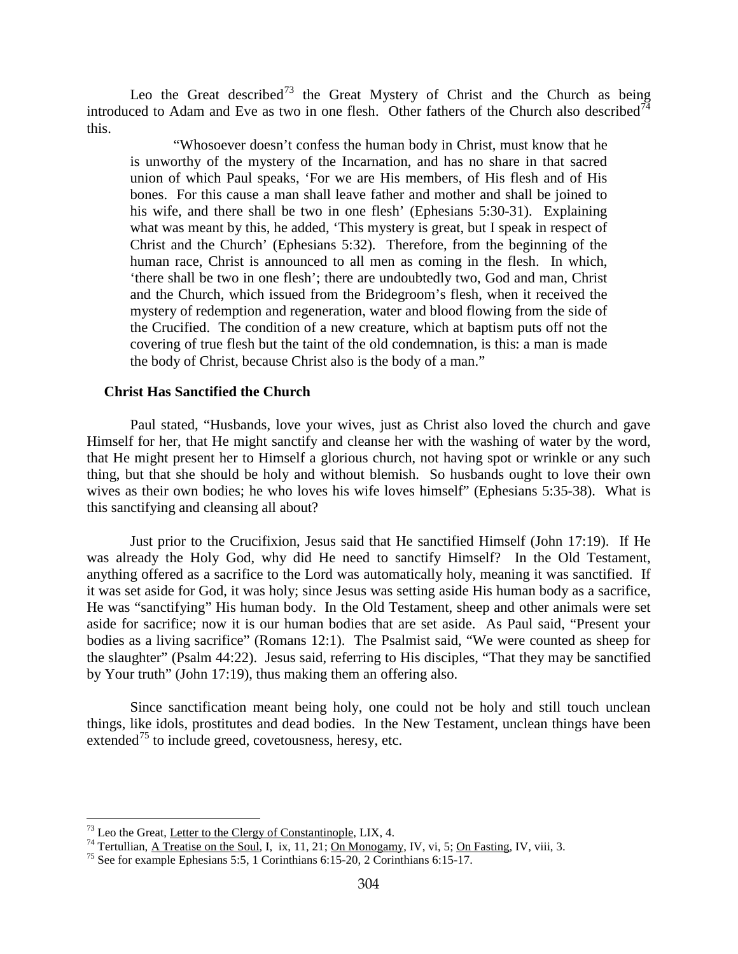Leo the Great described<sup>[73](#page-44-0)</sup> the Great Mystery of Christ and the Church as being introduced to Adam and Eve as two in one flesh. Other fathers of the Church also described<sup>[74](#page-44-1)</sup> this.

"Whosoever doesn't confess the human body in Christ, must know that he is unworthy of the mystery of the Incarnation, and has no share in that sacred union of which Paul speaks, 'For we are His members, of His flesh and of His bones. For this cause a man shall leave father and mother and shall be joined to his wife, and there shall be two in one flesh' (Ephesians 5:30-31). Explaining what was meant by this, he added, 'This mystery is great, but I speak in respect of Christ and the Church' (Ephesians 5:32). Therefore, from the beginning of the human race, Christ is announced to all men as coming in the flesh. In which, 'there shall be two in one flesh'; there are undoubtedly two, God and man, Christ and the Church, which issued from the Bridegroom's flesh, when it received the mystery of redemption and regeneration, water and blood flowing from the side of the Crucified. The condition of a new creature, which at baptism puts off not the covering of true flesh but the taint of the old condemnation, is this: a man is made the body of Christ, because Christ also is the body of a man."

#### **Christ Has Sanctified the Church**

Paul stated, "Husbands, love your wives, just as Christ also loved the church and gave Himself for her, that He might sanctify and cleanse her with the washing of water by the word, that He might present her to Himself a glorious church, not having spot or wrinkle or any such thing, but that she should be holy and without blemish. So husbands ought to love their own wives as their own bodies; he who loves his wife loves himself" (Ephesians 5:35-38). What is this sanctifying and cleansing all about?

Just prior to the Crucifixion, Jesus said that He sanctified Himself (John 17:19). If He was already the Holy God, why did He need to sanctify Himself? In the Old Testament, anything offered as a sacrifice to the Lord was automatically holy, meaning it was sanctified. If it was set aside for God, it was holy; since Jesus was setting aside His human body as a sacrifice, He was "sanctifying" His human body. In the Old Testament, sheep and other animals were set aside for sacrifice; now it is our human bodies that are set aside. As Paul said, "Present your bodies as a living sacrifice" (Romans 12:1). The Psalmist said, "We were counted as sheep for the slaughter" (Psalm 44:22). Jesus said, referring to His disciples, "That they may be sanctified by Your truth" (John 17:19), thus making them an offering also.

Since sanctification meant being holy, one could not be holy and still touch unclean things, like idols, prostitutes and dead bodies. In the New Testament, unclean things have been extended<sup>[75](#page-44-2)</sup> to include greed, covetousness, heresy, etc.

<span id="page-44-1"></span><span id="page-44-0"></span><sup>&</sup>lt;sup>73</sup> Leo the Great, <u>Letter to the Clergy of Constantinople</u>, LIX, 4.<br><sup>74</sup> Tertullian, <u>A Treatise on the Soul</u>, I, ix, 11, 21; <u>On Monogamy</u>, IV, vi, 5; <u>On Fasting</u>, IV, viii, 3.<br><sup>75</sup> See for example Ephesians 5:5, 1 Co

<span id="page-44-2"></span>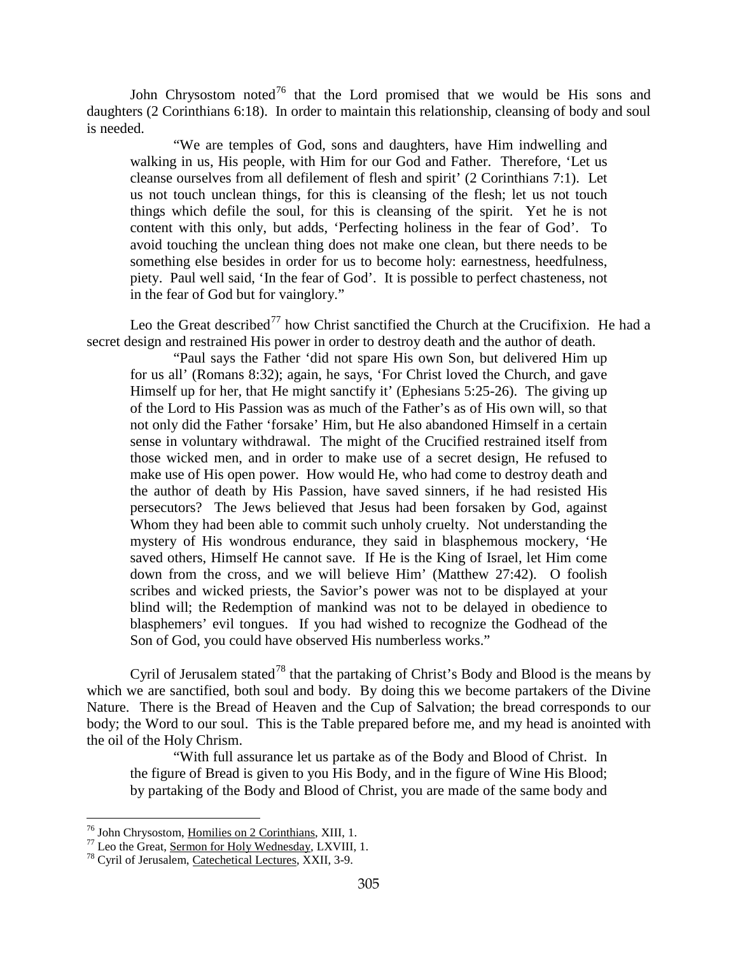John Chrysostom noted<sup>[76](#page-45-0)</sup> that the Lord promised that we would be His sons and daughters (2 Corinthians 6:18). In order to maintain this relationship, cleansing of body and soul is needed.

"We are temples of God, sons and daughters, have Him indwelling and walking in us, His people, with Him for our God and Father. Therefore, 'Let us cleanse ourselves from all defilement of flesh and spirit' (2 Corinthians 7:1). Let us not touch unclean things, for this is cleansing of the flesh; let us not touch things which defile the soul, for this is cleansing of the spirit. Yet he is not content with this only, but adds, 'Perfecting holiness in the fear of God'. To avoid touching the unclean thing does not make one clean, but there needs to be something else besides in order for us to become holy: earnestness, heedfulness, piety. Paul well said, 'In the fear of God'. It is possible to perfect chasteness, not in the fear of God but for vainglory."

Leo the Great described<sup>[77](#page-45-1)</sup> how Christ sanctified the Church at the Crucifixion. He had a secret design and restrained His power in order to destroy death and the author of death.

"Paul says the Father 'did not spare His own Son, but delivered Him up for us all' (Romans 8:32); again, he says, 'For Christ loved the Church, and gave Himself up for her, that He might sanctify it' (Ephesians 5:25-26). The giving up of the Lord to His Passion was as much of the Father's as of His own will, so that not only did the Father 'forsake' Him, but He also abandoned Himself in a certain sense in voluntary withdrawal. The might of the Crucified restrained itself from those wicked men, and in order to make use of a secret design, He refused to make use of His open power. How would He, who had come to destroy death and the author of death by His Passion, have saved sinners, if he had resisted His persecutors? The Jews believed that Jesus had been forsaken by God, against Whom they had been able to commit such unholy cruelty. Not understanding the mystery of His wondrous endurance, they said in blasphemous mockery, 'He saved others, Himself He cannot save. If He is the King of Israel, let Him come down from the cross, and we will believe Him' (Matthew 27:42). O foolish scribes and wicked priests, the Savior's power was not to be displayed at your blind will; the Redemption of mankind was not to be delayed in obedience to blasphemers' evil tongues. If you had wished to recognize the Godhead of the Son of God, you could have observed His numberless works."

Cyril of Jerusalem stated<sup>[78](#page-45-2)</sup> that the partaking of Christ's Body and Blood is the means by which we are sanctified, both soul and body. By doing this we become partakers of the Divine Nature. There is the Bread of Heaven and the Cup of Salvation; the bread corresponds to our body; the Word to our soul. This is the Table prepared before me, and my head is anointed with the oil of the Holy Chrism.

"With full assurance let us partake as of the Body and Blood of Christ. In the figure of Bread is given to you His Body, and in the figure of Wine His Blood; by partaking of the Body and Blood of Christ, you are made of the same body and

<span id="page-45-0"></span><sup>&</sup>lt;sup>76</sup> John Chrysostom, <u>Homilies on 2 Corinthians</u>, XIII, 1.<br><sup>77</sup> Leo the Great, <u>Sermon for Holy Wednesday</u>, LXVIII, 1.<br><sup>78</sup> Cyril of Jerusalem, <u>Catechetical Lectures</u>, XXII, 3-9.

<span id="page-45-2"></span><span id="page-45-1"></span>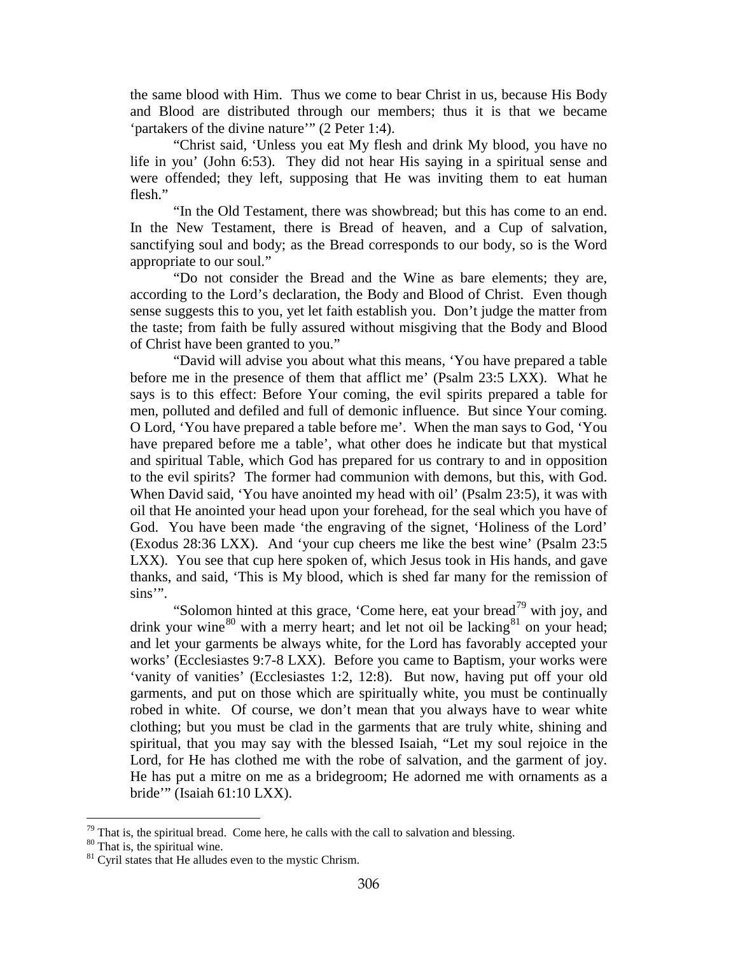the same blood with Him. Thus we come to bear Christ in us, because His Body and Blood are distributed through our members; thus it is that we became 'partakers of the divine nature'" (2 Peter 1:4).

"Christ said, 'Unless you eat My flesh and drink My blood, you have no life in you' (John 6:53). They did not hear His saying in a spiritual sense and were offended; they left, supposing that He was inviting them to eat human flesh."

"In the Old Testament, there was showbread; but this has come to an end. In the New Testament, there is Bread of heaven, and a Cup of salvation, sanctifying soul and body; as the Bread corresponds to our body, so is the Word appropriate to our soul."

"Do not consider the Bread and the Wine as bare elements; they are, according to the Lord's declaration, the Body and Blood of Christ. Even though sense suggests this to you, yet let faith establish you. Don't judge the matter from the taste; from faith be fully assured without misgiving that the Body and Blood of Christ have been granted to you."

"David will advise you about what this means, 'You have prepared a table before me in the presence of them that afflict me' (Psalm 23:5 LXX). What he says is to this effect: Before Your coming, the evil spirits prepared a table for men, polluted and defiled and full of demonic influence. But since Your coming. O Lord, 'You have prepared a table before me'. When the man says to God, 'You have prepared before me a table', what other does he indicate but that mystical and spiritual Table, which God has prepared for us contrary to and in opposition to the evil spirits? The former had communion with demons, but this, with God. When David said, 'You have anointed my head with oil' (Psalm 23:5), it was with oil that He anointed your head upon your forehead, for the seal which you have of God. You have been made 'the engraving of the signet, 'Holiness of the Lord' (Exodus 28:36 LXX). And 'your cup cheers me like the best wine' (Psalm 23:5 LXX). You see that cup here spoken of, which Jesus took in His hands, and gave thanks, and said, 'This is My blood, which is shed far many for the remission of sins".

"Solomon hinted at this grace, 'Come here, eat your bread<sup>[79](#page-46-0)</sup> with joy, and drink your wine<sup>[80](#page-46-1)</sup> with a merry heart; and let not oil be lacking  $81$  on your head; and let your garments be always white, for the Lord has favorably accepted your works' (Ecclesiastes 9:7-8 LXX). Before you came to Baptism, your works were 'vanity of vanities' (Ecclesiastes 1:2, 12:8). But now, having put off your old garments, and put on those which are spiritually white, you must be continually robed in white. Of course, we don't mean that you always have to wear white clothing; but you must be clad in the garments that are truly white, shining and spiritual, that you may say with the blessed Isaiah, "Let my soul rejoice in the Lord, for He has clothed me with the robe of salvation, and the garment of joy. He has put a mitre on me as a bridegroom; He adorned me with ornaments as a bride'" (Isaiah 61:10 LXX).

<span id="page-46-1"></span><span id="page-46-0"></span><sup>&</sup>lt;sup>79</sup> That is, the spiritual bread. Come here, he calls with the call to salvation and blessing. <sup>80</sup> That is, the spiritual wine. <sup>81</sup> Cyril states that He alludes even to the mystic Chrism.

<span id="page-46-2"></span>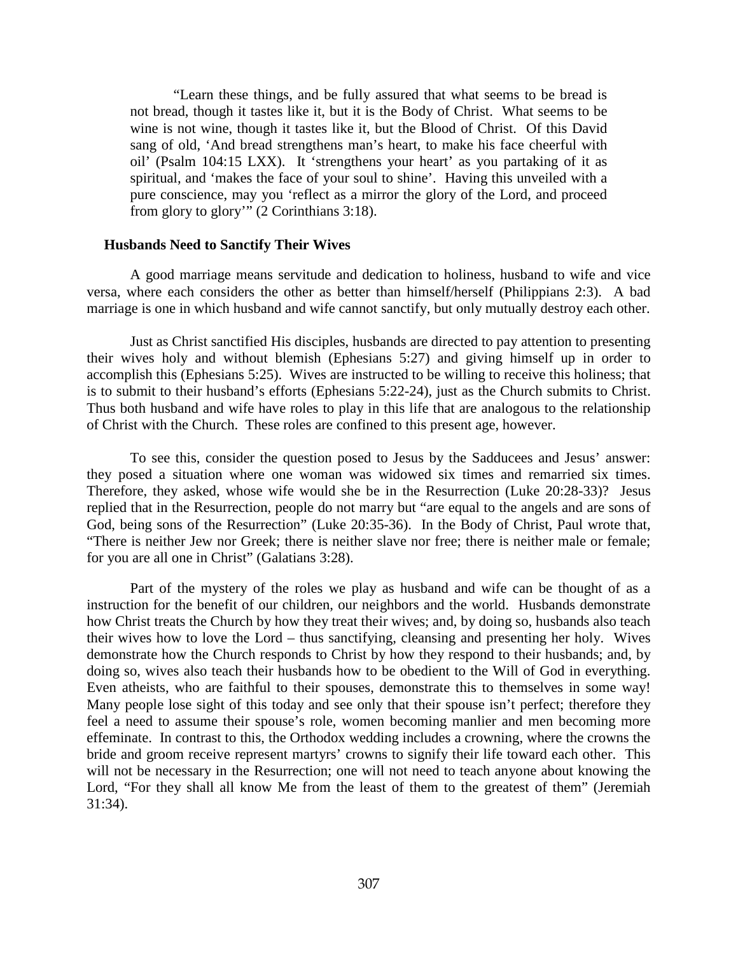"Learn these things, and be fully assured that what seems to be bread is not bread, though it tastes like it, but it is the Body of Christ. What seems to be wine is not wine, though it tastes like it, but the Blood of Christ. Of this David sang of old, 'And bread strengthens man's heart, to make his face cheerful with oil' (Psalm 104:15 LXX). It 'strengthens your heart' as you partaking of it as spiritual, and 'makes the face of your soul to shine'. Having this unveiled with a pure conscience, may you 'reflect as a mirror the glory of the Lord, and proceed from glory to glory" (2 Corinthians 3:18).

### **Husbands Need to Sanctify Their Wives**

A good marriage means servitude and dedication to holiness, husband to wife and vice versa, where each considers the other as better than himself/herself (Philippians 2:3). A bad marriage is one in which husband and wife cannot sanctify, but only mutually destroy each other.

Just as Christ sanctified His disciples, husbands are directed to pay attention to presenting their wives holy and without blemish (Ephesians 5:27) and giving himself up in order to accomplish this (Ephesians 5:25). Wives are instructed to be willing to receive this holiness; that is to submit to their husband's efforts (Ephesians 5:22-24), just as the Church submits to Christ. Thus both husband and wife have roles to play in this life that are analogous to the relationship of Christ with the Church. These roles are confined to this present age, however.

To see this, consider the question posed to Jesus by the Sadducees and Jesus' answer: they posed a situation where one woman was widowed six times and remarried six times. Therefore, they asked, whose wife would she be in the Resurrection (Luke 20:28-33)? Jesus replied that in the Resurrection, people do not marry but "are equal to the angels and are sons of God, being sons of the Resurrection" (Luke 20:35-36). In the Body of Christ, Paul wrote that, "There is neither Jew nor Greek; there is neither slave nor free; there is neither male or female; for you are all one in Christ" (Galatians 3:28).

Part of the mystery of the roles we play as husband and wife can be thought of as a instruction for the benefit of our children, our neighbors and the world. Husbands demonstrate how Christ treats the Church by how they treat their wives; and, by doing so, husbands also teach their wives how to love the Lord – thus sanctifying, cleansing and presenting her holy. Wives demonstrate how the Church responds to Christ by how they respond to their husbands; and, by doing so, wives also teach their husbands how to be obedient to the Will of God in everything. Even atheists, who are faithful to their spouses, demonstrate this to themselves in some way! Many people lose sight of this today and see only that their spouse isn't perfect; therefore they feel a need to assume their spouse's role, women becoming manlier and men becoming more effeminate. In contrast to this, the Orthodox wedding includes a crowning, where the crowns the bride and groom receive represent martyrs' crowns to signify their life toward each other. This will not be necessary in the Resurrection; one will not need to teach anyone about knowing the Lord, "For they shall all know Me from the least of them to the greatest of them" (Jeremiah 31:34).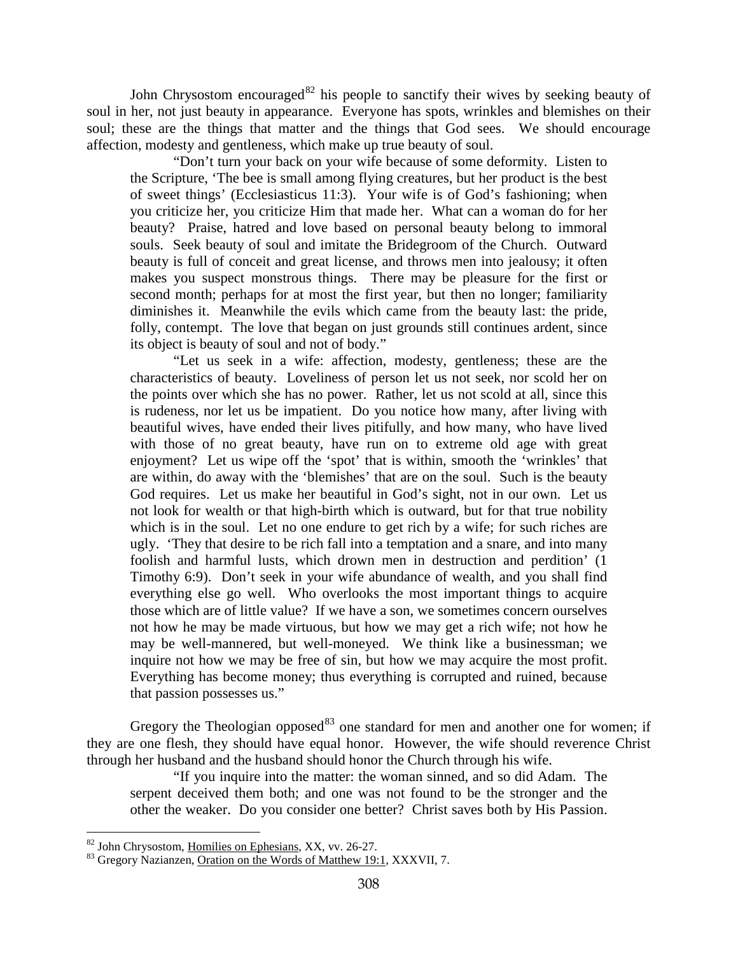John Chrysostom encouraged<sup>[82](#page-48-0)</sup> his people to sanctify their wives by seeking beauty of soul in her, not just beauty in appearance. Everyone has spots, wrinkles and blemishes on their soul; these are the things that matter and the things that God sees. We should encourage affection, modesty and gentleness, which make up true beauty of soul.

"Don't turn your back on your wife because of some deformity. Listen to the Scripture, 'The bee is small among flying creatures, but her product is the best of sweet things' (Ecclesiasticus 11:3). Your wife is of God's fashioning; when you criticize her, you criticize Him that made her. What can a woman do for her beauty? Praise, hatred and love based on personal beauty belong to immoral souls. Seek beauty of soul and imitate the Bridegroom of the Church. Outward beauty is full of conceit and great license, and throws men into jealousy; it often makes you suspect monstrous things. There may be pleasure for the first or second month; perhaps for at most the first year, but then no longer; familiarity diminishes it. Meanwhile the evils which came from the beauty last: the pride, folly, contempt. The love that began on just grounds still continues ardent, since its object is beauty of soul and not of body."

"Let us seek in a wife: affection, modesty, gentleness; these are the characteristics of beauty. Loveliness of person let us not seek, nor scold her on the points over which she has no power. Rather, let us not scold at all, since this is rudeness, nor let us be impatient. Do you notice how many, after living with beautiful wives, have ended their lives pitifully, and how many, who have lived with those of no great beauty, have run on to extreme old age with great enjoyment? Let us wipe off the 'spot' that is within, smooth the 'wrinkles' that are within, do away with the 'blemishes' that are on the soul. Such is the beauty God requires. Let us make her beautiful in God's sight, not in our own. Let us not look for wealth or that high-birth which is outward, but for that true nobility which is in the soul. Let no one endure to get rich by a wife; for such riches are ugly. 'They that desire to be rich fall into a temptation and a snare, and into many foolish and harmful lusts, which drown men in destruction and perdition' (1 Timothy 6:9). Don't seek in your wife abundance of wealth, and you shall find everything else go well. Who overlooks the most important things to acquire those which are of little value? If we have a son, we sometimes concern ourselves not how he may be made virtuous, but how we may get a rich wife; not how he may be well-mannered, but well-moneyed. We think like a businessman; we inquire not how we may be free of sin, but how we may acquire the most profit. Everything has become money; thus everything is corrupted and ruined, because that passion possesses us."

Gregory the Theologian opposed<sup>[83](#page-48-1)</sup> one standard for men and another one for women; if they are one flesh, they should have equal honor. However, the wife should reverence Christ through her husband and the husband should honor the Church through his wife.

"If you inquire into the matter: the woman sinned, and so did Adam. The serpent deceived them both; and one was not found to be the stronger and the other the weaker. Do you consider one better? Christ saves both by His Passion.

<span id="page-48-0"></span> $82$  John Chrysostom, Homilies on Ephesians, XX, vv. 26-27.

<span id="page-48-1"></span><sup>83</sup> Gregory Nazianzen, Oration on the Words of Matthew 19:1, XXXVII, 7.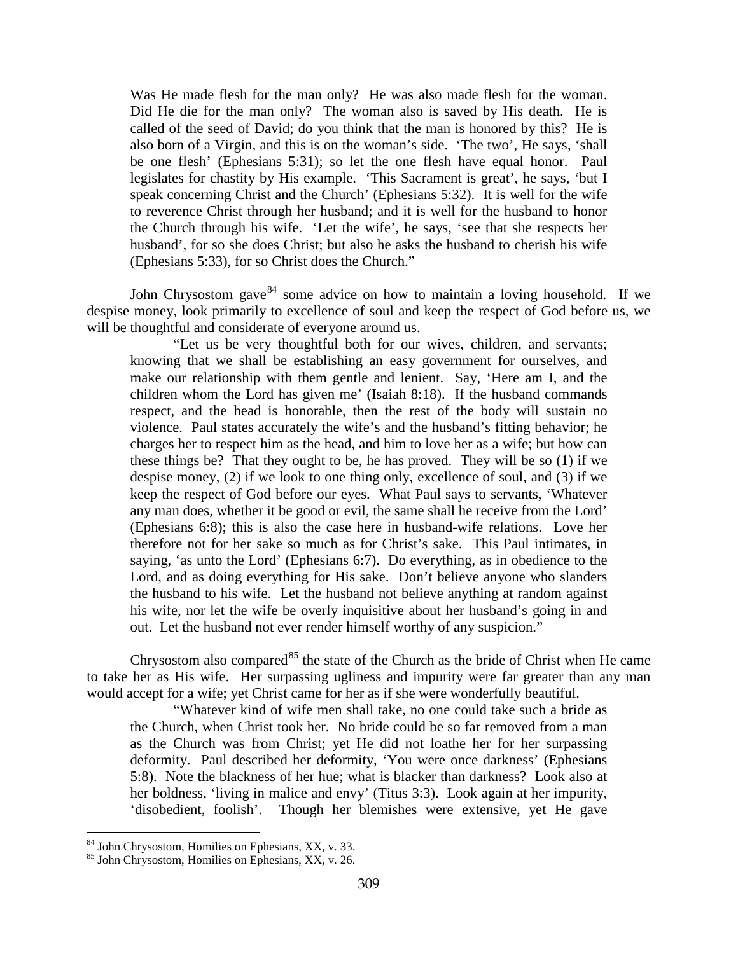Was He made flesh for the man only? He was also made flesh for the woman. Did He die for the man only? The woman also is saved by His death. He is called of the seed of David; do you think that the man is honored by this? He is also born of a Virgin, and this is on the woman's side. 'The two', He says, 'shall be one flesh' (Ephesians 5:31); so let the one flesh have equal honor. Paul legislates for chastity by His example. 'This Sacrament is great', he says, 'but I speak concerning Christ and the Church' (Ephesians 5:32). It is well for the wife to reverence Christ through her husband; and it is well for the husband to honor the Church through his wife. 'Let the wife', he says, 'see that she respects her husband', for so she does Christ; but also he asks the husband to cherish his wife (Ephesians 5:33), for so Christ does the Church."

John Chrysostom gave  $84$  some advice on how to maintain a loving household. If we despise money, look primarily to excellence of soul and keep the respect of God before us, we will be thoughtful and considerate of everyone around us.

"Let us be very thoughtful both for our wives, children, and servants; knowing that we shall be establishing an easy government for ourselves, and make our relationship with them gentle and lenient. Say, 'Here am I, and the children whom the Lord has given me' (Isaiah 8:18). If the husband commands respect, and the head is honorable, then the rest of the body will sustain no violence. Paul states accurately the wife's and the husband's fitting behavior; he charges her to respect him as the head, and him to love her as a wife; but how can these things be? That they ought to be, he has proved. They will be so (1) if we despise money, (2) if we look to one thing only, excellence of soul, and (3) if we keep the respect of God before our eyes. What Paul says to servants, 'Whatever any man does, whether it be good or evil, the same shall he receive from the Lord' (Ephesians 6:8); this is also the case here in husband-wife relations. Love her therefore not for her sake so much as for Christ's sake. This Paul intimates, in saying, 'as unto the Lord' (Ephesians 6:7). Do everything, as in obedience to the Lord, and as doing everything for His sake. Don't believe anyone who slanders the husband to his wife. Let the husband not believe anything at random against his wife, nor let the wife be overly inquisitive about her husband's going in and out. Let the husband not ever render himself worthy of any suspicion."

Chrysostom also compared  $85$  the state of the Church as the bride of Christ when He came to take her as His wife. Her surpassing ugliness and impurity were far greater than any man would accept for a wife; yet Christ came for her as if she were wonderfully beautiful.

"Whatever kind of wife men shall take, no one could take such a bride as the Church, when Christ took her. No bride could be so far removed from a man as the Church was from Christ; yet He did not loathe her for her surpassing deformity. Paul described her deformity, 'You were once darkness' (Ephesians 5:8). Note the blackness of her hue; what is blacker than darkness? Look also at her boldness, 'living in malice and envy' (Titus 3:3). Look again at her impurity, 'disobedient, foolish'. Though her blemishes were extensive, yet He gave

<span id="page-49-0"></span> $84$  John Chrysostom, Homilies on Ephesians, XX, v. 33.

<span id="page-49-1"></span><sup>&</sup>lt;sup>85</sup> John Chrysostom, Homilies on Ephesians, XX, v. 26.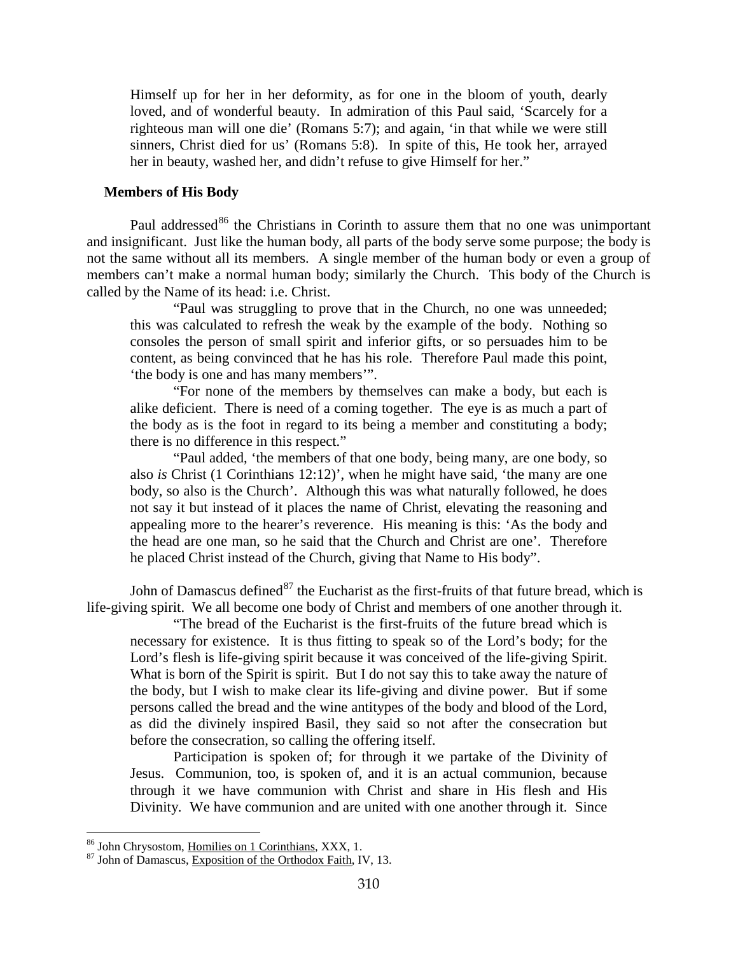Himself up for her in her deformity, as for one in the bloom of youth, dearly loved, and of wonderful beauty. In admiration of this Paul said, 'Scarcely for a righteous man will one die' (Romans 5:7); and again, 'in that while we were still sinners, Christ died for us' (Romans 5:8). In spite of this, He took her, arrayed her in beauty, washed her, and didn't refuse to give Himself for her."

## **Members of His Body**

Paul addressed<sup>[86](#page-50-0)</sup> the Christians in Corinth to assure them that no one was unimportant and insignificant. Just like the human body, all parts of the body serve some purpose; the body is not the same without all its members. A single member of the human body or even a group of members can't make a normal human body; similarly the Church. This body of the Church is called by the Name of its head: i.e. Christ.

"Paul was struggling to prove that in the Church, no one was unneeded; this was calculated to refresh the weak by the example of the body. Nothing so consoles the person of small spirit and inferior gifts, or so persuades him to be content, as being convinced that he has his role. Therefore Paul made this point, 'the body is one and has many members'".

"For none of the members by themselves can make a body, but each is alike deficient. There is need of a coming together. The eye is as much a part of the body as is the foot in regard to its being a member and constituting a body; there is no difference in this respect."

"Paul added, 'the members of that one body, being many, are one body, so also *is* Christ (1 Corinthians 12:12)', when he might have said, 'the many are one body, so also is the Church'. Although this was what naturally followed, he does not say it but instead of it places the name of Christ, elevating the reasoning and appealing more to the hearer's reverence. His meaning is this: 'As the body and the head are one man, so he said that the Church and Christ are one'. Therefore he placed Christ instead of the Church, giving that Name to His body".

John of Damascus defined  $87$  the Eucharist as the first-fruits of that future bread, which is life-giving spirit. We all become one body of Christ and members of one another through it.

"The bread of the Eucharist is the first-fruits of the future bread which is necessary for existence. It is thus fitting to speak so of the Lord's body; for the Lord's flesh is life-giving spirit because it was conceived of the life-giving Spirit. What is born of the Spirit is spirit. But I do not say this to take away the nature of the body, but I wish to make clear its life-giving and divine power. But if some persons called the bread and the wine antitypes of the body and blood of the Lord, as did the divinely inspired Basil, they said so not after the consecration but before the consecration, so calling the offering itself.

Participation is spoken of; for through it we partake of the Divinity of Jesus. Communion, too, is spoken of, and it is an actual communion, because through it we have communion with Christ and share in His flesh and His Divinity. We have communion and are united with one another through it. Since

<span id="page-50-0"></span><sup>&</sup>lt;sup>86</sup> John Chrysostom, Homilies on 1 Corinthians, XXX, 1.

<span id="page-50-1"></span><sup>&</sup>lt;sup>87</sup> John of Damascus, Exposition of the Orthodox Faith, IV, 13.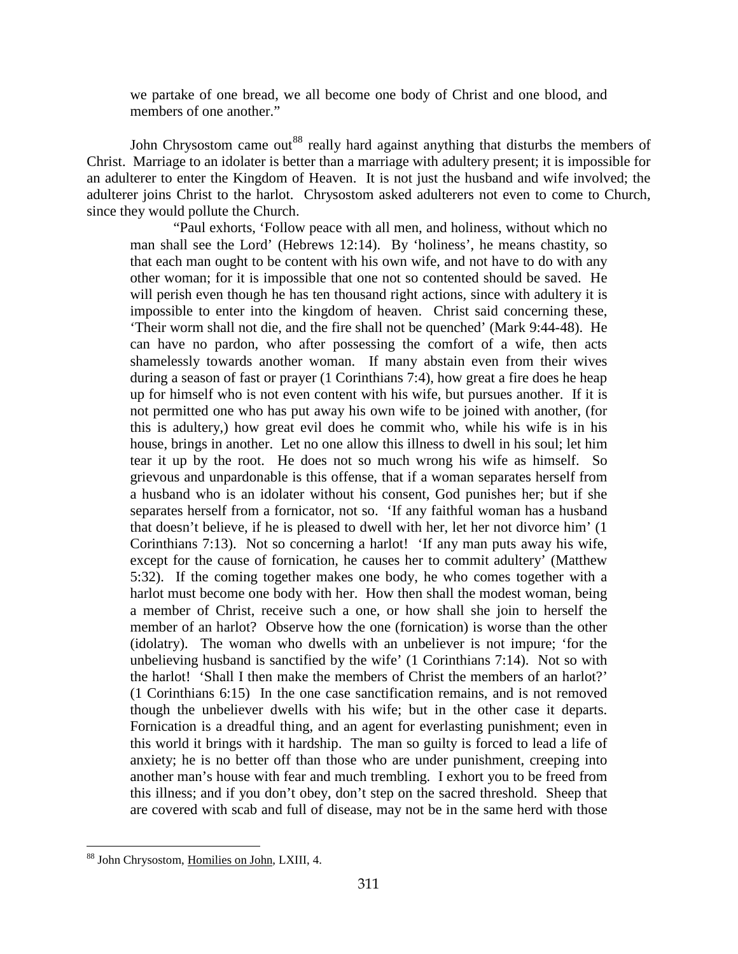we partake of one bread, we all become one body of Christ and one blood, and members of one another."

John Chrysostom came out<sup>[88](#page-51-0)</sup> really hard against anything that disturbs the members of Christ. Marriage to an idolater is better than a marriage with adultery present; it is impossible for an adulterer to enter the Kingdom of Heaven. It is not just the husband and wife involved; the adulterer joins Christ to the harlot. Chrysostom asked adulterers not even to come to Church, since they would pollute the Church.

"Paul exhorts, 'Follow peace with all men, and holiness, without which no man shall see the Lord' (Hebrews 12:14). By 'holiness', he means chastity, so that each man ought to be content with his own wife, and not have to do with any other woman; for it is impossible that one not so contented should be saved. He will perish even though he has ten thousand right actions, since with adultery it is impossible to enter into the kingdom of heaven. Christ said concerning these, 'Their worm shall not die, and the fire shall not be quenched' (Mark 9:44-48). He can have no pardon, who after possessing the comfort of a wife, then acts shamelessly towards another woman. If many abstain even from their wives during a season of fast or prayer (1 Corinthians 7:4), how great a fire does he heap up for himself who is not even content with his wife, but pursues another. If it is not permitted one who has put away his own wife to be joined with another, (for this is adultery,) how great evil does he commit who, while his wife is in his house, brings in another. Let no one allow this illness to dwell in his soul; let him tear it up by the root. He does not so much wrong his wife as himself. So grievous and unpardonable is this offense, that if a woman separates herself from a husband who is an idolater without his consent, God punishes her; but if she separates herself from a fornicator, not so. 'If any faithful woman has a husband that doesn't believe, if he is pleased to dwell with her, let her not divorce him' (1 Corinthians 7:13). Not so concerning a harlot! 'If any man puts away his wife, except for the cause of fornication, he causes her to commit adultery' (Matthew 5:32). If the coming together makes one body, he who comes together with a harlot must become one body with her. How then shall the modest woman, being a member of Christ, receive such a one, or how shall she join to herself the member of an harlot? Observe how the one (fornication) is worse than the other (idolatry). The woman who dwells with an unbeliever is not impure; 'for the unbelieving husband is sanctified by the wife' (1 Corinthians 7:14). Not so with the harlot! 'Shall I then make the members of Christ the members of an harlot?' (1 Corinthians 6:15) In the one case sanctification remains, and is not removed though the unbeliever dwells with his wife; but in the other case it departs. Fornication is a dreadful thing, and an agent for everlasting punishment; even in this world it brings with it hardship. The man so guilty is forced to lead a life of anxiety; he is no better off than those who are under punishment, creeping into another man's house with fear and much trembling. I exhort you to be freed from this illness; and if you don't obey, don't step on the sacred threshold. Sheep that are covered with scab and full of disease, may not be in the same herd with those

<span id="page-51-0"></span><sup>88</sup> John Chrysostom, Homilies on John, LXIII, 4.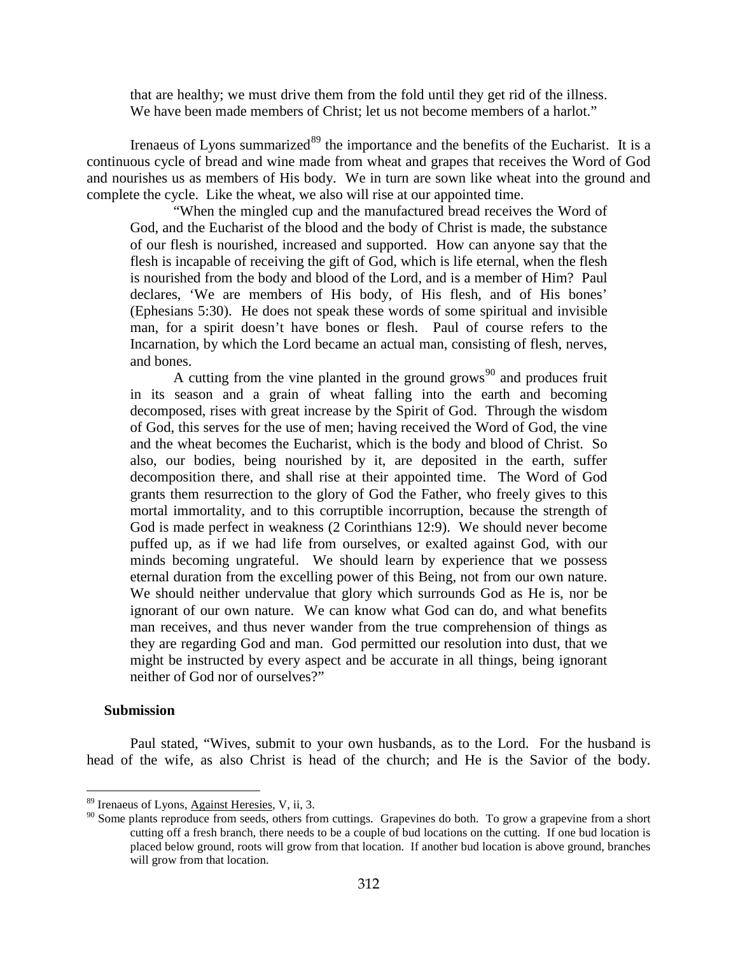that are healthy; we must drive them from the fold until they get rid of the illness. We have been made members of Christ; let us not become members of a harlot."

Irenaeus of Lyons summarized<sup>[89](#page-52-0)</sup> the importance and the benefits of the Eucharist. It is a continuous cycle of bread and wine made from wheat and grapes that receives the Word of God and nourishes us as members of His body. We in turn are sown like wheat into the ground and complete the cycle. Like the wheat, we also will rise at our appointed time.

"When the mingled cup and the manufactured bread receives the Word of God, and the Eucharist of the blood and the body of Christ is made, the substance of our flesh is nourished, increased and supported. How can anyone say that the flesh is incapable of receiving the gift of God, which is life eternal, when the flesh is nourished from the body and blood of the Lord, and is a member of Him? Paul declares, 'We are members of His body, of His flesh, and of His bones' (Ephesians 5:30). He does not speak these words of some spiritual and invisible man, for a spirit doesn't have bones or flesh. Paul of course refers to the Incarnation, by which the Lord became an actual man, consisting of flesh, nerves, and bones.

A cutting from the vine planted in the ground grows<sup>[90](#page-52-1)</sup> and produces fruit in its season and a grain of wheat falling into the earth and becoming decomposed, rises with great increase by the Spirit of God. Through the wisdom of God, this serves for the use of men; having received the Word of God, the vine and the wheat becomes the Eucharist, which is the body and blood of Christ. So also, our bodies, being nourished by it, are deposited in the earth, suffer decomposition there, and shall rise at their appointed time. The Word of God grants them resurrection to the glory of God the Father, who freely gives to this mortal immortality, and to this corruptible incorruption, because the strength of God is made perfect in weakness (2 Corinthians 12:9). We should never become puffed up, as if we had life from ourselves, or exalted against God, with our minds becoming ungrateful. We should learn by experience that we possess eternal duration from the excelling power of this Being, not from our own nature. We should neither undervalue that glory which surrounds God as He is, nor be ignorant of our own nature. We can know what God can do, and what benefits man receives, and thus never wander from the true comprehension of things as they are regarding God and man. God permitted our resolution into dust, that we might be instructed by every aspect and be accurate in all things, being ignorant neither of God nor of ourselves?"

### **Submission**

 $\overline{a}$ 

Paul stated, "Wives, submit to your own husbands, as to the Lord. For the husband is head of the wife, as also Christ is head of the church; and He is the Savior of the body.

<span id="page-52-0"></span><sup>89</sup> Irenaeus of Lyons, Against Heresies, V, ii, 3.

<span id="page-52-1"></span><sup>&</sup>lt;sup>90</sup> Some plants reproduce from seeds, others from cuttings. Grapevines do both. To grow a grapevine from a short cutting off a fresh branch, there needs to be a couple of bud locations on the cutting. If one bud location is placed below ground, roots will grow from that location. If another bud location is above ground, branches will grow from that location.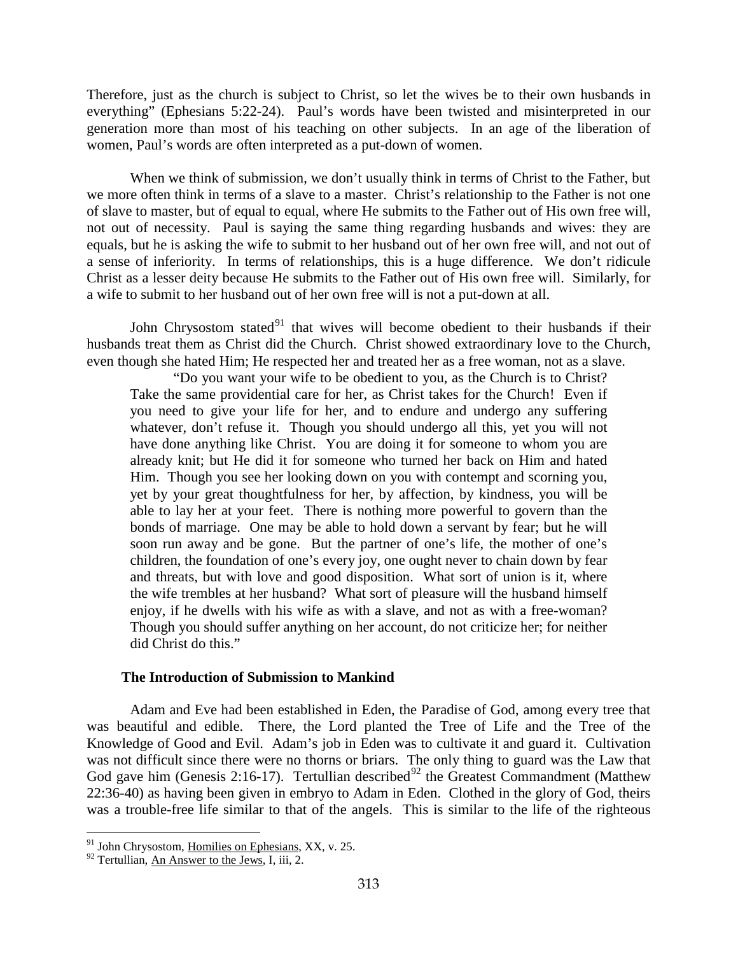Therefore, just as the church is subject to Christ, so let the wives be to their own husbands in everything" (Ephesians 5:22-24). Paul's words have been twisted and misinterpreted in our generation more than most of his teaching on other subjects. In an age of the liberation of women, Paul's words are often interpreted as a put-down of women.

When we think of submission, we don't usually think in terms of Christ to the Father, but we more often think in terms of a slave to a master. Christ's relationship to the Father is not one of slave to master, but of equal to equal, where He submits to the Father out of His own free will, not out of necessity. Paul is saying the same thing regarding husbands and wives: they are equals, but he is asking the wife to submit to her husband out of her own free will, and not out of a sense of inferiority. In terms of relationships, this is a huge difference. We don't ridicule Christ as a lesser deity because He submits to the Father out of His own free will. Similarly, for a wife to submit to her husband out of her own free will is not a put-down at all.

John Chrysostom stated $91$  that wives will become obedient to their husbands if their husbands treat them as Christ did the Church. Christ showed extraordinary love to the Church, even though she hated Him; He respected her and treated her as a free woman, not as a slave.

"Do you want your wife to be obedient to you, as the Church is to Christ? Take the same providential care for her, as Christ takes for the Church! Even if you need to give your life for her, and to endure and undergo any suffering whatever, don't refuse it. Though you should undergo all this, yet you will not have done anything like Christ. You are doing it for someone to whom you are already knit; but He did it for someone who turned her back on Him and hated Him. Though you see her looking down on you with contempt and scorning you, yet by your great thoughtfulness for her, by affection, by kindness, you will be able to lay her at your feet. There is nothing more powerful to govern than the bonds of marriage. One may be able to hold down a servant by fear; but he will soon run away and be gone. But the partner of one's life, the mother of one's children, the foundation of one's every joy, one ought never to chain down by fear and threats, but with love and good disposition. What sort of union is it, where the wife trembles at her husband? What sort of pleasure will the husband himself enjoy, if he dwells with his wife as with a slave, and not as with a free-woman? Though you should suffer anything on her account, do not criticize her; for neither did Christ do this."

## **The Introduction of Submission to Mankind**

Adam and Eve had been established in Eden, the Paradise of God, among every tree that was beautiful and edible. There, the Lord planted the Tree of Life and the Tree of the Knowledge of Good and Evil. Adam's job in Eden was to cultivate it and guard it. Cultivation was not difficult since there were no thorns or briars. The only thing to guard was the Law that God gave him (Genesis 2:16-17). Tertullian described<sup>[92](#page-53-1)</sup> the Greatest Commandment (Matthew 22:36-40) as having been given in embryo to Adam in Eden. Clothed in the glory of God, theirs was a trouble-free life similar to that of the angels. This is similar to the life of the righteous

<span id="page-53-0"></span><sup>&</sup>lt;sup>91</sup> John Chrysostom, Homilies on Ephesians, XX, v. 25.

<span id="page-53-1"></span> $92$  Tertullian, An Answer to the Jews, I, iii, 2.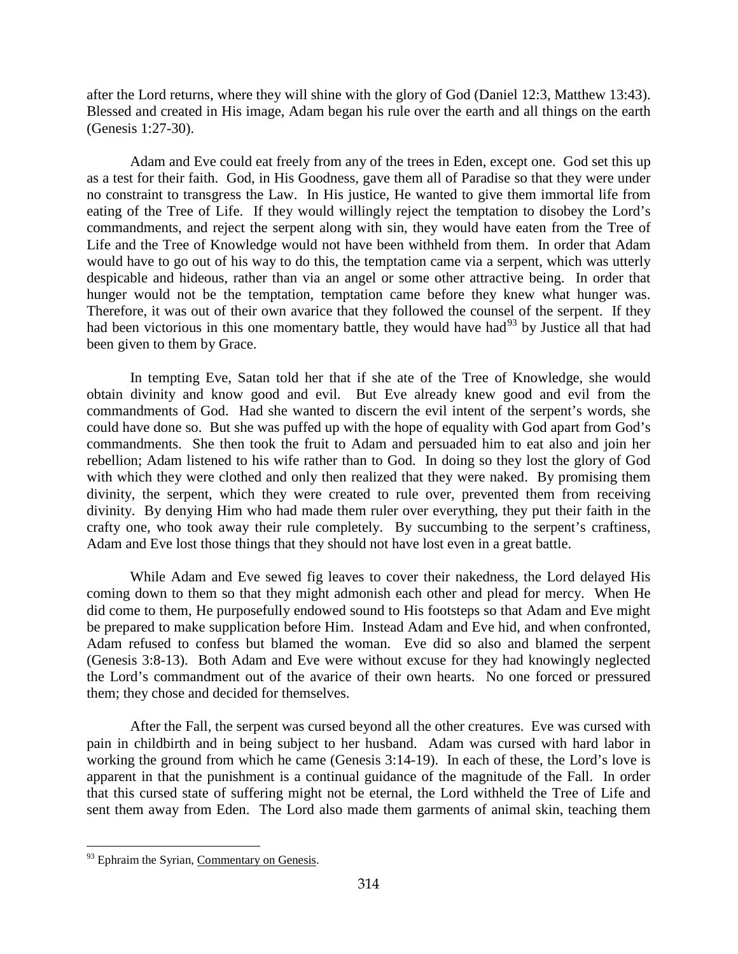after the Lord returns, where they will shine with the glory of God (Daniel 12:3, Matthew 13:43). Blessed and created in His image, Adam began his rule over the earth and all things on the earth (Genesis 1:27-30).

Adam and Eve could eat freely from any of the trees in Eden, except one. God set this up as a test for their faith. God, in His Goodness, gave them all of Paradise so that they were under no constraint to transgress the Law. In His justice, He wanted to give them immortal life from eating of the Tree of Life. If they would willingly reject the temptation to disobey the Lord's commandments, and reject the serpent along with sin, they would have eaten from the Tree of Life and the Tree of Knowledge would not have been withheld from them. In order that Adam would have to go out of his way to do this, the temptation came via a serpent, which was utterly despicable and hideous, rather than via an angel or some other attractive being. In order that hunger would not be the temptation, temptation came before they knew what hunger was. Therefore, it was out of their own avarice that they followed the counsel of the serpent. If they had been victorious in this one momentary battle, they would have had<sup>[93](#page-54-0)</sup> by Justice all that had been given to them by Grace.

In tempting Eve, Satan told her that if she ate of the Tree of Knowledge, she would obtain divinity and know good and evil. But Eve already knew good and evil from the commandments of God. Had she wanted to discern the evil intent of the serpent's words, she could have done so. But she was puffed up with the hope of equality with God apart from God's commandments. She then took the fruit to Adam and persuaded him to eat also and join her rebellion; Adam listened to his wife rather than to God. In doing so they lost the glory of God with which they were clothed and only then realized that they were naked. By promising them divinity, the serpent, which they were created to rule over, prevented them from receiving divinity. By denying Him who had made them ruler over everything, they put their faith in the crafty one, who took away their rule completely. By succumbing to the serpent's craftiness, Adam and Eve lost those things that they should not have lost even in a great battle.

While Adam and Eve sewed fig leaves to cover their nakedness, the Lord delayed His coming down to them so that they might admonish each other and plead for mercy. When He did come to them, He purposefully endowed sound to His footsteps so that Adam and Eve might be prepared to make supplication before Him. Instead Adam and Eve hid, and when confronted, Adam refused to confess but blamed the woman. Eve did so also and blamed the serpent (Genesis 3:8-13). Both Adam and Eve were without excuse for they had knowingly neglected the Lord's commandment out of the avarice of their own hearts. No one forced or pressured them; they chose and decided for themselves.

After the Fall, the serpent was cursed beyond all the other creatures. Eve was cursed with pain in childbirth and in being subject to her husband. Adam was cursed with hard labor in working the ground from which he came (Genesis 3:14-19). In each of these, the Lord's love is apparent in that the punishment is a continual guidance of the magnitude of the Fall. In order that this cursed state of suffering might not be eternal, the Lord withheld the Tree of Life and sent them away from Eden. The Lord also made them garments of animal skin, teaching them

<span id="page-54-0"></span><sup>&</sup>lt;sup>93</sup> Ephraim the Syrian, Commentary on Genesis.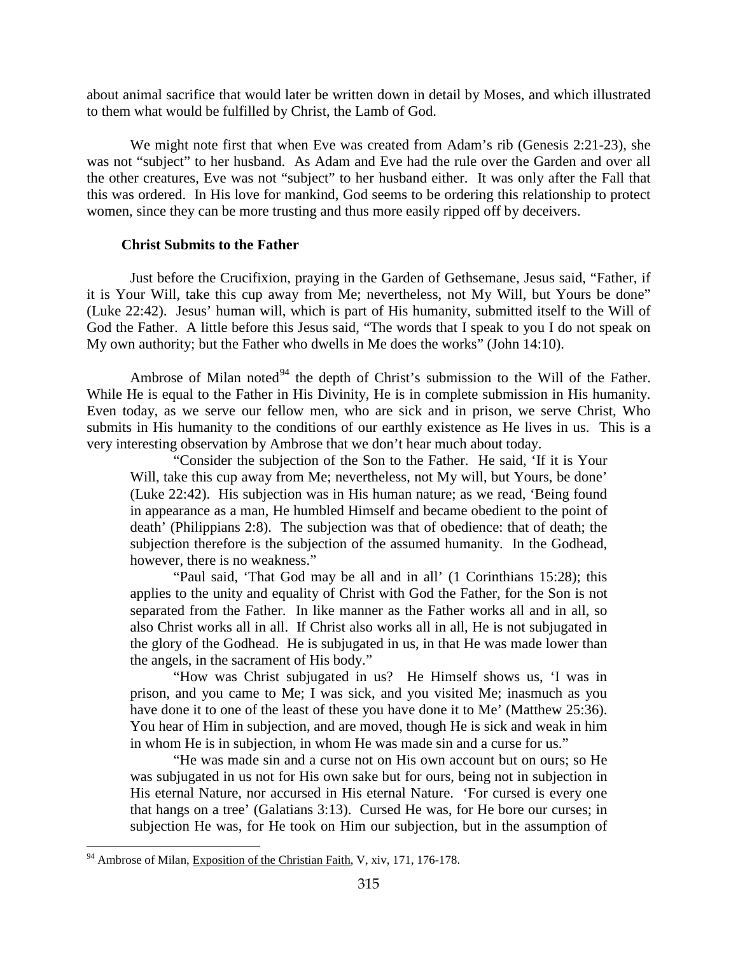about animal sacrifice that would later be written down in detail by Moses, and which illustrated to them what would be fulfilled by Christ, the Lamb of God.

We might note first that when Eve was created from Adam's rib (Genesis 2:21-23), she was not "subject" to her husband. As Adam and Eve had the rule over the Garden and over all the other creatures, Eve was not "subject" to her husband either. It was only after the Fall that this was ordered. In His love for mankind, God seems to be ordering this relationship to protect women, since they can be more trusting and thus more easily ripped off by deceivers.

## **Christ Submits to the Father**

Just before the Crucifixion, praying in the Garden of Gethsemane, Jesus said, "Father, if it is Your Will, take this cup away from Me; nevertheless, not My Will, but Yours be done" (Luke 22:42). Jesus' human will, which is part of His humanity, submitted itself to the Will of God the Father. A little before this Jesus said, "The words that I speak to you I do not speak on My own authority; but the Father who dwells in Me does the works" (John 14:10).

Ambrose of Milan noted<sup>[94](#page-55-0)</sup> the depth of Christ's submission to the Will of the Father. While He is equal to the Father in His Divinity, He is in complete submission in His humanity. Even today, as we serve our fellow men, who are sick and in prison, we serve Christ, Who submits in His humanity to the conditions of our earthly existence as He lives in us. This is a very interesting observation by Ambrose that we don't hear much about today.

"Consider the subjection of the Son to the Father. He said, 'If it is Your Will, take this cup away from Me; nevertheless, not My will, but Yours, be done' (Luke 22:42). His subjection was in His human nature; as we read, 'Being found in appearance as a man, He humbled Himself and became obedient to the point of death' (Philippians 2:8). The subjection was that of obedience: that of death; the subjection therefore is the subjection of the assumed humanity. In the Godhead, however, there is no weakness."

"Paul said, 'That God may be all and in all' (1 Corinthians 15:28); this applies to the unity and equality of Christ with God the Father, for the Son is not separated from the Father. In like manner as the Father works all and in all, so also Christ works all in all. If Christ also works all in all, He is not subjugated in the glory of the Godhead. He is subjugated in us, in that He was made lower than the angels, in the sacrament of His body."

"How was Christ subjugated in us? He Himself shows us, 'I was in prison, and you came to Me; I was sick, and you visited Me; inasmuch as you have done it to one of the least of these you have done it to Me' (Matthew 25:36). You hear of Him in subjection, and are moved, though He is sick and weak in him in whom He is in subjection, in whom He was made sin and a curse for us."

"He was made sin and a curse not on His own account but on ours; so He was subjugated in us not for His own sake but for ours, being not in subjection in His eternal Nature, nor accursed in His eternal Nature. 'For cursed is every one that hangs on a tree' (Galatians 3:13). Cursed He was, for He bore our curses; in subjection He was, for He took on Him our subjection, but in the assumption of

<span id="page-55-0"></span><sup>&</sup>lt;sup>94</sup> Ambrose of Milan, Exposition of the Christian Faith, V, xiv, 171, 176-178.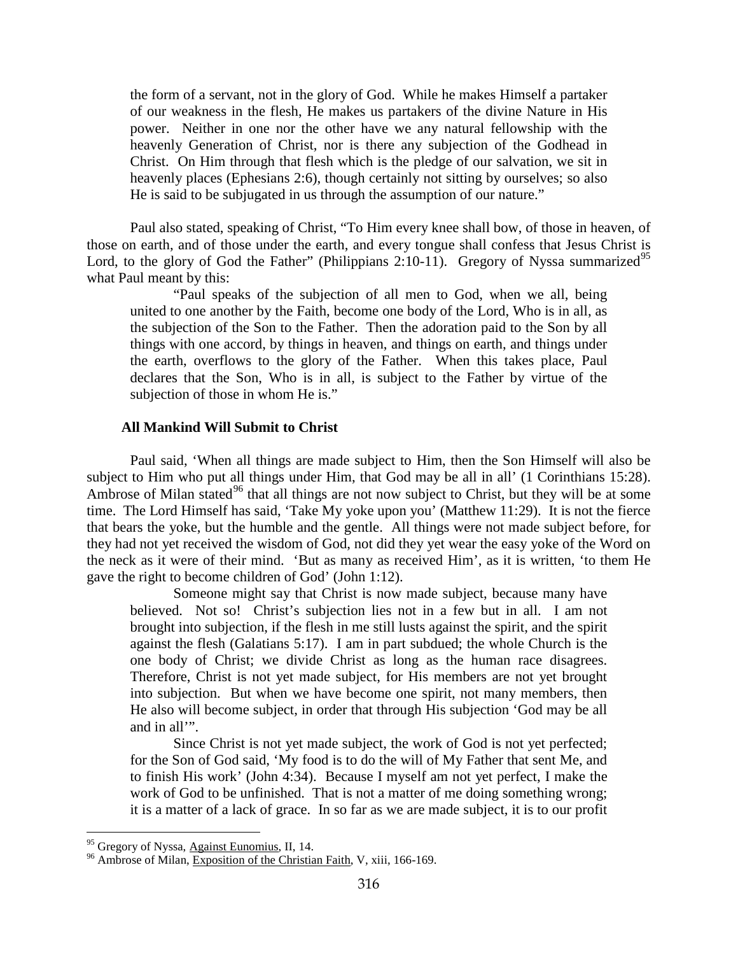the form of a servant, not in the glory of God. While he makes Himself a partaker of our weakness in the flesh, He makes us partakers of the divine Nature in His power. Neither in one nor the other have we any natural fellowship with the heavenly Generation of Christ, nor is there any subjection of the Godhead in Christ. On Him through that flesh which is the pledge of our salvation, we sit in heavenly places (Ephesians 2:6), though certainly not sitting by ourselves; so also He is said to be subjugated in us through the assumption of our nature."

Paul also stated, speaking of Christ, "To Him every knee shall bow, of those in heaven, of those on earth, and of those under the earth, and every tongue shall confess that Jesus Christ is Lord, to the glory of God the Father" (Philippians 2:10-11). Gregory of Nyssa summarized<sup>[95](#page-56-0)</sup> what Paul meant by this:

"Paul speaks of the subjection of all men to God, when we all, being united to one another by the Faith, become one body of the Lord, Who is in all, as the subjection of the Son to the Father. Then the adoration paid to the Son by all things with one accord, by things in heaven, and things on earth, and things under the earth, overflows to the glory of the Father. When this takes place, Paul declares that the Son, Who is in all, is subject to the Father by virtue of the subjection of those in whom He is."

### **All Mankind Will Submit to Christ**

Paul said, 'When all things are made subject to Him, then the Son Himself will also be subject to Him who put all things under Him, that God may be all in all' (1 Corinthians 15:28). Ambrose of Milan stated<sup>[96](#page-56-1)</sup> that all things are not now subject to Christ, but they will be at some time. The Lord Himself has said, 'Take My yoke upon you' (Matthew 11:29). It is not the fierce that bears the yoke, but the humble and the gentle. All things were not made subject before, for they had not yet received the wisdom of God, not did they yet wear the easy yoke of the Word on the neck as it were of their mind. 'But as many as received Him', as it is written, 'to them He gave the right to become children of God' (John 1:12).

Someone might say that Christ is now made subject, because many have believed. Not so! Christ's subjection lies not in a few but in all. I am not brought into subjection, if the flesh in me still lusts against the spirit, and the spirit against the flesh (Galatians 5:17). I am in part subdued; the whole Church is the one body of Christ; we divide Christ as long as the human race disagrees. Therefore, Christ is not yet made subject, for His members are not yet brought into subjection. But when we have become one spirit, not many members, then He also will become subject, in order that through His subjection 'God may be all and in all'".

Since Christ is not yet made subject, the work of God is not yet perfected; for the Son of God said, 'My food is to do the will of My Father that sent Me, and to finish His work' (John 4:34). Because I myself am not yet perfect, I make the work of God to be unfinished. That is not a matter of me doing something wrong; it is a matter of a lack of grace. In so far as we are made subject, it is to our profit

<span id="page-56-0"></span><sup>95</sup> Gregory of Nyssa, Against Eunomius, II, 14.

<span id="page-56-1"></span><sup>&</sup>lt;sup>96</sup> Ambrose of Milan, Exposition of the Christian Faith, V, xiii, 166-169.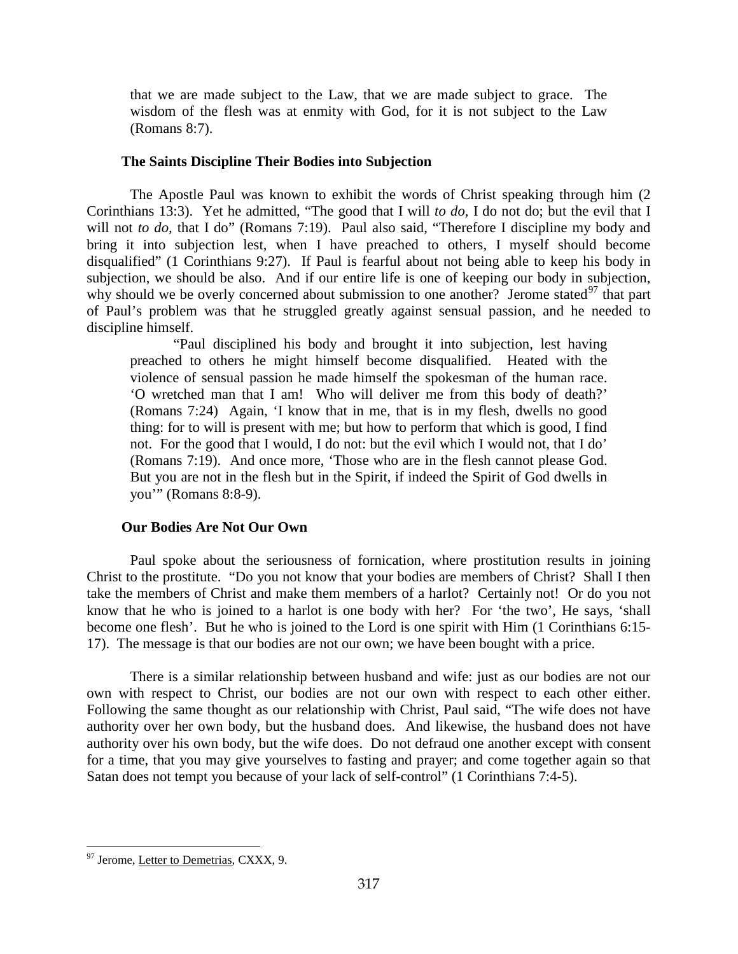that we are made subject to the Law, that we are made subject to grace. The wisdom of the flesh was at enmity with God, for it is not subject to the Law (Romans 8:7).

## **The Saints Discipline Their Bodies into Subjection**

The Apostle Paul was known to exhibit the words of Christ speaking through him (2 Corinthians 13:3). Yet he admitted, "The good that I will *to do,* I do not do; but the evil that I will not *to do*, that I do" (Romans 7:19). Paul also said, "Therefore I discipline my body and bring it into subjection lest, when I have preached to others, I myself should become disqualified" (1 Corinthians 9:27). If Paul is fearful about not being able to keep his body in subjection, we should be also. And if our entire life is one of keeping our body in subjection, why should we be overly concerned about submission to one another? Jerome stated $^{97}$  $^{97}$  $^{97}$  that part of Paul's problem was that he struggled greatly against sensual passion, and he needed to discipline himself.

"Paul disciplined his body and brought it into subjection, lest having preached to others he might himself become disqualified. Heated with the violence of sensual passion he made himself the spokesman of the human race. 'O wretched man that I am! Who will deliver me from this body of death?' (Romans 7:24) Again, 'I know that in me, that is in my flesh, dwells no good thing: for to will is present with me; but how to perform that which is good, I find not. For the good that I would, I do not: but the evil which I would not, that I do' (Romans 7:19). And once more, 'Those who are in the flesh cannot please God. But you are not in the flesh but in the Spirit, if indeed the Spirit of God dwells in you'" (Romans 8:8-9).

# **Our Bodies Are Not Our Own**

Paul spoke about the seriousness of fornication, where prostitution results in joining Christ to the prostitute. "Do you not know that your bodies are members of Christ? Shall I then take the members of Christ and make them members of a harlot? Certainly not! Or do you not know that he who is joined to a harlot is one body with her? For 'the two', He says, 'shall become one flesh'. But he who is joined to the Lord is one spirit with Him (1 Corinthians 6:15- 17). The message is that our bodies are not our own; we have been bought with a price.

There is a similar relationship between husband and wife: just as our bodies are not our own with respect to Christ, our bodies are not our own with respect to each other either. Following the same thought as our relationship with Christ, Paul said, "The wife does not have authority over her own body, but the husband does. And likewise, the husband does not have authority over his own body, but the wife does. Do not defraud one another except with consent for a time, that you may give yourselves to fasting and prayer; and come together again so that Satan does not tempt you because of your lack of self-control" (1 Corinthians 7:4-5).

<span id="page-57-0"></span><sup>&</sup>lt;sup>97</sup> Jerome, Letter to Demetrias, CXXX, 9.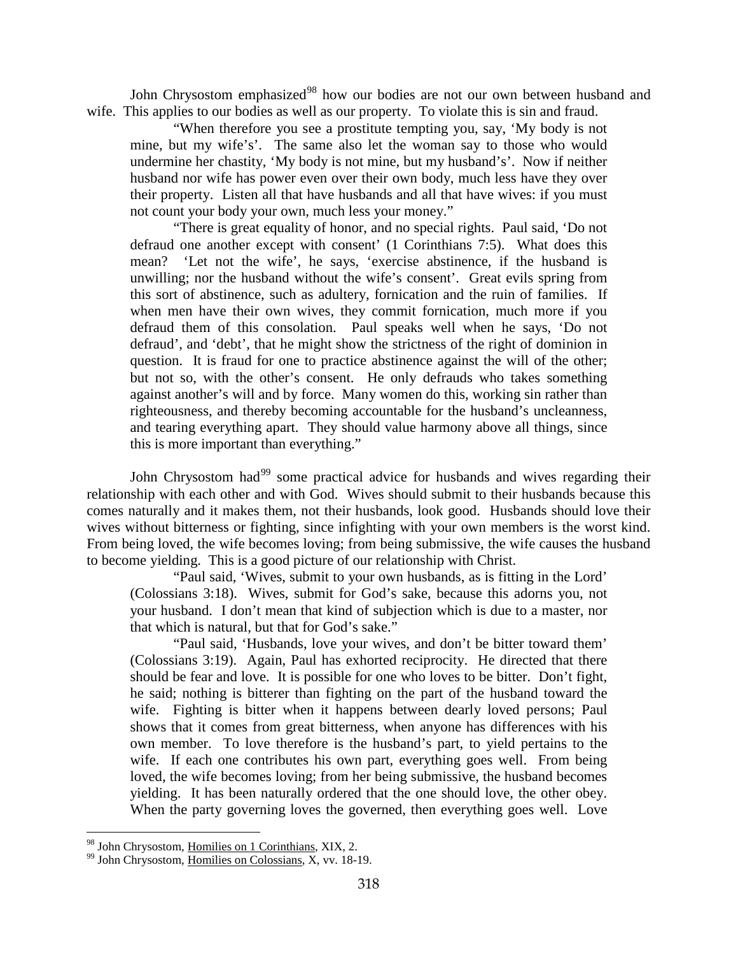John Chrysostom emphasized<sup>[98](#page-58-0)</sup> how our bodies are not our own between husband and wife. This applies to our bodies as well as our property. To violate this is sin and fraud.

"When therefore you see a prostitute tempting you, say, 'My body is not mine, but my wife's'. The same also let the woman say to those who would undermine her chastity, 'My body is not mine, but my husband's'. Now if neither husband nor wife has power even over their own body, much less have they over their property. Listen all that have husbands and all that have wives: if you must not count your body your own, much less your money."

"There is great equality of honor, and no special rights. Paul said, 'Do not defraud one another except with consent' (1 Corinthians 7:5). What does this mean? 'Let not the wife', he says, 'exercise abstinence, if the husband is unwilling; nor the husband without the wife's consent'. Great evils spring from this sort of abstinence, such as adultery, fornication and the ruin of families. If when men have their own wives, they commit fornication, much more if you defraud them of this consolation. Paul speaks well when he says, 'Do not defraud', and 'debt', that he might show the strictness of the right of dominion in question. It is fraud for one to practice abstinence against the will of the other; but not so, with the other's consent. He only defrauds who takes something against another's will and by force. Many women do this, working sin rather than righteousness, and thereby becoming accountable for the husband's uncleanness, and tearing everything apart. They should value harmony above all things, since this is more important than everything."

John Chrysostom had<sup>[99](#page-58-1)</sup> some practical advice for husbands and wives regarding their relationship with each other and with God. Wives should submit to their husbands because this comes naturally and it makes them, not their husbands, look good. Husbands should love their wives without bitterness or fighting, since infighting with your own members is the worst kind. From being loved, the wife becomes loving; from being submissive, the wife causes the husband to become yielding. This is a good picture of our relationship with Christ.

"Paul said, 'Wives, submit to your own husbands, as is fitting in the Lord' (Colossians 3:18). Wives, submit for God's sake, because this adorns you, not your husband. I don't mean that kind of subjection which is due to a master, nor that which is natural, but that for God's sake."

"Paul said, 'Husbands, love your wives, and don't be bitter toward them' (Colossians 3:19). Again, Paul has exhorted reciprocity. He directed that there should be fear and love. It is possible for one who loves to be bitter. Don't fight, he said; nothing is bitterer than fighting on the part of the husband toward the wife. Fighting is bitter when it happens between dearly loved persons; Paul shows that it comes from great bitterness, when anyone has differences with his own member. To love therefore is the husband's part, to yield pertains to the wife. If each one contributes his own part, everything goes well. From being loved, the wife becomes loving; from her being submissive, the husband becomes yielding. It has been naturally ordered that the one should love, the other obey. When the party governing loves the governed, then everything goes well. Love

<span id="page-58-0"></span><sup>&</sup>lt;sup>98</sup> John Chrysostom, Homilies on 1 Corinthians, XIX, 2.

<span id="page-58-1"></span><sup>&</sup>lt;sup>99</sup> John Chrysostom, Homilies on Colossians, X, vv. 18-19.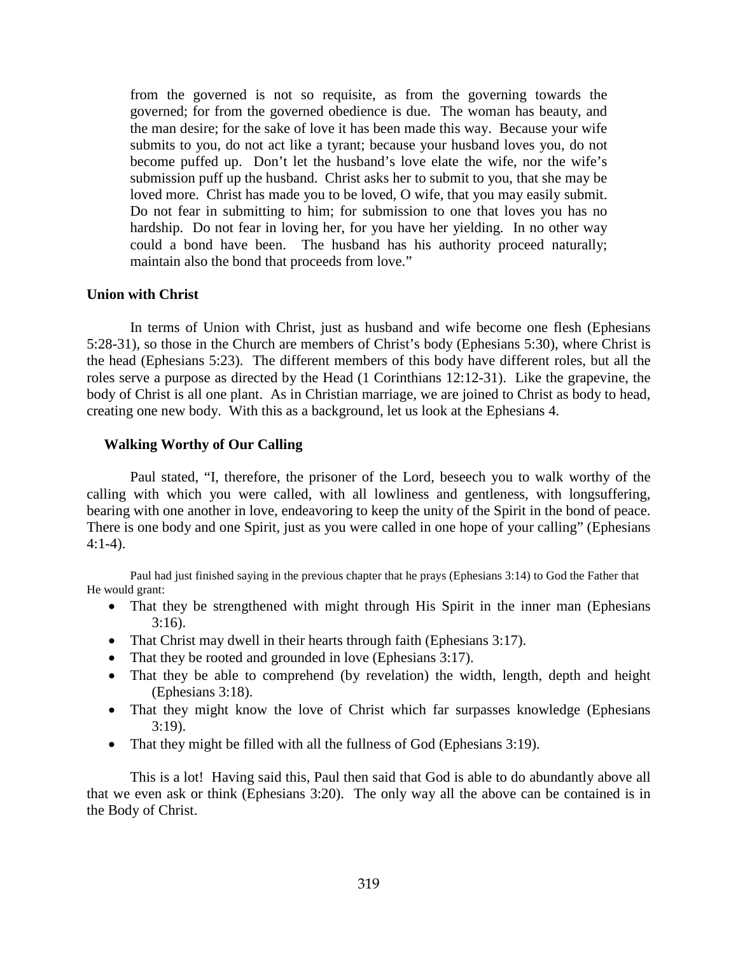from the governed is not so requisite, as from the governing towards the governed; for from the governed obedience is due. The woman has beauty, and the man desire; for the sake of love it has been made this way. Because your wife submits to you, do not act like a tyrant; because your husband loves you, do not become puffed up. Don't let the husband's love elate the wife, nor the wife's submission puff up the husband. Christ asks her to submit to you, that she may be loved more. Christ has made you to be loved, O wife, that you may easily submit. Do not fear in submitting to him; for submission to one that loves you has no hardship. Do not fear in loving her, for you have her yielding. In no other way could a bond have been. The husband has his authority proceed naturally; maintain also the bond that proceeds from love."

### **Union with Christ**

In terms of Union with Christ, just as husband and wife become one flesh (Ephesians 5:28-31), so those in the Church are members of Christ's body (Ephesians 5:30), where Christ is the head (Ephesians 5:23). The different members of this body have different roles, but all the roles serve a purpose as directed by the Head (1 Corinthians 12:12-31). Like the grapevine, the body of Christ is all one plant. As in Christian marriage, we are joined to Christ as body to head, creating one new body. With this as a background, let us look at the Ephesians 4.

## **Walking Worthy of Our Calling**

Paul stated, "I, therefore, the prisoner of the Lord, beseech you to walk worthy of the calling with which you were called, with all lowliness and gentleness, with longsuffering, bearing with one another in love, endeavoring to keep the unity of the Spirit in the bond of peace. There is one body and one Spirit, just as you were called in one hope of your calling" (Ephesians 4:1-4).

Paul had just finished saying in the previous chapter that he prays (Ephesians 3:14) to God the Father that He would grant:

- That they be strengthened with might through His Spirit in the inner man (Ephesians 3:16).
- That Christ may dwell in their hearts through faith (Ephesians 3:17).
- That they be rooted and grounded in love (Ephesians 3:17).
- That they be able to comprehend (by revelation) the width, length, depth and height (Ephesians 3:18).
- That they might know the love of Christ which far surpasses knowledge (Ephesians 3:19).
- That they might be filled with all the fullness of God (Ephesians 3:19).

This is a lot! Having said this, Paul then said that God is able to do abundantly above all that we even ask or think (Ephesians 3:20). The only way all the above can be contained is in the Body of Christ.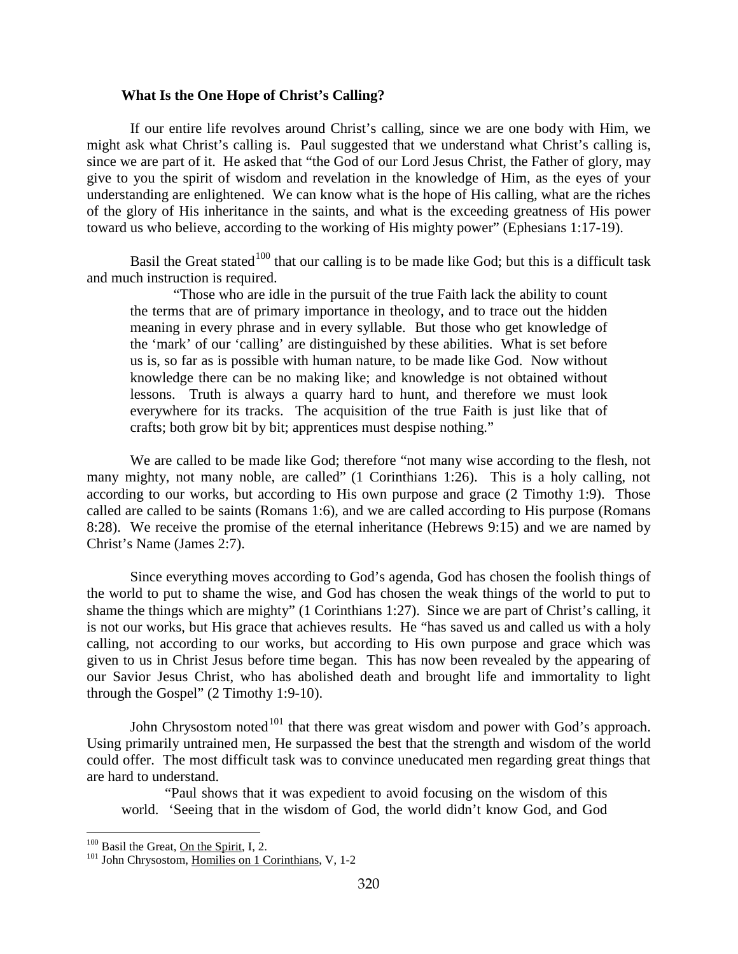## **What Is the One Hope of Christ's Calling?**

If our entire life revolves around Christ's calling, since we are one body with Him, we might ask what Christ's calling is. Paul suggested that we understand what Christ's calling is, since we are part of it. He asked that "the God of our Lord Jesus Christ, the Father of glory, may give to you the spirit of wisdom and revelation in the knowledge of Him, as the eyes of your understanding are enlightened. We can know what is the hope of His calling, what are the riches of the glory of His inheritance in the saints, and what is the exceeding greatness of His power toward us who believe, according to the working of His mighty power" (Ephesians 1:17-19).

Basil the Great stated<sup>[100](#page-60-0)</sup> that our calling is to be made like God; but this is a difficult task and much instruction is required.

"Those who are idle in the pursuit of the true Faith lack the ability to count the terms that are of primary importance in theology, and to trace out the hidden meaning in every phrase and in every syllable. But those who get knowledge of the 'mark' of our 'calling' are distinguished by these abilities. What is set before us is, so far as is possible with human nature, to be made like God. Now without knowledge there can be no making like; and knowledge is not obtained without lessons. Truth is always a quarry hard to hunt, and therefore we must look everywhere for its tracks. The acquisition of the true Faith is just like that of crafts; both grow bit by bit; apprentices must despise nothing."

We are called to be made like God; therefore "not many wise according to the flesh, not many mighty, not many noble, are called" (1 Corinthians 1:26). This is a holy calling, not according to our works, but according to His own purpose and grace (2 Timothy 1:9). Those called are called to be saints (Romans 1:6), and we are called according to His purpose (Romans 8:28). We receive the promise of the eternal inheritance (Hebrews 9:15) and we are named by Christ's Name (James 2:7).

Since everything moves according to God's agenda, God has chosen the foolish things of the world to put to shame the wise, and God has chosen the weak things of the world to put to shame the things which are mighty" (1 Corinthians 1:27). Since we are part of Christ's calling, it is not our works, but His grace that achieves results. He "has saved us and called us with a holy calling, not according to our works, but according to His own purpose and grace which was given to us in Christ Jesus before time began. This has now been revealed by the appearing of our Savior Jesus Christ, who has abolished death and brought life and immortality to light through the Gospel" (2 Timothy 1:9-10).

John Chrysostom noted<sup>[101](#page-60-1)</sup> that there was great wisdom and power with God's approach. Using primarily untrained men, He surpassed the best that the strength and wisdom of the world could offer. The most difficult task was to convince uneducated men regarding great things that are hard to understand.

"Paul shows that it was expedient to avoid focusing on the wisdom of this world. 'Seeing that in the wisdom of God, the world didn't know God, and God

<span id="page-60-1"></span><span id="page-60-0"></span><sup>&</sup>lt;sup>100</sup> Basil the Great, <u>On the Spirit</u>, I, 2. <sup>101</sup> John Chrysostom, Homilies on 1 Corinthians, V, 1-2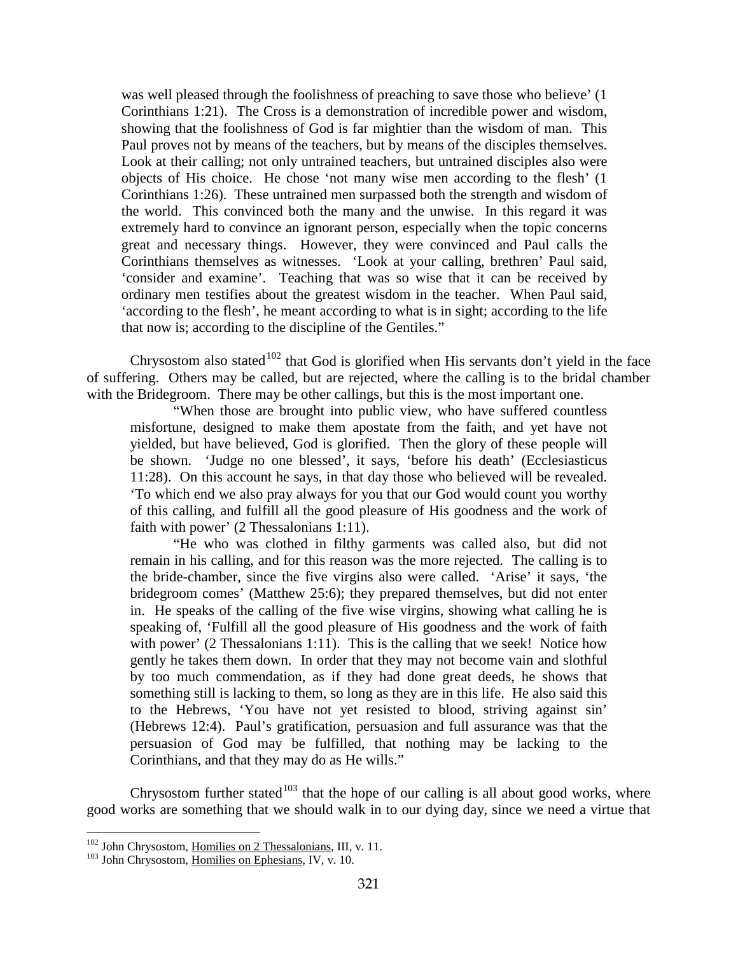was well pleased through the foolishness of preaching to save those who believe' (1 Corinthians 1:21). The Cross is a demonstration of incredible power and wisdom, showing that the foolishness of God is far mightier than the wisdom of man. This Paul proves not by means of the teachers, but by means of the disciples themselves. Look at their calling; not only untrained teachers, but untrained disciples also were objects of His choice. He chose 'not many wise men according to the flesh' (1 Corinthians 1:26). These untrained men surpassed both the strength and wisdom of the world. This convinced both the many and the unwise. In this regard it was extremely hard to convince an ignorant person, especially when the topic concerns great and necessary things. However, they were convinced and Paul calls the Corinthians themselves as witnesses. 'Look at your calling, brethren' Paul said, 'consider and examine'. Teaching that was so wise that it can be received by ordinary men testifies about the greatest wisdom in the teacher. When Paul said, 'according to the flesh', he meant according to what is in sight; according to the life that now is; according to the discipline of the Gentiles."

Chrysostom also stated<sup>[102](#page-61-0)</sup> that God is glorified when His servants don't yield in the face of suffering. Others may be called, but are rejected, where the calling is to the bridal chamber with the Bridegroom. There may be other callings, but this is the most important one.

"When those are brought into public view, who have suffered countless misfortune, designed to make them apostate from the faith, and yet have not yielded, but have believed, God is glorified. Then the glory of these people will be shown. 'Judge no one blessed', it says, 'before his death' (Ecclesiasticus 11:28). On this account he says, in that day those who believed will be revealed. 'To which end we also pray always for you that our God would count you worthy of this calling, and fulfill all the good pleasure of His goodness and the work of faith with power' (2 Thessalonians 1:11).

"He who was clothed in filthy garments was called also, but did not remain in his calling, and for this reason was the more rejected. The calling is to the bride-chamber, since the five virgins also were called. 'Arise' it says, 'the bridegroom comes' (Matthew 25:6); they prepared themselves, but did not enter in. He speaks of the calling of the five wise virgins, showing what calling he is speaking of, 'Fulfill all the good pleasure of His goodness and the work of faith with power' (2 Thessalonians 1:11). This is the calling that we seek! Notice how gently he takes them down. In order that they may not become vain and slothful by too much commendation, as if they had done great deeds, he shows that something still is lacking to them, so long as they are in this life. He also said this to the Hebrews, 'You have not yet resisted to blood, striving against sin' (Hebrews 12:4). Paul's gratification, persuasion and full assurance was that the persuasion of God may be fulfilled, that nothing may be lacking to the Corinthians, and that they may do as He wills."

Chrysostom further stated<sup>[103](#page-61-1)</sup> that the hope of our calling is all about good works, where good works are something that we should walk in to our dying day, since we need a virtue that

<span id="page-61-0"></span> $102$  John Chrysostom, Homilies on 2 Thessalonians, III, v. 11.

<span id="page-61-1"></span><sup>&</sup>lt;sup>103</sup> John Chrysostom, Homilies on Ephesians, IV, v. 10.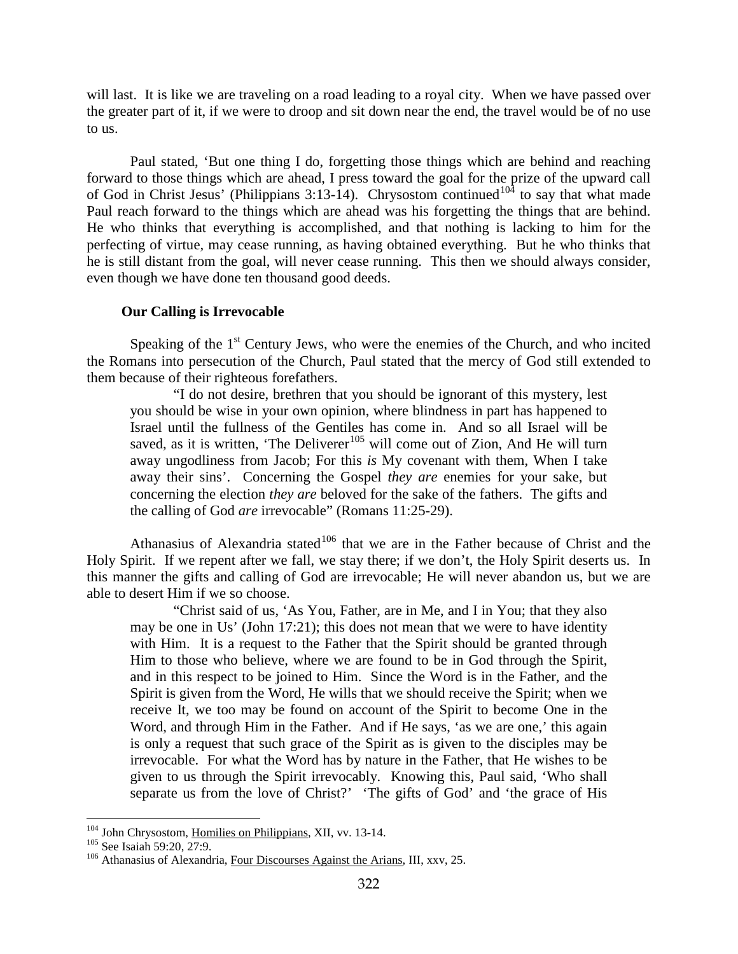will last. It is like we are traveling on a road leading to a royal city. When we have passed over the greater part of it, if we were to droop and sit down near the end, the travel would be of no use to us.

Paul stated, 'But one thing I do, forgetting those things which are behind and reaching forward to those things which are ahead, I press toward the goal for the prize of the upward call of God in Christ Jesus' (Philippians 3:13-14). Chrysostom continued<sup>[104](#page-62-0)</sup> to say that what made Paul reach forward to the things which are ahead was his forgetting the things that are behind. He who thinks that everything is accomplished, and that nothing is lacking to him for the perfecting of virtue, may cease running, as having obtained everything. But he who thinks that he is still distant from the goal, will never cease running. This then we should always consider, even though we have done ten thousand good deeds.

## **Our Calling is Irrevocable**

Speaking of the  $1<sup>st</sup>$  Century Jews, who were the enemies of the Church, and who incited the Romans into persecution of the Church, Paul stated that the mercy of God still extended to them because of their righteous forefathers.

"I do not desire, brethren that you should be ignorant of this mystery, lest you should be wise in your own opinion, where blindness in part has happened to Israel until the fullness of the Gentiles has come in. And so all Israel will be saved, as it is written, 'The Deliverer<sup>[105](#page-62-1)</sup> will come out of Zion, And He will turn away ungodliness from Jacob; For this *is* My covenant with them, When I take away their sins'. Concerning the Gospel *they are* enemies for your sake, but concerning the election *they are* beloved for the sake of the fathers. The gifts and the calling of God *are* irrevocable" (Romans 11:25-29).

Athanasius of Alexandria stated<sup>[106](#page-62-2)</sup> that we are in the Father because of Christ and the Holy Spirit. If we repent after we fall, we stay there; if we don't, the Holy Spirit deserts us. In this manner the gifts and calling of God are irrevocable; He will never abandon us, but we are able to desert Him if we so choose.

"Christ said of us, 'As You, Father, are in Me, and I in You; that they also may be one in Us' (John 17:21); this does not mean that we were to have identity with Him. It is a request to the Father that the Spirit should be granted through Him to those who believe, where we are found to be in God through the Spirit, and in this respect to be joined to Him. Since the Word is in the Father, and the Spirit is given from the Word, He wills that we should receive the Spirit; when we receive It, we too may be found on account of the Spirit to become One in the Word, and through Him in the Father. And if He says, 'as we are one,' this again is only a request that such grace of the Spirit as is given to the disciples may be irrevocable. For what the Word has by nature in the Father, that He wishes to be given to us through the Spirit irrevocably. Knowing this, Paul said, 'Who shall separate us from the love of Christ?' 'The gifts of God' and 'the grace of His

<span id="page-62-2"></span><span id="page-62-1"></span>

<span id="page-62-0"></span><sup>&</sup>lt;sup>104</sup> John Chrysostom, <u>Homilies on Philippians</u>, XII, vv. 13-14.<br><sup>105</sup> See Isaiah 59:20, 27:9.<br><sup>106</sup> Athanasius of Alexandria, Four Discourses Against the Arians, III, xxv, 25.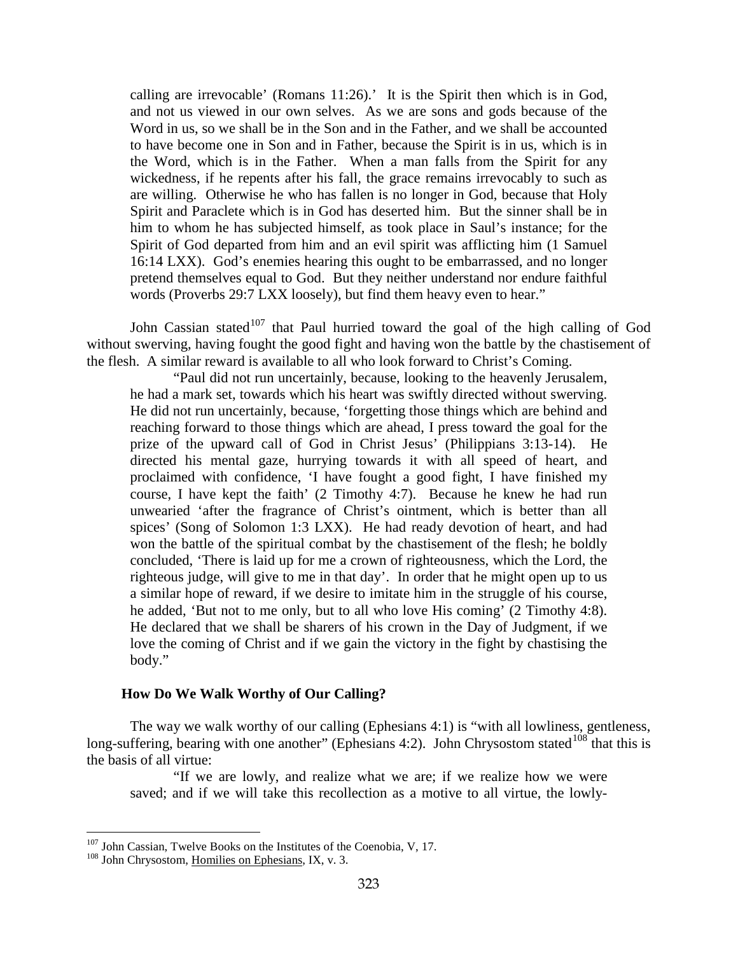calling are irrevocable' (Romans 11:26).' It is the Spirit then which is in God, and not us viewed in our own selves. As we are sons and gods because of the Word in us, so we shall be in the Son and in the Father, and we shall be accounted to have become one in Son and in Father, because the Spirit is in us, which is in the Word, which is in the Father. When a man falls from the Spirit for any wickedness, if he repents after his fall, the grace remains irrevocably to such as are willing. Otherwise he who has fallen is no longer in God, because that Holy Spirit and Paraclete which is in God has deserted him. But the sinner shall be in him to whom he has subjected himself, as took place in Saul's instance; for the Spirit of God departed from him and an evil spirit was afflicting him (1 Samuel 16:14 LXX). God's enemies hearing this ought to be embarrassed, and no longer pretend themselves equal to God. But they neither understand nor endure faithful words (Proverbs 29:7 LXX loosely), but find them heavy even to hear."

John Cassian stated<sup>[107](#page-63-0)</sup> that Paul hurried toward the goal of the high calling of God without swerving, having fought the good fight and having won the battle by the chastisement of the flesh. A similar reward is available to all who look forward to Christ's Coming.

"Paul did not run uncertainly, because, looking to the heavenly Jerusalem, he had a mark set, towards which his heart was swiftly directed without swerving. He did not run uncertainly, because, 'forgetting those things which are behind and reaching forward to those things which are ahead, I press toward the goal for the prize of the upward call of God in Christ Jesus' (Philippians 3:13-14). He directed his mental gaze, hurrying towards it with all speed of heart, and proclaimed with confidence, 'I have fought a good fight, I have finished my course, I have kept the faith' (2 Timothy 4:7). Because he knew he had run unwearied 'after the fragrance of Christ's ointment, which is better than all spices' (Song of Solomon 1:3 LXX). He had ready devotion of heart, and had won the battle of the spiritual combat by the chastisement of the flesh; he boldly concluded, 'There is laid up for me a crown of righteousness, which the Lord, the righteous judge, will give to me in that day'. In order that he might open up to us a similar hope of reward, if we desire to imitate him in the struggle of his course, he added, 'But not to me only, but to all who love His coming' (2 Timothy 4:8). He declared that we shall be sharers of his crown in the Day of Judgment, if we love the coming of Christ and if we gain the victory in the fight by chastising the body."

### **How Do We Walk Worthy of Our Calling?**

The way we walk worthy of our calling (Ephesians 4:1) is "with all lowliness, gentleness, long-suffering, bearing with one another" (Ephesians 4:2). John Chrysostom stated<sup>[108](#page-63-1)</sup> that this is the basis of all virtue:

"If we are lowly, and realize what we are; if we realize how we were saved; and if we will take this recollection as a motive to all virtue, the lowly-

<span id="page-63-0"></span> $^{107}$  John Cassian, Twelve Books on the Institutes of the Coenobia, V, 17.  $^{108}$  John Chrysostom, Homilies on Ephesians, IX, v. 3.

<span id="page-63-1"></span>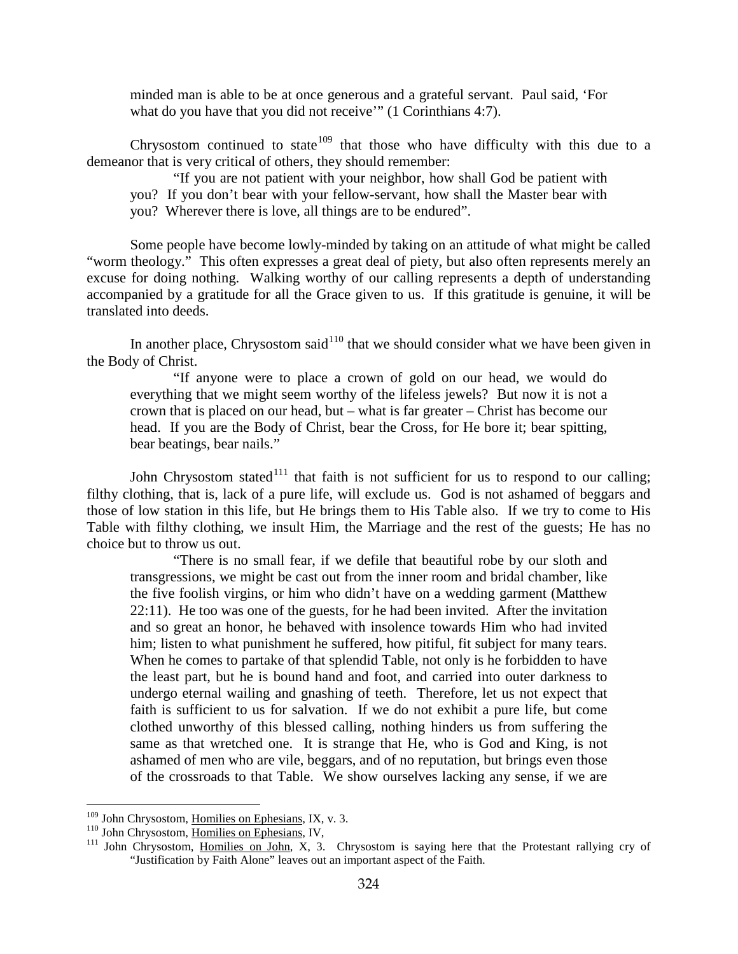minded man is able to be at once generous and a grateful servant. Paul said, 'For what do you have that you did not receive" (1 Corinthians 4:7).

Chrysostom continued to state<sup>[109](#page-64-0)</sup> that those who have difficulty with this due to a demeanor that is very critical of others, they should remember:

"If you are not patient with your neighbor, how shall God be patient with you? If you don't bear with your fellow-servant, how shall the Master bear with you? Wherever there is love, all things are to be endured".

Some people have become lowly-minded by taking on an attitude of what might be called "worm theology." This often expresses a great deal of piety, but also often represents merely an excuse for doing nothing. Walking worthy of our calling represents a depth of understanding accompanied by a gratitude for all the Grace given to us. If this gratitude is genuine, it will be translated into deeds.

In another place, Chrysostom said<sup>[110](#page-64-1)</sup> that we should consider what we have been given in the Body of Christ.

"If anyone were to place a crown of gold on our head, we would do everything that we might seem worthy of the lifeless jewels? But now it is not a crown that is placed on our head, but – what is far greater – Christ has become our head. If you are the Body of Christ, bear the Cross, for He bore it; bear spitting, bear beatings, bear nails."

John Chrysostom stated<sup>[111](#page-64-2)</sup> that faith is not sufficient for us to respond to our calling; filthy clothing, that is, lack of a pure life, will exclude us. God is not ashamed of beggars and those of low station in this life, but He brings them to His Table also. If we try to come to His Table with filthy clothing, we insult Him, the Marriage and the rest of the guests; He has no choice but to throw us out.

"There is no small fear, if we defile that beautiful robe by our sloth and transgressions, we might be cast out from the inner room and bridal chamber, like the five foolish virgins, or him who didn't have on a wedding garment (Matthew 22:11). He too was one of the guests, for he had been invited. After the invitation and so great an honor, he behaved with insolence towards Him who had invited him; listen to what punishment he suffered, how pitiful, fit subject for many tears. When he comes to partake of that splendid Table, not only is he forbidden to have the least part, but he is bound hand and foot, and carried into outer darkness to undergo eternal wailing and gnashing of teeth. Therefore, let us not expect that faith is sufficient to us for salvation. If we do not exhibit a pure life, but come clothed unworthy of this blessed calling, nothing hinders us from suffering the same as that wretched one. It is strange that He, who is God and King, is not ashamed of men who are vile, beggars, and of no reputation, but brings even those of the crossroads to that Table. We show ourselves lacking any sense, if we are

<span id="page-64-0"></span><sup>&</sup>lt;sup>109</sup> John Chrysostom, <u>Homilies on Ephesians</u>, IX, v. 3.<br><sup>110</sup> John Chrysostom, <u>Homilies on Ephesians</u>, IV,

<span id="page-64-2"></span><span id="page-64-1"></span> $10^{111}$  John Chrysostom, <u>Homilies on John</u>, X, 3. Chrysostom is saying here that the Protestant rallying cry of "Justification by Faith Alone" leaves out an important aspect of the Faith.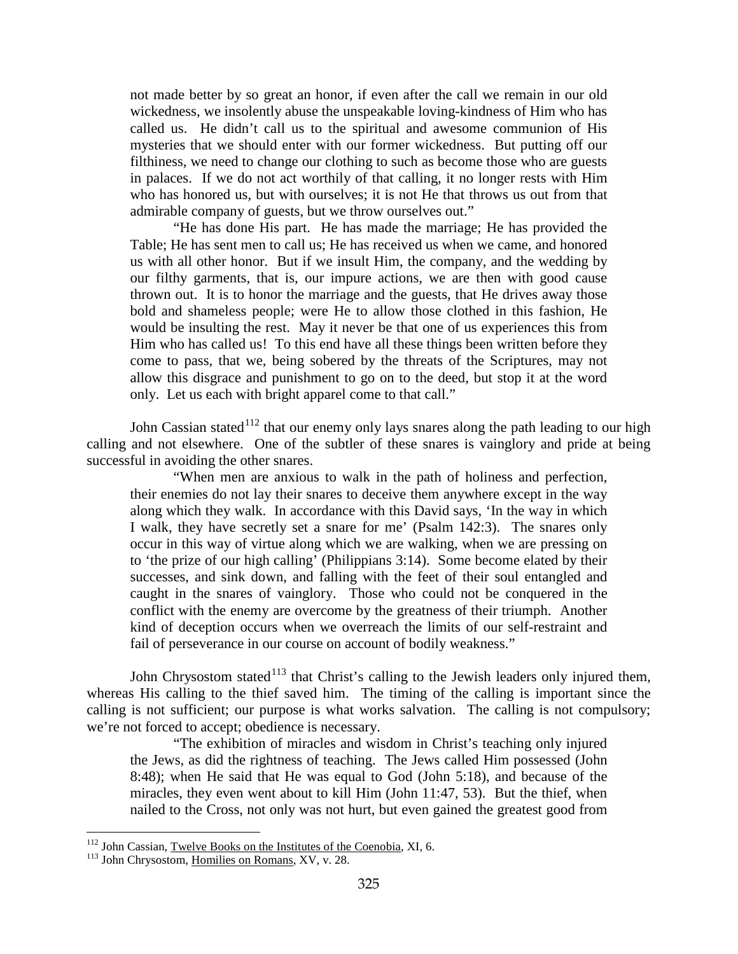not made better by so great an honor, if even after the call we remain in our old wickedness, we insolently abuse the unspeakable loving-kindness of Him who has called us. He didn't call us to the spiritual and awesome communion of His mysteries that we should enter with our former wickedness. But putting off our filthiness, we need to change our clothing to such as become those who are guests in palaces. If we do not act worthily of that calling, it no longer rests with Him who has honored us, but with ourselves; it is not He that throws us out from that admirable company of guests, but we throw ourselves out."

"He has done His part. He has made the marriage; He has provided the Table; He has sent men to call us; He has received us when we came, and honored us with all other honor. But if we insult Him, the company, and the wedding by our filthy garments, that is, our impure actions, we are then with good cause thrown out. It is to honor the marriage and the guests, that He drives away those bold and shameless people; were He to allow those clothed in this fashion, He would be insulting the rest. May it never be that one of us experiences this from Him who has called us! To this end have all these things been written before they come to pass, that we, being sobered by the threats of the Scriptures, may not allow this disgrace and punishment to go on to the deed, but stop it at the word only. Let us each with bright apparel come to that call."

John Cassian stated<sup>[112](#page-65-0)</sup> that our enemy only lays snares along the path leading to our high calling and not elsewhere. One of the subtler of these snares is vainglory and pride at being successful in avoiding the other snares.

"When men are anxious to walk in the path of holiness and perfection, their enemies do not lay their snares to deceive them anywhere except in the way along which they walk. In accordance with this David says, 'In the way in which I walk, they have secretly set a snare for me' (Psalm 142:3). The snares only occur in this way of virtue along which we are walking, when we are pressing on to 'the prize of our high calling' (Philippians 3:14). Some become elated by their successes, and sink down, and falling with the feet of their soul entangled and caught in the snares of vainglory. Those who could not be conquered in the conflict with the enemy are overcome by the greatness of their triumph. Another kind of deception occurs when we overreach the limits of our self-restraint and fail of perseverance in our course on account of bodily weakness."

John Chrysostom stated<sup>[113](#page-65-1)</sup> that Christ's calling to the Jewish leaders only injured them, whereas His calling to the thief saved him. The timing of the calling is important since the calling is not sufficient; our purpose is what works salvation. The calling is not compulsory; we're not forced to accept; obedience is necessary.

"The exhibition of miracles and wisdom in Christ's teaching only injured the Jews, as did the rightness of teaching. The Jews called Him possessed (John 8:48); when He said that He was equal to God (John 5:18), and because of the miracles, they even went about to kill Him (John 11:47, 53). But the thief, when nailed to the Cross, not only was not hurt, but even gained the greatest good from

<span id="page-65-0"></span><sup>&</sup>lt;sup>112</sup> John Cassian, <u>Twelve Books on the Institutes of the Coenobia</u>, XI, 6. <sup>113</sup> John Chrysostom, <u>Homilies on Romans</u>, XV, v. 28.

<span id="page-65-1"></span>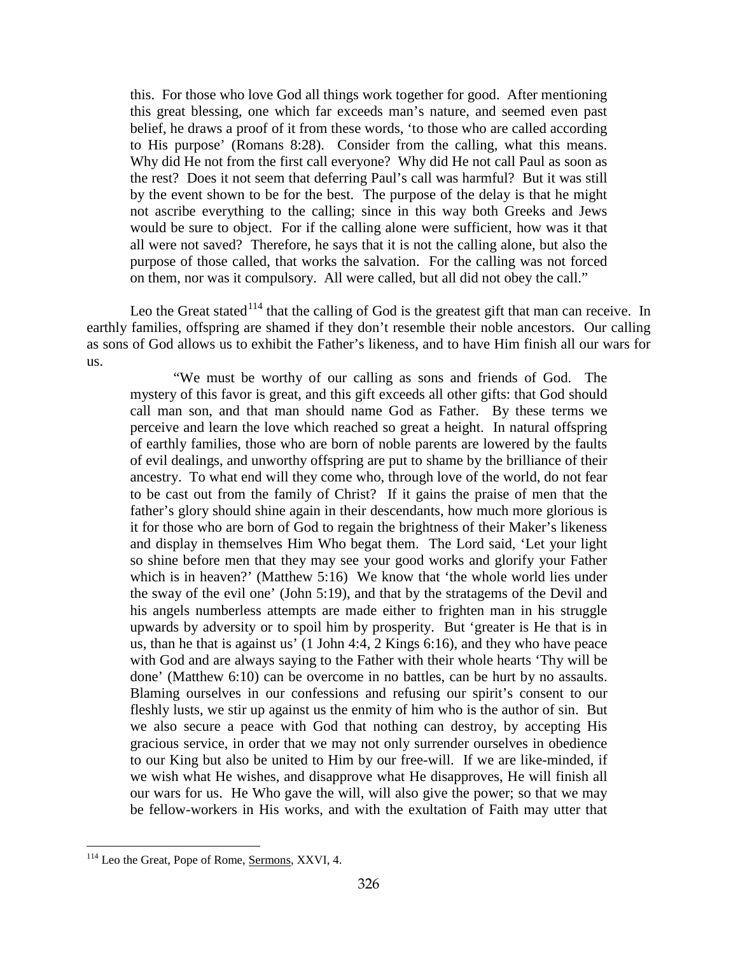this. For those who love God all things work together for good. After mentioning this great blessing, one which far exceeds man's nature, and seemed even past belief, he draws a proof of it from these words, 'to those who are called according to His purpose' (Romans 8:28). Consider from the calling, what this means. Why did He not from the first call everyone? Why did He not call Paul as soon as the rest? Does it not seem that deferring Paul's call was harmful? But it was still by the event shown to be for the best. The purpose of the delay is that he might not ascribe everything to the calling; since in this way both Greeks and Jews would be sure to object. For if the calling alone were sufficient, how was it that all were not saved? Therefore, he says that it is not the calling alone, but also the purpose of those called, that works the salvation. For the calling was not forced on them, nor was it compulsory. All were called, but all did not obey the call."

Leo the Great stated $114$  that the calling of God is the greatest gift that man can receive. In earthly families, offspring are shamed if they don't resemble their noble ancestors. Our calling as sons of God allows us to exhibit the Father's likeness, and to have Him finish all our wars for us.

"We must be worthy of our calling as sons and friends of God. The mystery of this favor is great, and this gift exceeds all other gifts: that God should call man son, and that man should name God as Father. By these terms we perceive and learn the love which reached so great a height. In natural offspring of earthly families, those who are born of noble parents are lowered by the faults of evil dealings, and unworthy offspring are put to shame by the brilliance of their ancestry. To what end will they come who, through love of the world, do not fear to be cast out from the family of Christ? If it gains the praise of men that the father's glory should shine again in their descendants, how much more glorious is it for those who are born of God to regain the brightness of their Maker's likeness and display in themselves Him Who begat them. The Lord said, 'Let your light so shine before men that they may see your good works and glorify your Father which is in heaven?' (Matthew 5:16) We know that 'the whole world lies under the sway of the evil one' (John 5:19), and that by the stratagems of the Devil and his angels numberless attempts are made either to frighten man in his struggle upwards by adversity or to spoil him by prosperity. But 'greater is He that is in us, than he that is against us' (1 John 4:4, 2 Kings 6:16), and they who have peace with God and are always saying to the Father with their whole hearts 'Thy will be done' (Matthew 6:10) can be overcome in no battles, can be hurt by no assaults. Blaming ourselves in our confessions and refusing our spirit's consent to our fleshly lusts, we stir up against us the enmity of him who is the author of sin. But we also secure a peace with God that nothing can destroy, by accepting His gracious service, in order that we may not only surrender ourselves in obedience to our King but also be united to Him by our free-will. If we are like-minded, if we wish what He wishes, and disapprove what He disapproves, He will finish all our wars for us. He Who gave the will, will also give the power; so that we may be fellow-workers in His works, and with the exultation of Faith may utter that

<span id="page-66-0"></span><sup>&</sup>lt;sup>114</sup> Leo the Great, Pope of Rome, Sermons, XXVI, 4.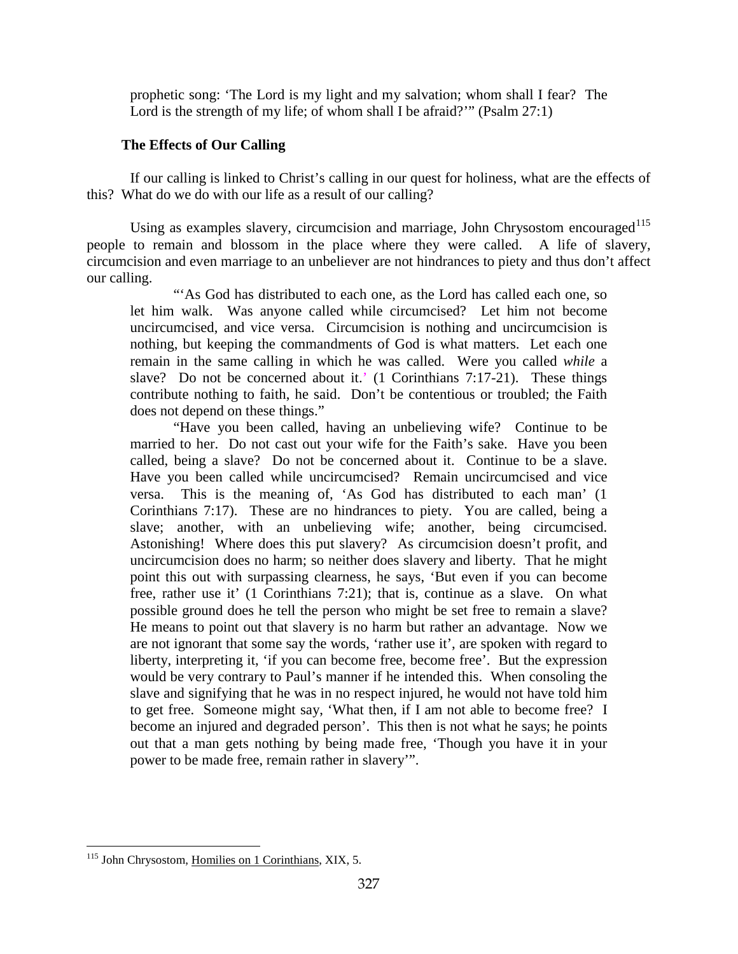prophetic song: 'The Lord is my light and my salvation; whom shall I fear? The Lord is the strength of my life; of whom shall I be afraid?'" (Psalm 27:1)

# **The Effects of Our Calling**

If our calling is linked to Christ's calling in our quest for holiness, what are the effects of this? What do we do with our life as a result of our calling?

Using as examples slavery, circumcision and marriage, John Chrysostom encouraged<sup>[115](#page-67-0)</sup> people to remain and blossom in the place where they were called. A life of slavery, circumcision and even marriage to an unbeliever are not hindrances to piety and thus don't affect our calling.

"As God has distributed to each one, as the Lord has called each one, so let him walk. Was anyone called while circumcised? Let him not become uncircumcised, and vice versa. Circumcision is nothing and uncircumcision is nothing, but keeping the commandments of God is what matters. Let each one remain in the same calling in which he was called. Were you called *while* a slave? Do not be concerned about it.' (1 Corinthians 7:17-21). These things contribute nothing to faith, he said. Don't be contentious or troubled; the Faith does not depend on these things."

"Have you been called, having an unbelieving wife? Continue to be married to her. Do not cast out your wife for the Faith's sake. Have you been called, being a slave? Do not be concerned about it. Continue to be a slave. Have you been called while uncircumcised? Remain uncircumcised and vice versa. This is the meaning of, 'As God has distributed to each man' (1 Corinthians 7:17). These are no hindrances to piety. You are called, being a slave; another, with an unbelieving wife; another, being circumcised. Astonishing! Where does this put slavery? As circumcision doesn't profit, and uncircumcision does no harm; so neither does slavery and liberty. That he might point this out with surpassing clearness, he says, 'But even if you can become free, rather use it' (1 Corinthians 7:21); that is, continue as a slave. On what possible ground does he tell the person who might be set free to remain a slave? He means to point out that slavery is no harm but rather an advantage. Now we are not ignorant that some say the words, 'rather use it', are spoken with regard to liberty, interpreting it, 'if you can become free, become free'. But the expression would be very contrary to Paul's manner if he intended this. When consoling the slave and signifying that he was in no respect injured, he would not have told him to get free. Someone might say, 'What then, if I am not able to become free? I become an injured and degraded person'. This then is not what he says; he points out that a man gets nothing by being made free, 'Though you have it in your power to be made free, remain rather in slavery'".

<span id="page-67-0"></span> $\overline{a}$ <sup>115</sup> John Chrysostom, Homilies on 1 Corinthians, XIX, 5.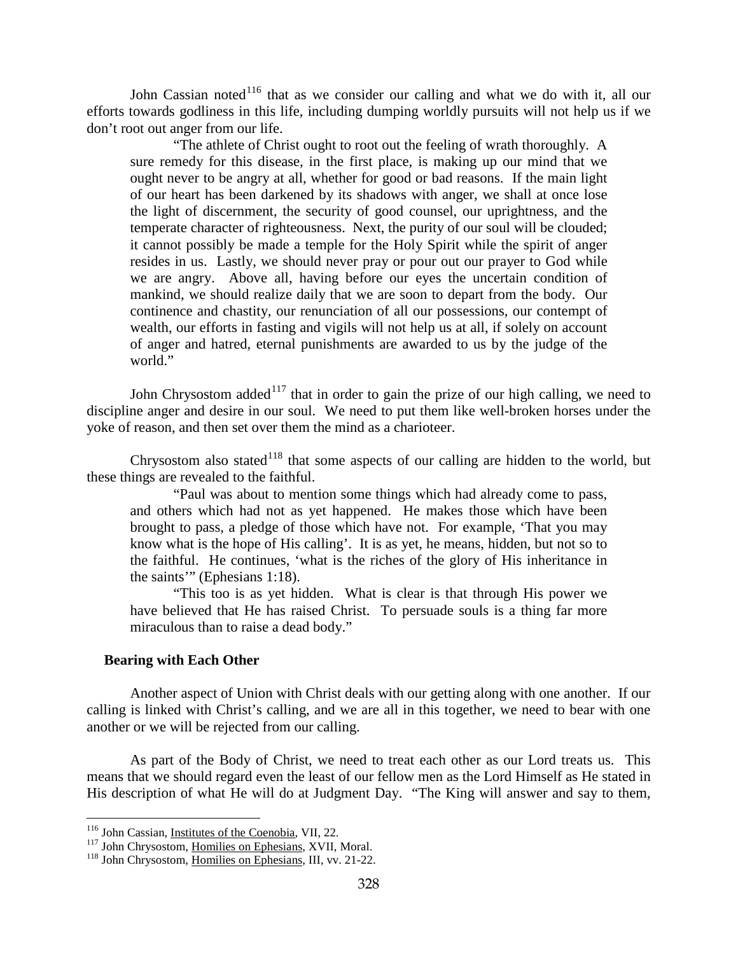John Cassian noted<sup>[116](#page-68-0)</sup> that as we consider our calling and what we do with it, all our efforts towards godliness in this life, including dumping worldly pursuits will not help us if we don't root out anger from our life.

"The athlete of Christ ought to root out the feeling of wrath thoroughly. A sure remedy for this disease, in the first place, is making up our mind that we ought never to be angry at all, whether for good or bad reasons. If the main light of our heart has been darkened by its shadows with anger, we shall at once lose the light of discernment, the security of good counsel, our uprightness, and the temperate character of righteousness. Next, the purity of our soul will be clouded; it cannot possibly be made a temple for the Holy Spirit while the spirit of anger resides in us. Lastly, we should never pray or pour out our prayer to God while we are angry. Above all, having before our eyes the uncertain condition of mankind, we should realize daily that we are soon to depart from the body. Our continence and chastity, our renunciation of all our possessions, our contempt of wealth, our efforts in fasting and vigils will not help us at all, if solely on account of anger and hatred, eternal punishments are awarded to us by the judge of the world."

John Chrysostom added $117$  that in order to gain the prize of our high calling, we need to discipline anger and desire in our soul. We need to put them like well-broken horses under the yoke of reason, and then set over them the mind as a charioteer.

Chrysostom also stated<sup>[118](#page-68-2)</sup> that some aspects of our calling are hidden to the world, but these things are revealed to the faithful.

"Paul was about to mention some things which had already come to pass, and others which had not as yet happened. He makes those which have been brought to pass, a pledge of those which have not. For example, 'That you may know what is the hope of His calling'. It is as yet, he means, hidden, but not so to the faithful. He continues, 'what is the riches of the glory of His inheritance in the saints'" (Ephesians 1:18).

"This too is as yet hidden. What is clear is that through His power we have believed that He has raised Christ. To persuade souls is a thing far more miraculous than to raise a dead body."

## **Bearing with Each Other**

Another aspect of Union with Christ deals with our getting along with one another. If our calling is linked with Christ's calling, and we are all in this together, we need to bear with one another or we will be rejected from our calling.

As part of the Body of Christ, we need to treat each other as our Lord treats us. This means that we should regard even the least of our fellow men as the Lord Himself as He stated in His description of what He will do at Judgment Day. "The King will answer and say to them,

<span id="page-68-0"></span><sup>&</sup>lt;sup>116</sup> John Cassian, *Institutes* of the Coenobia, VII, 22.

<span id="page-68-1"></span><sup>&</sup>lt;sup>117</sup> John Chrysostom, <u>Homilies on Ephesians</u>, XVII, Moral.<br><sup>118</sup> John Chrysostom, <u>Homilies on Ephesians</u>, III, vv. 21-22.

<span id="page-68-2"></span>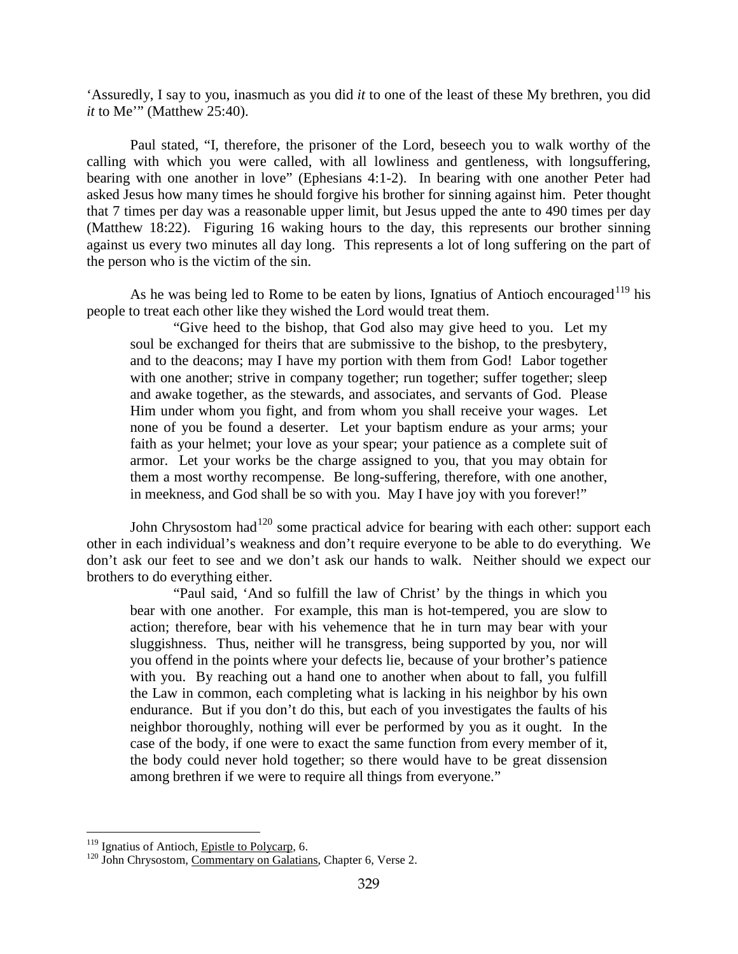'Assuredly, I say to you, inasmuch as you did *it* to one of the least of these My brethren, you did *it* to Me'" (Matthew 25:40).

Paul stated, "I, therefore, the prisoner of the Lord, beseech you to walk worthy of the calling with which you were called, with all lowliness and gentleness, with longsuffering, bearing with one another in love" (Ephesians 4:1-2). In bearing with one another Peter had asked Jesus how many times he should forgive his brother for sinning against him. Peter thought that 7 times per day was a reasonable upper limit, but Jesus upped the ante to 490 times per day (Matthew 18:22). Figuring 16 waking hours to the day, this represents our brother sinning against us every two minutes all day long. This represents a lot of long suffering on the part of the person who is the victim of the sin.

As he was being led to Rome to be eaten by lions, Ignatius of Antioch encouraged<sup>[119](#page-69-0)</sup> his people to treat each other like they wished the Lord would treat them.

"Give heed to the bishop, that God also may give heed to you. Let my soul be exchanged for theirs that are submissive to the bishop, to the presbytery, and to the deacons; may I have my portion with them from God! Labor together with one another; strive in company together; run together; suffer together; sleep and awake together, as the stewards, and associates, and servants of God. Please Him under whom you fight, and from whom you shall receive your wages. Let none of you be found a deserter. Let your baptism endure as your arms; your faith as your helmet; your love as your spear; your patience as a complete suit of armor. Let your works be the charge assigned to you, that you may obtain for them a most worthy recompense. Be long-suffering, therefore, with one another, in meekness, and God shall be so with you. May I have joy with you forever!"

John Chrysostom had<sup>[120](#page-69-1)</sup> some practical advice for bearing with each other: support each other in each individual's weakness and don't require everyone to be able to do everything. We don't ask our feet to see and we don't ask our hands to walk. Neither should we expect our brothers to do everything either.

"Paul said, 'And so fulfill the law of Christ' by the things in which you bear with one another. For example, this man is hot-tempered, you are slow to action; therefore, bear with his vehemence that he in turn may bear with your sluggishness. Thus, neither will he transgress, being supported by you, nor will you offend in the points where your defects lie, because of your brother's patience with you. By reaching out a hand one to another when about to fall, you fulfill the Law in common, each completing what is lacking in his neighbor by his own endurance. But if you don't do this, but each of you investigates the faults of his neighbor thoroughly, nothing will ever be performed by you as it ought. In the case of the body, if one were to exact the same function from every member of it, the body could never hold together; so there would have to be great dissension among brethren if we were to require all things from everyone."

<span id="page-69-1"></span><span id="page-69-0"></span><sup>&</sup>lt;sup>119</sup> Ignatius of Antioch, *Epistle to Polycarp*, 6.  $\frac{120}{120}$  John Chrysostom, *Commentary on Galatians*, Chapter 6, Verse 2.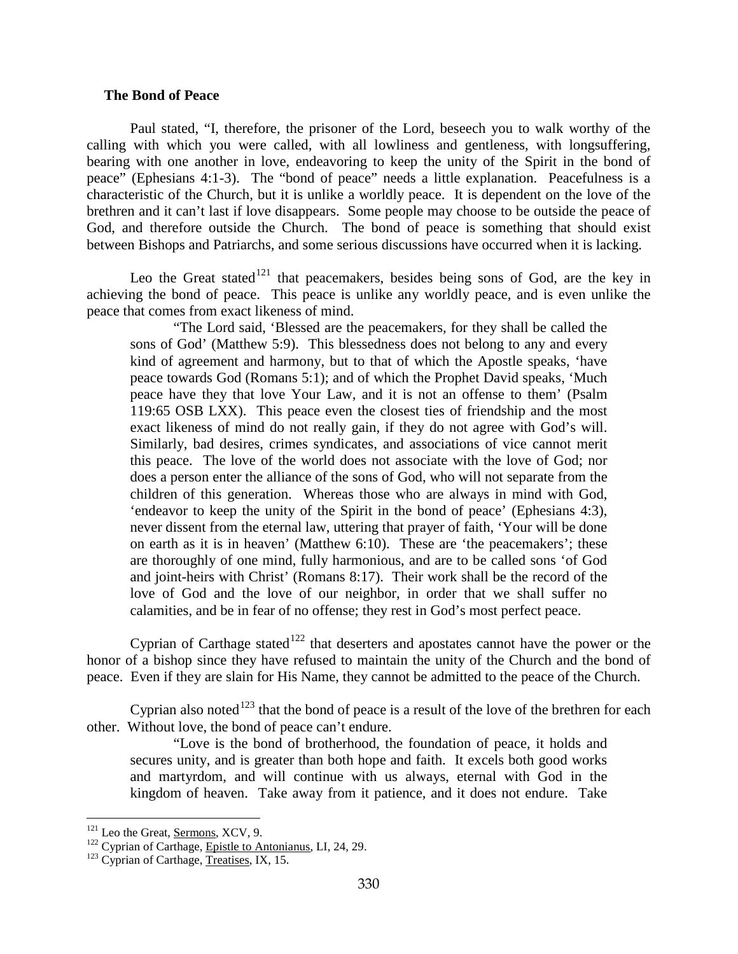## **The Bond of Peace**

Paul stated, "I, therefore, the prisoner of the Lord, beseech you to walk worthy of the calling with which you were called, with all lowliness and gentleness, with longsuffering, bearing with one another in love, endeavoring to keep the unity of the Spirit in the bond of peace" (Ephesians 4:1-3). The "bond of peace" needs a little explanation. Peacefulness is a characteristic of the Church, but it is unlike a worldly peace. It is dependent on the love of the brethren and it can't last if love disappears. Some people may choose to be outside the peace of God, and therefore outside the Church. The bond of peace is something that should exist between Bishops and Patriarchs, and some serious discussions have occurred when it is lacking.

Leo the Great stated<sup>[121](#page-70-0)</sup> that peacemakers, besides being sons of God, are the key in achieving the bond of peace. This peace is unlike any worldly peace, and is even unlike the peace that comes from exact likeness of mind.

"The Lord said, 'Blessed are the peacemakers, for they shall be called the sons of God' (Matthew 5:9). This blessedness does not belong to any and every kind of agreement and harmony, but to that of which the Apostle speaks, 'have peace towards God (Romans 5:1); and of which the Prophet David speaks, 'Much peace have they that love Your Law, and it is not an offense to them' (Psalm 119:65 OSB LXX). This peace even the closest ties of friendship and the most exact likeness of mind do not really gain, if they do not agree with God's will. Similarly, bad desires, crimes syndicates, and associations of vice cannot merit this peace. The love of the world does not associate with the love of God; nor does a person enter the alliance of the sons of God, who will not separate from the children of this generation. Whereas those who are always in mind with God, 'endeavor to keep the unity of the Spirit in the bond of peace' (Ephesians 4:3), never dissent from the eternal law, uttering that prayer of faith, 'Your will be done on earth as it is in heaven' (Matthew 6:10). These are 'the peacemakers'; these are thoroughly of one mind, fully harmonious, and are to be called sons 'of God and joint-heirs with Christ' (Romans 8:17). Their work shall be the record of the love of God and the love of our neighbor, in order that we shall suffer no calamities, and be in fear of no offense; they rest in God's most perfect peace.

Cyprian of Carthage stated<sup>[122](#page-70-1)</sup> that deserters and apostates cannot have the power or the honor of a bishop since they have refused to maintain the unity of the Church and the bond of peace. Even if they are slain for His Name, they cannot be admitted to the peace of the Church.

Cyprian also noted<sup>[123](#page-70-2)</sup> that the bond of peace is a result of the love of the brethren for each other. Without love, the bond of peace can't endure.

"Love is the bond of brotherhood, the foundation of peace, it holds and secures unity, and is greater than both hope and faith. It excels both good works and martyrdom, and will continue with us always, eternal with God in the kingdom of heaven. Take away from it patience, and it does not endure. Take

<span id="page-70-1"></span><span id="page-70-0"></span><sup>&</sup>lt;sup>121</sup> Leo the Great, <u>Sermons</u>, XCV, 9.<br><sup>122</sup> Cyprian of Carthage, <u>Epistle to Antonianus</u>, LI, 24, 29.<br><sup>123</sup> Cyprian of Carthage, <u>Treatises</u>, IX, 15.

<span id="page-70-2"></span>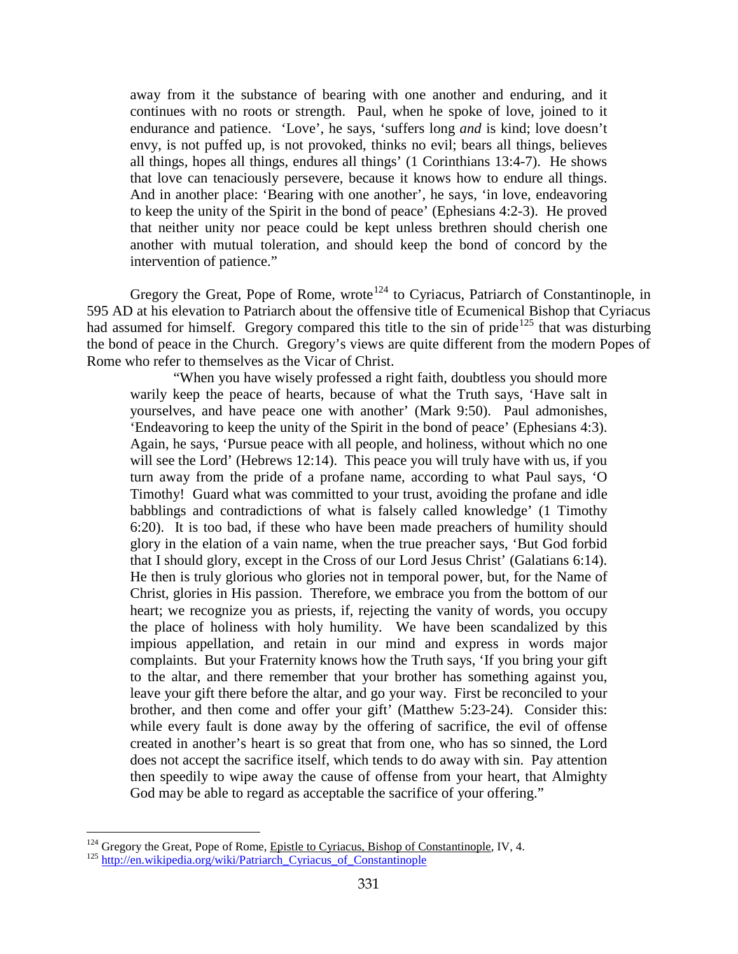away from it the substance of bearing with one another and enduring, and it continues with no roots or strength. Paul, when he spoke of love, joined to it endurance and patience. 'Love', he says, 'suffers long *and* is kind; love doesn't envy, is not puffed up, is not provoked, thinks no evil; bears all things, believes all things, hopes all things, endures all things' (1 Corinthians 13:4-7). He shows that love can tenaciously persevere, because it knows how to endure all things. And in another place: 'Bearing with one another', he says, 'in love, endeavoring to keep the unity of the Spirit in the bond of peace' (Ephesians 4:2-3). He proved that neither unity nor peace could be kept unless brethren should cherish one another with mutual toleration, and should keep the bond of concord by the intervention of patience."

Gregory the Great, Pope of Rome, wrote<sup>[124](#page-71-0)</sup> to Cyriacus, Patriarch of Constantinople, in 595 AD at his elevation to Patriarch about the offensive title of Ecumenical Bishop that Cyriacus had assumed for himself. Gregory compared this title to the sin of pride<sup>[125](#page-71-1)</sup> that was disturbing the bond of peace in the Church. Gregory's views are quite different from the modern Popes of Rome who refer to themselves as the Vicar of Christ.

"When you have wisely professed a right faith, doubtless you should more warily keep the peace of hearts, because of what the Truth says, 'Have salt in yourselves, and have peace one with another' (Mark 9:50). Paul admonishes, 'Endeavoring to keep the unity of the Spirit in the bond of peace' (Ephesians 4:3). Again, he says, 'Pursue peace with all people, and holiness, without which no one will see the Lord' (Hebrews 12:14). This peace you will truly have with us, if you turn away from the pride of a profane name, according to what Paul says, 'O Timothy! Guard what was committed to your trust, avoiding the profane and idle babblings and contradictions of what is falsely called knowledge' (1 Timothy 6:20). It is too bad, if these who have been made preachers of humility should glory in the elation of a vain name, when the true preacher says, 'But God forbid that I should glory, except in the Cross of our Lord Jesus Christ' (Galatians 6:14). He then is truly glorious who glories not in temporal power, but, for the Name of Christ, glories in His passion. Therefore, we embrace you from the bottom of our heart; we recognize you as priests, if, rejecting the vanity of words, you occupy the place of holiness with holy humility. We have been scandalized by this impious appellation, and retain in our mind and express in words major complaints. But your Fraternity knows how the Truth says, 'If you bring your gift to the altar, and there remember that your brother has something against you, leave your gift there before the altar, and go your way. First be reconciled to your brother, and then come and offer your gift' (Matthew 5:23-24). Consider this: while every fault is done away by the offering of sacrifice, the evil of offense created in another's heart is so great that from one, who has so sinned, the Lord does not accept the sacrifice itself, which tends to do away with sin. Pay attention then speedily to wipe away the cause of offense from your heart, that Almighty God may be able to regard as acceptable the sacrifice of your offering."

<span id="page-71-0"></span><sup>&</sup>lt;sup>124</sup> Gregory the Great, Pope of Rome, <u>Epistle to Cyriacus, Bishop of Constantinople</u>, IV, 4.<br><sup>125</sup> [http://en.wikipedia.org/wiki/Patriarch\\_Cyriacus\\_of\\_Constantinople](http://en.wikipedia.org/wiki/Patriarch_Cyriacus_of_Constantinople)

<span id="page-71-1"></span>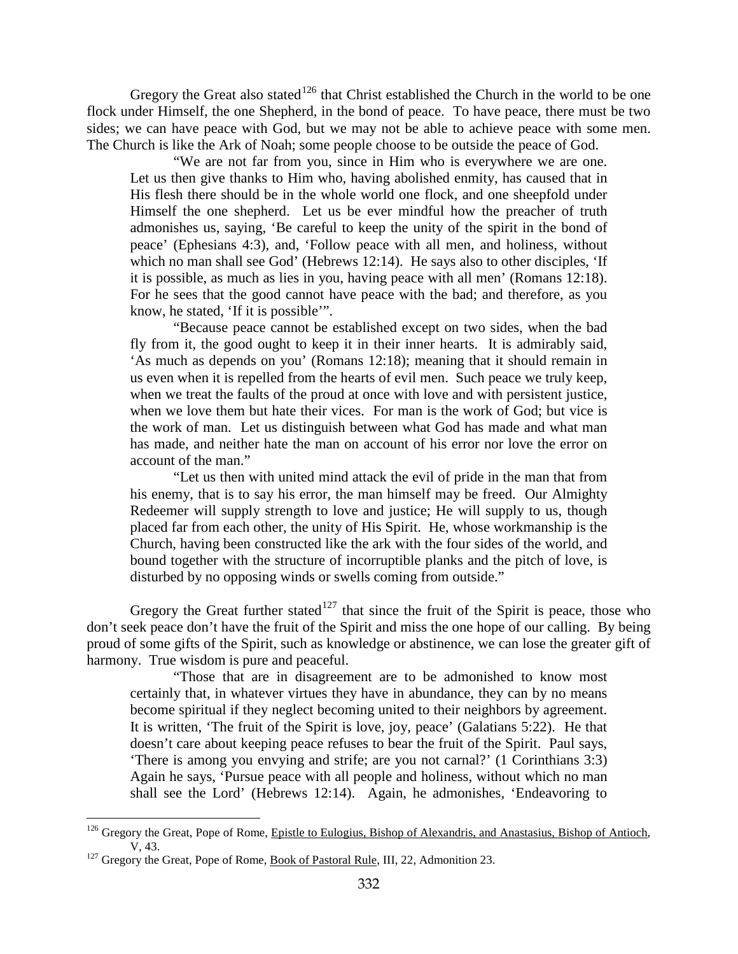Gregory the Great also stated<sup>[126](#page-72-0)</sup> that Christ established the Church in the world to be one flock under Himself, the one Shepherd, in the bond of peace. To have peace, there must be two sides; we can have peace with God, but we may not be able to achieve peace with some men. The Church is like the Ark of Noah; some people choose to be outside the peace of God.

"We are not far from you, since in Him who is everywhere we are one. Let us then give thanks to Him who, having abolished enmity, has caused that in His flesh there should be in the whole world one flock, and one sheepfold under Himself the one shepherd. Let us be ever mindful how the preacher of truth admonishes us, saying, 'Be careful to keep the unity of the spirit in the bond of peace' (Ephesians 4:3), and, 'Follow peace with all men, and holiness, without which no man shall see God' (Hebrews 12:14). He says also to other disciples, 'If it is possible, as much as lies in you, having peace with all men' (Romans 12:18). For he sees that the good cannot have peace with the bad; and therefore, as you know, he stated, 'If it is possible'".

"Because peace cannot be established except on two sides, when the bad fly from it, the good ought to keep it in their inner hearts. It is admirably said, 'As much as depends on you' (Romans 12:18); meaning that it should remain in us even when it is repelled from the hearts of evil men. Such peace we truly keep, when we treat the faults of the proud at once with love and with persistent justice, when we love them but hate their vices. For man is the work of God; but vice is the work of man. Let us distinguish between what God has made and what man has made, and neither hate the man on account of his error nor love the error on account of the man."

"Let us then with united mind attack the evil of pride in the man that from his enemy, that is to say his error, the man himself may be freed. Our Almighty Redeemer will supply strength to love and justice; He will supply to us, though placed far from each other, the unity of His Spirit. He, whose workmanship is the Church, having been constructed like the ark with the four sides of the world, and bound together with the structure of incorruptible planks and the pitch of love, is disturbed by no opposing winds or swells coming from outside."

Gregory the Great further stated<sup>[127](#page-72-1)</sup> that since the fruit of the Spirit is peace, those who don't seek peace don't have the fruit of the Spirit and miss the one hope of our calling. By being proud of some gifts of the Spirit, such as knowledge or abstinence, we can lose the greater gift of harmony. True wisdom is pure and peaceful.

"Those that are in disagreement are to be admonished to know most certainly that, in whatever virtues they have in abundance, they can by no means become spiritual if they neglect becoming united to their neighbors by agreement. It is written, 'The fruit of the Spirit is love, joy, peace' (Galatians 5:22). He that doesn't care about keeping peace refuses to bear the fruit of the Spirit. Paul says, 'There is among you envying and strife; are you not carnal?' (1 Corinthians 3:3) Again he says, 'Pursue peace with all people and holiness, without which no man shall see the Lord' (Hebrews 12:14). Again, he admonishes, 'Endeavoring to

<span id="page-72-0"></span><sup>&</sup>lt;sup>126</sup> Gregory the Great, Pope of Rome, Epistle to Eulogius, Bishop of Alexandris, and Anastasius, Bishop of Antioch, V, 43.<br><sup>127</sup> Gregory the Great, Pope of Rome, <u>Book of Pastoral Rule</u>, III, 22, Admonition 23.

<span id="page-72-1"></span>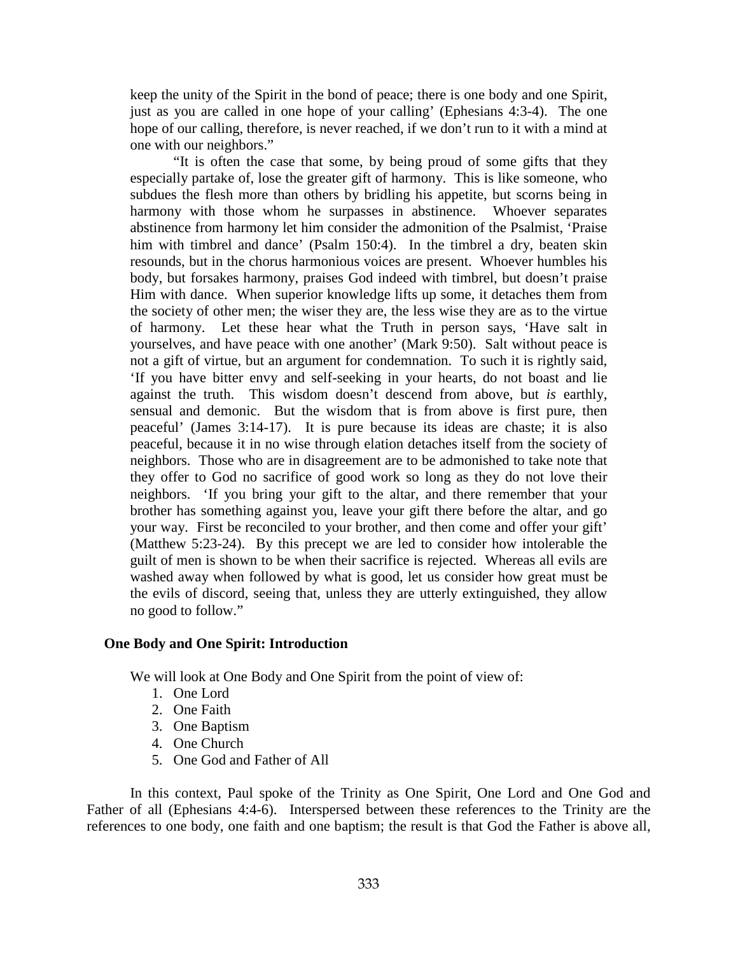keep the unity of the Spirit in the bond of peace; there is one body and one Spirit, just as you are called in one hope of your calling' (Ephesians 4:3-4). The one hope of our calling, therefore, is never reached, if we don't run to it with a mind at one with our neighbors."

"It is often the case that some, by being proud of some gifts that they especially partake of, lose the greater gift of harmony. This is like someone, who subdues the flesh more than others by bridling his appetite, but scorns being in harmony with those whom he surpasses in abstinence. Whoever separates abstinence from harmony let him consider the admonition of the Psalmist, 'Praise him with timbrel and dance' (Psalm 150:4). In the timbrel a dry, beaten skin resounds, but in the chorus harmonious voices are present. Whoever humbles his body, but forsakes harmony, praises God indeed with timbrel, but doesn't praise Him with dance. When superior knowledge lifts up some, it detaches them from the society of other men; the wiser they are, the less wise they are as to the virtue of harmony. Let these hear what the Truth in person says, 'Have salt in yourselves, and have peace with one another' (Mark 9:50). Salt without peace is not a gift of virtue, but an argument for condemnation. To such it is rightly said, 'If you have bitter envy and self-seeking in your hearts, do not boast and lie against the truth. This wisdom doesn't descend from above, but *is* earthly, sensual and demonic. But the wisdom that is from above is first pure, then peaceful' (James 3:14-17). It is pure because its ideas are chaste; it is also peaceful, because it in no wise through elation detaches itself from the society of neighbors. Those who are in disagreement are to be admonished to take note that they offer to God no sacrifice of good work so long as they do not love their neighbors. 'If you bring your gift to the altar, and there remember that your brother has something against you, leave your gift there before the altar, and go your way. First be reconciled to your brother, and then come and offer your gift' (Matthew 5:23-24). By this precept we are led to consider how intolerable the guilt of men is shown to be when their sacrifice is rejected. Whereas all evils are washed away when followed by what is good, let us consider how great must be the evils of discord, seeing that, unless they are utterly extinguished, they allow no good to follow."

## **One Body and One Spirit: Introduction**

We will look at One Body and One Spirit from the point of view of:

- 1. One Lord
- 2. One Faith
- 3. One Baptism
- 4. One Church
- 5. One God and Father of All

In this context, Paul spoke of the Trinity as One Spirit, One Lord and One God and Father of all (Ephesians 4:4-6). Interspersed between these references to the Trinity are the references to one body, one faith and one baptism; the result is that God the Father is above all,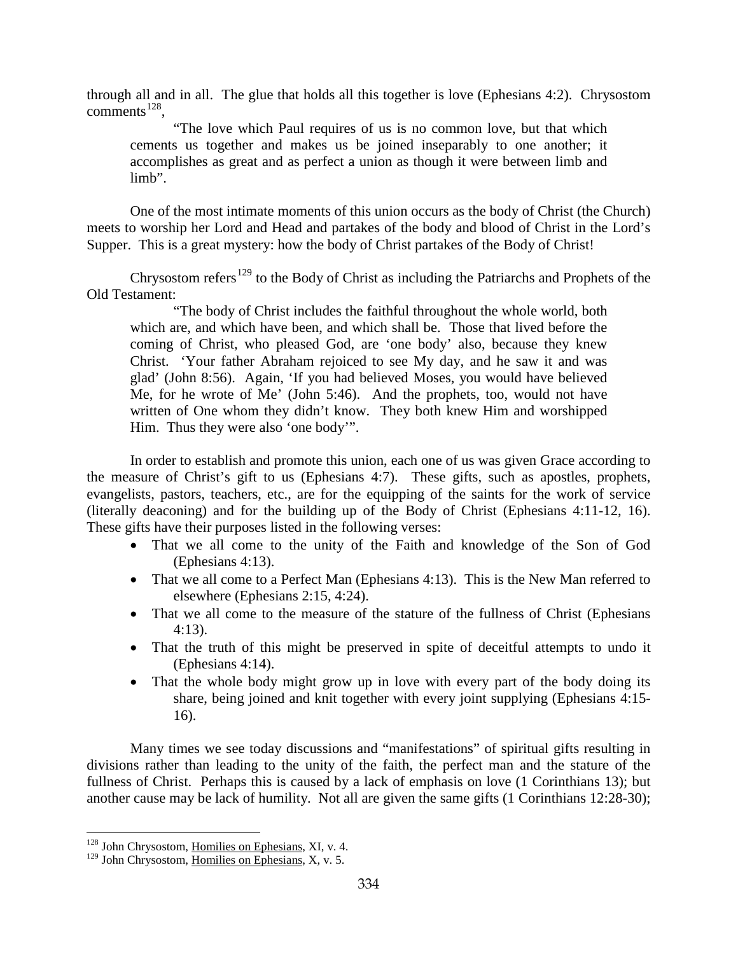through all and in all. The glue that holds all this together is love (Ephesians 4:2). Chrysostom comments<sup>[128](#page-74-0)</sup>,

"The love which Paul requires of us is no common love, but that which cements us together and makes us be joined inseparably to one another; it accomplishes as great and as perfect a union as though it were between limb and limb".

One of the most intimate moments of this union occurs as the body of Christ (the Church) meets to worship her Lord and Head and partakes of the body and blood of Christ in the Lord's Supper. This is a great mystery: how the body of Christ partakes of the Body of Christ!

Chrysostom refers<sup>[129](#page-74-1)</sup> to the Body of Christ as including the Patriarchs and Prophets of the Old Testament:

"The body of Christ includes the faithful throughout the whole world, both which are, and which have been, and which shall be. Those that lived before the coming of Christ, who pleased God, are 'one body' also, because they knew Christ. 'Your father Abraham rejoiced to see My day, and he saw it and was glad' (John 8:56). Again, 'If you had believed Moses, you would have believed Me, for he wrote of Me' (John 5:46). And the prophets, too, would not have written of One whom they didn't know. They both knew Him and worshipped Him. Thus they were also 'one body'".

In order to establish and promote this union, each one of us was given Grace according to the measure of Christ's gift to us (Ephesians 4:7). These gifts, such as apostles, prophets, evangelists, pastors, teachers, etc., are for the equipping of the saints for the work of service (literally deaconing) and for the building up of the Body of Christ (Ephesians 4:11-12, 16). These gifts have their purposes listed in the following verses:

- That we all come to the unity of the Faith and knowledge of the Son of God (Ephesians 4:13).
- That we all come to a Perfect Man (Ephesians 4:13). This is the New Man referred to elsewhere (Ephesians 2:15, 4:24).
- That we all come to the measure of the stature of the fullness of Christ (Ephesians 4:13).
- That the truth of this might be preserved in spite of deceitful attempts to undo it (Ephesians 4:14).
- That the whole body might grow up in love with every part of the body doing its share, being joined and knit together with every joint supplying (Ephesians 4:15- 16).

Many times we see today discussions and "manifestations" of spiritual gifts resulting in divisions rather than leading to the unity of the faith, the perfect man and the stature of the fullness of Christ. Perhaps this is caused by a lack of emphasis on love (1 Corinthians 13); but another cause may be lack of humility. Not all are given the same gifts (1 Corinthians 12:28-30);

<span id="page-74-0"></span><sup>128</sup> John Chrysostom, Homilies on Ephesians, XI, v. 4.

<span id="page-74-1"></span><sup>&</sup>lt;sup>129</sup> John Chrysostom, Homilies on Ephesians, X, v. 5.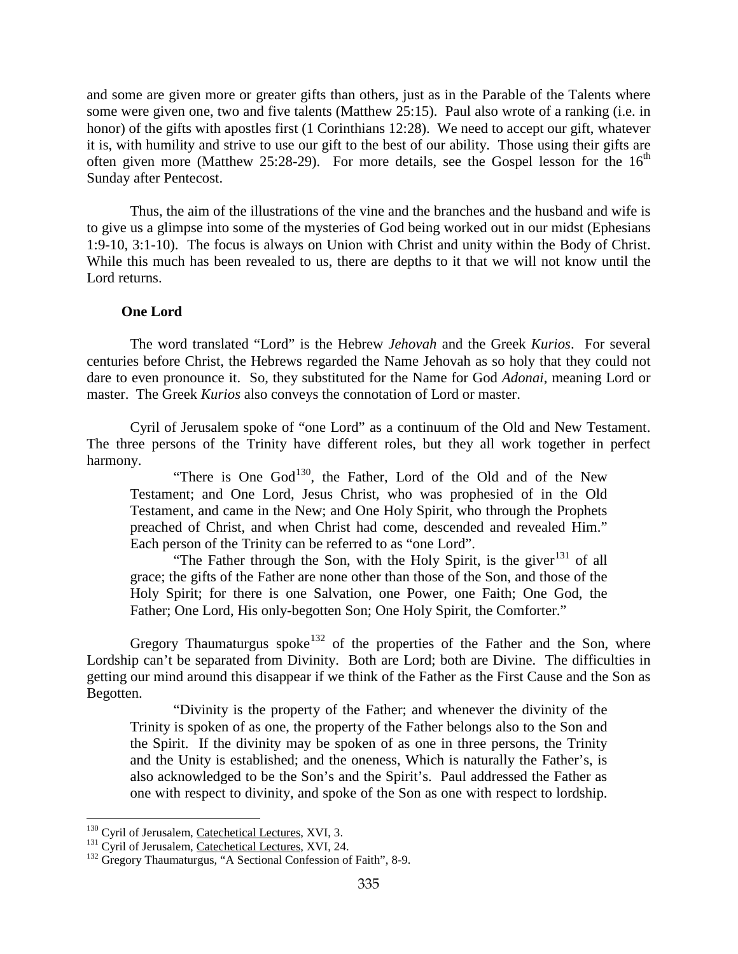and some are given more or greater gifts than others, just as in the Parable of the Talents where some were given one, two and five talents (Matthew 25:15). Paul also wrote of a ranking (i.e. in honor) of the gifts with apostles first (1 Corinthians 12:28). We need to accept our gift, whatever it is, with humility and strive to use our gift to the best of our ability. Those using their gifts are often given more (Matthew 25:28-29). For more details, see the Gospel lesson for the  $16<sup>th</sup>$ Sunday after Pentecost.

Thus, the aim of the illustrations of the vine and the branches and the husband and wife is to give us a glimpse into some of the mysteries of God being worked out in our midst (Ephesians 1:9-10, 3:1-10). The focus is always on Union with Christ and unity within the Body of Christ. While this much has been revealed to us, there are depths to it that we will not know until the Lord returns.

## **One Lord**

The word translated "Lord" is the Hebrew *Jehovah* and the Greek *Kurios*. For several centuries before Christ, the Hebrews regarded the Name Jehovah as so holy that they could not dare to even pronounce it. So, they substituted for the Name for God *Adonai*, meaning Lord or master. The Greek *Kurios* also conveys the connotation of Lord or master.

Cyril of Jerusalem spoke of "one Lord" as a continuum of the Old and New Testament. The three persons of the Trinity have different roles, but they all work together in perfect harmony.

"There is One  $God^{130}$  $God^{130}$  $God^{130}$ , the Father, Lord of the Old and of the New Testament; and One Lord, Jesus Christ, who was prophesied of in the Old Testament, and came in the New; and One Holy Spirit, who through the Prophets preached of Christ, and when Christ had come, descended and revealed Him." Each person of the Trinity can be referred to as "one Lord".

"The Father through the Son, with the Holy Spirit, is the giver $131$  of all grace; the gifts of the Father are none other than those of the Son, and those of the Holy Spirit; for there is one Salvation, one Power, one Faith; One God, the Father; One Lord, His only-begotten Son; One Holy Spirit, the Comforter."

Gregory Thaumaturgus spoke<sup>[132](#page-75-2)</sup> of the properties of the Father and the Son, where Lordship can't be separated from Divinity. Both are Lord; both are Divine. The difficulties in getting our mind around this disappear if we think of the Father as the First Cause and the Son as Begotten.

"Divinity is the property of the Father; and whenever the divinity of the Trinity is spoken of as one, the property of the Father belongs also to the Son and the Spirit. If the divinity may be spoken of as one in three persons, the Trinity and the Unity is established; and the oneness, Which is naturally the Father's, is also acknowledged to be the Son's and the Spirit's. Paul addressed the Father as one with respect to divinity, and spoke of the Son as one with respect to lordship.

<span id="page-75-2"></span><span id="page-75-1"></span>

<span id="page-75-0"></span><sup>&</sup>lt;sup>130</sup> Cyril of Jerusalem, <u>Catechetical Lectures</u>, XVI, 3.<br><sup>131</sup> Cyril of Jerusalem, <u>Catechetical Lectures</u>, XVI, 24.<br><sup>132</sup> Gregory Thaumaturgus, "A Sectional Confession of Faith", 8-9.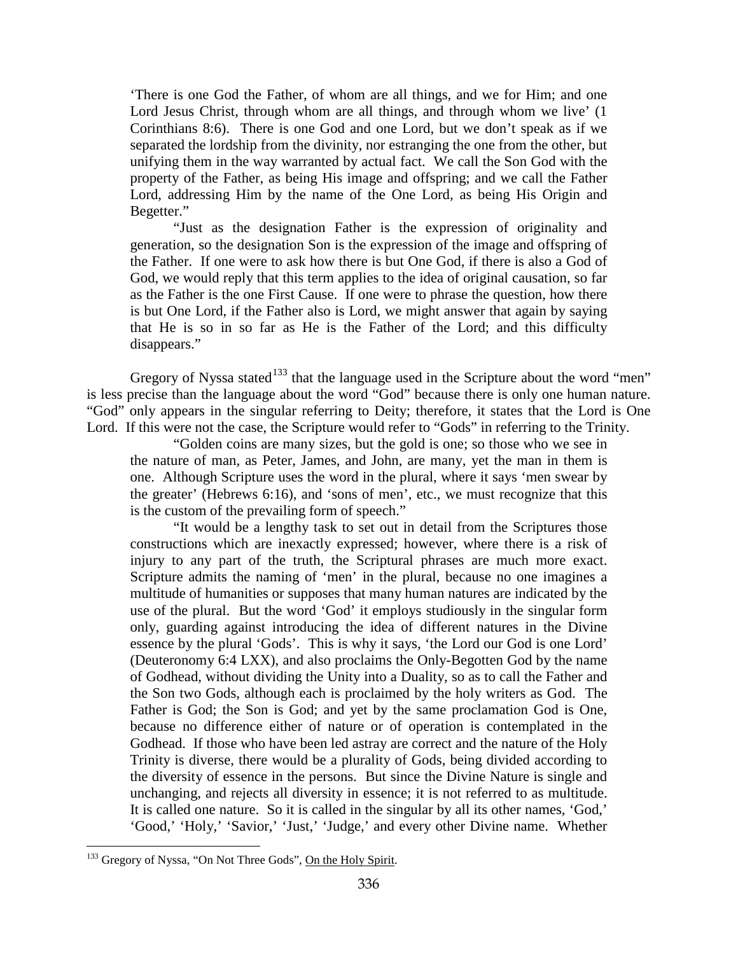'There is one God the Father, of whom are all things, and we for Him; and one Lord Jesus Christ, through whom are all things, and through whom we live' (1) Corinthians 8:6). There is one God and one Lord, but we don't speak as if we separated the lordship from the divinity, nor estranging the one from the other, but unifying them in the way warranted by actual fact. We call the Son God with the property of the Father, as being His image and offspring; and we call the Father Lord, addressing Him by the name of the One Lord, as being His Origin and Begetter."

"Just as the designation Father is the expression of originality and generation, so the designation Son is the expression of the image and offspring of the Father. If one were to ask how there is but One God, if there is also a God of God, we would reply that this term applies to the idea of original causation, so far as the Father is the one First Cause. If one were to phrase the question, how there is but One Lord, if the Father also is Lord, we might answer that again by saying that He is so in so far as He is the Father of the Lord; and this difficulty disappears."

Gregory of Nyssa stated<sup>[133](#page-76-0)</sup> that the language used in the Scripture about the word "men" is less precise than the language about the word "God" because there is only one human nature. "God" only appears in the singular referring to Deity; therefore, it states that the Lord is One Lord. If this were not the case, the Scripture would refer to "Gods" in referring to the Trinity.

"Golden coins are many sizes, but the gold is one; so those who we see in the nature of man, as Peter, James, and John, are many, yet the man in them is one. Although Scripture uses the word in the plural, where it says 'men swear by the greater' (Hebrews 6:16), and 'sons of men', etc., we must recognize that this is the custom of the prevailing form of speech."

"It would be a lengthy task to set out in detail from the Scriptures those constructions which are inexactly expressed; however, where there is a risk of injury to any part of the truth, the Scriptural phrases are much more exact. Scripture admits the naming of 'men' in the plural, because no one imagines a multitude of humanities or supposes that many human natures are indicated by the use of the plural. But the word 'God' it employs studiously in the singular form only, guarding against introducing the idea of different natures in the Divine essence by the plural 'Gods'. This is why it says, 'the Lord our God is one Lord' (Deuteronomy 6:4 LXX), and also proclaims the Only-Begotten God by the name of Godhead, without dividing the Unity into a Duality, so as to call the Father and the Son two Gods, although each is proclaimed by the holy writers as God. The Father is God; the Son is God; and yet by the same proclamation God is One, because no difference either of nature or of operation is contemplated in the Godhead. If those who have been led astray are correct and the nature of the Holy Trinity is diverse, there would be a plurality of Gods, being divided according to the diversity of essence in the persons. But since the Divine Nature is single and unchanging, and rejects all diversity in essence; it is not referred to as multitude. It is called one nature. So it is called in the singular by all its other names, 'God,' 'Good,' 'Holy,' 'Savior,' 'Just,' 'Judge,' and every other Divine name. Whether

<span id="page-76-0"></span><sup>&</sup>lt;sup>133</sup> Gregory of Nyssa, "On Not Three Gods", On the Holy Spirit.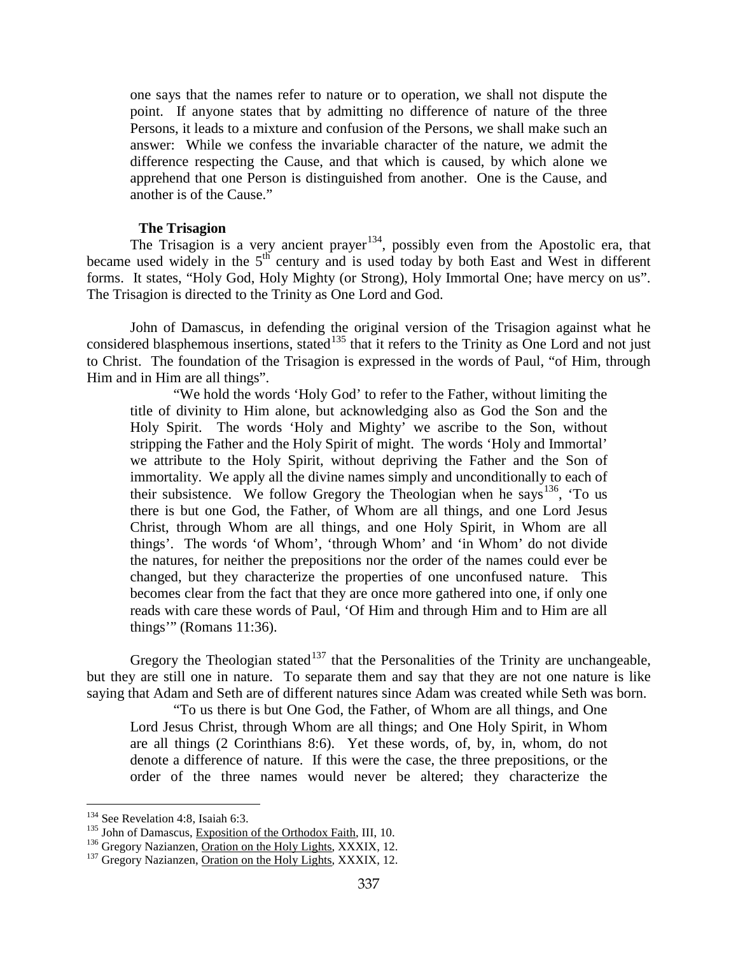one says that the names refer to nature or to operation, we shall not dispute the point. If anyone states that by admitting no difference of nature of the three Persons, it leads to a mixture and confusion of the Persons, we shall make such an answer: While we confess the invariable character of the nature, we admit the difference respecting the Cause, and that which is caused, by which alone we apprehend that one Person is distinguished from another. One is the Cause, and another is of the Cause."

## **The Trisagion**

The Trisagion is a very ancient prayer<sup>[134](#page-77-0)</sup>, possibly even from the Apostolic era, that became used widely in the  $5<sup>th</sup>$  century and is used today by both East and West in different forms. It states, "Holy God, Holy Mighty (or Strong), Holy Immortal One; have mercy on us". The Trisagion is directed to the Trinity as One Lord and God.

John of Damascus, in defending the original version of the Trisagion against what he considered blasphemous insertions, stated<sup>[135](#page-77-1)</sup> that it refers to the Trinity as One Lord and not just to Christ. The foundation of the Trisagion is expressed in the words of Paul, "of Him, through Him and in Him are all things".

"We hold the words 'Holy God' to refer to the Father, without limiting the title of divinity to Him alone, but acknowledging also as God the Son and the Holy Spirit. The words 'Holy and Mighty' we ascribe to the Son, without stripping the Father and the Holy Spirit of might. The words 'Holy and Immortal' we attribute to the Holy Spirit, without depriving the Father and the Son of immortality. We apply all the divine names simply and unconditionally to each of their subsistence. We follow Gregory the Theologian when he says  $136$ , 'To us there is but one God, the Father, of Whom are all things, and one Lord Jesus Christ, through Whom are all things, and one Holy Spirit, in Whom are all things'. The words 'of Whom', 'through Whom' and 'in Whom' do not divide the natures, for neither the prepositions nor the order of the names could ever be changed, but they characterize the properties of one unconfused nature. This becomes clear from the fact that they are once more gathered into one, if only one reads with care these words of Paul, 'Of Him and through Him and to Him are all things'" (Romans 11:36).

Gregory the Theologian stated<sup>[137](#page-77-3)</sup> that the Personalities of the Trinity are unchangeable, but they are still one in nature. To separate them and say that they are not one nature is like saying that Adam and Seth are of different natures since Adam was created while Seth was born.

"To us there is but One God, the Father, of Whom are all things, and One Lord Jesus Christ, through Whom are all things; and One Holy Spirit, in Whom are all things (2 Corinthians 8:6). Yet these words, of, by, in, whom, do not denote a difference of nature. If this were the case, the three prepositions, or the order of the three names would never be altered; they characterize the

<span id="page-77-1"></span>

<span id="page-77-3"></span><span id="page-77-2"></span>

<span id="page-77-0"></span><sup>&</sup>lt;sup>134</sup> See Revelation 4:8, Isaiah 6:3.<br><sup>135</sup> John of Damascus, <u>Exposition of the Orthodox Faith,</u> III, 10.<br><sup>136</sup> Gregory Nazianzen, <u>Oration on the Holy Lights,</u> XXXIX, 12.<br><sup>137</sup> Gregory Nazianzen, <u>Oration on the Holy Lig</u>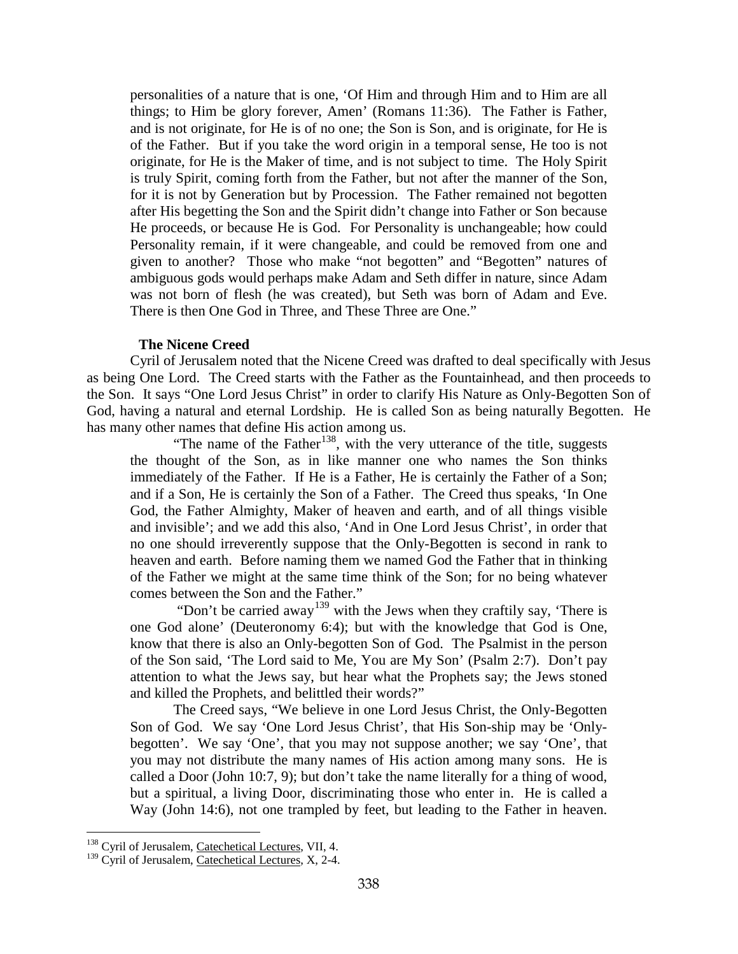personalities of a nature that is one, 'Of Him and through Him and to Him are all things; to Him be glory forever, Amen' (Romans 11:36). The Father is Father, and is not originate, for He is of no one; the Son is Son, and is originate, for He is of the Father. But if you take the word origin in a temporal sense, He too is not originate, for He is the Maker of time, and is not subject to time. The Holy Spirit is truly Spirit, coming forth from the Father, but not after the manner of the Son, for it is not by Generation but by Procession. The Father remained not begotten after His begetting the Son and the Spirit didn't change into Father or Son because He proceeds, or because He is God. For Personality is unchangeable; how could Personality remain, if it were changeable, and could be removed from one and given to another? Those who make "not begotten" and "Begotten" natures of ambiguous gods would perhaps make Adam and Seth differ in nature, since Adam was not born of flesh (he was created), but Seth was born of Adam and Eve. There is then One God in Three, and These Three are One."

# **The Nicene Creed**

Cyril of Jerusalem noted that the Nicene Creed was drafted to deal specifically with Jesus as being One Lord. The Creed starts with the Father as the Fountainhead, and then proceeds to the Son. It says "One Lord Jesus Christ" in order to clarify His Nature as Only-Begotten Son of God, having a natural and eternal Lordship. He is called Son as being naturally Begotten. He has many other names that define His action among us.

"The name of the Father<sup>[138](#page-78-0)</sup>, with the very utterance of the title, suggests the thought of the Son, as in like manner one who names the Son thinks immediately of the Father. If He is a Father, He is certainly the Father of a Son; and if a Son, He is certainly the Son of a Father. The Creed thus speaks, 'In One God, the Father Almighty, Maker of heaven and earth, and of all things visible and invisible'; and we add this also, 'And in One Lord Jesus Christ', in order that no one should irreverently suppose that the Only-Begotten is second in rank to heaven and earth. Before naming them we named God the Father that in thinking of the Father we might at the same time think of the Son; for no being whatever comes between the Son and the Father."

"Don't be carried away<sup>[139](#page-78-1)</sup> with the Jews when they craftily say, 'There is one God alone' (Deuteronomy 6:4); but with the knowledge that God is One, know that there is also an Only-begotten Son of God. The Psalmist in the person of the Son said, 'The Lord said to Me, You are My Son' (Psalm 2:7). Don't pay attention to what the Jews say, but hear what the Prophets say; the Jews stoned and killed the Prophets, and belittled their words?"

The Creed says, "We believe in one Lord Jesus Christ, the Only-Begotten Son of God. We say 'One Lord Jesus Christ', that His Son-ship may be 'Onlybegotten'. We say 'One', that you may not suppose another; we say 'One', that you may not distribute the many names of His action among many sons. He is called a Door (John 10:7, 9); but don't take the name literally for a thing of wood, but a spiritual, a living Door, discriminating those who enter in. He is called a Way (John 14:6), not one trampled by feet, but leading to the Father in heaven.

<span id="page-78-0"></span><sup>&</sup>lt;sup>138</sup> Cyril of Jerusalem, Catechetical Lectures, VII, 4.

<span id="page-78-1"></span><sup>&</sup>lt;sup>139</sup> Cyril of Jerusalem, Catechetical Lectures, X, 2-4.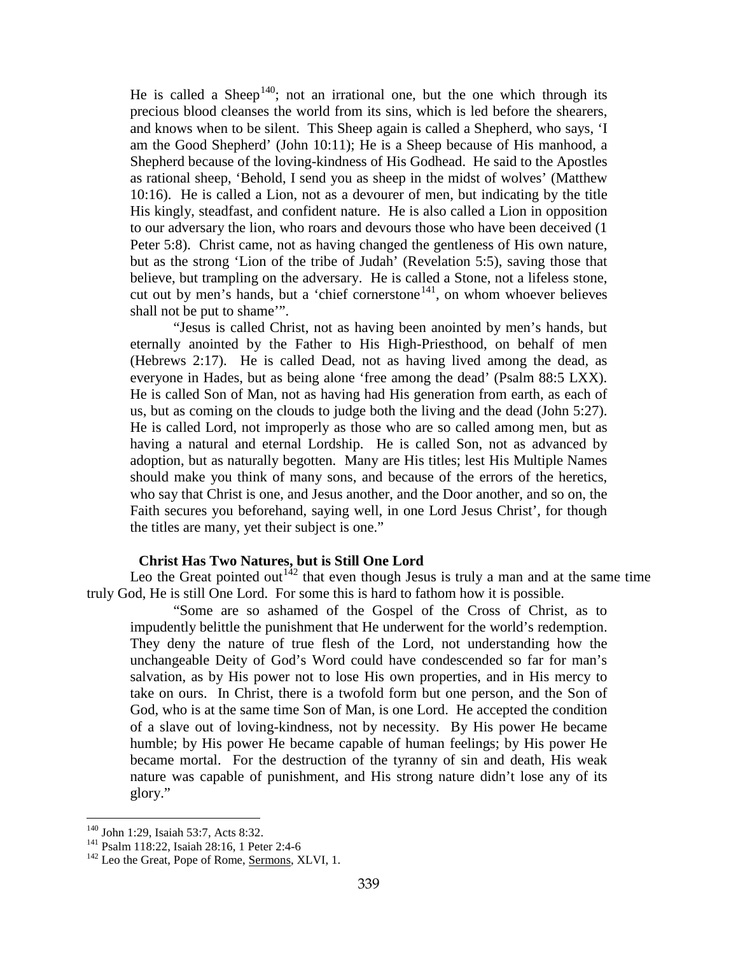He is called a Sheep<sup>[140](#page-79-0)</sup>; not an irrational one, but the one which through its precious blood cleanses the world from its sins, which is led before the shearers, and knows when to be silent. This Sheep again is called a Shepherd, who says, 'I am the Good Shepherd' (John 10:11); He is a Sheep because of His manhood, a Shepherd because of the loving-kindness of His Godhead. He said to the Apostles as rational sheep, 'Behold, I send you as sheep in the midst of wolves' (Matthew 10:16). He is called a Lion, not as a devourer of men, but indicating by the title His kingly, steadfast, and confident nature. He is also called a Lion in opposition to our adversary the lion, who roars and devours those who have been deceived (1 Peter 5:8). Christ came, not as having changed the gentleness of His own nature, but as the strong 'Lion of the tribe of Judah' (Revelation 5:5), saving those that believe, but trampling on the adversary. He is called a Stone, not a lifeless stone, cut out by men's hands, but a 'chief cornerstone<sup>141</sup>, on whom whoever believes shall not be put to shame'".

"Jesus is called Christ, not as having been anointed by men's hands, but eternally anointed by the Father to His High-Priesthood, on behalf of men (Hebrews 2:17). He is called Dead, not as having lived among the dead, as everyone in Hades, but as being alone 'free among the dead' (Psalm 88:5 LXX). He is called Son of Man, not as having had His generation from earth, as each of us, but as coming on the clouds to judge both the living and the dead (John 5:27). He is called Lord, not improperly as those who are so called among men, but as having a natural and eternal Lordship. He is called Son, not as advanced by adoption, but as naturally begotten. Many are His titles; lest His Multiple Names should make you think of many sons, and because of the errors of the heretics, who say that Christ is one, and Jesus another, and the Door another, and so on, the Faith secures you beforehand, saying well, in one Lord Jesus Christ', for though the titles are many, yet their subject is one."

# **Christ Has Two Natures, but is Still One Lord**

Leo the Great pointed out<sup>[142](#page-79-2)</sup> that even though Jesus is truly a man and at the same time truly God, He is still One Lord. For some this is hard to fathom how it is possible.

"Some are so ashamed of the Gospel of the Cross of Christ, as to impudently belittle the punishment that He underwent for the world's redemption. They deny the nature of true flesh of the Lord, not understanding how the unchangeable Deity of God's Word could have condescended so far for man's salvation, as by His power not to lose His own properties, and in His mercy to take on ours. In Christ, there is a twofold form but one person, and the Son of God, who is at the same time Son of Man, is one Lord. He accepted the condition of a slave out of loving-kindness, not by necessity. By His power He became humble; by His power He became capable of human feelings; by His power He became mortal. For the destruction of the tyranny of sin and death, His weak nature was capable of punishment, and His strong nature didn't lose any of its glory."

<span id="page-79-2"></span>

<span id="page-79-1"></span><span id="page-79-0"></span><sup>&</sup>lt;sup>140</sup> John 1:29, Isaiah 53:7, Acts 8:32.<br><sup>141</sup> Psalm 118:22, Isaiah 28:16, 1 Peter 2:4-6 <sup>142</sup> Leo the Great, Pope of Rome, Sermons, XLVI, 1.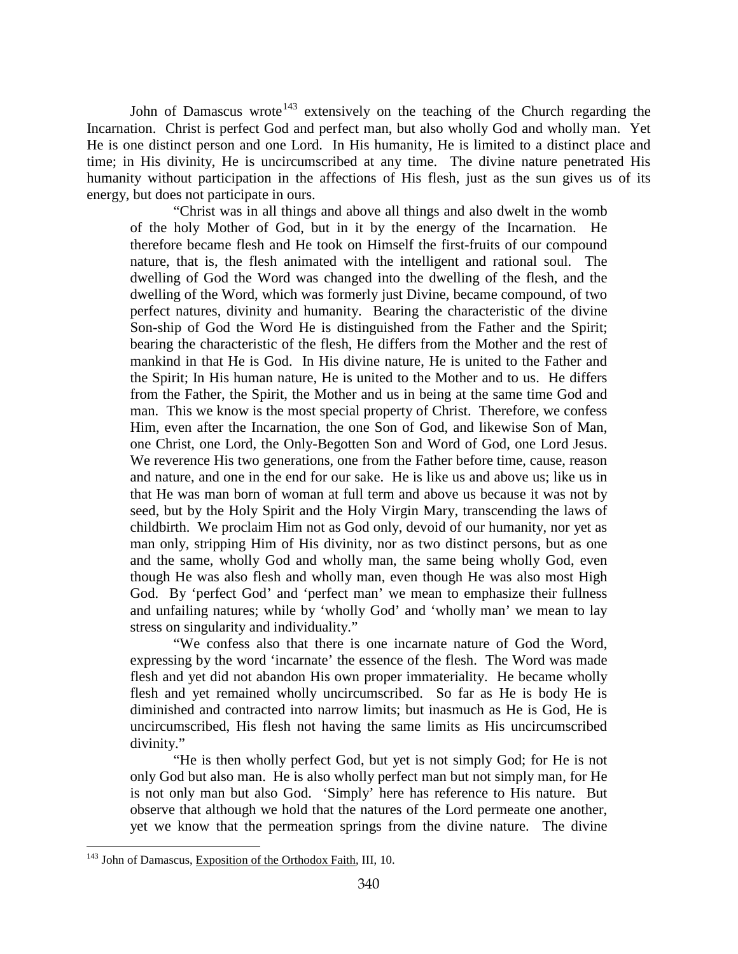John of Damascus wrote<sup>[143](#page-80-0)</sup> extensively on the teaching of the Church regarding the Incarnation. Christ is perfect God and perfect man, but also wholly God and wholly man. Yet He is one distinct person and one Lord. In His humanity, He is limited to a distinct place and time; in His divinity, He is uncircumscribed at any time. The divine nature penetrated His humanity without participation in the affections of His flesh, just as the sun gives us of its energy, but does not participate in ours.

"Christ was in all things and above all things and also dwelt in the womb of the holy Mother of God, but in it by the energy of the Incarnation. He therefore became flesh and He took on Himself the first-fruits of our compound nature, that is, the flesh animated with the intelligent and rational soul. The dwelling of God the Word was changed into the dwelling of the flesh, and the dwelling of the Word, which was formerly just Divine, became compound, of two perfect natures, divinity and humanity. Bearing the characteristic of the divine Son-ship of God the Word He is distinguished from the Father and the Spirit; bearing the characteristic of the flesh, He differs from the Mother and the rest of mankind in that He is God. In His divine nature, He is united to the Father and the Spirit; In His human nature, He is united to the Mother and to us. He differs from the Father, the Spirit, the Mother and us in being at the same time God and man. This we know is the most special property of Christ. Therefore, we confess Him, even after the Incarnation, the one Son of God, and likewise Son of Man, one Christ, one Lord, the Only-Begotten Son and Word of God, one Lord Jesus. We reverence His two generations, one from the Father before time, cause, reason and nature, and one in the end for our sake. He is like us and above us; like us in that He was man born of woman at full term and above us because it was not by seed, but by the Holy Spirit and the Holy Virgin Mary, transcending the laws of childbirth. We proclaim Him not as God only, devoid of our humanity, nor yet as man only, stripping Him of His divinity, nor as two distinct persons, but as one and the same, wholly God and wholly man, the same being wholly God, even though He was also flesh and wholly man, even though He was also most High God. By 'perfect God' and 'perfect man' we mean to emphasize their fullness and unfailing natures; while by 'wholly God' and 'wholly man' we mean to lay stress on singularity and individuality."

"We confess also that there is one incarnate nature of God the Word, expressing by the word 'incarnate' the essence of the flesh. The Word was made flesh and yet did not abandon His own proper immateriality. He became wholly flesh and yet remained wholly uncircumscribed. So far as He is body He is diminished and contracted into narrow limits; but inasmuch as He is God, He is uncircumscribed, His flesh not having the same limits as His uncircumscribed divinity."

"He is then wholly perfect God, but yet is not simply God; for He is not only God but also man. He is also wholly perfect man but not simply man, for He is not only man but also God. 'Simply' here has reference to His nature. But observe that although we hold that the natures of the Lord permeate one another, yet we know that the permeation springs from the divine nature. The divine

<span id="page-80-0"></span><sup>&</sup>lt;sup>143</sup> John of Damascus, Exposition of the Orthodox Faith, III, 10.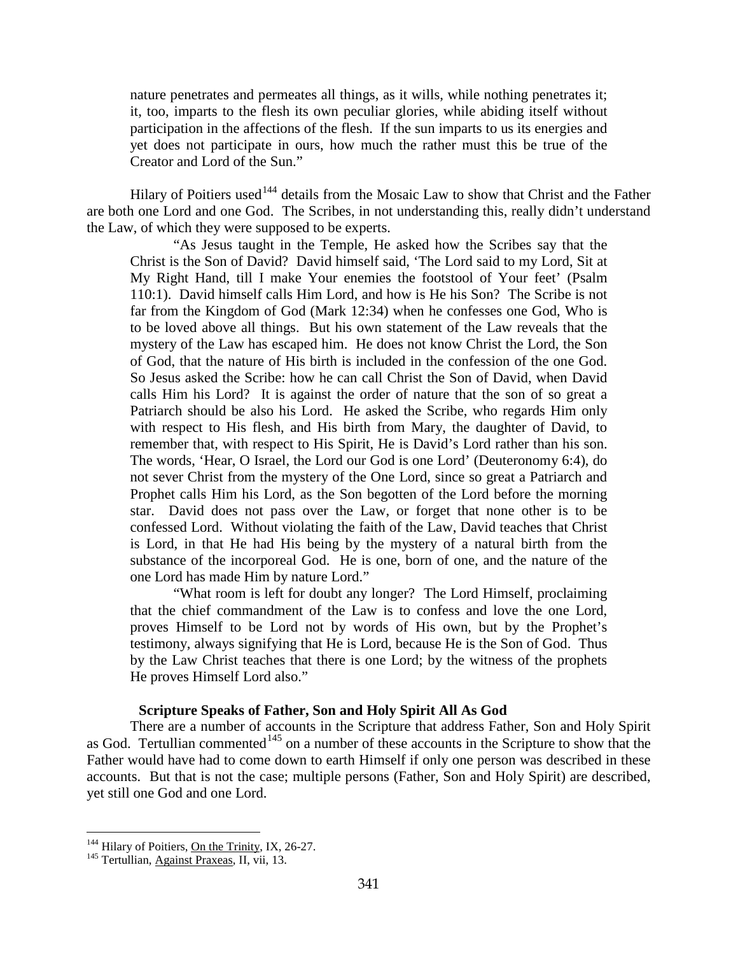nature penetrates and permeates all things, as it wills, while nothing penetrates it; it, too, imparts to the flesh its own peculiar glories, while abiding itself without participation in the affections of the flesh. If the sun imparts to us its energies and yet does not participate in ours, how much the rather must this be true of the Creator and Lord of the Sun."

Hilary of Poitiers used<sup>[144](#page-81-0)</sup> details from the Mosaic Law to show that Christ and the Father are both one Lord and one God. The Scribes, in not understanding this, really didn't understand the Law, of which they were supposed to be experts.

"As Jesus taught in the Temple, He asked how the Scribes say that the Christ is the Son of David? David himself said, 'The Lord said to my Lord, Sit at My Right Hand, till I make Your enemies the footstool of Your feet' (Psalm 110:1). David himself calls Him Lord, and how is He his Son? The Scribe is not far from the Kingdom of God (Mark 12:34) when he confesses one God, Who is to be loved above all things. But his own statement of the Law reveals that the mystery of the Law has escaped him. He does not know Christ the Lord, the Son of God, that the nature of His birth is included in the confession of the one God. So Jesus asked the Scribe: how he can call Christ the Son of David, when David calls Him his Lord? It is against the order of nature that the son of so great a Patriarch should be also his Lord. He asked the Scribe, who regards Him only with respect to His flesh, and His birth from Mary, the daughter of David, to remember that, with respect to His Spirit, He is David's Lord rather than his son. The words, 'Hear, O Israel, the Lord our God is one Lord' (Deuteronomy 6:4), do not sever Christ from the mystery of the One Lord, since so great a Patriarch and Prophet calls Him his Lord, as the Son begotten of the Lord before the morning star. David does not pass over the Law, or forget that none other is to be confessed Lord. Without violating the faith of the Law, David teaches that Christ is Lord, in that He had His being by the mystery of a natural birth from the substance of the incorporeal God. He is one, born of one, and the nature of the one Lord has made Him by nature Lord."

"What room is left for doubt any longer? The Lord Himself, proclaiming that the chief commandment of the Law is to confess and love the one Lord, proves Himself to be Lord not by words of His own, but by the Prophet's testimony, always signifying that He is Lord, because He is the Son of God. Thus by the Law Christ teaches that there is one Lord; by the witness of the prophets He proves Himself Lord also."

## **Scripture Speaks of Father, Son and Holy Spirit All As God**

There are a number of accounts in the Scripture that address Father, Son and Holy Spirit as God. Tertullian commented<sup>[145](#page-81-1)</sup> on a number of these accounts in the Scripture to show that the Father would have had to come down to earth Himself if only one person was described in these accounts. But that is not the case; multiple persons (Father, Son and Holy Spirit) are described, yet still one God and one Lord.

<span id="page-81-0"></span><sup>&</sup>lt;sup>144</sup> Hilary of Poitiers, <u>On the Trinity</u>, IX, 26-27.<br><sup>145</sup> Tertullian, Against Praxeas, II, vii, 13.

<span id="page-81-1"></span>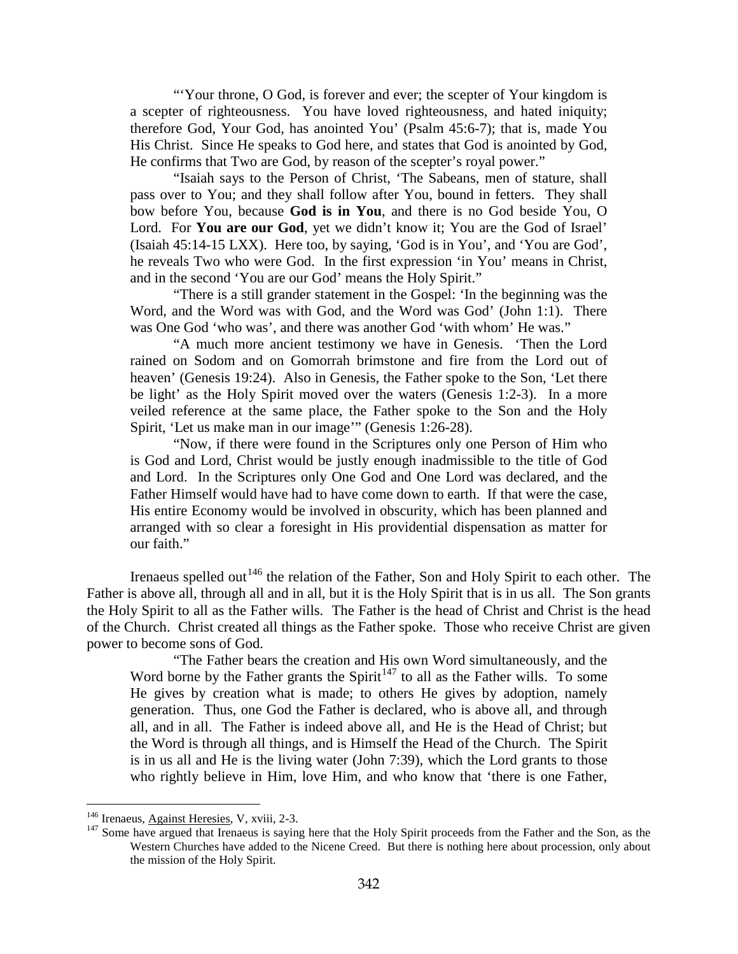"Your throne, O God, is forever and ever; the scepter of Your kingdom is a scepter of righteousness. You have loved righteousness, and hated iniquity; therefore God, Your God, has anointed You' (Psalm 45:6-7); that is, made You His Christ. Since He speaks to God here, and states that God is anointed by God, He confirms that Two are God, by reason of the scepter's royal power."

"Isaiah says to the Person of Christ, 'The Sabeans, men of stature, shall pass over to You; and they shall follow after You, bound in fetters. They shall bow before You, because **God is in You**, and there is no God beside You, O Lord. For **You are our God**, yet we didn't know it; You are the God of Israel' (Isaiah 45:14-15 LXX). Here too, by saying, 'God is in You', and 'You are God', he reveals Two who were God. In the first expression 'in You' means in Christ, and in the second 'You are our God' means the Holy Spirit."

"There is a still grander statement in the Gospel: 'In the beginning was the Word, and the Word was with God, and the Word was God' (John 1:1). There was One God 'who was', and there was another God 'with whom' He was."

"A much more ancient testimony we have in Genesis. 'Then the Lord rained on Sodom and on Gomorrah brimstone and fire from the Lord out of heaven' (Genesis 19:24). Also in Genesis, the Father spoke to the Son, 'Let there be light' as the Holy Spirit moved over the waters (Genesis 1:2-3). In a more veiled reference at the same place, the Father spoke to the Son and the Holy Spirit, 'Let us make man in our image'" (Genesis 1:26-28).

"Now, if there were found in the Scriptures only one Person of Him who is God and Lord, Christ would be justly enough inadmissible to the title of God and Lord. In the Scriptures only One God and One Lord was declared, and the Father Himself would have had to have come down to earth. If that were the case, His entire Economy would be involved in obscurity, which has been planned and arranged with so clear a foresight in His providential dispensation as matter for our faith."

Irenaeus spelled out<sup>[146](#page-82-0)</sup> the relation of the Father, Son and Holy Spirit to each other. The Father is above all, through all and in all, but it is the Holy Spirit that is in us all. The Son grants the Holy Spirit to all as the Father wills. The Father is the head of Christ and Christ is the head of the Church. Christ created all things as the Father spoke. Those who receive Christ are given power to become sons of God.

"The Father bears the creation and His own Word simultaneously, and the Word borne by the Father grants the Spirit<sup> $147$ </sup> to all as the Father wills. To some He gives by creation what is made; to others He gives by adoption, namely generation. Thus, one God the Father is declared, who is above all, and through all, and in all. The Father is indeed above all, and He is the Head of Christ; but the Word is through all things, and is Himself the Head of the Church. The Spirit is in us all and He is the living water (John 7:39), which the Lord grants to those who rightly believe in Him, love Him, and who know that 'there is one Father,

<span id="page-82-1"></span><span id="page-82-0"></span><sup>&</sup>lt;sup>146</sup> Irenaeus, Against Heresies, V, xviii, 2-3.<br><sup>147</sup> Some have argued that Irenaeus is saying here that the Holy Spirit proceeds from the Father and the Son, as the Western Churches have added to the Nicene Creed. But there is nothing here about procession, only about the mission of the Holy Spirit.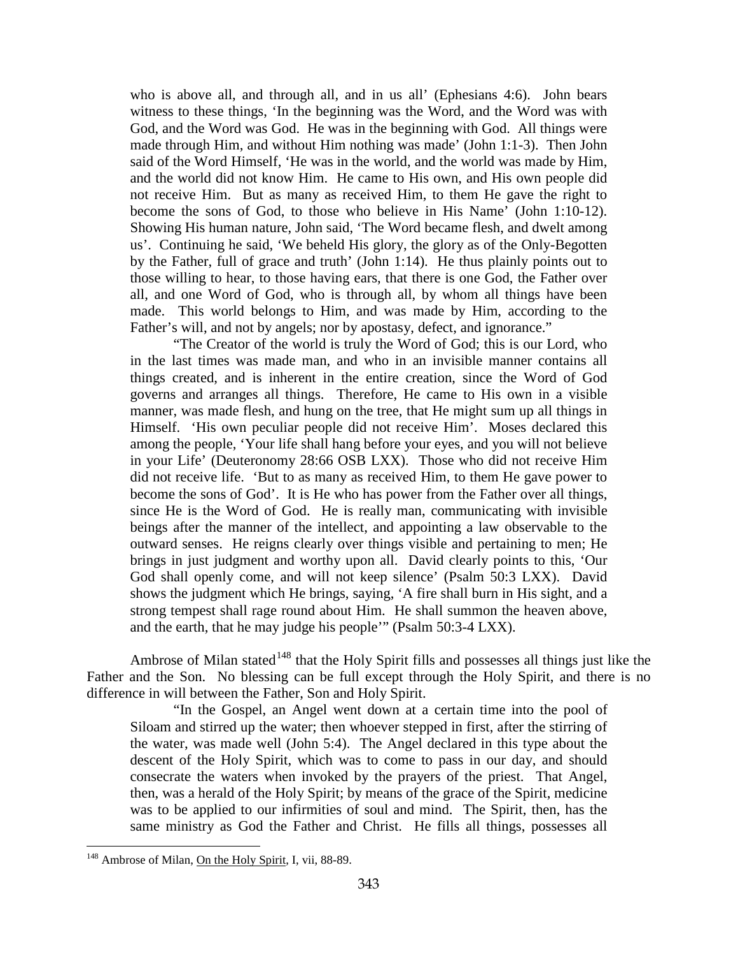who is above all, and through all, and in us all' (Ephesians 4:6). John bears witness to these things, 'In the beginning was the Word, and the Word was with God, and the Word was God. He was in the beginning with God. All things were made through Him, and without Him nothing was made' (John 1:1-3). Then John said of the Word Himself, 'He was in the world, and the world was made by Him, and the world did not know Him. He came to His own, and His own people did not receive Him. But as many as received Him, to them He gave the right to become the sons of God, to those who believe in His Name' (John 1:10-12). Showing His human nature, John said, 'The Word became flesh, and dwelt among us'. Continuing he said, 'We beheld His glory, the glory as of the Only-Begotten by the Father, full of grace and truth' (John 1:14). He thus plainly points out to those willing to hear, to those having ears, that there is one God, the Father over all, and one Word of God, who is through all, by whom all things have been made. This world belongs to Him, and was made by Him, according to the Father's will, and not by angels; nor by apostasy, defect, and ignorance."

"The Creator of the world is truly the Word of God; this is our Lord, who in the last times was made man, and who in an invisible manner contains all things created, and is inherent in the entire creation, since the Word of God governs and arranges all things. Therefore, He came to His own in a visible manner, was made flesh, and hung on the tree, that He might sum up all things in Himself. 'His own peculiar people did not receive Him'. Moses declared this among the people, 'Your life shall hang before your eyes, and you will not believe in your Life' (Deuteronomy 28:66 OSB LXX). Those who did not receive Him did not receive life. 'But to as many as received Him, to them He gave power to become the sons of God'. It is He who has power from the Father over all things, since He is the Word of God. He is really man, communicating with invisible beings after the manner of the intellect, and appointing a law observable to the outward senses. He reigns clearly over things visible and pertaining to men; He brings in just judgment and worthy upon all. David clearly points to this, 'Our God shall openly come, and will not keep silence' (Psalm 50:3 LXX). David shows the judgment which He brings, saying, 'A fire shall burn in His sight, and a strong tempest shall rage round about Him. He shall summon the heaven above, and the earth, that he may judge his people'" (Psalm 50:3-4 LXX).

Ambrose of Milan stated<sup>[148](#page-83-0)</sup> that the Holy Spirit fills and possesses all things just like the Father and the Son. No blessing can be full except through the Holy Spirit, and there is no difference in will between the Father, Son and Holy Spirit.

"In the Gospel, an Angel went down at a certain time into the pool of Siloam and stirred up the water; then whoever stepped in first, after the stirring of the water, was made well (John 5:4). The Angel declared in this type about the descent of the Holy Spirit, which was to come to pass in our day, and should consecrate the waters when invoked by the prayers of the priest. That Angel, then, was a herald of the Holy Spirit; by means of the grace of the Spirit, medicine was to be applied to our infirmities of soul and mind. The Spirit, then, has the same ministry as God the Father and Christ. He fills all things, possesses all

<span id="page-83-0"></span><sup>&</sup>lt;sup>148</sup> Ambrose of Milan, On the Holy Spirit, I, vii, 88-89.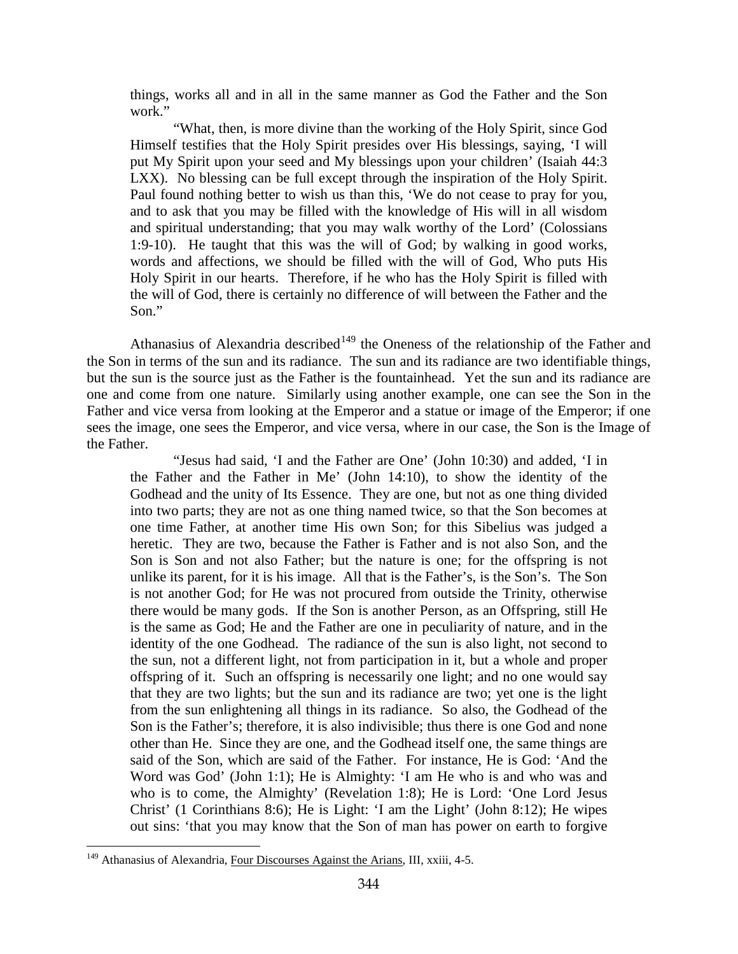things, works all and in all in the same manner as God the Father and the Son work."

"What, then, is more divine than the working of the Holy Spirit, since God Himself testifies that the Holy Spirit presides over His blessings, saying, 'I will put My Spirit upon your seed and My blessings upon your children' (Isaiah 44:3 LXX). No blessing can be full except through the inspiration of the Holy Spirit. Paul found nothing better to wish us than this, 'We do not cease to pray for you, and to ask that you may be filled with the knowledge of His will in all wisdom and spiritual understanding; that you may walk worthy of the Lord' (Colossians 1:9-10). He taught that this was the will of God; by walking in good works, words and affections, we should be filled with the will of God, Who puts His Holy Spirit in our hearts. Therefore, if he who has the Holy Spirit is filled with the will of God, there is certainly no difference of will between the Father and the Son."

Athanasius of Alexandria described<sup>[149](#page-84-0)</sup> the Oneness of the relationship of the Father and the Son in terms of the sun and its radiance. The sun and its radiance are two identifiable things, but the sun is the source just as the Father is the fountainhead. Yet the sun and its radiance are one and come from one nature. Similarly using another example, one can see the Son in the Father and vice versa from looking at the Emperor and a statue or image of the Emperor; if one sees the image, one sees the Emperor, and vice versa, where in our case, the Son is the Image of the Father.

"Jesus had said, 'I and the Father are One' (John 10:30) and added, 'I in the Father and the Father in Me' (John 14:10), to show the identity of the Godhead and the unity of Its Essence. They are one, but not as one thing divided into two parts; they are not as one thing named twice, so that the Son becomes at one time Father, at another time His own Son; for this Sibelius was judged a heretic. They are two, because the Father is Father and is not also Son, and the Son is Son and not also Father; but the nature is one; for the offspring is not unlike its parent, for it is his image. All that is the Father's, is the Son's. The Son is not another God; for He was not procured from outside the Trinity, otherwise there would be many gods. If the Son is another Person, as an Offspring, still He is the same as God; He and the Father are one in peculiarity of nature, and in the identity of the one Godhead. The radiance of the sun is also light, not second to the sun, not a different light, not from participation in it, but a whole and proper offspring of it. Such an offspring is necessarily one light; and no one would say that they are two lights; but the sun and its radiance are two; yet one is the light from the sun enlightening all things in its radiance. So also, the Godhead of the Son is the Father's; therefore, it is also indivisible; thus there is one God and none other than He. Since they are one, and the Godhead itself one, the same things are said of the Son, which are said of the Father. For instance, He is God: 'And the Word was God' (John 1:1); He is Almighty: 'I am He who is and who was and who is to come, the Almighty' (Revelation 1:8); He is Lord: 'One Lord Jesus Christ' (1 Corinthians 8:6); He is Light: 'I am the Light' (John 8:12); He wipes out sins: 'that you may know that the Son of man has power on earth to forgive

<span id="page-84-0"></span><sup>&</sup>lt;sup>149</sup> Athanasius of Alexandria, Four Discourses Against the Arians, III, xxiii, 4-5.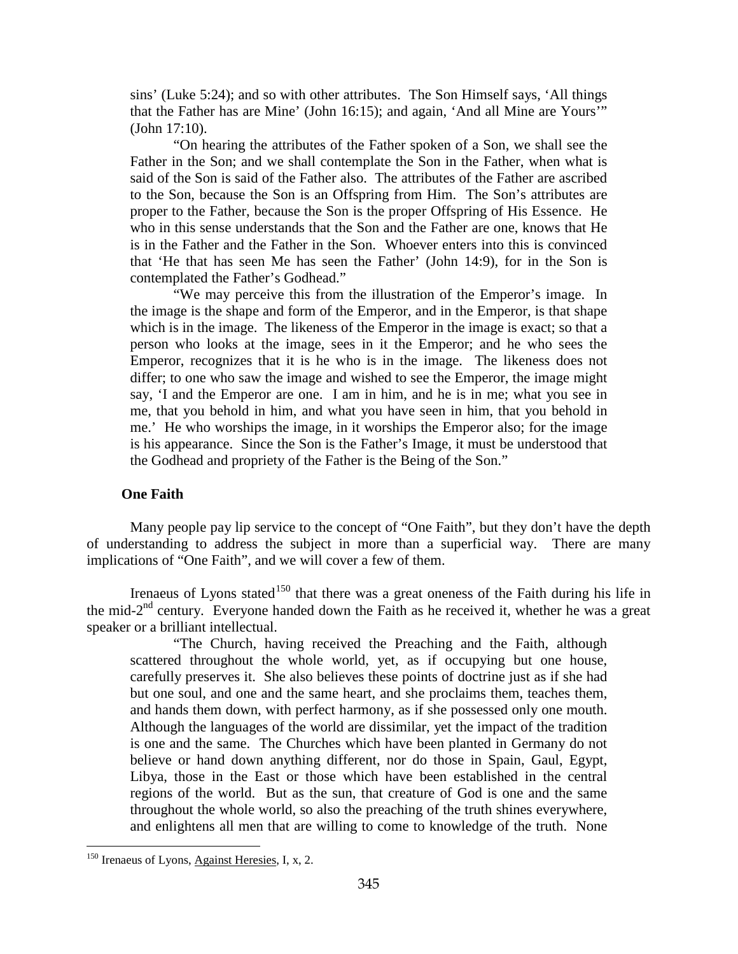sins' (Luke 5:24); and so with other attributes. The Son Himself says, 'All things that the Father has are Mine' (John 16:15); and again, 'And all Mine are Yours'" (John 17:10).

"On hearing the attributes of the Father spoken of a Son, we shall see the Father in the Son; and we shall contemplate the Son in the Father, when what is said of the Son is said of the Father also. The attributes of the Father are ascribed to the Son, because the Son is an Offspring from Him. The Son's attributes are proper to the Father, because the Son is the proper Offspring of His Essence. He who in this sense understands that the Son and the Father are one, knows that He is in the Father and the Father in the Son. Whoever enters into this is convinced that 'He that has seen Me has seen the Father' (John 14:9), for in the Son is contemplated the Father's Godhead."

"We may perceive this from the illustration of the Emperor's image. In the image is the shape and form of the Emperor, and in the Emperor, is that shape which is in the image. The likeness of the Emperor in the image is exact; so that a person who looks at the image, sees in it the Emperor; and he who sees the Emperor, recognizes that it is he who is in the image. The likeness does not differ; to one who saw the image and wished to see the Emperor, the image might say, 'I and the Emperor are one. I am in him, and he is in me; what you see in me, that you behold in him, and what you have seen in him, that you behold in me.' He who worships the image, in it worships the Emperor also; for the image is his appearance. Since the Son is the Father's Image, it must be understood that the Godhead and propriety of the Father is the Being of the Son."

# **One Faith**

Many people pay lip service to the concept of "One Faith", but they don't have the depth of understanding to address the subject in more than a superficial way. There are many implications of "One Faith", and we will cover a few of them.

Irenaeus of Lyons stated<sup>[150](#page-85-0)</sup> that there was a great oneness of the Faith during his life in the mid- $2<sup>nd</sup>$  century. Everyone handed down the Faith as he received it, whether he was a great speaker or a brilliant intellectual.

"The Church, having received the Preaching and the Faith, although scattered throughout the whole world, yet, as if occupying but one house, carefully preserves it. She also believes these points of doctrine just as if she had but one soul, and one and the same heart, and she proclaims them, teaches them, and hands them down, with perfect harmony, as if she possessed only one mouth. Although the languages of the world are dissimilar, yet the impact of the tradition is one and the same. The Churches which have been planted in Germany do not believe or hand down anything different, nor do those in Spain, Gaul, Egypt, Libya, those in the East or those which have been established in the central regions of the world. But as the sun, that creature of God is one and the same throughout the whole world, so also the preaching of the truth shines everywhere, and enlightens all men that are willing to come to knowledge of the truth. None

<span id="page-85-0"></span> $150$  Irenaeus of Lyons, Against Heresies, I, x, 2.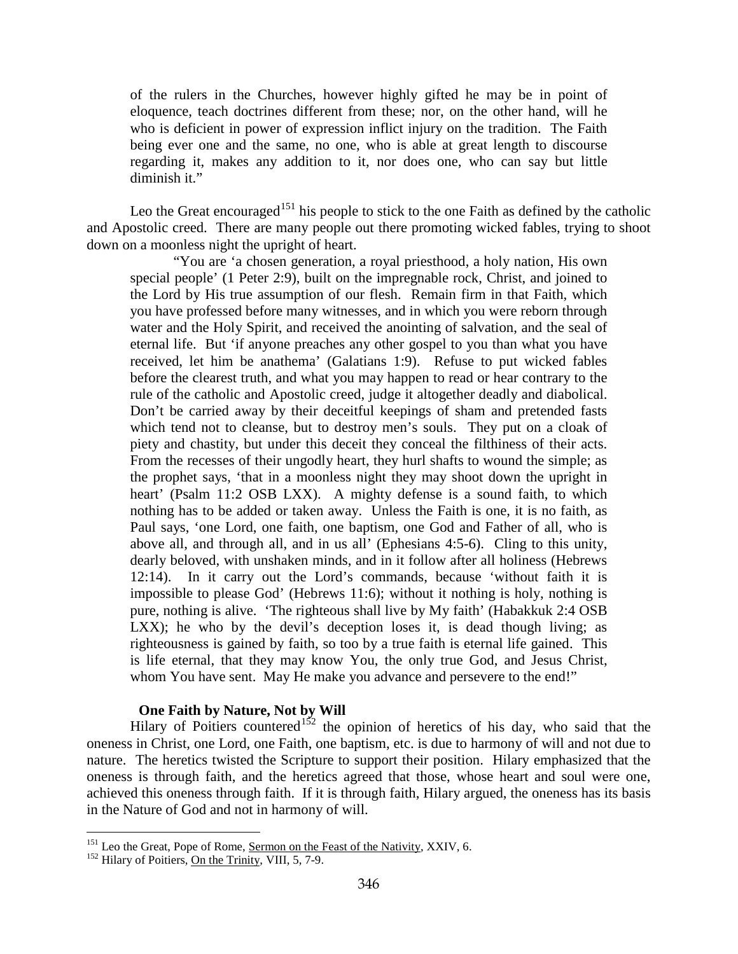of the rulers in the Churches, however highly gifted he may be in point of eloquence, teach doctrines different from these; nor, on the other hand, will he who is deficient in power of expression inflict injury on the tradition. The Faith being ever one and the same, no one, who is able at great length to discourse regarding it, makes any addition to it, nor does one, who can say but little diminish it."

Leo the Great encouraged<sup>[151](#page-86-0)</sup> his people to stick to the one Faith as defined by the catholic and Apostolic creed. There are many people out there promoting wicked fables, trying to shoot down on a moonless night the upright of heart.

"You are 'a chosen generation, a royal priesthood, a holy nation, His own special people' (1 Peter 2:9), built on the impregnable rock, Christ, and joined to the Lord by His true assumption of our flesh. Remain firm in that Faith, which you have professed before many witnesses, and in which you were reborn through water and the Holy Spirit, and received the anointing of salvation, and the seal of eternal life. But 'if anyone preaches any other gospel to you than what you have received, let him be anathema' (Galatians 1:9). Refuse to put wicked fables before the clearest truth, and what you may happen to read or hear contrary to the rule of the catholic and Apostolic creed, judge it altogether deadly and diabolical. Don't be carried away by their deceitful keepings of sham and pretended fasts which tend not to cleanse, but to destroy men's souls. They put on a cloak of piety and chastity, but under this deceit they conceal the filthiness of their acts. From the recesses of their ungodly heart, they hurl shafts to wound the simple; as the prophet says, 'that in a moonless night they may shoot down the upright in heart' (Psalm 11:2 OSB LXX). A mighty defense is a sound faith, to which nothing has to be added or taken away. Unless the Faith is one, it is no faith, as Paul says, 'one Lord, one faith, one baptism, one God and Father of all, who is above all, and through all, and in us all' (Ephesians 4:5-6). Cling to this unity, dearly beloved, with unshaken minds, and in it follow after all holiness (Hebrews 12:14). In it carry out the Lord's commands, because 'without faith it is impossible to please God' (Hebrews 11:6); without it nothing is holy, nothing is pure, nothing is alive. 'The righteous shall live by My faith' (Habakkuk 2:4 OSB LXX); he who by the devil's deception loses it, is dead though living; as righteousness is gained by faith, so too by a true faith is eternal life gained. This is life eternal, that they may know You, the only true God, and Jesus Christ, whom You have sent. May He make you advance and persevere to the end!"

# **One Faith by Nature, Not by Will**

Hilary of Poitiers countered<sup>[152](#page-86-1)</sup> the opinion of heretics of his day, who said that the oneness in Christ, one Lord, one Faith, one baptism, etc. is due to harmony of will and not due to nature. The heretics twisted the Scripture to support their position. Hilary emphasized that the oneness is through faith, and the heretics agreed that those, whose heart and soul were one, achieved this oneness through faith. If it is through faith, Hilary argued, the oneness has its basis in the Nature of God and not in harmony of will.

<span id="page-86-0"></span><sup>&</sup>lt;sup>151</sup> Leo the Great, Pope of Rome, <u>Sermon on the Feast of the Nativity</u>, XXIV, 6.<br><sup>152</sup> Hilary of Poitiers, <u>On the Trinity</u>, VIII, 5, 7-9.

<span id="page-86-1"></span>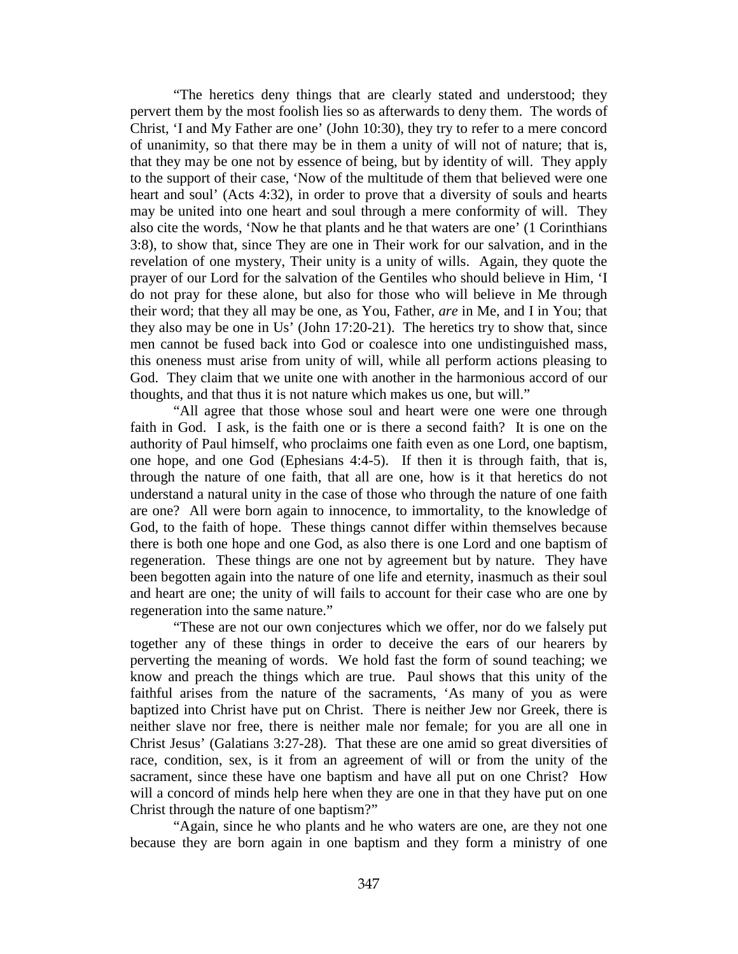"The heretics deny things that are clearly stated and understood; they pervert them by the most foolish lies so as afterwards to deny them. The words of Christ, 'I and My Father are one' (John 10:30), they try to refer to a mere concord of unanimity, so that there may be in them a unity of will not of nature; that is, that they may be one not by essence of being, but by identity of will. They apply to the support of their case, 'Now of the multitude of them that believed were one heart and soul' (Acts 4:32), in order to prove that a diversity of souls and hearts may be united into one heart and soul through a mere conformity of will. They also cite the words, 'Now he that plants and he that waters are one' (1 Corinthians 3:8), to show that, since They are one in Their work for our salvation, and in the revelation of one mystery, Their unity is a unity of wills. Again, they quote the prayer of our Lord for the salvation of the Gentiles who should believe in Him, 'I do not pray for these alone, but also for those who will believe in Me through their word; that they all may be one, as You, Father, *are* in Me, and I in You; that they also may be one in Us' (John 17:20-21). The heretics try to show that, since men cannot be fused back into God or coalesce into one undistinguished mass, this oneness must arise from unity of will, while all perform actions pleasing to God. They claim that we unite one with another in the harmonious accord of our thoughts, and that thus it is not nature which makes us one, but will."

"All agree that those whose soul and heart were one were one through faith in God. I ask, is the faith one or is there a second faith? It is one on the authority of Paul himself, who proclaims one faith even as one Lord, one baptism, one hope, and one God (Ephesians 4:4-5). If then it is through faith, that is, through the nature of one faith, that all are one, how is it that heretics do not understand a natural unity in the case of those who through the nature of one faith are one? All were born again to innocence, to immortality, to the knowledge of God, to the faith of hope. These things cannot differ within themselves because there is both one hope and one God, as also there is one Lord and one baptism of regeneration. These things are one not by agreement but by nature. They have been begotten again into the nature of one life and eternity, inasmuch as their soul and heart are one; the unity of will fails to account for their case who are one by regeneration into the same nature."

"These are not our own conjectures which we offer, nor do we falsely put together any of these things in order to deceive the ears of our hearers by perverting the meaning of words. We hold fast the form of sound teaching; we know and preach the things which are true. Paul shows that this unity of the faithful arises from the nature of the sacraments, 'As many of you as were baptized into Christ have put on Christ. There is neither Jew nor Greek, there is neither slave nor free, there is neither male nor female; for you are all one in Christ Jesus' (Galatians 3:27-28). That these are one amid so great diversities of race, condition, sex, is it from an agreement of will or from the unity of the sacrament, since these have one baptism and have all put on one Christ? How will a concord of minds help here when they are one in that they have put on one Christ through the nature of one baptism?"

"Again, since he who plants and he who waters are one, are they not one because they are born again in one baptism and they form a ministry of one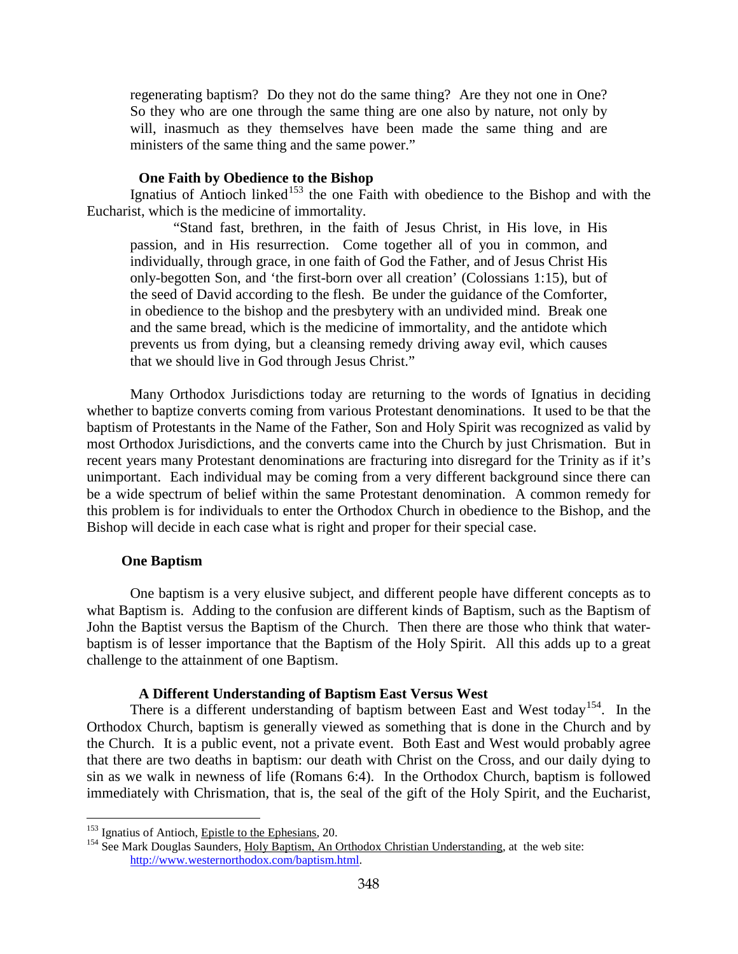regenerating baptism? Do they not do the same thing? Are they not one in One? So they who are one through the same thing are one also by nature, not only by will, inasmuch as they themselves have been made the same thing and are ministers of the same thing and the same power."

# **One Faith by Obedience to the Bishop**

Ignatius of Antioch linked<sup>[153](#page-88-0)</sup> the one Faith with obedience to the Bishop and with the Eucharist, which is the medicine of immortality.

"Stand fast, brethren, in the faith of Jesus Christ, in His love, in His passion, and in His resurrection. Come together all of you in common, and individually, through grace, in one faith of God the Father, and of Jesus Christ His only-begotten Son, and 'the first-born over all creation' (Colossians 1:15), but of the seed of David according to the flesh. Be under the guidance of the Comforter, in obedience to the bishop and the presbytery with an undivided mind. Break one and the same bread, which is the medicine of immortality, and the antidote which prevents us from dying, but a cleansing remedy driving away evil, which causes that we should live in God through Jesus Christ."

Many Orthodox Jurisdictions today are returning to the words of Ignatius in deciding whether to baptize converts coming from various Protestant denominations. It used to be that the baptism of Protestants in the Name of the Father, Son and Holy Spirit was recognized as valid by most Orthodox Jurisdictions, and the converts came into the Church by just Chrismation. But in recent years many Protestant denominations are fracturing into disregard for the Trinity as if it's unimportant. Each individual may be coming from a very different background since there can be a wide spectrum of belief within the same Protestant denomination. A common remedy for this problem is for individuals to enter the Orthodox Church in obedience to the Bishop, and the Bishop will decide in each case what is right and proper for their special case.

## **One Baptism**

 $\overline{a}$ 

One baptism is a very elusive subject, and different people have different concepts as to what Baptism is. Adding to the confusion are different kinds of Baptism, such as the Baptism of John the Baptist versus the Baptism of the Church. Then there are those who think that waterbaptism is of lesser importance that the Baptism of the Holy Spirit. All this adds up to a great challenge to the attainment of one Baptism.

#### **A Different Understanding of Baptism East Versus West**

There is a different understanding of baptism between East and West today<sup>154</sup>. In the Orthodox Church, baptism is generally viewed as something that is done in the Church and by the Church. It is a public event, not a private event. Both East and West would probably agree that there are two deaths in baptism: our death with Christ on the Cross, and our daily dying to sin as we walk in newness of life (Romans 6:4). In the Orthodox Church, baptism is followed immediately with Chrismation, that is, the seal of the gift of the Holy Spirit, and the Eucharist,

<span id="page-88-1"></span>

<span id="page-88-0"></span><sup>&</sup>lt;sup>153</sup> Ignatius of Antioch, <u>Epistle to the Ephesians</u>, 20.<br><sup>154</sup> See Mark Douglas Saunders, <u>Holy Baptism, An Orthodox Christian Understanding</u>, at the web site: [http://www.westernorthodox.com/baptism.html.](http://www.westernorthodox.com/baptism.html)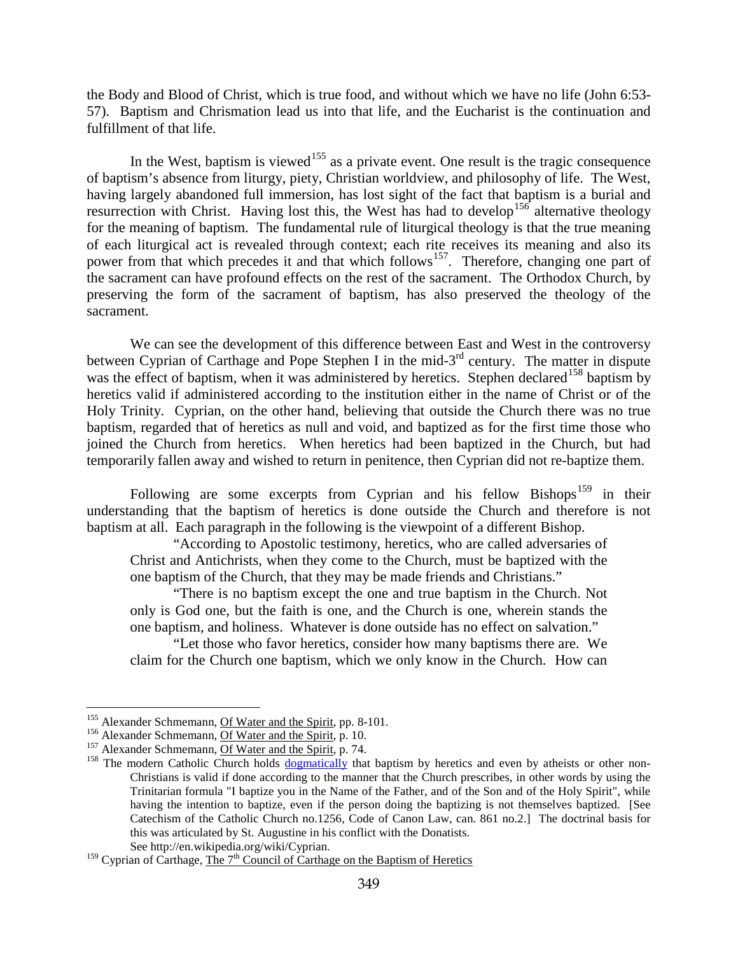the Body and Blood of Christ, which is true food, and without which we have no life (John 6:53- 57). Baptism and Chrismation lead us into that life, and the Eucharist is the continuation and fulfillment of that life.

In the West, baptism is viewed<sup>[155](#page-89-0)</sup> as a private event. One result is the tragic consequence of baptism's absence from liturgy, piety, Christian worldview, and philosophy of life. The West, having largely abandoned full immersion, has lost sight of the fact that baptism is a burial and resurrection with Christ. Having lost this, the West has had to develop<sup>[156](#page-89-1)</sup> alternative theology for the meaning of baptism. The fundamental rule of liturgical theology is that the true meaning of each liturgical act is revealed through context; each rite receives its meaning and also its power from that which precedes it and that which follows<sup>[157](#page-89-2)</sup>. Therefore, changing one part of the sacrament can have profound effects on the rest of the sacrament. The Orthodox Church, by preserving the form of the sacrament of baptism, has also preserved the theology of the sacrament.

We can see the development of this difference between East and West in the controversy between Cyprian of Carthage and Pope Stephen I in the mid-3<sup>rd</sup> century. The matter in dispute was the effect of baptism, when it was administered by heretics. Stephen declared<sup>[158](#page-89-3)</sup> baptism by heretics valid if administered according to the institution either in the name of Christ or of the Holy Trinity. Cyprian, on the other hand, believing that outside the Church there was no true baptism, regarded that of heretics as null and void, and baptized as for the first time those who joined the Church from heretics. When heretics had been baptized in the Church, but had temporarily fallen away and wished to return in penitence, then Cyprian did not re-baptize them.

Following are some excerpts from Cyprian and his fellow  $Bishop<sub>s</sub><sup>159</sup>$  $Bishop<sub>s</sub><sup>159</sup>$  $Bishop<sub>s</sub><sup>159</sup>$  in their understanding that the baptism of heretics is done outside the Church and therefore is not baptism at all. Each paragraph in the following is the viewpoint of a different Bishop.

"According to Apostolic testimony, heretics, who are called adversaries of Christ and Antichrists, when they come to the Church, must be baptized with the one baptism of the Church, that they may be made friends and Christians."

"There is no baptism except the one and true baptism in the Church. Not only is God one, but the faith is one, and the Church is one, wherein stands the one baptism, and holiness. Whatever is done outside has no effect on salvation."

"Let those who favor heretics, consider how many baptisms there are. We claim for the Church one baptism, which we only know in the Church. How can

<span id="page-89-3"></span><span id="page-89-2"></span>

<span id="page-89-1"></span><span id="page-89-0"></span><sup>&</sup>lt;sup>155</sup> Alexander Schmemann, <u>Of Water and the Spirit</u>, pp. 8-101.<br><sup>156</sup> Alexander Schmemann, <u>Of Water and the Spirit</u>, p. 10.<br><sup>157</sup> Alexander Schmemann, <u>Of Water and the Spirit</u>, p. 74.<br><sup>158</sup> The modern Catholic Church ho Christians is valid if done according to the manner that the Church prescribes, in other words by using the Trinitarian formula "I baptize you in the Name of the Father, and of the Son and of the Holy Spirit", while having the intention to baptize, even if the person doing the baptizing is not themselves baptized. [See Catechism of the Catholic Church no.1256, Code of Canon Law, can. 861 no.2.] The doctrinal basis for this was articulated by St. Augustine in his conflict with the Donatists. See http://en.wikipedia.org/wiki/Cyprian.

<span id="page-89-4"></span> $159$  Cyprian of Carthage, The  $7<sup>th</sup>$  Council of Carthage on the Baptism of Heretics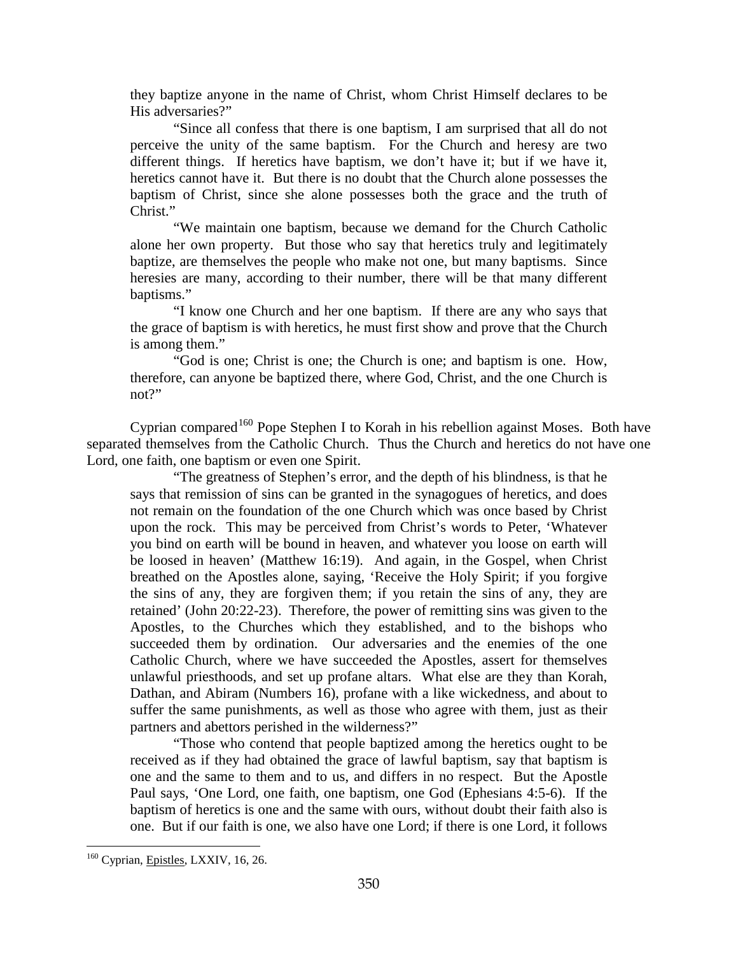they baptize anyone in the name of Christ, whom Christ Himself declares to be His adversaries?"

"Since all confess that there is one baptism, I am surprised that all do not perceive the unity of the same baptism. For the Church and heresy are two different things. If heretics have baptism, we don't have it; but if we have it, heretics cannot have it. But there is no doubt that the Church alone possesses the baptism of Christ, since she alone possesses both the grace and the truth of Christ."

"We maintain one baptism, because we demand for the Church Catholic alone her own property. But those who say that heretics truly and legitimately baptize, are themselves the people who make not one, but many baptisms. Since heresies are many, according to their number, there will be that many different baptisms."

"I know one Church and her one baptism. If there are any who says that the grace of baptism is with heretics, he must first show and prove that the Church is among them."

"God is one; Christ is one; the Church is one; and baptism is one. How, therefore, can anyone be baptized there, where God, Christ, and the one Church is not?"

Cyprian compared<sup>[160](#page-90-0)</sup> Pope Stephen I to Korah in his rebellion against Moses. Both have separated themselves from the Catholic Church. Thus the Church and heretics do not have one Lord, one faith, one baptism or even one Spirit.

"The greatness of Stephen's error, and the depth of his blindness, is that he says that remission of sins can be granted in the synagogues of heretics, and does not remain on the foundation of the one Church which was once based by Christ upon the rock. This may be perceived from Christ's words to Peter, 'Whatever you bind on earth will be bound in heaven, and whatever you loose on earth will be loosed in heaven' (Matthew 16:19). And again, in the Gospel, when Christ breathed on the Apostles alone, saying, 'Receive the Holy Spirit; if you forgive the sins of any, they are forgiven them; if you retain the sins of any, they are retained' (John 20:22-23). Therefore, the power of remitting sins was given to the Apostles, to the Churches which they established, and to the bishops who succeeded them by ordination. Our adversaries and the enemies of the one Catholic Church, where we have succeeded the Apostles, assert for themselves unlawful priesthoods, and set up profane altars. What else are they than Korah, Dathan, and Abiram (Numbers 16), profane with a like wickedness, and about to suffer the same punishments, as well as those who agree with them, just as their partners and abettors perished in the wilderness?"

"Those who contend that people baptized among the heretics ought to be received as if they had obtained the grace of lawful baptism, say that baptism is one and the same to them and to us, and differs in no respect. But the Apostle Paul says, 'One Lord, one faith, one baptism, one God (Ephesians 4:5-6). If the baptism of heretics is one and the same with ours, without doubt their faith also is one. But if our faith is one, we also have one Lord; if there is one Lord, it follows

<span id="page-90-0"></span><sup>&</sup>lt;sup>160</sup> Cyprian, Epistles, LXXIV, 16, 26.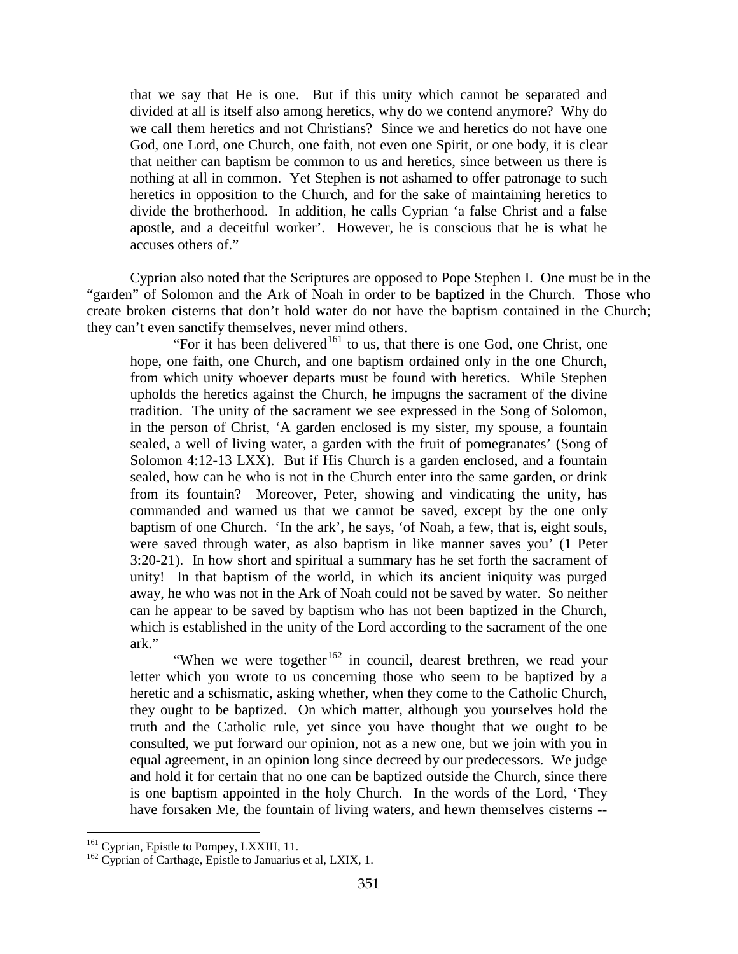that we say that He is one. But if this unity which cannot be separated and divided at all is itself also among heretics, why do we contend anymore? Why do we call them heretics and not Christians? Since we and heretics do not have one God, one Lord, one Church, one faith, not even one Spirit, or one body, it is clear that neither can baptism be common to us and heretics, since between us there is nothing at all in common. Yet Stephen is not ashamed to offer patronage to such heretics in opposition to the Church, and for the sake of maintaining heretics to divide the brotherhood. In addition, he calls Cyprian 'a false Christ and a false apostle, and a deceitful worker'. However, he is conscious that he is what he accuses others of."

Cyprian also noted that the Scriptures are opposed to Pope Stephen I. One must be in the "garden" of Solomon and the Ark of Noah in order to be baptized in the Church. Those who create broken cisterns that don't hold water do not have the baptism contained in the Church; they can't even sanctify themselves, never mind others.

"For it has been delivered<sup>[161](#page-91-0)</sup> to us, that there is one God, one Christ, one hope, one faith, one Church, and one baptism ordained only in the one Church, from which unity whoever departs must be found with heretics. While Stephen upholds the heretics against the Church, he impugns the sacrament of the divine tradition. The unity of the sacrament we see expressed in the Song of Solomon, in the person of Christ, 'A garden enclosed is my sister, my spouse, a fountain sealed, a well of living water, a garden with the fruit of pomegranates' (Song of Solomon 4:12-13 LXX). But if His Church is a garden enclosed, and a fountain sealed, how can he who is not in the Church enter into the same garden, or drink from its fountain? Moreover, Peter, showing and vindicating the unity, has commanded and warned us that we cannot be saved, except by the one only baptism of one Church. 'In the ark', he says, 'of Noah, a few, that is, eight souls, were saved through water, as also baptism in like manner saves you' (1 Peter 3:20-21). In how short and spiritual a summary has he set forth the sacrament of unity! In that baptism of the world, in which its ancient iniquity was purged away, he who was not in the Ark of Noah could not be saved by water. So neither can he appear to be saved by baptism who has not been baptized in the Church, which is established in the unity of the Lord according to the sacrament of the one ark."

"When we were together $162$  in council, dearest brethren, we read your letter which you wrote to us concerning those who seem to be baptized by a heretic and a schismatic, asking whether, when they come to the Catholic Church, they ought to be baptized. On which matter, although you yourselves hold the truth and the Catholic rule, yet since you have thought that we ought to be consulted, we put forward our opinion, not as a new one, but we join with you in equal agreement, in an opinion long since decreed by our predecessors. We judge and hold it for certain that no one can be baptized outside the Church, since there is one baptism appointed in the holy Church. In the words of the Lord, 'They have forsaken Me, the fountain of living waters, and hewn themselves cisterns --

<span id="page-91-1"></span><span id="page-91-0"></span><sup>&</sup>lt;sup>161</sup> Cyprian, *Epistle to Pompey*, LXXIII, 11.<br><sup>162</sup> Cyprian of Carthage, *Epistle to Januarius et al*, LXIX, 1.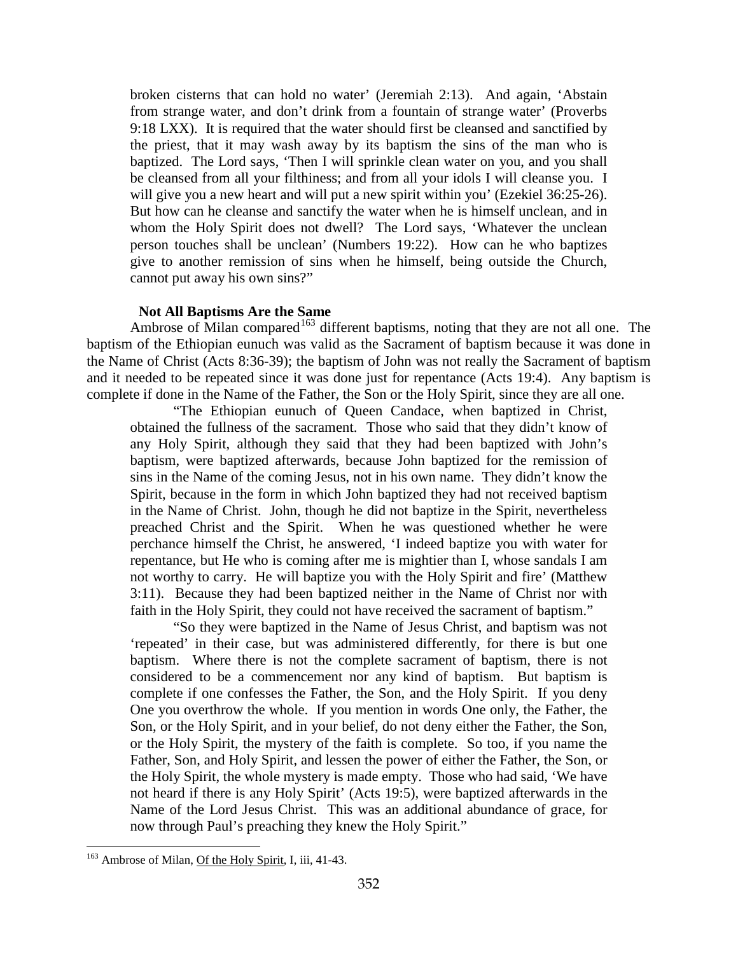broken cisterns that can hold no water' (Jeremiah 2:13). And again, 'Abstain from strange water, and don't drink from a fountain of strange water' (Proverbs 9:18 LXX). It is required that the water should first be cleansed and sanctified by the priest, that it may wash away by its baptism the sins of the man who is baptized. The Lord says, 'Then I will sprinkle clean water on you, and you shall be cleansed from all your filthiness; and from all your idols I will cleanse you. I will give you a new heart and will put a new spirit within you' (Ezekiel 36:25-26). But how can he cleanse and sanctify the water when he is himself unclean, and in whom the Holy Spirit does not dwell? The Lord says, 'Whatever the unclean person touches shall be unclean' (Numbers 19:22). How can he who baptizes give to another remission of sins when he himself, being outside the Church, cannot put away his own sins?"

# **Not All Baptisms Are the Same**

Ambrose of Milan compared<sup>[163](#page-92-0)</sup> different baptisms, noting that they are not all one. The baptism of the Ethiopian eunuch was valid as the Sacrament of baptism because it was done in the Name of Christ (Acts 8:36-39); the baptism of John was not really the Sacrament of baptism and it needed to be repeated since it was done just for repentance (Acts 19:4). Any baptism is complete if done in the Name of the Father, the Son or the Holy Spirit, since they are all one.

"The Ethiopian eunuch of Queen Candace, when baptized in Christ, obtained the fullness of the sacrament. Those who said that they didn't know of any Holy Spirit, although they said that they had been baptized with John's baptism, were baptized afterwards, because John baptized for the remission of sins in the Name of the coming Jesus, not in his own name. They didn't know the Spirit, because in the form in which John baptized they had not received baptism in the Name of Christ. John, though he did not baptize in the Spirit, nevertheless preached Christ and the Spirit. When he was questioned whether he were perchance himself the Christ, he answered, 'I indeed baptize you with water for repentance, but He who is coming after me is mightier than I, whose sandals I am not worthy to carry. He will baptize you with the Holy Spirit and fire' (Matthew 3:11). Because they had been baptized neither in the Name of Christ nor with faith in the Holy Spirit, they could not have received the sacrament of baptism."

"So they were baptized in the Name of Jesus Christ, and baptism was not 'repeated' in their case, but was administered differently, for there is but one baptism. Where there is not the complete sacrament of baptism, there is not considered to be a commencement nor any kind of baptism. But baptism is complete if one confesses the Father, the Son, and the Holy Spirit. If you deny One you overthrow the whole. If you mention in words One only, the Father, the Son, or the Holy Spirit, and in your belief, do not deny either the Father, the Son, or the Holy Spirit, the mystery of the faith is complete. So too, if you name the Father, Son, and Holy Spirit, and lessen the power of either the Father, the Son, or the Holy Spirit, the whole mystery is made empty. Those who had said, 'We have not heard if there is any Holy Spirit' (Acts 19:5), were baptized afterwards in the Name of the Lord Jesus Christ. This was an additional abundance of grace, for now through Paul's preaching they knew the Holy Spirit."

<span id="page-92-0"></span><sup>&</sup>lt;sup>163</sup> Ambrose of Milan, Of the Holy Spirit, I, iii, 41-43.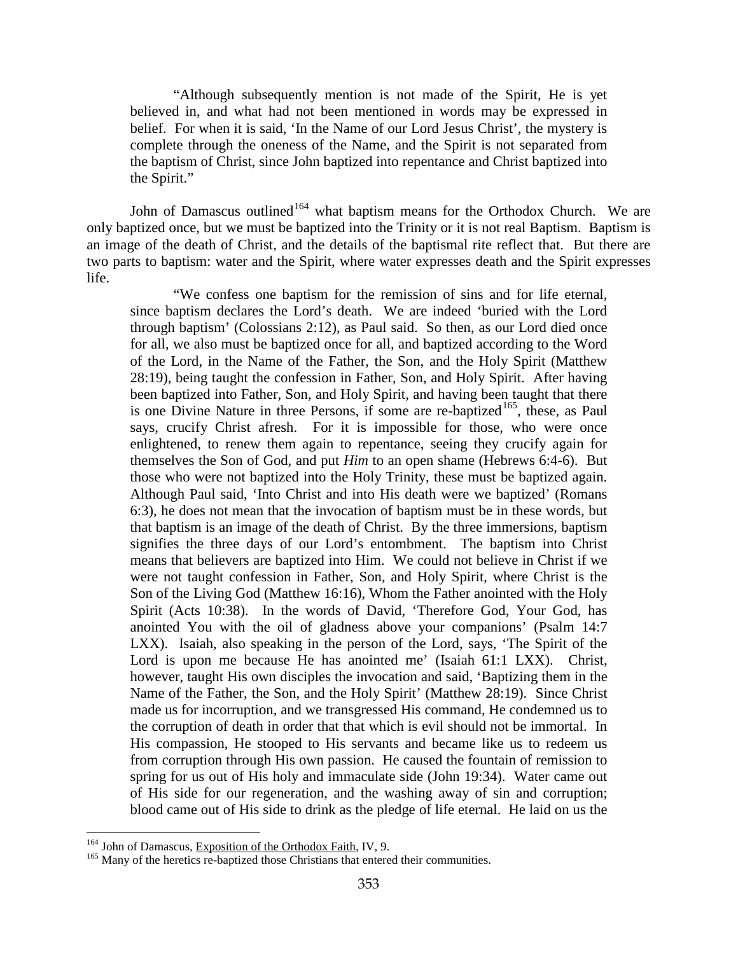"Although subsequently mention is not made of the Spirit, He is yet believed in, and what had not been mentioned in words may be expressed in belief. For when it is said, 'In the Name of our Lord Jesus Christ', the mystery is complete through the oneness of the Name, and the Spirit is not separated from the baptism of Christ, since John baptized into repentance and Christ baptized into the Spirit."

John of Damascus outlined<sup>[164](#page-93-0)</sup> what baptism means for the Orthodox Church. We are only baptized once, but we must be baptized into the Trinity or it is not real Baptism. Baptism is an image of the death of Christ, and the details of the baptismal rite reflect that. But there are two parts to baptism: water and the Spirit, where water expresses death and the Spirit expresses life.

"We confess one baptism for the remission of sins and for life eternal, since baptism declares the Lord's death. We are indeed 'buried with the Lord through baptism' (Colossians 2:12), as Paul said. So then, as our Lord died once for all, we also must be baptized once for all, and baptized according to the Word of the Lord, in the Name of the Father, the Son, and the Holy Spirit (Matthew 28:19), being taught the confession in Father, Son, and Holy Spirit. After having been baptized into Father, Son, and Holy Spirit, and having been taught that there is one Divine Nature in three Persons, if some are re-baptized<sup>[165](#page-93-1)</sup>, these, as Paul says, crucify Christ afresh. For it is impossible for those, who were once enlightened, to renew them again to repentance, seeing they crucify again for themselves the Son of God, and put *Him* to an open shame (Hebrews 6:4-6). But those who were not baptized into the Holy Trinity, these must be baptized again. Although Paul said, 'Into Christ and into His death were we baptized' (Romans 6:3), he does not mean that the invocation of baptism must be in these words, but that baptism is an image of the death of Christ. By the three immersions, baptism signifies the three days of our Lord's entombment. The baptism into Christ means that believers are baptized into Him. We could not believe in Christ if we were not taught confession in Father, Son, and Holy Spirit, where Christ is the Son of the Living God (Matthew 16:16), Whom the Father anointed with the Holy Spirit (Acts 10:38). In the words of David, 'Therefore God, Your God, has anointed You with the oil of gladness above your companions' (Psalm 14:7 LXX). Isaiah, also speaking in the person of the Lord, says, 'The Spirit of the Lord is upon me because He has anointed me' (Isaiah 61:1 LXX). Christ, however, taught His own disciples the invocation and said, 'Baptizing them in the Name of the Father, the Son, and the Holy Spirit' (Matthew 28:19). Since Christ made us for incorruption, and we transgressed His command, He condemned us to the corruption of death in order that that which is evil should not be immortal. In His compassion, He stooped to His servants and became like us to redeem us from corruption through His own passion. He caused the fountain of remission to spring for us out of His holy and immaculate side (John 19:34). Water came out of His side for our regeneration, and the washing away of sin and corruption; blood came out of His side to drink as the pledge of life eternal. He laid on us the

<span id="page-93-0"></span> $^{164}$  John of Damascus, Exposition of the Orthodox Faith, IV, 9.

<span id="page-93-1"></span><sup>&</sup>lt;sup>165</sup> Many of the heretics re-baptized those Christians that entered their communities.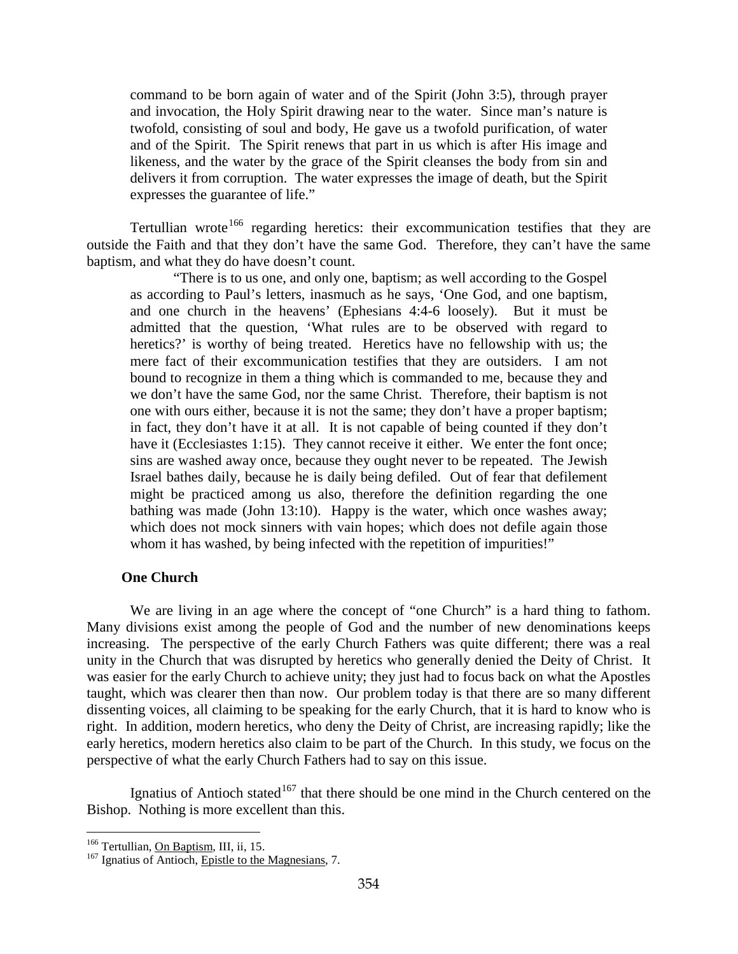command to be born again of water and of the Spirit (John 3:5), through prayer and invocation, the Holy Spirit drawing near to the water. Since man's nature is twofold, consisting of soul and body, He gave us a twofold purification, of water and of the Spirit. The Spirit renews that part in us which is after His image and likeness, and the water by the grace of the Spirit cleanses the body from sin and delivers it from corruption. The water expresses the image of death, but the Spirit expresses the guarantee of life."

Tertullian wrote<sup>[166](#page-94-0)</sup> regarding heretics: their excommunication testifies that they are outside the Faith and that they don't have the same God. Therefore, they can't have the same baptism, and what they do have doesn't count.

"There is to us one, and only one, baptism; as well according to the Gospel as according to Paul's letters, inasmuch as he says, 'One God, and one baptism, and one church in the heavens' (Ephesians 4:4-6 loosely). But it must be admitted that the question, 'What rules are to be observed with regard to heretics?' is worthy of being treated. Heretics have no fellowship with us; the mere fact of their excommunication testifies that they are outsiders. I am not bound to recognize in them a thing which is commanded to me, because they and we don't have the same God, nor the same Christ. Therefore, their baptism is not one with ours either, because it is not the same; they don't have a proper baptism; in fact, they don't have it at all. It is not capable of being counted if they don't have it (Ecclesiastes 1:15). They cannot receive it either. We enter the font once; sins are washed away once, because they ought never to be repeated. The Jewish Israel bathes daily, because he is daily being defiled. Out of fear that defilement might be practiced among us also, therefore the definition regarding the one bathing was made (John 13:10). Happy is the water, which once washes away; which does not mock sinners with vain hopes; which does not defile again those whom it has washed, by being infected with the repetition of impurities!"

# **One Church**

We are living in an age where the concept of "one Church" is a hard thing to fathom. Many divisions exist among the people of God and the number of new denominations keeps increasing. The perspective of the early Church Fathers was quite different; there was a real unity in the Church that was disrupted by heretics who generally denied the Deity of Christ. It was easier for the early Church to achieve unity; they just had to focus back on what the Apostles taught, which was clearer then than now. Our problem today is that there are so many different dissenting voices, all claiming to be speaking for the early Church, that it is hard to know who is right. In addition, modern heretics, who deny the Deity of Christ, are increasing rapidly; like the early heretics, modern heretics also claim to be part of the Church. In this study, we focus on the perspective of what the early Church Fathers had to say on this issue.

Ignatius of Antioch stated<sup>[167](#page-94-1)</sup> that there should be one mind in the Church centered on the Bishop. Nothing is more excellent than this.

<span id="page-94-1"></span>

<span id="page-94-0"></span><sup>&</sup>lt;sup>166</sup> Tertullian, <u>On Baptism</u>, III, ii, 15.<br><sup>167</sup> Ignatius of Antioch, Epistle to the Magnesians, 7.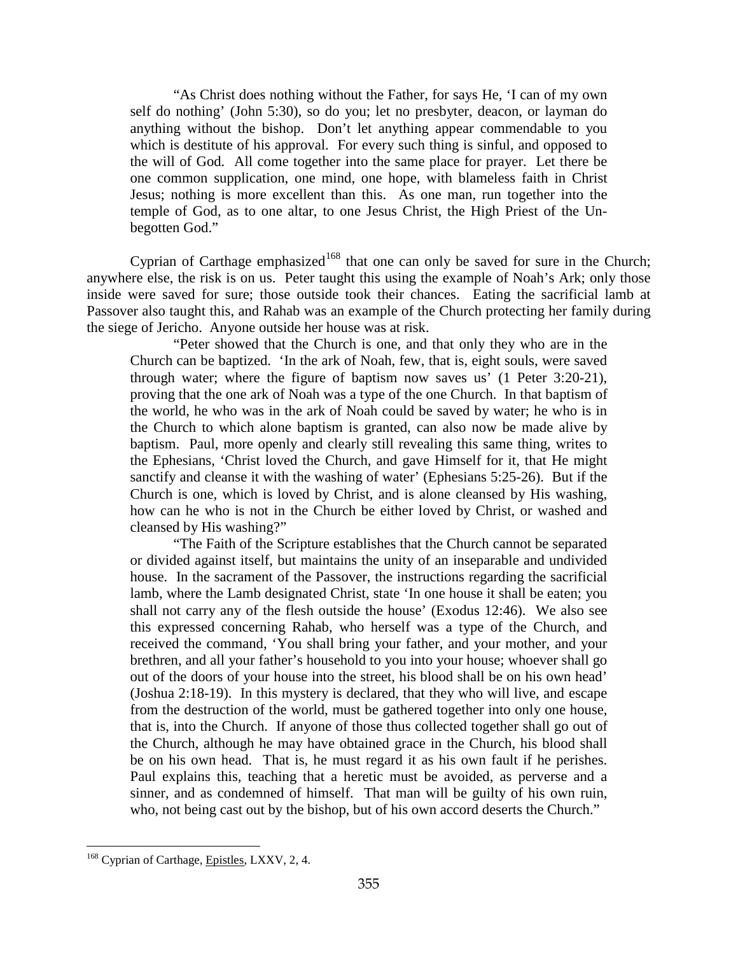"As Christ does nothing without the Father, for says He, 'I can of my own self do nothing' (John 5:30), so do you; let no presbyter, deacon, or layman do anything without the bishop. Don't let anything appear commendable to you which is destitute of his approval. For every such thing is sinful, and opposed to the will of God. All come together into the same place for prayer. Let there be one common supplication, one mind, one hope, with blameless faith in Christ Jesus; nothing is more excellent than this. As one man, run together into the temple of God, as to one altar, to one Jesus Christ, the High Priest of the Unbegotten God."

Cyprian of Carthage emphasized<sup>[168](#page-95-0)</sup> that one can only be saved for sure in the Church; anywhere else, the risk is on us. Peter taught this using the example of Noah's Ark; only those inside were saved for sure; those outside took their chances. Eating the sacrificial lamb at Passover also taught this, and Rahab was an example of the Church protecting her family during the siege of Jericho. Anyone outside her house was at risk.

"Peter showed that the Church is one, and that only they who are in the Church can be baptized. 'In the ark of Noah, few, that is, eight souls, were saved through water; where the figure of baptism now saves us' (1 Peter 3:20-21), proving that the one ark of Noah was a type of the one Church. In that baptism of the world, he who was in the ark of Noah could be saved by water; he who is in the Church to which alone baptism is granted, can also now be made alive by baptism. Paul, more openly and clearly still revealing this same thing, writes to the Ephesians, 'Christ loved the Church, and gave Himself for it, that He might sanctify and cleanse it with the washing of water' (Ephesians 5:25-26). But if the Church is one, which is loved by Christ, and is alone cleansed by His washing, how can he who is not in the Church be either loved by Christ, or washed and cleansed by His washing?"

"The Faith of the Scripture establishes that the Church cannot be separated or divided against itself, but maintains the unity of an inseparable and undivided house. In the sacrament of the Passover, the instructions regarding the sacrificial lamb, where the Lamb designated Christ, state 'In one house it shall be eaten; you shall not carry any of the flesh outside the house' (Exodus 12:46). We also see this expressed concerning Rahab, who herself was a type of the Church, and received the command, 'You shall bring your father, and your mother, and your brethren, and all your father's household to you into your house; whoever shall go out of the doors of your house into the street, his blood shall be on his own head' (Joshua 2:18-19). In this mystery is declared, that they who will live, and escape from the destruction of the world, must be gathered together into only one house, that is, into the Church. If anyone of those thus collected together shall go out of the Church, although he may have obtained grace in the Church, his blood shall be on his own head. That is, he must regard it as his own fault if he perishes. Paul explains this, teaching that a heretic must be avoided, as perverse and a sinner, and as condemned of himself. That man will be guilty of his own ruin, who, not being cast out by the bishop, but of his own accord deserts the Church."

<span id="page-95-0"></span><sup>&</sup>lt;sup>168</sup> Cyprian of Carthage, *Epistles*, LXXV, 2, 4.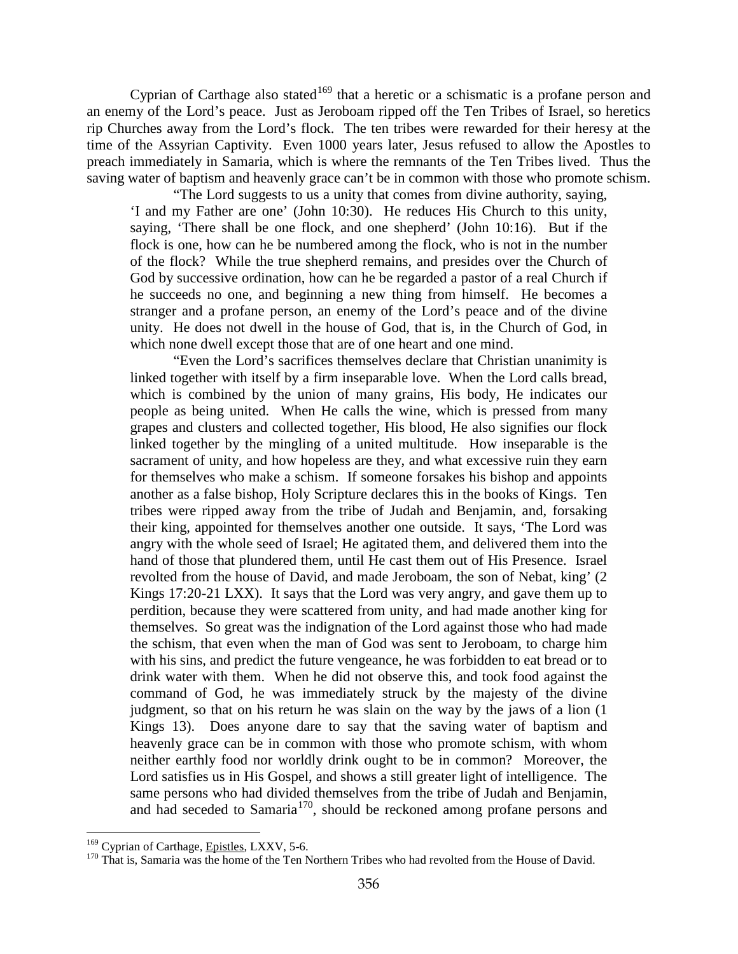Cyprian of Carthage also stated<sup>[169](#page-96-0)</sup> that a heretic or a schismatic is a profane person and an enemy of the Lord's peace. Just as Jeroboam ripped off the Ten Tribes of Israel, so heretics rip Churches away from the Lord's flock. The ten tribes were rewarded for their heresy at the time of the Assyrian Captivity. Even 1000 years later, Jesus refused to allow the Apostles to preach immediately in Samaria, which is where the remnants of the Ten Tribes lived. Thus the saving water of baptism and heavenly grace can't be in common with those who promote schism.

"The Lord suggests to us a unity that comes from divine authority, saying, 'I and my Father are one' (John 10:30). He reduces His Church to this unity, saying, 'There shall be one flock, and one shepherd' (John 10:16). But if the flock is one, how can he be numbered among the flock, who is not in the number of the flock? While the true shepherd remains, and presides over the Church of God by successive ordination, how can he be regarded a pastor of a real Church if he succeeds no one, and beginning a new thing from himself. He becomes a stranger and a profane person, an enemy of the Lord's peace and of the divine unity. He does not dwell in the house of God, that is, in the Church of God, in which none dwell except those that are of one heart and one mind.

"Even the Lord's sacrifices themselves declare that Christian unanimity is linked together with itself by a firm inseparable love. When the Lord calls bread, which is combined by the union of many grains, His body, He indicates our people as being united. When He calls the wine, which is pressed from many grapes and clusters and collected together, His blood, He also signifies our flock linked together by the mingling of a united multitude. How inseparable is the sacrament of unity, and how hopeless are they, and what excessive ruin they earn for themselves who make a schism. If someone forsakes his bishop and appoints another as a false bishop, Holy Scripture declares this in the books of Kings. Ten tribes were ripped away from the tribe of Judah and Benjamin, and, forsaking their king, appointed for themselves another one outside. It says, 'The Lord was angry with the whole seed of Israel; He agitated them, and delivered them into the hand of those that plundered them, until He cast them out of His Presence. Israel revolted from the house of David, and made Jeroboam, the son of Nebat, king' (2 Kings 17:20-21 LXX). It says that the Lord was very angry, and gave them up to perdition, because they were scattered from unity, and had made another king for themselves. So great was the indignation of the Lord against those who had made the schism, that even when the man of God was sent to Jeroboam, to charge him with his sins, and predict the future vengeance, he was forbidden to eat bread or to drink water with them. When he did not observe this, and took food against the command of God, he was immediately struck by the majesty of the divine judgment, so that on his return he was slain on the way by the jaws of a lion (1 Kings 13). Does anyone dare to say that the saving water of baptism and heavenly grace can be in common with those who promote schism, with whom neither earthly food nor worldly drink ought to be in common? Moreover, the Lord satisfies us in His Gospel, and shows a still greater light of intelligence. The same persons who had divided themselves from the tribe of Judah and Benjamin, and had seceded to Samaria<sup>170</sup>, should be reckoned among profane persons and

<span id="page-96-1"></span><span id="page-96-0"></span><sup>&</sup>lt;sup>169</sup> Cyprian of Carthage, *Epistles*, LXXV, 5-6.<br><sup>170</sup> That is, Samaria was the home of the Ten Northern Tribes who had revolted from the House of David.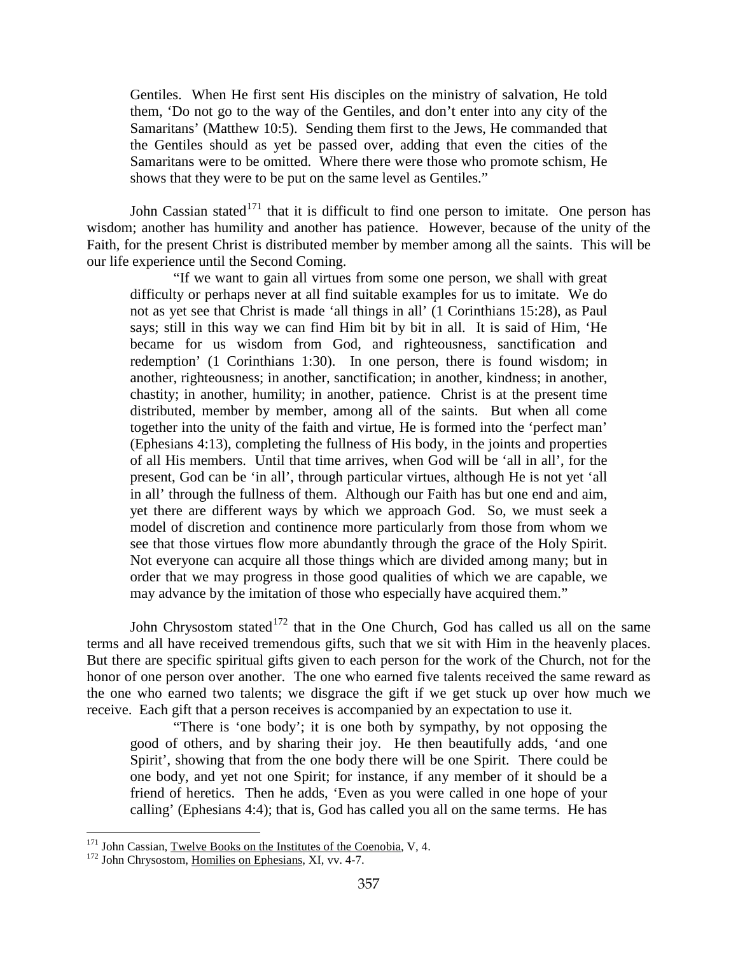Gentiles. When He first sent His disciples on the ministry of salvation, He told them, 'Do not go to the way of the Gentiles, and don't enter into any city of the Samaritans' (Matthew 10:5). Sending them first to the Jews, He commanded that the Gentiles should as yet be passed over, adding that even the cities of the Samaritans were to be omitted. Where there were those who promote schism, He shows that they were to be put on the same level as Gentiles."

John Cassian stated $171$  that it is difficult to find one person to imitate. One person has wisdom; another has humility and another has patience. However, because of the unity of the Faith, for the present Christ is distributed member by member among all the saints. This will be our life experience until the Second Coming.

"If we want to gain all virtues from some one person, we shall with great difficulty or perhaps never at all find suitable examples for us to imitate. We do not as yet see that Christ is made 'all things in all' (1 Corinthians 15:28), as Paul says; still in this way we can find Him bit by bit in all. It is said of Him, 'He became for us wisdom from God, and righteousness, sanctification and redemption' (1 Corinthians 1:30). In one person, there is found wisdom; in another, righteousness; in another, sanctification; in another, kindness; in another, chastity; in another, humility; in another, patience. Christ is at the present time distributed, member by member, among all of the saints. But when all come together into the unity of the faith and virtue, He is formed into the 'perfect man' (Ephesians 4:13), completing the fullness of His body, in the joints and properties of all His members. Until that time arrives, when God will be 'all in all', for the present, God can be 'in all', through particular virtues, although He is not yet 'all in all' through the fullness of them. Although our Faith has but one end and aim, yet there are different ways by which we approach God. So, we must seek a model of discretion and continence more particularly from those from whom we see that those virtues flow more abundantly through the grace of the Holy Spirit. Not everyone can acquire all those things which are divided among many; but in order that we may progress in those good qualities of which we are capable, we may advance by the imitation of those who especially have acquired them."

John Chrysostom stated $172$  that in the One Church, God has called us all on the same terms and all have received tremendous gifts, such that we sit with Him in the heavenly places. But there are specific spiritual gifts given to each person for the work of the Church, not for the honor of one person over another. The one who earned five talents received the same reward as the one who earned two talents; we disgrace the gift if we get stuck up over how much we receive. Each gift that a person receives is accompanied by an expectation to use it.

"There is 'one body'; it is one both by sympathy, by not opposing the good of others, and by sharing their joy. He then beautifully adds, 'and one Spirit', showing that from the one body there will be one Spirit. There could be one body, and yet not one Spirit; for instance, if any member of it should be a friend of heretics. Then he adds, 'Even as you were called in one hope of your calling' (Ephesians 4:4); that is, God has called you all on the same terms. He has

<span id="page-97-0"></span><sup>&</sup>lt;sup>171</sup> John Cassian, <u>Twelve Books on the Institutes of the Coenobia</u>, V, 4. <sup>172</sup> John Chrysostom, <u>Homilies on Ephesians</u>, XI, vv. 4-7.

<span id="page-97-1"></span>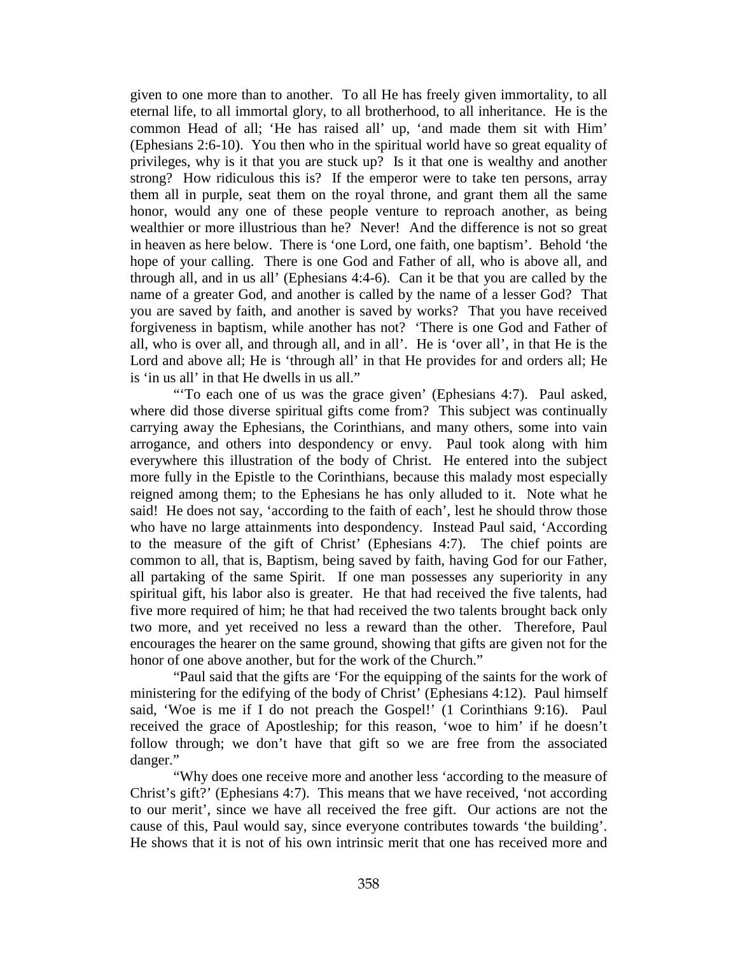given to one more than to another. To all He has freely given immortality, to all eternal life, to all immortal glory, to all brotherhood, to all inheritance. He is the common Head of all; 'He has raised all' up, 'and made them sit with Him' (Ephesians 2:6-10). You then who in the spiritual world have so great equality of privileges, why is it that you are stuck up? Is it that one is wealthy and another strong? How ridiculous this is? If the emperor were to take ten persons, array them all in purple, seat them on the royal throne, and grant them all the same honor, would any one of these people venture to reproach another, as being wealthier or more illustrious than he? Never! And the difference is not so great in heaven as here below. There is 'one Lord, one faith, one baptism'. Behold 'the hope of your calling. There is one God and Father of all, who is above all, and through all, and in us all' (Ephesians 4:4-6). Can it be that you are called by the name of a greater God, and another is called by the name of a lesser God? That you are saved by faith, and another is saved by works? That you have received forgiveness in baptism, while another has not? 'There is one God and Father of all, who is over all, and through all, and in all'. He is 'over all', in that He is the Lord and above all; He is 'through all' in that He provides for and orders all; He is 'in us all' in that He dwells in us all."

"To each one of us was the grace given' (Ephesians 4:7). Paul asked, where did those diverse spiritual gifts come from? This subject was continually carrying away the Ephesians, the Corinthians, and many others, some into vain arrogance, and others into despondency or envy. Paul took along with him everywhere this illustration of the body of Christ. He entered into the subject more fully in the Epistle to the Corinthians, because this malady most especially reigned among them; to the Ephesians he has only alluded to it. Note what he said! He does not say, 'according to the faith of each', lest he should throw those who have no large attainments into despondency. Instead Paul said, 'According to the measure of the gift of Christ' (Ephesians 4:7). The chief points are common to all, that is, Baptism, being saved by faith, having God for our Father, all partaking of the same Spirit. If one man possesses any superiority in any spiritual gift, his labor also is greater. He that had received the five talents, had five more required of him; he that had received the two talents brought back only two more, and yet received no less a reward than the other. Therefore, Paul encourages the hearer on the same ground, showing that gifts are given not for the honor of one above another, but for the work of the Church."

"Paul said that the gifts are 'For the equipping of the saints for the work of ministering for the edifying of the body of Christ' (Ephesians 4:12). Paul himself said, 'Woe is me if I do not preach the Gospel!' (1 Corinthians 9:16). Paul received the grace of Apostleship; for this reason, 'woe to him' if he doesn't follow through; we don't have that gift so we are free from the associated danger."

"Why does one receive more and another less 'according to the measure of Christ's gift?' (Ephesians 4:7). This means that we have received, 'not according to our merit', since we have all received the free gift. Our actions are not the cause of this, Paul would say, since everyone contributes towards 'the building'. He shows that it is not of his own intrinsic merit that one has received more and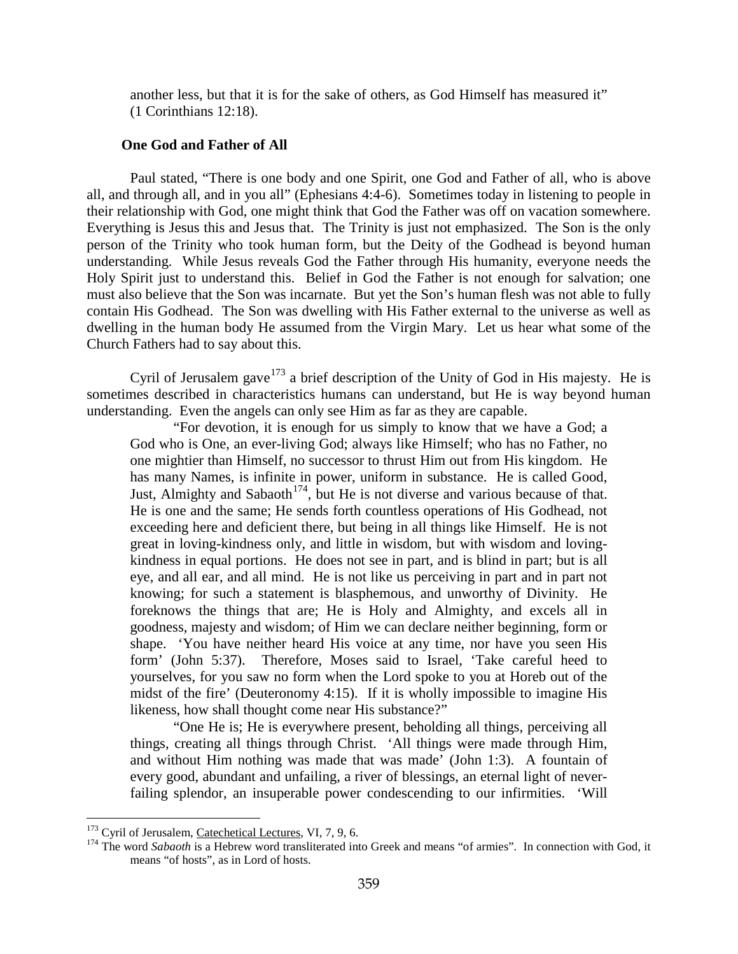another less, but that it is for the sake of others, as God Himself has measured it" (1 Corinthians 12:18).

## **One God and Father of All**

Paul stated, "There is one body and one Spirit, one God and Father of all, who is above all, and through all, and in you all" (Ephesians 4:4-6). Sometimes today in listening to people in their relationship with God, one might think that God the Father was off on vacation somewhere. Everything is Jesus this and Jesus that. The Trinity is just not emphasized. The Son is the only person of the Trinity who took human form, but the Deity of the Godhead is beyond human understanding. While Jesus reveals God the Father through His humanity, everyone needs the Holy Spirit just to understand this. Belief in God the Father is not enough for salvation; one must also believe that the Son was incarnate. But yet the Son's human flesh was not able to fully contain His Godhead. The Son was dwelling with His Father external to the universe as well as dwelling in the human body He assumed from the Virgin Mary. Let us hear what some of the Church Fathers had to say about this.

Cyril of Jerusalem gave  $173$  a brief description of the Unity of God in His majesty. He is sometimes described in characteristics humans can understand, but He is way beyond human understanding. Even the angels can only see Him as far as they are capable.

"For devotion, it is enough for us simply to know that we have a God; a God who is One, an ever-living God; always like Himself; who has no Father, no one mightier than Himself, no successor to thrust Him out from His kingdom. He has many Names, is infinite in power, uniform in substance. He is called Good, Just, Almighty and Sabaoth<sup>[174](#page-99-1)</sup>, but He is not diverse and various because of that. He is one and the same; He sends forth countless operations of His Godhead, not exceeding here and deficient there, but being in all things like Himself. He is not great in loving-kindness only, and little in wisdom, but with wisdom and lovingkindness in equal portions. He does not see in part, and is blind in part; but is all eye, and all ear, and all mind. He is not like us perceiving in part and in part not knowing; for such a statement is blasphemous, and unworthy of Divinity. He foreknows the things that are; He is Holy and Almighty, and excels all in goodness, majesty and wisdom; of Him we can declare neither beginning, form or shape. 'You have neither heard His voice at any time, nor have you seen His form' (John 5:37). Therefore, Moses said to Israel, 'Take careful heed to yourselves, for you saw no form when the Lord spoke to you at Horeb out of the midst of the fire' (Deuteronomy 4:15). If it is wholly impossible to imagine His likeness, how shall thought come near His substance?"

"One He is; He is everywhere present, beholding all things, perceiving all things, creating all things through Christ. 'All things were made through Him, and without Him nothing was made that was made' (John 1:3). A fountain of every good, abundant and unfailing, a river of blessings, an eternal light of neverfailing splendor, an insuperable power condescending to our infirmities. 'Will

<span id="page-99-1"></span><span id="page-99-0"></span><sup>&</sup>lt;sup>173</sup> Cyril of Jerusalem, Catechetical Lectures, VI, 7, 9, 6.<br><sup>174</sup> The word *Sabaoth* is a Hebrew word transliterated into Greek and means "of armies". In connection with God, it means "of hosts", as in Lord of hosts.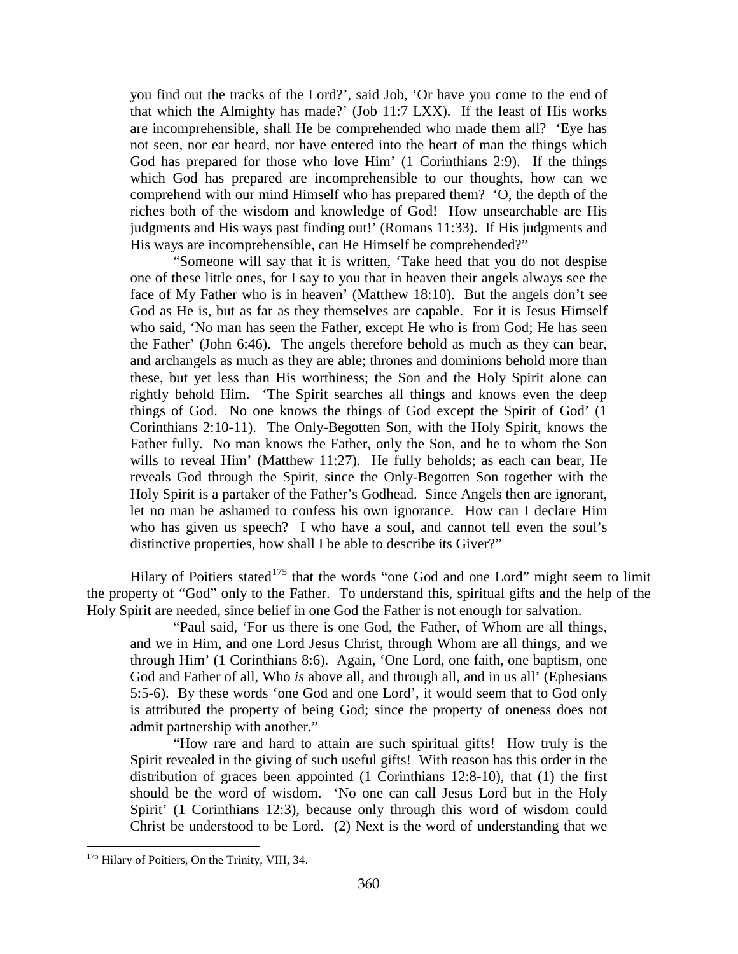you find out the tracks of the Lord?', said Job, 'Or have you come to the end of that which the Almighty has made?' (Job 11:7 LXX). If the least of His works are incomprehensible, shall He be comprehended who made them all? 'Eye has not seen, nor ear heard, nor have entered into the heart of man the things which God has prepared for those who love Him' (1 Corinthians 2:9). If the things which God has prepared are incomprehensible to our thoughts, how can we comprehend with our mind Himself who has prepared them? 'O, the depth of the riches both of the wisdom and knowledge of God! How unsearchable are His judgments and His ways past finding out!' (Romans 11:33). If His judgments and His ways are incomprehensible, can He Himself be comprehended?"

"Someone will say that it is written, 'Take heed that you do not despise one of these little ones, for I say to you that in heaven their angels always see the face of My Father who is in heaven' (Matthew 18:10). But the angels don't see God as He is, but as far as they themselves are capable. For it is Jesus Himself who said, 'No man has seen the Father, except He who is from God; He has seen the Father' (John 6:46). The angels therefore behold as much as they can bear, and archangels as much as they are able; thrones and dominions behold more than these, but yet less than His worthiness; the Son and the Holy Spirit alone can rightly behold Him. 'The Spirit searches all things and knows even the deep things of God. No one knows the things of God except the Spirit of God' (1 Corinthians 2:10-11). The Only-Begotten Son, with the Holy Spirit, knows the Father fully. No man knows the Father, only the Son, and he to whom the Son wills to reveal Him' (Matthew 11:27). He fully beholds; as each can bear, He reveals God through the Spirit, since the Only-Begotten Son together with the Holy Spirit is a partaker of the Father's Godhead. Since Angels then are ignorant, let no man be ashamed to confess his own ignorance. How can I declare Him who has given us speech? I who have a soul, and cannot tell even the soul's distinctive properties, how shall I be able to describe its Giver?"

Hilary of Poitiers stated<sup>[175](#page-100-0)</sup> that the words "one God and one Lord" might seem to limit the property of "God" only to the Father. To understand this, spiritual gifts and the help of the Holy Spirit are needed, since belief in one God the Father is not enough for salvation.

"Paul said, 'For us there is one God, the Father, of Whom are all things, and we in Him, and one Lord Jesus Christ, through Whom are all things, and we through Him' (1 Corinthians 8:6). Again, 'One Lord, one faith, one baptism, one God and Father of all, Who *is* above all, and through all, and in us all' (Ephesians 5:5-6). By these words 'one God and one Lord', it would seem that to God only is attributed the property of being God; since the property of oneness does not admit partnership with another."

"How rare and hard to attain are such spiritual gifts! How truly is the Spirit revealed in the giving of such useful gifts! With reason has this order in the distribution of graces been appointed (1 Corinthians 12:8-10), that (1) the first should be the word of wisdom. 'No one can call Jesus Lord but in the Holy Spirit' (1 Corinthians 12:3), because only through this word of wisdom could Christ be understood to be Lord. (2) Next is the word of understanding that we

<span id="page-100-0"></span><sup>&</sup>lt;sup>175</sup> Hilary of Poitiers, On the Trinity, VIII, 34.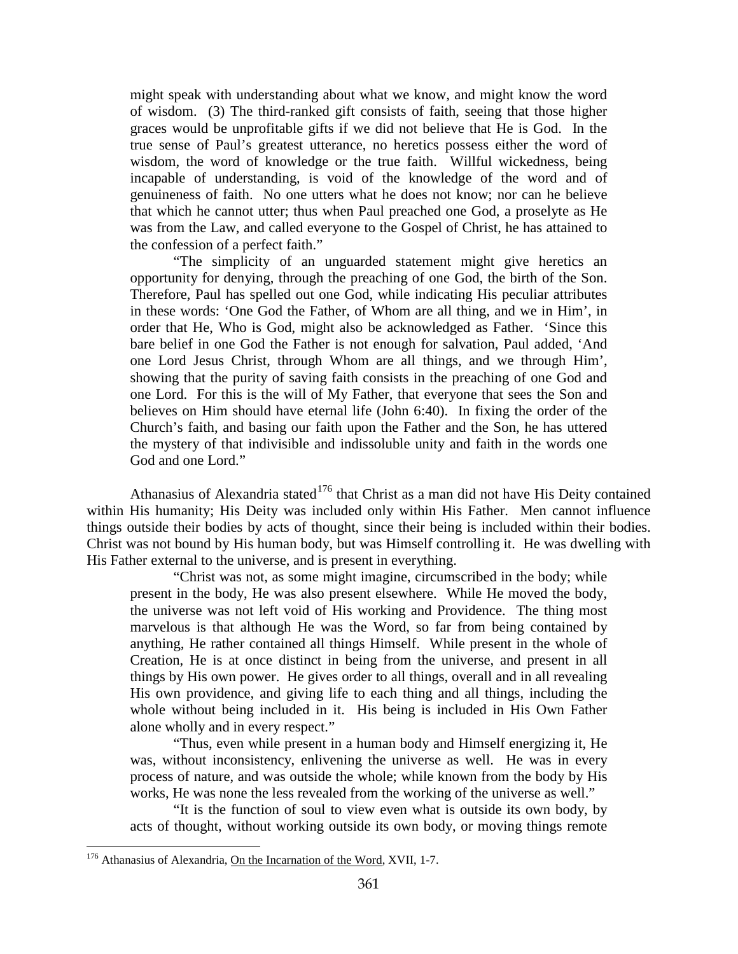might speak with understanding about what we know, and might know the word of wisdom. (3) The third-ranked gift consists of faith, seeing that those higher graces would be unprofitable gifts if we did not believe that He is God. In the true sense of Paul's greatest utterance, no heretics possess either the word of wisdom, the word of knowledge or the true faith. Willful wickedness, being incapable of understanding, is void of the knowledge of the word and of genuineness of faith. No one utters what he does not know; nor can he believe that which he cannot utter; thus when Paul preached one God, a proselyte as He was from the Law, and called everyone to the Gospel of Christ, he has attained to the confession of a perfect faith."

"The simplicity of an unguarded statement might give heretics an opportunity for denying, through the preaching of one God, the birth of the Son. Therefore, Paul has spelled out one God, while indicating His peculiar attributes in these words: 'One God the Father, of Whom are all thing, and we in Him', in order that He, Who is God, might also be acknowledged as Father. 'Since this bare belief in one God the Father is not enough for salvation, Paul added, 'And one Lord Jesus Christ, through Whom are all things, and we through Him', showing that the purity of saving faith consists in the preaching of one God and one Lord. For this is the will of My Father, that everyone that sees the Son and believes on Him should have eternal life (John 6:40). In fixing the order of the Church's faith, and basing our faith upon the Father and the Son, he has uttered the mystery of that indivisible and indissoluble unity and faith in the words one God and one Lord."

Athanasius of Alexandria stated<sup>[176](#page-101-0)</sup> that Christ as a man did not have His Deity contained within His humanity; His Deity was included only within His Father. Men cannot influence things outside their bodies by acts of thought, since their being is included within their bodies. Christ was not bound by His human body, but was Himself controlling it. He was dwelling with His Father external to the universe, and is present in everything.

"Christ was not, as some might imagine, circumscribed in the body; while present in the body, He was also present elsewhere. While He moved the body, the universe was not left void of His working and Providence. The thing most marvelous is that although He was the Word, so far from being contained by anything, He rather contained all things Himself. While present in the whole of Creation, He is at once distinct in being from the universe, and present in all things by His own power. He gives order to all things, overall and in all revealing His own providence, and giving life to each thing and all things, including the whole without being included in it. His being is included in His Own Father alone wholly and in every respect."

"Thus, even while present in a human body and Himself energizing it, He was, without inconsistency, enlivening the universe as well. He was in every process of nature, and was outside the whole; while known from the body by His works, He was none the less revealed from the working of the universe as well."

"It is the function of soul to view even what is outside its own body, by acts of thought, without working outside its own body, or moving things remote

<span id="page-101-0"></span><sup>&</sup>lt;sup>176</sup> Athanasius of Alexandria, On the Incarnation of the Word, XVII, 1-7.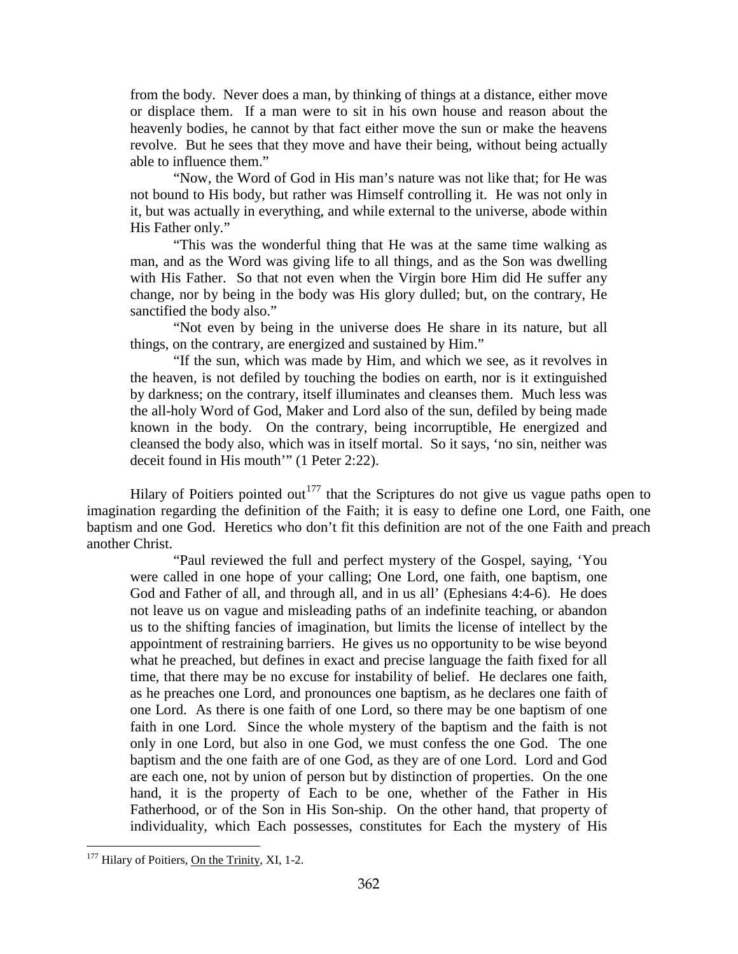from the body. Never does a man, by thinking of things at a distance, either move or displace them. If a man were to sit in his own house and reason about the heavenly bodies, he cannot by that fact either move the sun or make the heavens revolve. But he sees that they move and have their being, without being actually able to influence them."

"Now, the Word of God in His man's nature was not like that; for He was not bound to His body, but rather was Himself controlling it. He was not only in it, but was actually in everything, and while external to the universe, abode within His Father only."

"This was the wonderful thing that He was at the same time walking as man, and as the Word was giving life to all things, and as the Son was dwelling with His Father. So that not even when the Virgin bore Him did He suffer any change, nor by being in the body was His glory dulled; but, on the contrary, He sanctified the body also."

"Not even by being in the universe does He share in its nature, but all things, on the contrary, are energized and sustained by Him."

"If the sun, which was made by Him, and which we see, as it revolves in the heaven, is not defiled by touching the bodies on earth, nor is it extinguished by darkness; on the contrary, itself illuminates and cleanses them. Much less was the all-holy Word of God, Maker and Lord also of the sun, defiled by being made known in the body. On the contrary, being incorruptible, He energized and cleansed the body also, which was in itself mortal. So it says, 'no sin, neither was deceit found in His mouth'" (1 Peter 2:22).

Hilary of Poitiers pointed out<sup>[177](#page-102-0)</sup> that the Scriptures do not give us vague paths open to imagination regarding the definition of the Faith; it is easy to define one Lord, one Faith, one baptism and one God. Heretics who don't fit this definition are not of the one Faith and preach another Christ.

"Paul reviewed the full and perfect mystery of the Gospel, saying, 'You were called in one hope of your calling; One Lord, one faith, one baptism, one God and Father of all, and through all, and in us all' (Ephesians 4:4-6). He does not leave us on vague and misleading paths of an indefinite teaching, or abandon us to the shifting fancies of imagination, but limits the license of intellect by the appointment of restraining barriers. He gives us no opportunity to be wise beyond what he preached, but defines in exact and precise language the faith fixed for all time, that there may be no excuse for instability of belief. He declares one faith, as he preaches one Lord, and pronounces one baptism, as he declares one faith of one Lord. As there is one faith of one Lord, so there may be one baptism of one faith in one Lord. Since the whole mystery of the baptism and the faith is not only in one Lord, but also in one God, we must confess the one God. The one baptism and the one faith are of one God, as they are of one Lord. Lord and God are each one, not by union of person but by distinction of properties. On the one hand, it is the property of Each to be one, whether of the Father in His Fatherhood, or of the Son in His Son-ship. On the other hand, that property of individuality, which Each possesses, constitutes for Each the mystery of His

<span id="page-102-0"></span> $177$  Hilary of Poitiers, On the Trinity, XI, 1-2.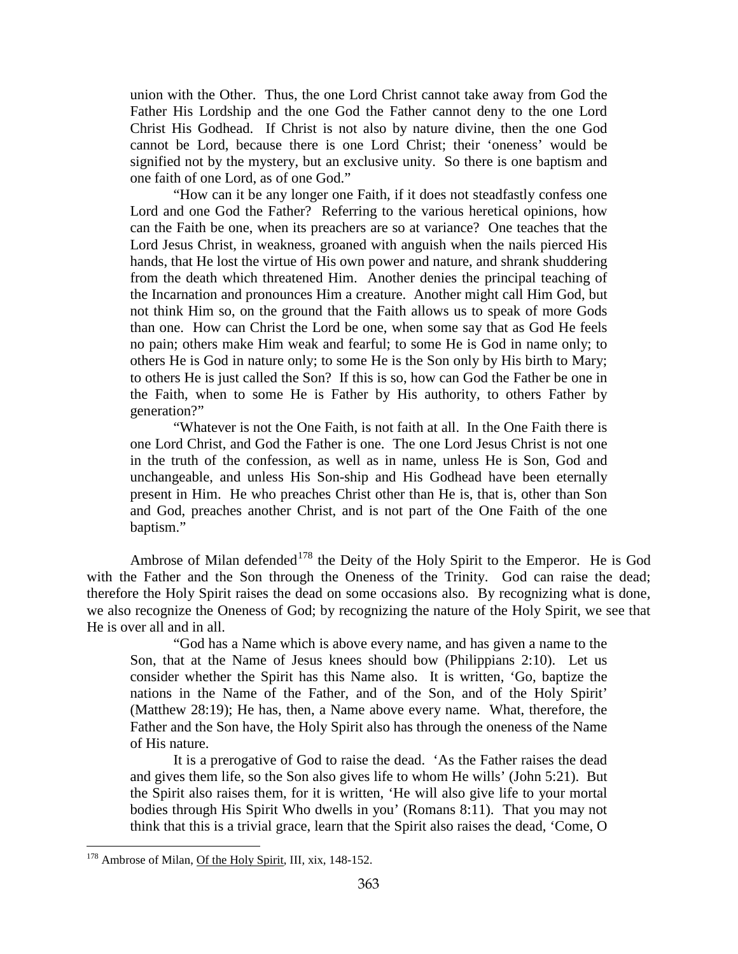union with the Other. Thus, the one Lord Christ cannot take away from God the Father His Lordship and the one God the Father cannot deny to the one Lord Christ His Godhead. If Christ is not also by nature divine, then the one God cannot be Lord, because there is one Lord Christ; their 'oneness' would be signified not by the mystery, but an exclusive unity. So there is one baptism and one faith of one Lord, as of one God."

"How can it be any longer one Faith, if it does not steadfastly confess one Lord and one God the Father? Referring to the various heretical opinions, how can the Faith be one, when its preachers are so at variance? One teaches that the Lord Jesus Christ, in weakness, groaned with anguish when the nails pierced His hands, that He lost the virtue of His own power and nature, and shrank shuddering from the death which threatened Him. Another denies the principal teaching of the Incarnation and pronounces Him a creature. Another might call Him God, but not think Him so, on the ground that the Faith allows us to speak of more Gods than one. How can Christ the Lord be one, when some say that as God He feels no pain; others make Him weak and fearful; to some He is God in name only; to others He is God in nature only; to some He is the Son only by His birth to Mary; to others He is just called the Son? If this is so, how can God the Father be one in the Faith, when to some He is Father by His authority, to others Father by generation?"

"Whatever is not the One Faith, is not faith at all. In the One Faith there is one Lord Christ, and God the Father is one. The one Lord Jesus Christ is not one in the truth of the confession, as well as in name, unless He is Son, God and unchangeable, and unless His Son-ship and His Godhead have been eternally present in Him. He who preaches Christ other than He is, that is, other than Son and God, preaches another Christ, and is not part of the One Faith of the one baptism."

Ambrose of Milan defended<sup>[178](#page-103-0)</sup> the Deity of the Holy Spirit to the Emperor. He is God with the Father and the Son through the Oneness of the Trinity. God can raise the dead; therefore the Holy Spirit raises the dead on some occasions also. By recognizing what is done, we also recognize the Oneness of God; by recognizing the nature of the Holy Spirit, we see that He is over all and in all.

"God has a Name which is above every name, and has given a name to the Son, that at the Name of Jesus knees should bow (Philippians 2:10). Let us consider whether the Spirit has this Name also. It is written, 'Go, baptize the nations in the Name of the Father, and of the Son, and of the Holy Spirit' (Matthew 28:19); He has, then, a Name above every name. What, therefore, the Father and the Son have, the Holy Spirit also has through the oneness of the Name of His nature.

It is a prerogative of God to raise the dead. 'As the Father raises the dead and gives them life, so the Son also gives life to whom He wills' (John 5:21). But the Spirit also raises them, for it is written, 'He will also give life to your mortal bodies through His Spirit Who dwells in you' (Romans 8:11). That you may not think that this is a trivial grace, learn that the Spirit also raises the dead, 'Come, O

<span id="page-103-0"></span><sup>&</sup>lt;sup>178</sup> Ambrose of Milan, Of the Holy Spirit, III, xix, 148-152.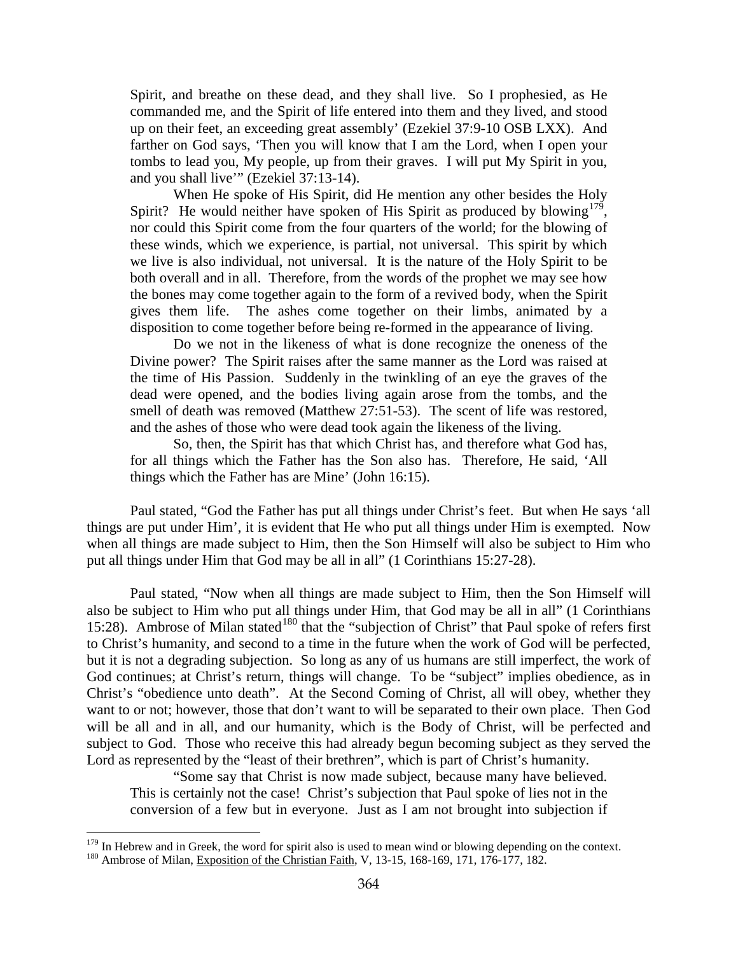Spirit, and breathe on these dead, and they shall live. So I prophesied, as He commanded me, and the Spirit of life entered into them and they lived, and stood up on their feet, an exceeding great assembly' (Ezekiel 37:9-10 OSB LXX). And farther on God says, 'Then you will know that I am the Lord, when I open your tombs to lead you, My people, up from their graves. I will put My Spirit in you, and you shall live'" (Ezekiel 37:13-14).

When He spoke of His Spirit, did He mention any other besides the Holy Spirit? He would neither have spoken of His Spirit as produced by blowing<sup>[179](#page-104-0)</sup>, nor could this Spirit come from the four quarters of the world; for the blowing of these winds, which we experience, is partial, not universal. This spirit by which we live is also individual, not universal. It is the nature of the Holy Spirit to be both overall and in all. Therefore, from the words of the prophet we may see how the bones may come together again to the form of a revived body, when the Spirit gives them life. The ashes come together on their limbs, animated by a disposition to come together before being re-formed in the appearance of living.

Do we not in the likeness of what is done recognize the oneness of the Divine power? The Spirit raises after the same manner as the Lord was raised at the time of His Passion. Suddenly in the twinkling of an eye the graves of the dead were opened, and the bodies living again arose from the tombs, and the smell of death was removed (Matthew 27:51-53). The scent of life was restored, and the ashes of those who were dead took again the likeness of the living.

So, then, the Spirit has that which Christ has, and therefore what God has, for all things which the Father has the Son also has. Therefore, He said, 'All things which the Father has are Mine' (John 16:15).

Paul stated, "God the Father has put all things under Christ's feet. But when He says 'all things are put under Him', it is evident that He who put all things under Him is exempted. Now when all things are made subject to Him, then the Son Himself will also be subject to Him who put all things under Him that God may be all in all" (1 Corinthians 15:27-28).

Paul stated, "Now when all things are made subject to Him, then the Son Himself will also be subject to Him who put all things under Him, that God may be all in all" (1 Corinthians 15:28). Ambrose of Milan stated<sup>[180](#page-104-1)</sup> that the "subjection of Christ" that Paul spoke of refers first to Christ's humanity, and second to a time in the future when the work of God will be perfected, but it is not a degrading subjection. So long as any of us humans are still imperfect, the work of God continues; at Christ's return, things will change. To be "subject" implies obedience, as in Christ's "obedience unto death". At the Second Coming of Christ, all will obey, whether they want to or not; however, those that don't want to will be separated to their own place. Then God will be all and in all, and our humanity, which is the Body of Christ, will be perfected and subject to God. Those who receive this had already begun becoming subject as they served the Lord as represented by the "least of their brethren", which is part of Christ's humanity.

"Some say that Christ is now made subject, because many have believed. This is certainly not the case! Christ's subjection that Paul spoke of lies not in the conversion of a few but in everyone. Just as I am not brought into subjection if

<span id="page-104-1"></span><span id="page-104-0"></span><sup>&</sup>lt;sup>179</sup> In Hebrew and in Greek, the word for spirit also is used to mean wind or blowing depending on the context.  $180$  Ambrose of Milan, Exposition of the Christian Faith, V, 13-15, 168-169, 171, 176-177, 182.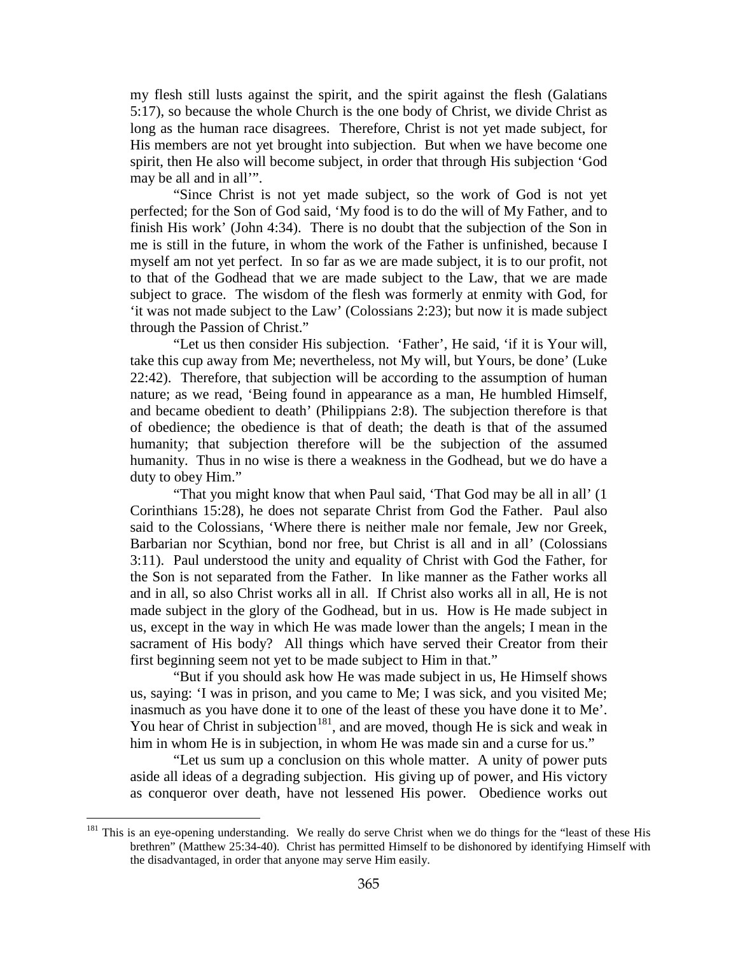my flesh still lusts against the spirit, and the spirit against the flesh (Galatians 5:17), so because the whole Church is the one body of Christ, we divide Christ as long as the human race disagrees. Therefore, Christ is not yet made subject, for His members are not yet brought into subjection. But when we have become one spirit, then He also will become subject, in order that through His subjection 'God may be all and in all'".

"Since Christ is not yet made subject, so the work of God is not yet perfected; for the Son of God said, 'My food is to do the will of My Father, and to finish His work' (John 4:34). There is no doubt that the subjection of the Son in me is still in the future, in whom the work of the Father is unfinished, because I myself am not yet perfect. In so far as we are made subject, it is to our profit, not to that of the Godhead that we are made subject to the Law, that we are made subject to grace. The wisdom of the flesh was formerly at enmity with God, for 'it was not made subject to the Law' (Colossians 2:23); but now it is made subject through the Passion of Christ."

"Let us then consider His subjection. 'Father', He said, 'if it is Your will, take this cup away from Me; nevertheless, not My will, but Yours, be done' (Luke 22:42). Therefore, that subjection will be according to the assumption of human nature; as we read, 'Being found in appearance as a man, He humbled Himself, and became obedient to death' (Philippians 2:8). The subjection therefore is that of obedience; the obedience is that of death; the death is that of the assumed humanity; that subjection therefore will be the subjection of the assumed humanity. Thus in no wise is there a weakness in the Godhead, but we do have a duty to obey Him."

"That you might know that when Paul said, 'That God may be all in all' (1 Corinthians 15:28), he does not separate Christ from God the Father. Paul also said to the Colossians, 'Where there is neither male nor female, Jew nor Greek, Barbarian nor Scythian, bond nor free, but Christ is all and in all' (Colossians 3:11). Paul understood the unity and equality of Christ with God the Father, for the Son is not separated from the Father. In like manner as the Father works all and in all, so also Christ works all in all. If Christ also works all in all, He is not made subject in the glory of the Godhead, but in us. How is He made subject in us, except in the way in which He was made lower than the angels; I mean in the sacrament of His body? All things which have served their Creator from their first beginning seem not yet to be made subject to Him in that."

"But if you should ask how He was made subject in us, He Himself shows us, saying: 'I was in prison, and you came to Me; I was sick, and you visited Me; inasmuch as you have done it to one of the least of these you have done it to Me'. You hear of Christ in subjection<sup>181</sup>, and are moved, though He is sick and weak in him in whom He is in subjection, in whom He was made sin and a curse for us."

"Let us sum up a conclusion on this whole matter. A unity of power puts aside all ideas of a degrading subjection. His giving up of power, and His victory as conqueror over death, have not lessened His power. Obedience works out

<span id="page-105-0"></span><sup>&</sup>lt;sup>181</sup> This is an eye-opening understanding. We really do serve Christ when we do things for the "least of these His brethren" (Matthew 25:34-40). Christ has permitted Himself to be dishonored by identifying Himself with the disadvantaged, in order that anyone may serve Him easily.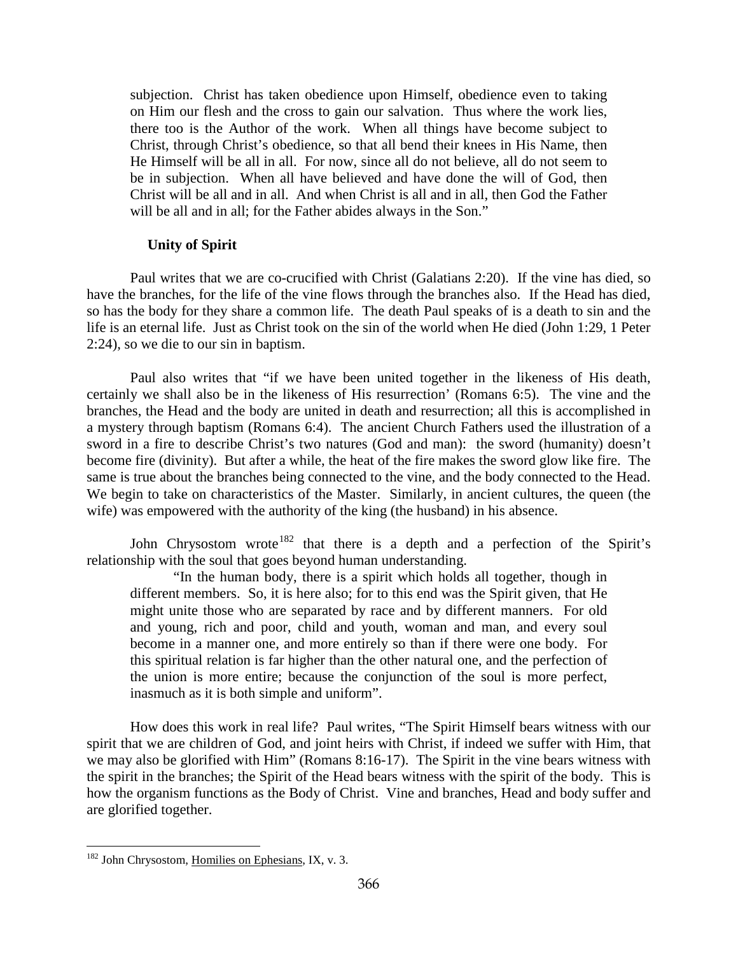subjection. Christ has taken obedience upon Himself, obedience even to taking on Him our flesh and the cross to gain our salvation. Thus where the work lies, there too is the Author of the work. When all things have become subject to Christ, through Christ's obedience, so that all bend their knees in His Name, then He Himself will be all in all. For now, since all do not believe, all do not seem to be in subjection. When all have believed and have done the will of God, then Christ will be all and in all. And when Christ is all and in all, then God the Father will be all and in all; for the Father abides always in the Son."

## **Unity of Spirit**

Paul writes that we are co-crucified with Christ (Galatians 2:20). If the vine has died, so have the branches, for the life of the vine flows through the branches also. If the Head has died, so has the body for they share a common life. The death Paul speaks of is a death to sin and the life is an eternal life. Just as Christ took on the sin of the world when He died (John 1:29, 1 Peter 2:24), so we die to our sin in baptism.

Paul also writes that "if we have been united together in the likeness of His death, certainly we shall also be in the likeness of His resurrection' (Romans 6:5). The vine and the branches, the Head and the body are united in death and resurrection; all this is accomplished in a mystery through baptism (Romans 6:4). The ancient Church Fathers used the illustration of a sword in a fire to describe Christ's two natures (God and man): the sword (humanity) doesn't become fire (divinity). But after a while, the heat of the fire makes the sword glow like fire. The same is true about the branches being connected to the vine, and the body connected to the Head. We begin to take on characteristics of the Master. Similarly, in ancient cultures, the queen (the wife) was empowered with the authority of the king (the husband) in his absence.

John Chrysostom wrote<sup>[182](#page-106-0)</sup> that there is a depth and a perfection of the Spirit's relationship with the soul that goes beyond human understanding.

"In the human body, there is a spirit which holds all together, though in different members. So, it is here also; for to this end was the Spirit given, that He might unite those who are separated by race and by different manners. For old and young, rich and poor, child and youth, woman and man, and every soul become in a manner one, and more entirely so than if there were one body. For this spiritual relation is far higher than the other natural one, and the perfection of the union is more entire; because the conjunction of the soul is more perfect, inasmuch as it is both simple and uniform".

How does this work in real life? Paul writes, "The Spirit Himself bears witness with our spirit that we are children of God, and joint heirs with Christ, if indeed we suffer with Him, that we may also be glorified with Him" (Romans 8:16-17). The Spirit in the vine bears witness with the spirit in the branches; the Spirit of the Head bears witness with the spirit of the body. This is how the organism functions as the Body of Christ. Vine and branches, Head and body suffer and are glorified together.

<span id="page-106-0"></span><sup>&</sup>lt;sup>182</sup> John Chrysostom, Homilies on Ephesians, IX, v. 3.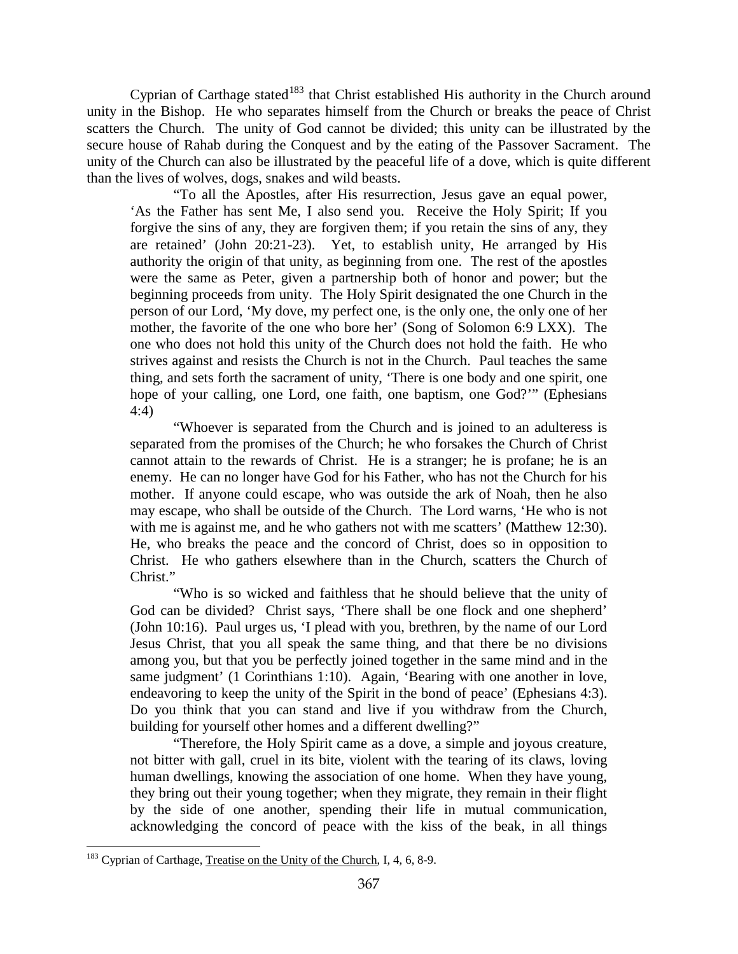Cyprian of Carthage stated<sup>[183](#page-107-0)</sup> that Christ established His authority in the Church around unity in the Bishop. He who separates himself from the Church or breaks the peace of Christ scatters the Church. The unity of God cannot be divided; this unity can be illustrated by the secure house of Rahab during the Conquest and by the eating of the Passover Sacrament. The unity of the Church can also be illustrated by the peaceful life of a dove, which is quite different than the lives of wolves, dogs, snakes and wild beasts.

"To all the Apostles, after His resurrection, Jesus gave an equal power, 'As the Father has sent Me, I also send you. Receive the Holy Spirit; If you forgive the sins of any, they are forgiven them; if you retain the sins of any, they are retained' (John 20:21-23). Yet, to establish unity, He arranged by His authority the origin of that unity, as beginning from one. The rest of the apostles were the same as Peter, given a partnership both of honor and power; but the beginning proceeds from unity. The Holy Spirit designated the one Church in the person of our Lord, 'My dove, my perfect one, is the only one, the only one of her mother, the favorite of the one who bore her' (Song of Solomon 6:9 LXX). The one who does not hold this unity of the Church does not hold the faith. He who strives against and resists the Church is not in the Church. Paul teaches the same thing, and sets forth the sacrament of unity, 'There is one body and one spirit, one hope of your calling, one Lord, one faith, one baptism, one God?'" (Ephesians 4:4)

"Whoever is separated from the Church and is joined to an adulteress is separated from the promises of the Church; he who forsakes the Church of Christ cannot attain to the rewards of Christ. He is a stranger; he is profane; he is an enemy. He can no longer have God for his Father, who has not the Church for his mother. If anyone could escape, who was outside the ark of Noah, then he also may escape, who shall be outside of the Church. The Lord warns, 'He who is not with me is against me, and he who gathers not with me scatters' (Matthew 12:30). He, who breaks the peace and the concord of Christ, does so in opposition to Christ. He who gathers elsewhere than in the Church, scatters the Church of Christ."

"Who is so wicked and faithless that he should believe that the unity of God can be divided? Christ says, 'There shall be one flock and one shepherd' (John 10:16). Paul urges us, 'I plead with you, brethren, by the name of our Lord Jesus Christ, that you all speak the same thing, and that there be no divisions among you, but that you be perfectly joined together in the same mind and in the same judgment' (1 Corinthians 1:10). Again, 'Bearing with one another in love, endeavoring to keep the unity of the Spirit in the bond of peace' (Ephesians 4:3). Do you think that you can stand and live if you withdraw from the Church, building for yourself other homes and a different dwelling?"

"Therefore, the Holy Spirit came as a dove, a simple and joyous creature, not bitter with gall, cruel in its bite, violent with the tearing of its claws, loving human dwellings, knowing the association of one home. When they have young, they bring out their young together; when they migrate, they remain in their flight by the side of one another, spending their life in mutual communication, acknowledging the concord of peace with the kiss of the beak, in all things

<span id="page-107-0"></span><sup>&</sup>lt;sup>183</sup> Cyprian of Carthage, Treatise on the Unity of the Church, I, 4, 6, 8-9.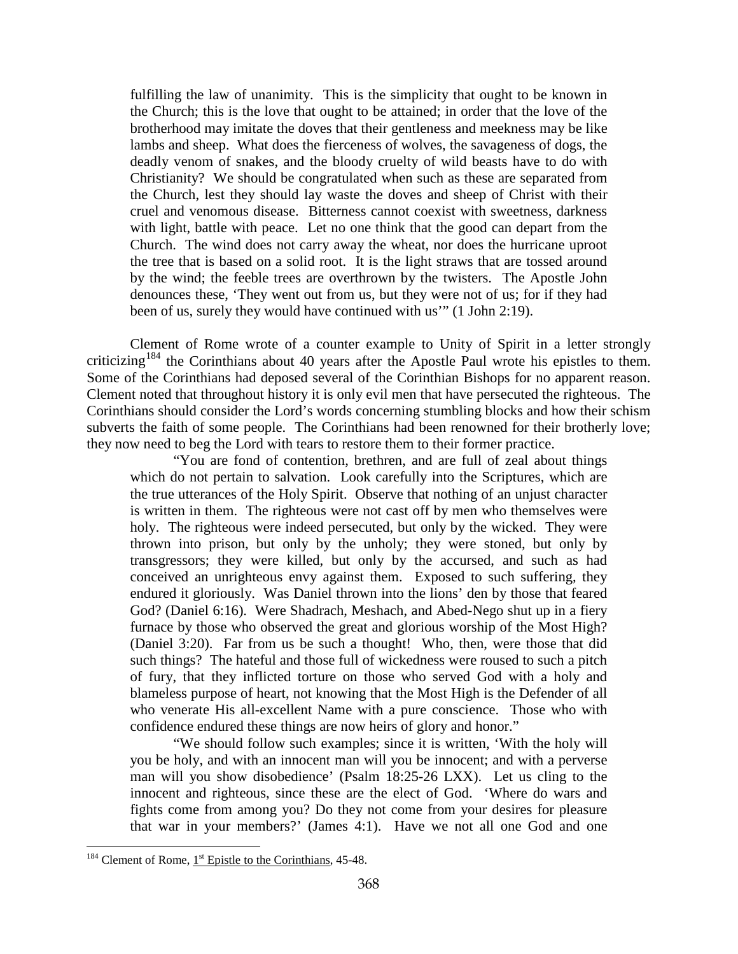fulfilling the law of unanimity. This is the simplicity that ought to be known in the Church; this is the love that ought to be attained; in order that the love of the brotherhood may imitate the doves that their gentleness and meekness may be like lambs and sheep. What does the fierceness of wolves, the savageness of dogs, the deadly venom of snakes, and the bloody cruelty of wild beasts have to do with Christianity? We should be congratulated when such as these are separated from the Church, lest they should lay waste the doves and sheep of Christ with their cruel and venomous disease. Bitterness cannot coexist with sweetness, darkness with light, battle with peace. Let no one think that the good can depart from the Church. The wind does not carry away the wheat, nor does the hurricane uproot the tree that is based on a solid root. It is the light straws that are tossed around by the wind; the feeble trees are overthrown by the twisters. The Apostle John denounces these, 'They went out from us, but they were not of us; for if they had been of us, surely they would have continued with us'" (1 John 2:19).

Clement of Rome wrote of a counter example to Unity of Spirit in a letter strongly criticizing<sup>[184](#page-108-0)</sup> the Corinthians about 40 years after the Apostle Paul wrote his epistles to them. Some of the Corinthians had deposed several of the Corinthian Bishops for no apparent reason. Clement noted that throughout history it is only evil men that have persecuted the righteous. The Corinthians should consider the Lord's words concerning stumbling blocks and how their schism subverts the faith of some people. The Corinthians had been renowned for their brotherly love; they now need to beg the Lord with tears to restore them to their former practice.

"You are fond of contention, brethren, and are full of zeal about things which do not pertain to salvation. Look carefully into the Scriptures, which are the true utterances of the Holy Spirit. Observe that nothing of an unjust character is written in them. The righteous were not cast off by men who themselves were holy. The righteous were indeed persecuted, but only by the wicked. They were thrown into prison, but only by the unholy; they were stoned, but only by transgressors; they were killed, but only by the accursed, and such as had conceived an unrighteous envy against them. Exposed to such suffering, they endured it gloriously. Was Daniel thrown into the lions' den by those that feared God? (Daniel 6:16). Were Shadrach, Meshach, and Abed-Nego shut up in a fiery furnace by those who observed the great and glorious worship of the Most High? (Daniel 3:20). Far from us be such a thought! Who, then, were those that did such things? The hateful and those full of wickedness were roused to such a pitch of fury, that they inflicted torture on those who served God with a holy and blameless purpose of heart, not knowing that the Most High is the Defender of all who venerate His all-excellent Name with a pure conscience. Those who with confidence endured these things are now heirs of glory and honor."

"We should follow such examples; since it is written, 'With the holy will you be holy, and with an innocent man will you be innocent; and with a perverse man will you show disobedience' (Psalm 18:25-26 LXX). Let us cling to the innocent and righteous, since these are the elect of God. 'Where do wars and fights come from among you? Do they not come from your desires for pleasure that war in your members?' (James 4:1). Have we not all one God and one

 $\overline{a}$ 

<span id="page-108-0"></span> $184$  Clement of Rome,  $1<sup>st</sup>$  Epistle to the Corinthians, 45-48.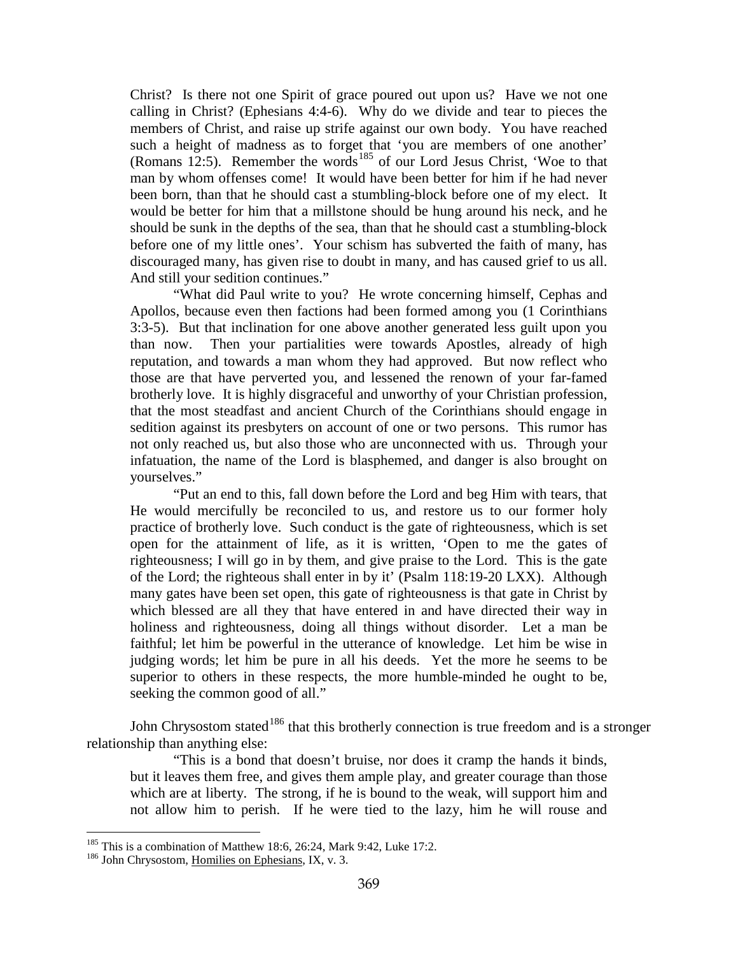Christ? Is there not one Spirit of grace poured out upon us? Have we not one calling in Christ? (Ephesians 4:4-6). Why do we divide and tear to pieces the members of Christ, and raise up strife against our own body. You have reached such a height of madness as to forget that 'you are members of one another' (Romans 12:5). Remember the words<sup>[185](#page-109-0)</sup> of our Lord Jesus Christ, 'Woe to that man by whom offenses come! It would have been better for him if he had never been born, than that he should cast a stumbling-block before one of my elect. It would be better for him that a millstone should be hung around his neck, and he should be sunk in the depths of the sea, than that he should cast a stumbling-block before one of my little ones'. Your schism has subverted the faith of many, has discouraged many, has given rise to doubt in many, and has caused grief to us all. And still your sedition continues."

"What did Paul write to you? He wrote concerning himself, Cephas and Apollos, because even then factions had been formed among you (1 Corinthians 3:3-5). But that inclination for one above another generated less guilt upon you than now. Then your partialities were towards Apostles, already of high reputation, and towards a man whom they had approved. But now reflect who those are that have perverted you, and lessened the renown of your far-famed brotherly love. It is highly disgraceful and unworthy of your Christian profession, that the most steadfast and ancient Church of the Corinthians should engage in sedition against its presbyters on account of one or two persons. This rumor has not only reached us, but also those who are unconnected with us. Through your infatuation, the name of the Lord is blasphemed, and danger is also brought on yourselves."

"Put an end to this, fall down before the Lord and beg Him with tears, that He would mercifully be reconciled to us, and restore us to our former holy practice of brotherly love. Such conduct is the gate of righteousness, which is set open for the attainment of life, as it is written, 'Open to me the gates of righteousness; I will go in by them, and give praise to the Lord. This is the gate of the Lord; the righteous shall enter in by it' (Psalm 118:19-20 LXX). Although many gates have been set open, this gate of righteousness is that gate in Christ by which blessed are all they that have entered in and have directed their way in holiness and righteousness, doing all things without disorder. Let a man be faithful; let him be powerful in the utterance of knowledge. Let him be wise in judging words; let him be pure in all his deeds. Yet the more he seems to be superior to others in these respects, the more humble-minded he ought to be, seeking the common good of all."

John Chrysostom stated<sup>[186](#page-109-1)</sup> that this brotherly connection is true freedom and is a stronger relationship than anything else:

"This is a bond that doesn't bruise, nor does it cramp the hands it binds, but it leaves them free, and gives them ample play, and greater courage than those which are at liberty. The strong, if he is bound to the weak, will support him and not allow him to perish. If he were tied to the lazy, him he will rouse and

 $\overline{a}$ 

<span id="page-109-0"></span><sup>&</sup>lt;sup>185</sup> This is a combination of Matthew 18:6, 26:24, Mark 9:42, Luke 17:2.  $\frac{186}{186}$  John Chrysostom, Homilies on Ephesians, IX, v. 3.

<span id="page-109-1"></span>